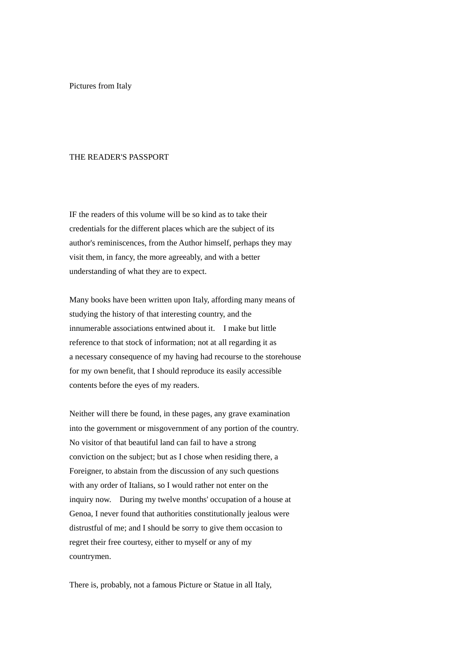Pictures from Italy

## THE READER'S PASSPORT

IF the readers of this volume will be so kind as to take their credentials for the different places which are the subject of its author's reminiscences, from the Author himself, perhaps they may visit them, in fancy, the more agreeably, and with a better understanding of what they are to expect.

Many books have been written upon Italy, affording many means of studying the history of that interesting country, and the innumerable associations entwined about it. I make but little reference to that stock of information; not at all regarding it as a necessary consequence of my having had recourse to the storehouse for my own benefit, that I should reproduce its easily accessible contents before the eyes of my readers.

Neither will there be found, in these pages, any grave examination into the government or misgovernment of any portion of the country. No visitor of that beautiful land can fail to have a strong conviction on the subject; but as I chose when residing there, a Foreigner, to abstain from the discussion of any such questions with any order of Italians, so I would rather not enter on the inquiry now. During my twelve months' occupation of a house at Genoa, I never found that authorities constitutionally jealous were distrustful of me; and I should be sorry to give them occasion to regret their free courtesy, either to myself or any of my countrymen.

There is, probably, not a famous Picture or Statue in all Italy,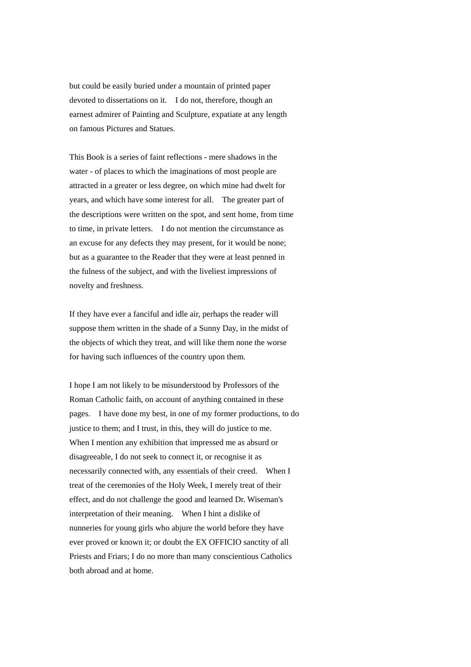but could be easily buried under a mountain of printed paper devoted to dissertations on it. I do not, therefore, though an earnest admirer of Painting and Sculpture, expatiate at any length on famous Pictures and Statues.

This Book is a series of faint reflections - mere shadows in the water - of places to which the imaginations of most people are attracted in a greater or less degree, on which mine had dwelt for years, and which have some interest for all. The greater part of the descriptions were written on the spot, and sent home, from time to time, in private letters. I do not mention the circumstance as an excuse for any defects they may present, for it would be none; but as a guarantee to the Reader that they were at least penned in the fulness of the subject, and with the liveliest impressions of novelty and freshness.

If they have ever a fanciful and idle air, perhaps the reader will suppose them written in the shade of a Sunny Day, in the midst of the objects of which they treat, and will like them none the worse for having such influences of the country upon them.

I hope I am not likely to be misunderstood by Professors of the Roman Catholic faith, on account of anything contained in these pages. I have done my best, in one of my former productions, to do justice to them; and I trust, in this, they will do justice to me. When I mention any exhibition that impressed me as absurd or disagreeable, I do not seek to connect it, or recognise it as necessarily connected with, any essentials of their creed. When I treat of the ceremonies of the Holy Week, I merely treat of their effect, and do not challenge the good and learned Dr. Wiseman's interpretation of their meaning. When I hint a dislike of nunneries for young girls who abjure the world before they have ever proved or known it; or doubt the EX OFFICIO sanctity of all Priests and Friars; I do no more than many conscientious Catholics both abroad and at home.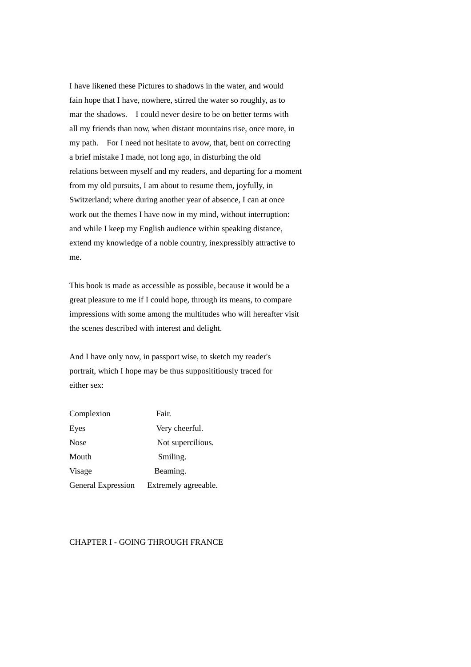I have likened these Pictures to shadows in the water, and would fain hope that I have, nowhere, stirred the water so roughly, as to mar the shadows. I could never desire to be on better terms with all my friends than now, when distant mountains rise, once more, in my path. For I need not hesitate to avow, that, bent on correcting a brief mistake I made, not long ago, in disturbing the old relations between myself and my readers, and departing for a moment from my old pursuits, I am about to resume them, joyfully, in Switzerland; where during another year of absence, I can at once work out the themes I have now in my mind, without interruption: and while I keep my English audience within speaking distance, extend my knowledge of a noble country, inexpressibly attractive to me.

This book is made as accessible as possible, because it would be a great pleasure to me if I could hope, through its means, to compare impressions with some among the multitudes who will hereafter visit the scenes described with interest and delight.

And I have only now, in passport wise, to sketch my reader's portrait, which I hope may be thus supposititiously traced for either sex:

| Complexion         | Fair.                |
|--------------------|----------------------|
| Eyes               | Very cheerful.       |
| <b>Nose</b>        | Not supercilious.    |
| Mouth              | Smiling.             |
| Visage             | Beaming.             |
| General Expression | Extremely agreeable. |

# CHAPTER I - GOING THROUGH FRANCE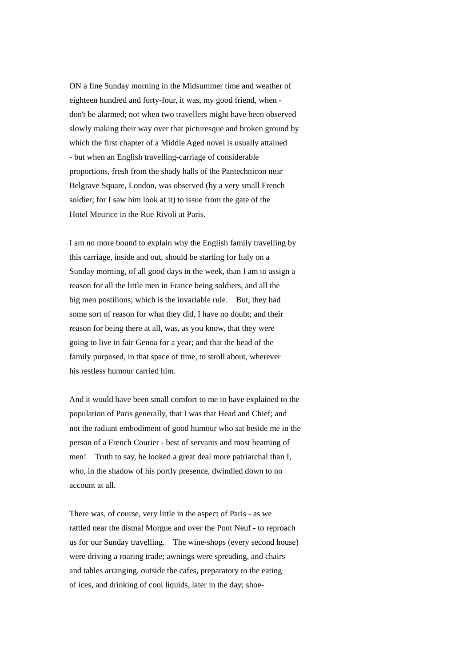ON a fine Sunday morning in the Midsummer time and weather of eighteen hundred and forty-four, it was, my good friend, when don't be alarmed; not when two travellers might have been observed slowly making their way over that picturesque and broken ground by which the first chapter of a Middle Aged novel is usually attained - but when an English travelling-carriage of considerable proportions, fresh from the shady halls of the Pantechnicon near Belgrave Square, London, was observed (by a very small French soldier; for I saw him look at it) to issue from the gate of the Hotel Meurice in the Rue Rivoli at Paris.

I am no more bound to explain why the English family travelling by this carriage, inside and out, should be starting for Italy on a Sunday morning, of all good days in the week, than I am to assign a reason for all the little men in France being soldiers, and all the big men postilions; which is the invariable rule. But, they had some sort of reason for what they did, I have no doubt; and their reason for being there at all, was, as you know, that they were going to live in fair Genoa for a year; and that the head of the family purposed, in that space of time, to stroll about, wherever his restless humour carried him.

And it would have been small comfort to me to have explained to the population of Paris generally, that I was that Head and Chief; and not the radiant embodiment of good humour who sat beside me in the person of a French Courier - best of servants and most beaming of men! Truth to say, he looked a great deal more patriarchal than I, who, in the shadow of his portly presence, dwindled down to no account at all.

There was, of course, very little in the aspect of Paris - as we rattled near the dismal Morgue and over the Pont Neuf - to reproach us for our Sunday travelling. The wine-shops (every second house) were driving a roaring trade; awnings were spreading, and chairs and tables arranging, outside the cafes, preparatory to the eating of ices, and drinking of cool liquids, later in the day; shoe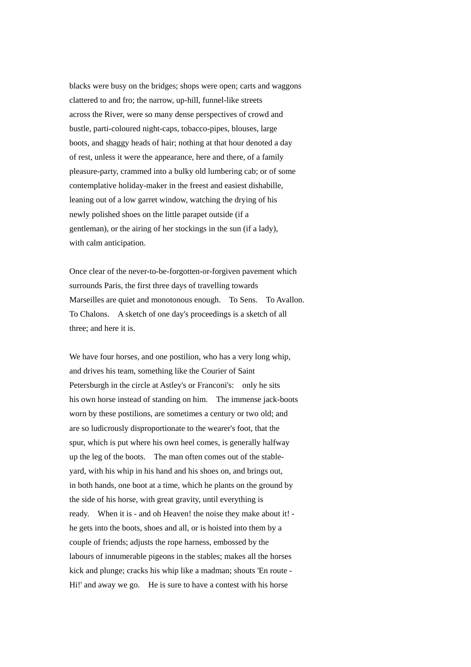blacks were busy on the bridges; shops were open; carts and waggons clattered to and fro; the narrow, up-hill, funnel-like streets across the River, were so many dense perspectives of crowd and bustle, parti-coloured night-caps, tobacco-pipes, blouses, large boots, and shaggy heads of hair; nothing at that hour denoted a day of rest, unless it were the appearance, here and there, of a family pleasure-party, crammed into a bulky old lumbering cab; or of some contemplative holiday-maker in the freest and easiest dishabille, leaning out of a low garret window, watching the drying of his newly polished shoes on the little parapet outside (if a gentleman), or the airing of her stockings in the sun (if a lady), with calm anticipation.

Once clear of the never-to-be-forgotten-or-forgiven pavement which surrounds Paris, the first three days of travelling towards Marseilles are quiet and monotonous enough. To Sens. To Avallon. To Chalons. A sketch of one day's proceedings is a sketch of all three; and here it is.

We have four horses, and one postilion, who has a very long whip, and drives his team, something like the Courier of Saint Petersburgh in the circle at Astley's or Franconi's: only he sits his own horse instead of standing on him. The immense jack-boots worn by these postilions, are sometimes a century or two old; and are so ludicrously disproportionate to the wearer's foot, that the spur, which is put where his own heel comes, is generally halfway up the leg of the boots. The man often comes out of the stableyard, with his whip in his hand and his shoes on, and brings out, in both hands, one boot at a time, which he plants on the ground by the side of his horse, with great gravity, until everything is ready. When it is - and oh Heaven! the noise they make about it! he gets into the boots, shoes and all, or is hoisted into them by a couple of friends; adjusts the rope harness, embossed by the labours of innumerable pigeons in the stables; makes all the horses kick and plunge; cracks his whip like a madman; shouts 'En route - Hi!' and away we go. He is sure to have a contest with his horse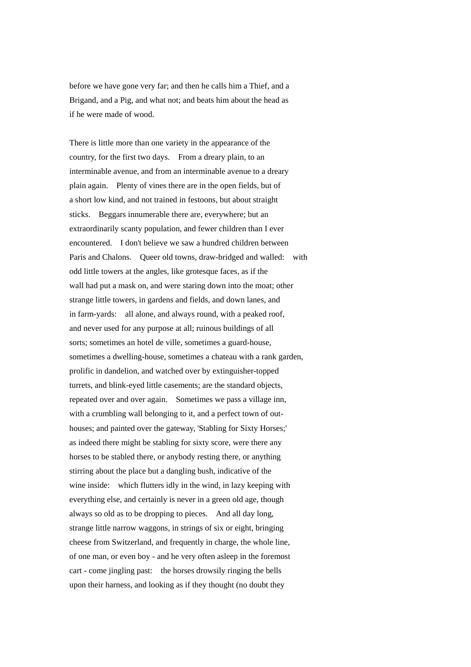before we have gone very far; and then he calls him a Thief, and a Brigand, and a Pig, and what not; and beats him about the head as if he were made of wood.

There is little more than one variety in the appearance of the country, for the first two days. From a dreary plain, to an interminable avenue, and from an interminable avenue to a dreary plain again. Plenty of vines there are in the open fields, but of a short low kind, and not trained in festoons, but about straight sticks. Beggars innumerable there are, everywhere; but an extraordinarily scanty population, and fewer children than I ever encountered. I don't believe we saw a hundred children between Paris and Chalons. Queer old towns, draw-bridged and walled: with odd little towers at the angles, like grotesque faces, as if the wall had put a mask on, and were staring down into the moat; other strange little towers, in gardens and fields, and down lanes, and in farm-yards: all alone, and always round, with a peaked roof, and never used for any purpose at all; ruinous buildings of all sorts; sometimes an hotel de ville, sometimes a guard-house, sometimes a dwelling-house, sometimes a chateau with a rank garden, prolific in dandelion, and watched over by extinguisher-topped turrets, and blink-eyed little casements; are the standard objects, repeated over and over again. Sometimes we pass a village inn, with a crumbling wall belonging to it, and a perfect town of outhouses; and painted over the gateway, 'Stabling for Sixty Horses;' as indeed there might be stabling for sixty score, were there any horses to be stabled there, or anybody resting there, or anything stirring about the place but a dangling bush, indicative of the wine inside: which flutters idly in the wind, in lazy keeping with everything else, and certainly is never in a green old age, though always so old as to be dropping to pieces. And all day long, strange little narrow waggons, in strings of six or eight, bringing cheese from Switzerland, and frequently in charge, the whole line, of one man, or even boy - and he very often asleep in the foremost cart - come jingling past: the horses drowsily ringing the bells upon their harness, and looking as if they thought (no doubt they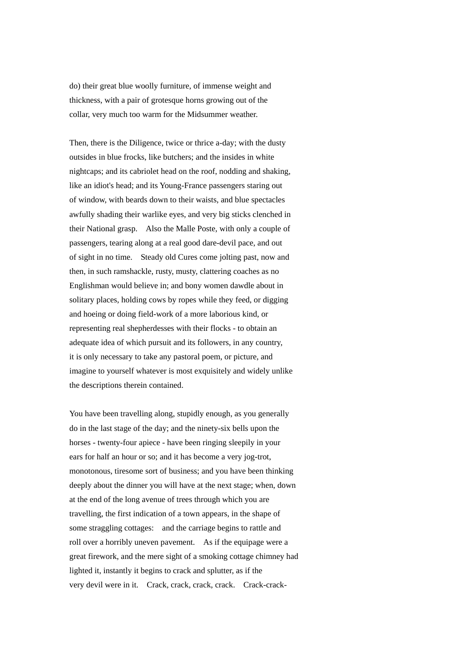do) their great blue woolly furniture, of immense weight and thickness, with a pair of grotesque horns growing out of the collar, very much too warm for the Midsummer weather.

Then, there is the Diligence, twice or thrice a-day; with the dusty outsides in blue frocks, like butchers; and the insides in white nightcaps; and its cabriolet head on the roof, nodding and shaking, like an idiot's head; and its Young-France passengers staring out of window, with beards down to their waists, and blue spectacles awfully shading their warlike eyes, and very big sticks clenched in their National grasp. Also the Malle Poste, with only a couple of passengers, tearing along at a real good dare-devil pace, and out of sight in no time. Steady old Cures come jolting past, now and then, in such ramshackle, rusty, musty, clattering coaches as no Englishman would believe in; and bony women dawdle about in solitary places, holding cows by ropes while they feed, or digging and hoeing or doing field-work of a more laborious kind, or representing real shepherdesses with their flocks - to obtain an adequate idea of which pursuit and its followers, in any country, it is only necessary to take any pastoral poem, or picture, and imagine to yourself whatever is most exquisitely and widely unlike the descriptions therein contained.

You have been travelling along, stupidly enough, as you generally do in the last stage of the day; and the ninety-six bells upon the horses - twenty-four apiece - have been ringing sleepily in your ears for half an hour or so; and it has become a very jog-trot, monotonous, tiresome sort of business; and you have been thinking deeply about the dinner you will have at the next stage; when, down at the end of the long avenue of trees through which you are travelling, the first indication of a town appears, in the shape of some straggling cottages: and the carriage begins to rattle and roll over a horribly uneven pavement. As if the equipage were a great firework, and the mere sight of a smoking cottage chimney had lighted it, instantly it begins to crack and splutter, as if the very devil were in it. Crack, crack, crack, crack. Crack-crack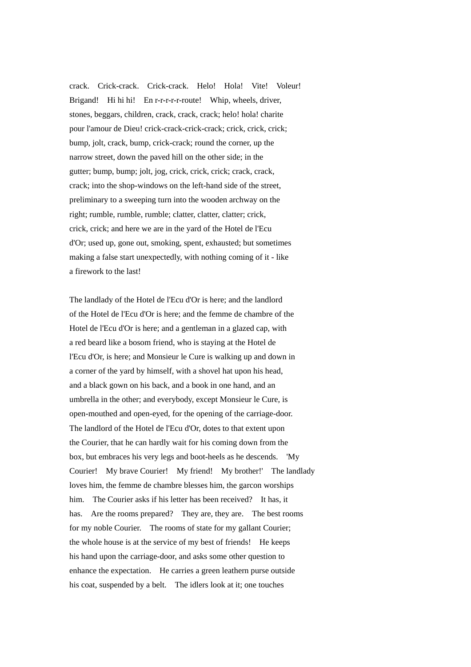crack. Crick-crack. Crick-crack. Helo! Hola! Vite! Voleur! Brigand! Hi hi hi! En r-r-r-r-r-route! Whip, wheels, driver, stones, beggars, children, crack, crack, crack; helo! hola! charite pour l'amour de Dieu! crick-crack-crick-crack; crick, crick, crick; bump, jolt, crack, bump, crick-crack; round the corner, up the narrow street, down the paved hill on the other side; in the gutter; bump, bump; jolt, jog, crick, crick, crick; crack, crack, crack; into the shop-windows on the left-hand side of the street, preliminary to a sweeping turn into the wooden archway on the right; rumble, rumble, rumble; clatter, clatter, clatter; crick, crick, crick; and here we are in the yard of the Hotel de l'Ecu d'Or; used up, gone out, smoking, spent, exhausted; but sometimes making a false start unexpectedly, with nothing coming of it - like a firework to the last!

The landlady of the Hotel de l'Ecu d'Or is here; and the landlord of the Hotel de l'Ecu d'Or is here; and the femme de chambre of the Hotel de l'Ecu d'Or is here; and a gentleman in a glazed cap, with a red beard like a bosom friend, who is staying at the Hotel de l'Ecu d'Or, is here; and Monsieur le Cure is walking up and down in a corner of the yard by himself, with a shovel hat upon his head, and a black gown on his back, and a book in one hand, and an umbrella in the other; and everybody, except Monsieur le Cure, is open-mouthed and open-eyed, for the opening of the carriage-door. The landlord of the Hotel de l'Ecu d'Or, dotes to that extent upon the Courier, that he can hardly wait for his coming down from the box, but embraces his very legs and boot-heels as he descends. 'My Courier! My brave Courier! My friend! My brother!' The landlady loves him, the femme de chambre blesses him, the garcon worships him. The Courier asks if his letter has been received? It has, it has. Are the rooms prepared? They are, they are. The best rooms for my noble Courier. The rooms of state for my gallant Courier; the whole house is at the service of my best of friends! He keeps his hand upon the carriage-door, and asks some other question to enhance the expectation. He carries a green leathern purse outside his coat, suspended by a belt. The idlers look at it; one touches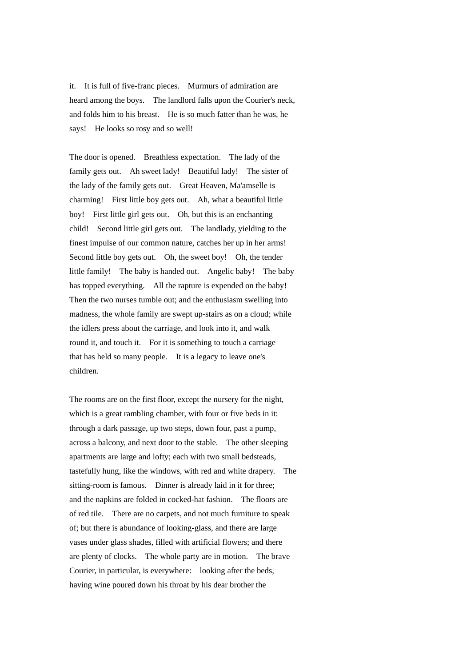it. It is full of five-franc pieces. Murmurs of admiration are heard among the boys. The landlord falls upon the Courier's neck, and folds him to his breast. He is so much fatter than he was, he says! He looks so rosy and so well!

The door is opened. Breathless expectation. The lady of the family gets out. Ah sweet lady! Beautiful lady! The sister of the lady of the family gets out. Great Heaven, Ma'amselle is charming! First little boy gets out. Ah, what a beautiful little boy! First little girl gets out. Oh, but this is an enchanting child! Second little girl gets out. The landlady, yielding to the finest impulse of our common nature, catches her up in her arms! Second little boy gets out. Oh, the sweet boy! Oh, the tender little family! The baby is handed out. Angelic baby! The baby has topped everything. All the rapture is expended on the baby! Then the two nurses tumble out; and the enthusiasm swelling into madness, the whole family are swept up-stairs as on a cloud; while the idlers press about the carriage, and look into it, and walk round it, and touch it. For it is something to touch a carriage that has held so many people. It is a legacy to leave one's children.

The rooms are on the first floor, except the nursery for the night, which is a great rambling chamber, with four or five beds in it: through a dark passage, up two steps, down four, past a pump, across a balcony, and next door to the stable. The other sleeping apartments are large and lofty; each with two small bedsteads, tastefully hung, like the windows, with red and white drapery. The sitting-room is famous. Dinner is already laid in it for three; and the napkins are folded in cocked-hat fashion. The floors are of red tile. There are no carpets, and not much furniture to speak of; but there is abundance of looking-glass, and there are large vases under glass shades, filled with artificial flowers; and there are plenty of clocks. The whole party are in motion. The brave Courier, in particular, is everywhere: looking after the beds, having wine poured down his throat by his dear brother the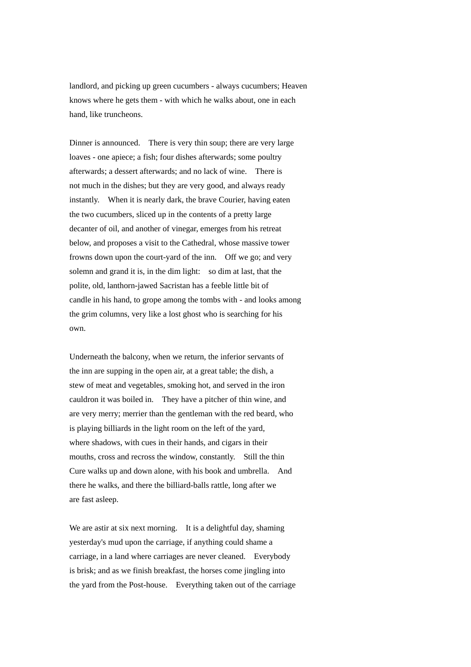landlord, and picking up green cucumbers - always cucumbers; Heaven knows where he gets them - with which he walks about, one in each hand, like truncheons.

Dinner is announced. There is very thin soup; there are very large loaves - one apiece; a fish; four dishes afterwards; some poultry afterwards; a dessert afterwards; and no lack of wine. There is not much in the dishes; but they are very good, and always ready instantly. When it is nearly dark, the brave Courier, having eaten the two cucumbers, sliced up in the contents of a pretty large decanter of oil, and another of vinegar, emerges from his retreat below, and proposes a visit to the Cathedral, whose massive tower frowns down upon the court-yard of the inn. Off we go; and very solemn and grand it is, in the dim light: so dim at last, that the polite, old, lanthorn-jawed Sacristan has a feeble little bit of candle in his hand, to grope among the tombs with - and looks among the grim columns, very like a lost ghost who is searching for his own.

Underneath the balcony, when we return, the inferior servants of the inn are supping in the open air, at a great table; the dish, a stew of meat and vegetables, smoking hot, and served in the iron cauldron it was boiled in. They have a pitcher of thin wine, and are very merry; merrier than the gentleman with the red beard, who is playing billiards in the light room on the left of the yard, where shadows, with cues in their hands, and cigars in their mouths, cross and recross the window, constantly. Still the thin Cure walks up and down alone, with his book and umbrella. And there he walks, and there the billiard-balls rattle, long after we are fast asleep.

We are astir at six next morning. It is a delightful day, shaming yesterday's mud upon the carriage, if anything could shame a carriage, in a land where carriages are never cleaned. Everybody is brisk; and as we finish breakfast, the horses come jingling into the yard from the Post-house. Everything taken out of the carriage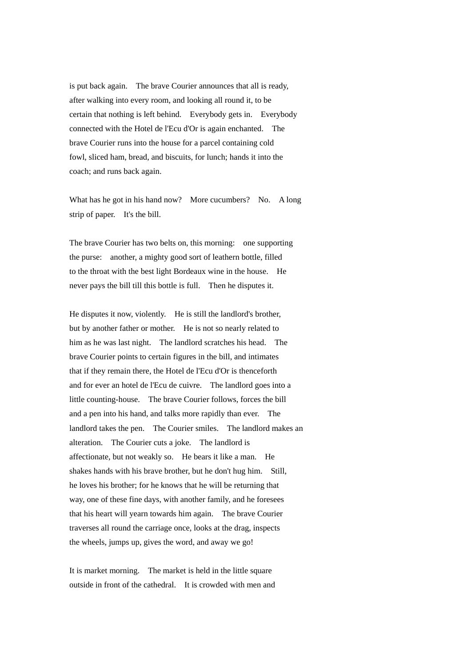is put back again. The brave Courier announces that all is ready, after walking into every room, and looking all round it, to be certain that nothing is left behind. Everybody gets in. Everybody connected with the Hotel de l'Ecu d'Or is again enchanted. The brave Courier runs into the house for a parcel containing cold fowl, sliced ham, bread, and biscuits, for lunch; hands it into the coach; and runs back again.

What has he got in his hand now? More cucumbers? No. A long strip of paper. It's the bill.

The brave Courier has two belts on, this morning: one supporting the purse: another, a mighty good sort of leathern bottle, filled to the throat with the best light Bordeaux wine in the house. He never pays the bill till this bottle is full. Then he disputes it.

He disputes it now, violently. He is still the landlord's brother, but by another father or mother. He is not so nearly related to him as he was last night. The landlord scratches his head. The brave Courier points to certain figures in the bill, and intimates that if they remain there, the Hotel de l'Ecu d'Or is thenceforth and for ever an hotel de l'Ecu de cuivre. The landlord goes into a little counting-house. The brave Courier follows, forces the bill and a pen into his hand, and talks more rapidly than ever. The landlord takes the pen. The Courier smiles. The landlord makes an alteration. The Courier cuts a joke. The landlord is affectionate, but not weakly so. He bears it like a man. He shakes hands with his brave brother, but he don't hug him. Still, he loves his brother; for he knows that he will be returning that way, one of these fine days, with another family, and he foresees that his heart will yearn towards him again. The brave Courier traverses all round the carriage once, looks at the drag, inspects the wheels, jumps up, gives the word, and away we go!

It is market morning. The market is held in the little square outside in front of the cathedral. It is crowded with men and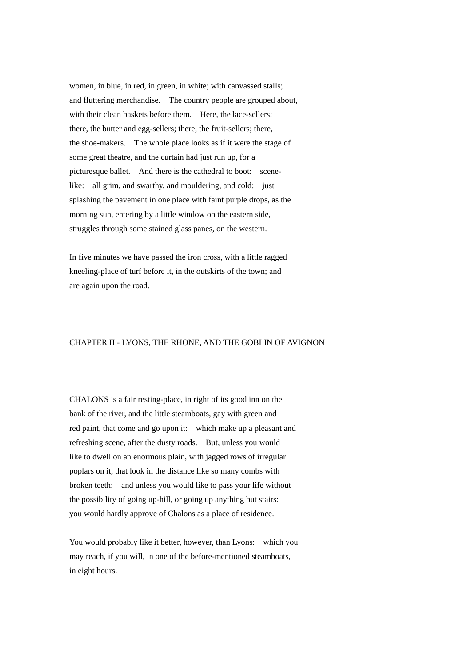women, in blue, in red, in green, in white; with canvassed stalls; and fluttering merchandise. The country people are grouped about, with their clean baskets before them. Here, the lace-sellers; there, the butter and egg-sellers; there, the fruit-sellers; there, the shoe-makers. The whole place looks as if it were the stage of some great theatre, and the curtain had just run up, for a picturesque ballet. And there is the cathedral to boot: scenelike: all grim, and swarthy, and mouldering, and cold: just splashing the pavement in one place with faint purple drops, as the morning sun, entering by a little window on the eastern side, struggles through some stained glass panes, on the western.

In five minutes we have passed the iron cross, with a little ragged kneeling-place of turf before it, in the outskirts of the town; and are again upon the road.

### CHAPTER II - LYONS, THE RHONE, AND THE GOBLIN OF AVIGNON

CHALONS is a fair resting-place, in right of its good inn on the bank of the river, and the little steamboats, gay with green and red paint, that come and go upon it: which make up a pleasant and refreshing scene, after the dusty roads. But, unless you would like to dwell on an enormous plain, with jagged rows of irregular poplars on it, that look in the distance like so many combs with broken teeth: and unless you would like to pass your life without the possibility of going up-hill, or going up anything but stairs: you would hardly approve of Chalons as a place of residence.

You would probably like it better, however, than Lyons: which you may reach, if you will, in one of the before-mentioned steamboats, in eight hours.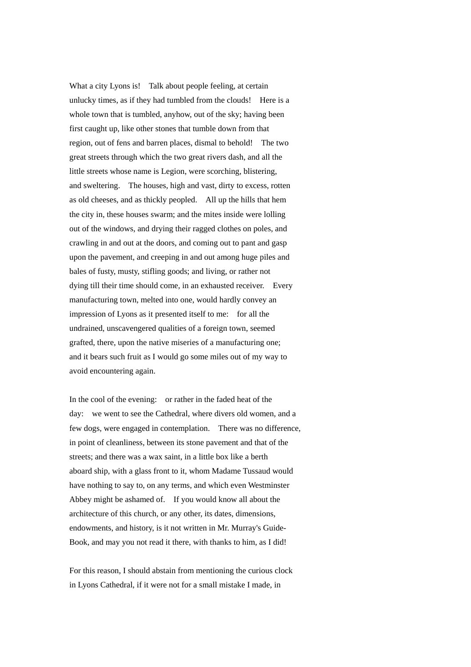What a city Lyons is! Talk about people feeling, at certain unlucky times, as if they had tumbled from the clouds! Here is a whole town that is tumbled, anyhow, out of the sky; having been first caught up, like other stones that tumble down from that region, out of fens and barren places, dismal to behold! The two great streets through which the two great rivers dash, and all the little streets whose name is Legion, were scorching, blistering, and sweltering. The houses, high and vast, dirty to excess, rotten as old cheeses, and as thickly peopled. All up the hills that hem the city in, these houses swarm; and the mites inside were lolling out of the windows, and drying their ragged clothes on poles, and crawling in and out at the doors, and coming out to pant and gasp upon the pavement, and creeping in and out among huge piles and bales of fusty, musty, stifling goods; and living, or rather not dying till their time should come, in an exhausted receiver. Every manufacturing town, melted into one, would hardly convey an impression of Lyons as it presented itself to me: for all the undrained, unscavengered qualities of a foreign town, seemed grafted, there, upon the native miseries of a manufacturing one; and it bears such fruit as I would go some miles out of my way to avoid encountering again.

In the cool of the evening: or rather in the faded heat of the day: we went to see the Cathedral, where divers old women, and a few dogs, were engaged in contemplation. There was no difference, in point of cleanliness, between its stone pavement and that of the streets; and there was a wax saint, in a little box like a berth aboard ship, with a glass front to it, whom Madame Tussaud would have nothing to say to, on any terms, and which even Westminster Abbey might be ashamed of. If you would know all about the architecture of this church, or any other, its dates, dimensions, endowments, and history, is it not written in Mr. Murray's Guide-Book, and may you not read it there, with thanks to him, as I did!

For this reason, I should abstain from mentioning the curious clock in Lyons Cathedral, if it were not for a small mistake I made, in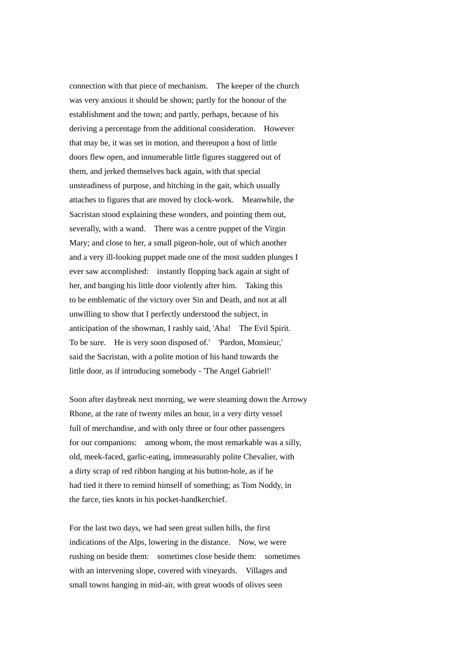connection with that piece of mechanism. The keeper of the church was very anxious it should be shown; partly for the honour of the establishment and the town; and partly, perhaps, because of his deriving a percentage from the additional consideration. However that may be, it was set in motion, and thereupon a host of little doors flew open, and innumerable little figures staggered out of them, and jerked themselves back again, with that special unsteadiness of purpose, and hitching in the gait, which usually attaches to figures that are moved by clock-work. Meanwhile, the Sacristan stood explaining these wonders, and pointing them out, severally, with a wand. There was a centre puppet of the Virgin Mary; and close to her, a small pigeon-hole, out of which another and a very ill-looking puppet made one of the most sudden plunges I ever saw accomplished: instantly flopping back again at sight of her, and banging his little door violently after him. Taking this to be emblematic of the victory over Sin and Death, and not at all unwilling to show that I perfectly understood the subject, in anticipation of the showman, I rashly said, 'Aha! The Evil Spirit. To be sure. He is very soon disposed of.' 'Pardon, Monsieur,' said the Sacristan, with a polite motion of his hand towards the little door, as if introducing somebody - 'The Angel Gabriel!'

Soon after daybreak next morning, we were steaming down the Arrowy Rhone, at the rate of twenty miles an hour, in a very dirty vessel full of merchandise, and with only three or four other passengers for our companions: among whom, the most remarkable was a silly, old, meek-faced, garlic-eating, immeasurably polite Chevalier, with a dirty scrap of red ribbon hanging at his button-hole, as if he had tied it there to remind himself of something; as Tom Noddy, in the farce, ties knots in his pocket-handkerchief.

For the last two days, we had seen great sullen hills, the first indications of the Alps, lowering in the distance. Now, we were rushing on beside them: sometimes close beside them: sometimes with an intervening slope, covered with vineyards. Villages and small towns hanging in mid-air, with great woods of olives seen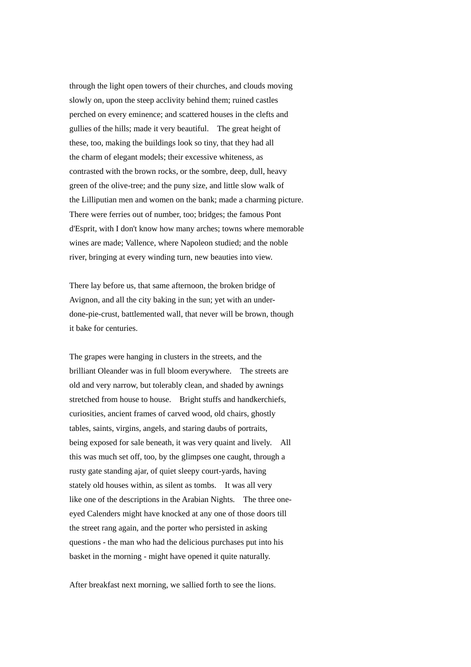through the light open towers of their churches, and clouds moving slowly on, upon the steep acclivity behind them; ruined castles perched on every eminence; and scattered houses in the clefts and gullies of the hills; made it very beautiful. The great height of these, too, making the buildings look so tiny, that they had all the charm of elegant models; their excessive whiteness, as contrasted with the brown rocks, or the sombre, deep, dull, heavy green of the olive-tree; and the puny size, and little slow walk of the Lilliputian men and women on the bank; made a charming picture. There were ferries out of number, too; bridges; the famous Pont d'Esprit, with I don't know how many arches; towns where memorable wines are made; Vallence, where Napoleon studied; and the noble river, bringing at every winding turn, new beauties into view.

There lay before us, that same afternoon, the broken bridge of Avignon, and all the city baking in the sun; yet with an underdone-pie-crust, battlemented wall, that never will be brown, though it bake for centuries.

The grapes were hanging in clusters in the streets, and the brilliant Oleander was in full bloom everywhere. The streets are old and very narrow, but tolerably clean, and shaded by awnings stretched from house to house. Bright stuffs and handkerchiefs, curiosities, ancient frames of carved wood, old chairs, ghostly tables, saints, virgins, angels, and staring daubs of portraits, being exposed for sale beneath, it was very quaint and lively. All this was much set off, too, by the glimpses one caught, through a rusty gate standing ajar, of quiet sleepy court-yards, having stately old houses within, as silent as tombs. It was all very like one of the descriptions in the Arabian Nights. The three oneeyed Calenders might have knocked at any one of those doors till the street rang again, and the porter who persisted in asking questions - the man who had the delicious purchases put into his basket in the morning - might have opened it quite naturally.

After breakfast next morning, we sallied forth to see the lions.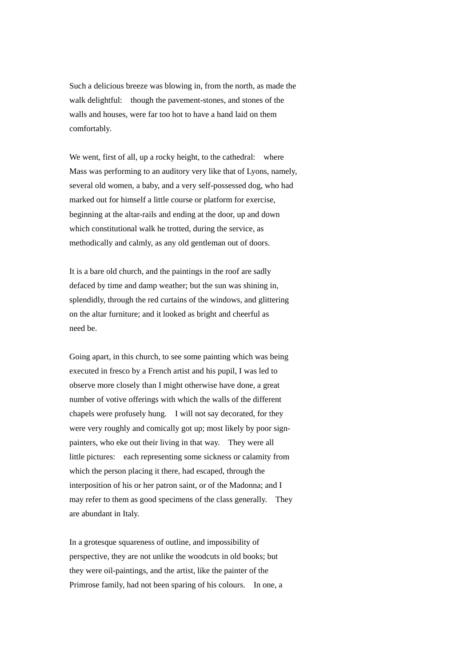Such a delicious breeze was blowing in, from the north, as made the walk delightful: though the pavement-stones, and stones of the walls and houses, were far too hot to have a hand laid on them comfortably.

We went, first of all, up a rocky height, to the cathedral: where Mass was performing to an auditory very like that of Lyons, namely, several old women, a baby, and a very self-possessed dog, who had marked out for himself a little course or platform for exercise, beginning at the altar-rails and ending at the door, up and down which constitutional walk he trotted, during the service, as methodically and calmly, as any old gentleman out of doors.

It is a bare old church, and the paintings in the roof are sadly defaced by time and damp weather; but the sun was shining in, splendidly, through the red curtains of the windows, and glittering on the altar furniture; and it looked as bright and cheerful as need be.

Going apart, in this church, to see some painting which was being executed in fresco by a French artist and his pupil, I was led to observe more closely than I might otherwise have done, a great number of votive offerings with which the walls of the different chapels were profusely hung. I will not say decorated, for they were very roughly and comically got up; most likely by poor signpainters, who eke out their living in that way. They were all little pictures: each representing some sickness or calamity from which the person placing it there, had escaped, through the interposition of his or her patron saint, or of the Madonna; and I may refer to them as good specimens of the class generally. They are abundant in Italy.

In a grotesque squareness of outline, and impossibility of perspective, they are not unlike the woodcuts in old books; but they were oil-paintings, and the artist, like the painter of the Primrose family, had not been sparing of his colours. In one, a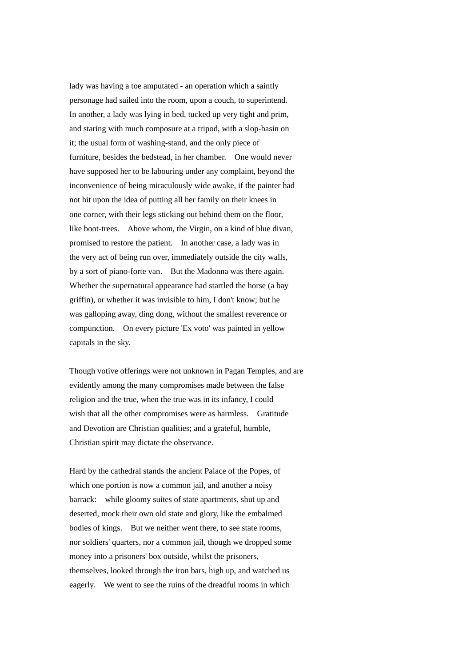lady was having a toe amputated - an operation which a saintly personage had sailed into the room, upon a couch, to superintend. In another, a lady was lying in bed, tucked up very tight and prim, and staring with much composure at a tripod, with a slop-basin on it; the usual form of washing-stand, and the only piece of furniture, besides the bedstead, in her chamber. One would never have supposed her to be labouring under any complaint, beyond the inconvenience of being miraculously wide awake, if the painter had not hit upon the idea of putting all her family on their knees in one corner, with their legs sticking out behind them on the floor, like boot-trees. Above whom, the Virgin, on a kind of blue divan, promised to restore the patient. In another case, a lady was in the very act of being run over, immediately outside the city walls, by a sort of piano-forte van. But the Madonna was there again. Whether the supernatural appearance had startled the horse (a bay griffin), or whether it was invisible to him, I don't know; but he was galloping away, ding dong, without the smallest reverence or compunction. On every picture 'Ex voto' was painted in yellow capitals in the sky.

Though votive offerings were not unknown in Pagan Temples, and are evidently among the many compromises made between the false religion and the true, when the true was in its infancy, I could wish that all the other compromises were as harmless. Gratitude and Devotion are Christian qualities; and a grateful, humble, Christian spirit may dictate the observance.

Hard by the cathedral stands the ancient Palace of the Popes, of which one portion is now a common jail, and another a noisy barrack: while gloomy suites of state apartments, shut up and deserted, mock their own old state and glory, like the embalmed bodies of kings. But we neither went there, to see state rooms, nor soldiers' quarters, nor a common jail, though we dropped some money into a prisoners' box outside, whilst the prisoners, themselves, looked through the iron bars, high up, and watched us eagerly. We went to see the ruins of the dreadful rooms in which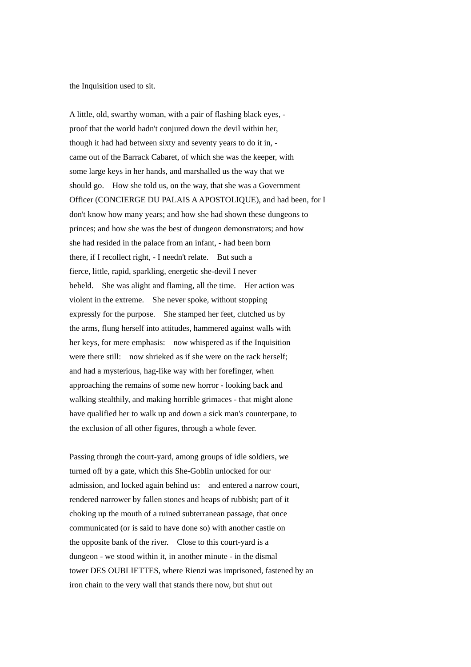the Inquisition used to sit.

A little, old, swarthy woman, with a pair of flashing black eyes, proof that the world hadn't conjured down the devil within her, though it had had between sixty and seventy years to do it in, came out of the Barrack Cabaret, of which she was the keeper, with some large keys in her hands, and marshalled us the way that we should go. How she told us, on the way, that she was a Government Officer (CONCIERGE DU PALAIS A APOSTOLIQUE), and had been, for I don't know how many years; and how she had shown these dungeons to princes; and how she was the best of dungeon demonstrators; and how she had resided in the palace from an infant, - had been born there, if I recollect right, - I needn't relate. But such a fierce, little, rapid, sparkling, energetic she-devil I never beheld. She was alight and flaming, all the time. Her action was violent in the extreme. She never spoke, without stopping expressly for the purpose. She stamped her feet, clutched us by the arms, flung herself into attitudes, hammered against walls with her keys, for mere emphasis: now whispered as if the Inquisition were there still: now shrieked as if she were on the rack herself: and had a mysterious, hag-like way with her forefinger, when approaching the remains of some new horror - looking back and walking stealthily, and making horrible grimaces - that might alone have qualified her to walk up and down a sick man's counterpane, to the exclusion of all other figures, through a whole fever.

Passing through the court-yard, among groups of idle soldiers, we turned off by a gate, which this She-Goblin unlocked for our admission, and locked again behind us: and entered a narrow court, rendered narrower by fallen stones and heaps of rubbish; part of it choking up the mouth of a ruined subterranean passage, that once communicated (or is said to have done so) with another castle on the opposite bank of the river. Close to this court-yard is a dungeon - we stood within it, in another minute - in the dismal tower DES OUBLIETTES, where Rienzi was imprisoned, fastened by an iron chain to the very wall that stands there now, but shut out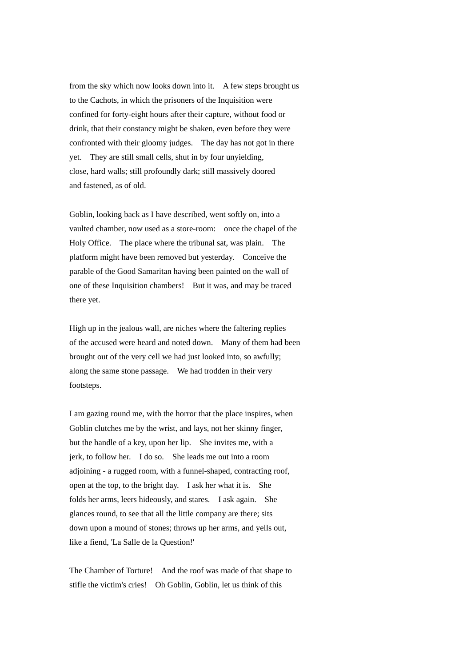from the sky which now looks down into it. A few steps brought us to the Cachots, in which the prisoners of the Inquisition were confined for forty-eight hours after their capture, without food or drink, that their constancy might be shaken, even before they were confronted with their gloomy judges. The day has not got in there yet. They are still small cells, shut in by four unyielding, close, hard walls; still profoundly dark; still massively doored and fastened, as of old.

Goblin, looking back as I have described, went softly on, into a vaulted chamber, now used as a store-room: once the chapel of the Holy Office. The place where the tribunal sat, was plain. The platform might have been removed but yesterday. Conceive the parable of the Good Samaritan having been painted on the wall of one of these Inquisition chambers! But it was, and may be traced there yet.

High up in the jealous wall, are niches where the faltering replies of the accused were heard and noted down. Many of them had been brought out of the very cell we had just looked into, so awfully; along the same stone passage. We had trodden in their very footsteps.

I am gazing round me, with the horror that the place inspires, when Goblin clutches me by the wrist, and lays, not her skinny finger, but the handle of a key, upon her lip. She invites me, with a jerk, to follow her. I do so. She leads me out into a room adjoining - a rugged room, with a funnel-shaped, contracting roof, open at the top, to the bright day. I ask her what it is. She folds her arms, leers hideously, and stares. I ask again. She glances round, to see that all the little company are there; sits down upon a mound of stones; throws up her arms, and yells out, like a fiend, 'La Salle de la Question!'

The Chamber of Torture! And the roof was made of that shape to stifle the victim's cries! Oh Goblin, Goblin, let us think of this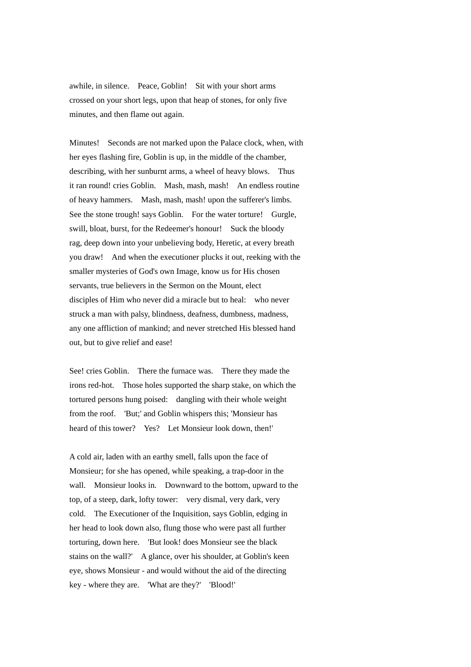awhile, in silence. Peace, Goblin! Sit with your short arms crossed on your short legs, upon that heap of stones, for only five minutes, and then flame out again.

Minutes! Seconds are not marked upon the Palace clock, when, with her eyes flashing fire, Goblin is up, in the middle of the chamber, describing, with her sunburnt arms, a wheel of heavy blows. Thus it ran round! cries Goblin. Mash, mash, mash! An endless routine of heavy hammers. Mash, mash, mash! upon the sufferer's limbs. See the stone trough! says Goblin. For the water torture! Gurgle, swill, bloat, burst, for the Redeemer's honour! Suck the bloody rag, deep down into your unbelieving body, Heretic, at every breath you draw! And when the executioner plucks it out, reeking with the smaller mysteries of God's own Image, know us for His chosen servants, true believers in the Sermon on the Mount, elect disciples of Him who never did a miracle but to heal: who never struck a man with palsy, blindness, deafness, dumbness, madness, any one affliction of mankind; and never stretched His blessed hand out, but to give relief and ease!

See! cries Goblin. There the furnace was. There they made the irons red-hot. Those holes supported the sharp stake, on which the tortured persons hung poised: dangling with their whole weight from the roof. 'But;' and Goblin whispers this; 'Monsieur has heard of this tower? Yes? Let Monsieur look down, then!'

A cold air, laden with an earthy smell, falls upon the face of Monsieur; for she has opened, while speaking, a trap-door in the wall. Monsieur looks in. Downward to the bottom, upward to the top, of a steep, dark, lofty tower: very dismal, very dark, very cold. The Executioner of the Inquisition, says Goblin, edging in her head to look down also, flung those who were past all further torturing, down here. 'But look! does Monsieur see the black stains on the wall?' A glance, over his shoulder, at Goblin's keen eye, shows Monsieur - and would without the aid of the directing key - where they are. 'What are they?' 'Blood!'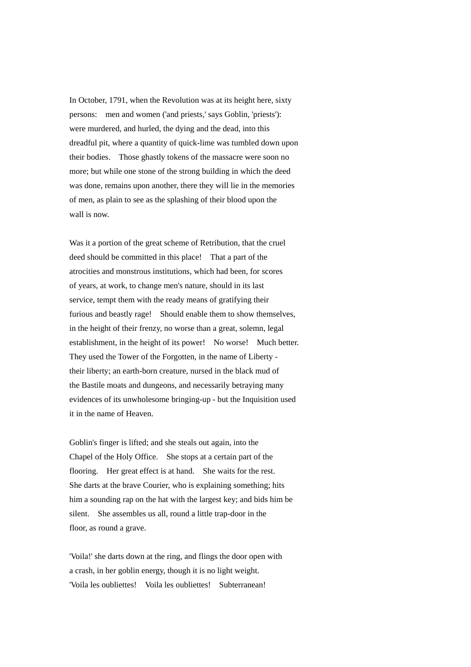In October, 1791, when the Revolution was at its height here, sixty persons: men and women ('and priests,' says Goblin, 'priests'): were murdered, and hurled, the dying and the dead, into this dreadful pit, where a quantity of quick-lime was tumbled down upon their bodies. Those ghastly tokens of the massacre were soon no more; but while one stone of the strong building in which the deed was done, remains upon another, there they will lie in the memories of men, as plain to see as the splashing of their blood upon the wall is now.

Was it a portion of the great scheme of Retribution, that the cruel deed should be committed in this place! That a part of the atrocities and monstrous institutions, which had been, for scores of years, at work, to change men's nature, should in its last service, tempt them with the ready means of gratifying their furious and beastly rage! Should enable them to show themselves, in the height of their frenzy, no worse than a great, solemn, legal establishment, in the height of its power! No worse! Much better. They used the Tower of the Forgotten, in the name of Liberty their liberty; an earth-born creature, nursed in the black mud of the Bastile moats and dungeons, and necessarily betraying many evidences of its unwholesome bringing-up - but the Inquisition used it in the name of Heaven.

Goblin's finger is lifted; and she steals out again, into the Chapel of the Holy Office. She stops at a certain part of the flooring. Her great effect is at hand. She waits for the rest. She darts at the brave Courier, who is explaining something; hits him a sounding rap on the hat with the largest key; and bids him be silent. She assembles us all, round a little trap-door in the floor, as round a grave.

'Voila!' she darts down at the ring, and flings the door open with a crash, in her goblin energy, though it is no light weight. 'Voila les oubliettes! Voila les oubliettes! Subterranean!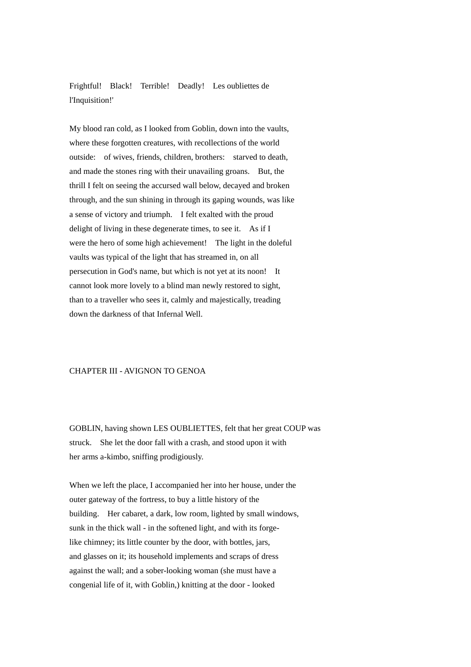Frightful! Black! Terrible! Deadly! Les oubliettes de l'Inquisition!'

My blood ran cold, as I looked from Goblin, down into the vaults, where these forgotten creatures, with recollections of the world outside: of wives, friends, children, brothers: starved to death, and made the stones ring with their unavailing groans. But, the thrill I felt on seeing the accursed wall below, decayed and broken through, and the sun shining in through its gaping wounds, was like a sense of victory and triumph. I felt exalted with the proud delight of living in these degenerate times, to see it. As if I were the hero of some high achievement! The light in the doleful vaults was typical of the light that has streamed in, on all persecution in God's name, but which is not yet at its noon! It cannot look more lovely to a blind man newly restored to sight, than to a traveller who sees it, calmly and majestically, treading down the darkness of that Infernal Well.

#### CHAPTER III - AVIGNON TO GENOA

GOBLIN, having shown LES OUBLIETTES, felt that her great COUP was struck. She let the door fall with a crash, and stood upon it with her arms a-kimbo, sniffing prodigiously.

When we left the place, I accompanied her into her house, under the outer gateway of the fortress, to buy a little history of the building. Her cabaret, a dark, low room, lighted by small windows, sunk in the thick wall - in the softened light, and with its forgelike chimney; its little counter by the door, with bottles, jars, and glasses on it; its household implements and scraps of dress against the wall; and a sober-looking woman (she must have a congenial life of it, with Goblin,) knitting at the door - looked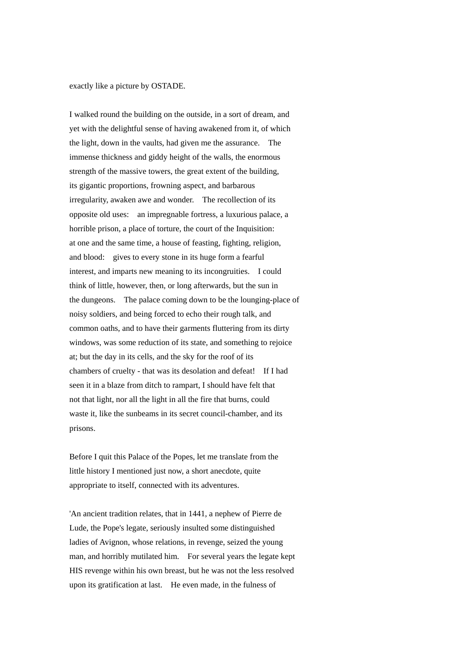exactly like a picture by OSTADE.

I walked round the building on the outside, in a sort of dream, and yet with the delightful sense of having awakened from it, of which the light, down in the vaults, had given me the assurance. The immense thickness and giddy height of the walls, the enormous strength of the massive towers, the great extent of the building, its gigantic proportions, frowning aspect, and barbarous irregularity, awaken awe and wonder. The recollection of its opposite old uses: an impregnable fortress, a luxurious palace, a horrible prison, a place of torture, the court of the Inquisition: at one and the same time, a house of feasting, fighting, religion, and blood: gives to every stone in its huge form a fearful interest, and imparts new meaning to its incongruities. I could think of little, however, then, or long afterwards, but the sun in the dungeons. The palace coming down to be the lounging-place of noisy soldiers, and being forced to echo their rough talk, and common oaths, and to have their garments fluttering from its dirty windows, was some reduction of its state, and something to rejoice at; but the day in its cells, and the sky for the roof of its chambers of cruelty - that was its desolation and defeat! If I had seen it in a blaze from ditch to rampart, I should have felt that not that light, nor all the light in all the fire that burns, could waste it, like the sunbeams in its secret council-chamber, and its prisons.

Before I quit this Palace of the Popes, let me translate from the little history I mentioned just now, a short anecdote, quite appropriate to itself, connected with its adventures.

'An ancient tradition relates, that in 1441, a nephew of Pierre de Lude, the Pope's legate, seriously insulted some distinguished ladies of Avignon, whose relations, in revenge, seized the young man, and horribly mutilated him. For several years the legate kept HIS revenge within his own breast, but he was not the less resolved upon its gratification at last. He even made, in the fulness of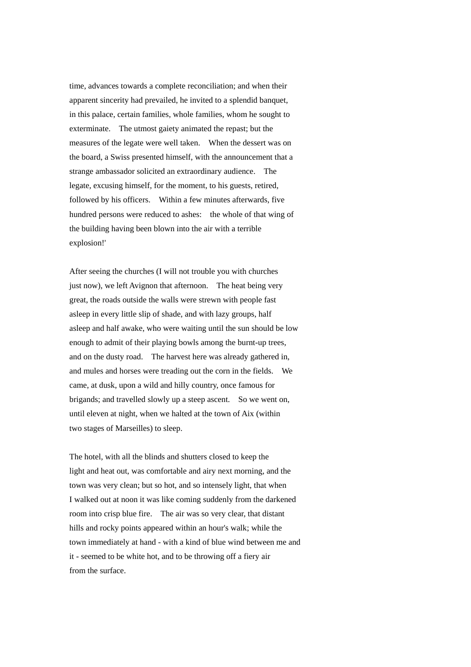time, advances towards a complete reconciliation; and when their apparent sincerity had prevailed, he invited to a splendid banquet, in this palace, certain families, whole families, whom he sought to exterminate. The utmost gaiety animated the repast; but the measures of the legate were well taken. When the dessert was on the board, a Swiss presented himself, with the announcement that a strange ambassador solicited an extraordinary audience. The legate, excusing himself, for the moment, to his guests, retired, followed by his officers. Within a few minutes afterwards, five hundred persons were reduced to ashes: the whole of that wing of the building having been blown into the air with a terrible explosion!'

After seeing the churches (I will not trouble you with churches just now), we left Avignon that afternoon. The heat being very great, the roads outside the walls were strewn with people fast asleep in every little slip of shade, and with lazy groups, half asleep and half awake, who were waiting until the sun should be low enough to admit of their playing bowls among the burnt-up trees, and on the dusty road. The harvest here was already gathered in, and mules and horses were treading out the corn in the fields. We came, at dusk, upon a wild and hilly country, once famous for brigands; and travelled slowly up a steep ascent. So we went on, until eleven at night, when we halted at the town of Aix (within two stages of Marseilles) to sleep.

The hotel, with all the blinds and shutters closed to keep the light and heat out, was comfortable and airy next morning, and the town was very clean; but so hot, and so intensely light, that when I walked out at noon it was like coming suddenly from the darkened room into crisp blue fire. The air was so very clear, that distant hills and rocky points appeared within an hour's walk; while the town immediately at hand - with a kind of blue wind between me and it - seemed to be white hot, and to be throwing off a fiery air from the surface.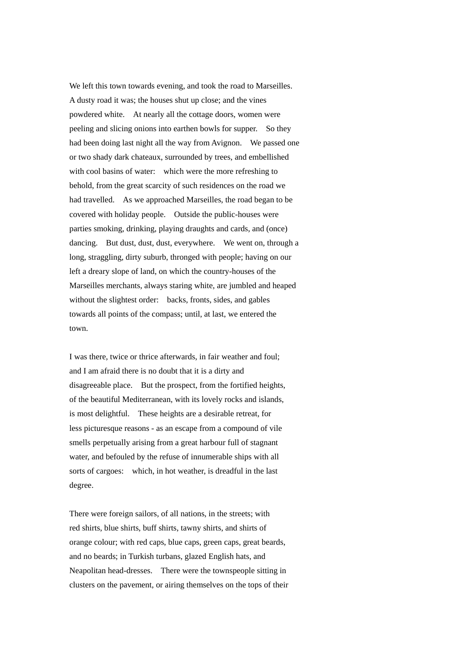We left this town towards evening, and took the road to Marseilles. A dusty road it was; the houses shut up close; and the vines powdered white. At nearly all the cottage doors, women were peeling and slicing onions into earthen bowls for supper. So they had been doing last night all the way from Avignon. We passed one or two shady dark chateaux, surrounded by trees, and embellished with cool basins of water: which were the more refreshing to behold, from the great scarcity of such residences on the road we had travelled. As we approached Marseilles, the road began to be covered with holiday people. Outside the public-houses were parties smoking, drinking, playing draughts and cards, and (once) dancing. But dust, dust, dust, everywhere. We went on, through a long, straggling, dirty suburb, thronged with people; having on our left a dreary slope of land, on which the country-houses of the Marseilles merchants, always staring white, are jumbled and heaped without the slightest order: backs, fronts, sides, and gables towards all points of the compass; until, at last, we entered the town.

I was there, twice or thrice afterwards, in fair weather and foul; and I am afraid there is no doubt that it is a dirty and disagreeable place. But the prospect, from the fortified heights, of the beautiful Mediterranean, with its lovely rocks and islands, is most delightful. These heights are a desirable retreat, for less picturesque reasons - as an escape from a compound of vile smells perpetually arising from a great harbour full of stagnant water, and befouled by the refuse of innumerable ships with all sorts of cargoes: which, in hot weather, is dreadful in the last degree.

There were foreign sailors, of all nations, in the streets; with red shirts, blue shirts, buff shirts, tawny shirts, and shirts of orange colour; with red caps, blue caps, green caps, great beards, and no beards; in Turkish turbans, glazed English hats, and Neapolitan head-dresses. There were the townspeople sitting in clusters on the pavement, or airing themselves on the tops of their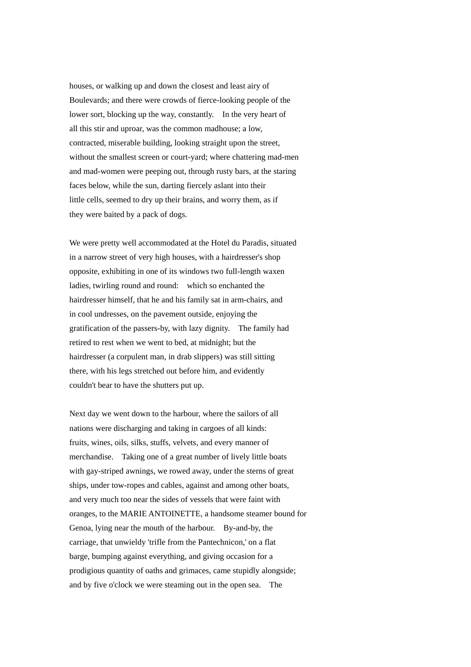houses, or walking up and down the closest and least airy of Boulevards; and there were crowds of fierce-looking people of the lower sort, blocking up the way, constantly. In the very heart of all this stir and uproar, was the common madhouse; a low, contracted, miserable building, looking straight upon the street, without the smallest screen or court-yard; where chattering mad-men and mad-women were peeping out, through rusty bars, at the staring faces below, while the sun, darting fiercely aslant into their little cells, seemed to dry up their brains, and worry them, as if they were baited by a pack of dogs.

We were pretty well accommodated at the Hotel du Paradis, situated in a narrow street of very high houses, with a hairdresser's shop opposite, exhibiting in one of its windows two full-length waxen ladies, twirling round and round: which so enchanted the hairdresser himself, that he and his family sat in arm-chairs, and in cool undresses, on the pavement outside, enjoying the gratification of the passers-by, with lazy dignity. The family had retired to rest when we went to bed, at midnight; but the hairdresser (a corpulent man, in drab slippers) was still sitting there, with his legs stretched out before him, and evidently couldn't bear to have the shutters put up.

Next day we went down to the harbour, where the sailors of all nations were discharging and taking in cargoes of all kinds: fruits, wines, oils, silks, stuffs, velvets, and every manner of merchandise. Taking one of a great number of lively little boats with gay-striped awnings, we rowed away, under the sterns of great ships, under tow-ropes and cables, against and among other boats, and very much too near the sides of vessels that were faint with oranges, to the MARIE ANTOINETTE, a handsome steamer bound for Genoa, lying near the mouth of the harbour. By-and-by, the carriage, that unwieldy 'trifle from the Pantechnicon,' on a flat barge, bumping against everything, and giving occasion for a prodigious quantity of oaths and grimaces, came stupidly alongside; and by five o'clock we were steaming out in the open sea. The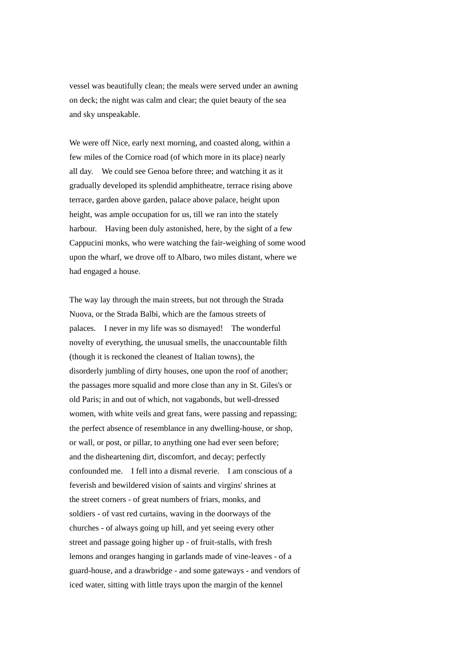vessel was beautifully clean; the meals were served under an awning on deck; the night was calm and clear; the quiet beauty of the sea and sky unspeakable.

We were off Nice, early next morning, and coasted along, within a few miles of the Cornice road (of which more in its place) nearly all day. We could see Genoa before three; and watching it as it gradually developed its splendid amphitheatre, terrace rising above terrace, garden above garden, palace above palace, height upon height, was ample occupation for us, till we ran into the stately harbour. Having been duly astonished, here, by the sight of a few Cappucini monks, who were watching the fair-weighing of some wood upon the wharf, we drove off to Albaro, two miles distant, where we had engaged a house.

The way lay through the main streets, but not through the Strada Nuova, or the Strada Balbi, which are the famous streets of palaces. I never in my life was so dismayed! The wonderful novelty of everything, the unusual smells, the unaccountable filth (though it is reckoned the cleanest of Italian towns), the disorderly jumbling of dirty houses, one upon the roof of another; the passages more squalid and more close than any in St. Giles's or old Paris; in and out of which, not vagabonds, but well-dressed women, with white veils and great fans, were passing and repassing; the perfect absence of resemblance in any dwelling-house, or shop, or wall, or post, or pillar, to anything one had ever seen before; and the disheartening dirt, discomfort, and decay; perfectly confounded me. I fell into a dismal reverie. I am conscious of a feverish and bewildered vision of saints and virgins' shrines at the street corners - of great numbers of friars, monks, and soldiers - of vast red curtains, waving in the doorways of the churches - of always going up hill, and yet seeing every other street and passage going higher up - of fruit-stalls, with fresh lemons and oranges hanging in garlands made of vine-leaves - of a guard-house, and a drawbridge - and some gateways - and vendors of iced water, sitting with little trays upon the margin of the kennel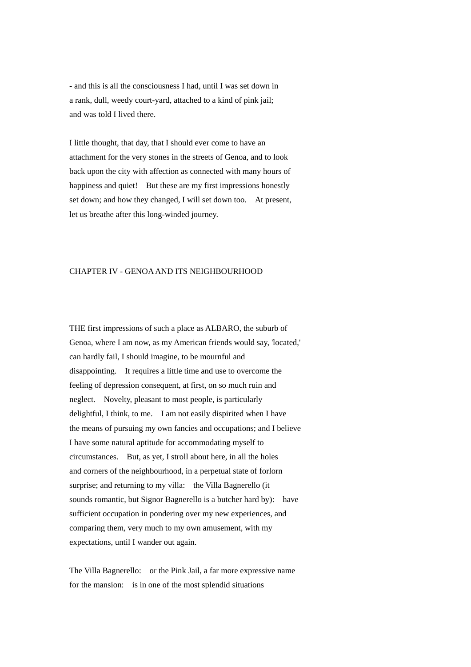- and this is all the consciousness I had, until I was set down in a rank, dull, weedy court-yard, attached to a kind of pink jail; and was told I lived there.

I little thought, that day, that I should ever come to have an attachment for the very stones in the streets of Genoa, and to look back upon the city with affection as connected with many hours of happiness and quiet! But these are my first impressions honestly set down; and how they changed, I will set down too. At present, let us breathe after this long-winded journey.

### CHAPTER IV - GENOA AND ITS NEIGHBOURHOOD

THE first impressions of such a place as ALBARO, the suburb of Genoa, where I am now, as my American friends would say, 'located,' can hardly fail, I should imagine, to be mournful and disappointing. It requires a little time and use to overcome the feeling of depression consequent, at first, on so much ruin and neglect. Novelty, pleasant to most people, is particularly delightful, I think, to me. I am not easily dispirited when I have the means of pursuing my own fancies and occupations; and I believe I have some natural aptitude for accommodating myself to circumstances. But, as yet, I stroll about here, in all the holes and corners of the neighbourhood, in a perpetual state of forlorn surprise; and returning to my villa: the Villa Bagnerello (it sounds romantic, but Signor Bagnerello is a butcher hard by): have sufficient occupation in pondering over my new experiences, and comparing them, very much to my own amusement, with my expectations, until I wander out again.

The Villa Bagnerello: or the Pink Jail, a far more expressive name for the mansion: is in one of the most splendid situations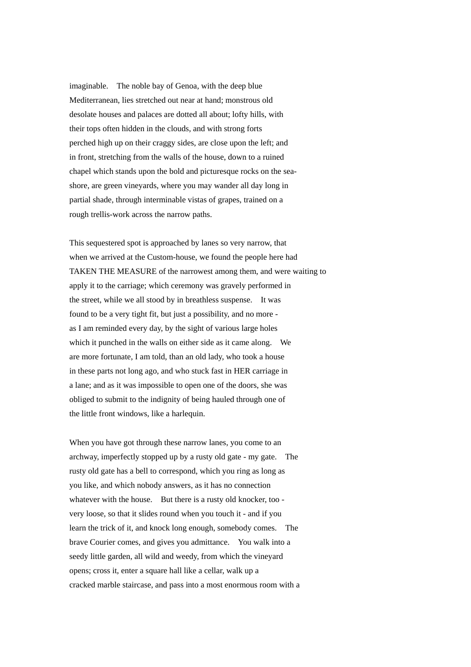imaginable. The noble bay of Genoa, with the deep blue Mediterranean, lies stretched out near at hand; monstrous old desolate houses and palaces are dotted all about; lofty hills, with their tops often hidden in the clouds, and with strong forts perched high up on their craggy sides, are close upon the left; and in front, stretching from the walls of the house, down to a ruined chapel which stands upon the bold and picturesque rocks on the seashore, are green vineyards, where you may wander all day long in partial shade, through interminable vistas of grapes, trained on a rough trellis-work across the narrow paths.

This sequestered spot is approached by lanes so very narrow, that when we arrived at the Custom-house, we found the people here had TAKEN THE MEASURE of the narrowest among them, and were waiting to apply it to the carriage; which ceremony was gravely performed in the street, while we all stood by in breathless suspense. It was found to be a very tight fit, but just a possibility, and no more as I am reminded every day, by the sight of various large holes which it punched in the walls on either side as it came along. We are more fortunate, I am told, than an old lady, who took a house in these parts not long ago, and who stuck fast in HER carriage in a lane; and as it was impossible to open one of the doors, she was obliged to submit to the indignity of being hauled through one of the little front windows, like a harlequin.

When you have got through these narrow lanes, you come to an archway, imperfectly stopped up by a rusty old gate - my gate. The rusty old gate has a bell to correspond, which you ring as long as you like, and which nobody answers, as it has no connection whatever with the house. But there is a rusty old knocker, too very loose, so that it slides round when you touch it - and if you learn the trick of it, and knock long enough, somebody comes. The brave Courier comes, and gives you admittance. You walk into a seedy little garden, all wild and weedy, from which the vineyard opens; cross it, enter a square hall like a cellar, walk up a cracked marble staircase, and pass into a most enormous room with a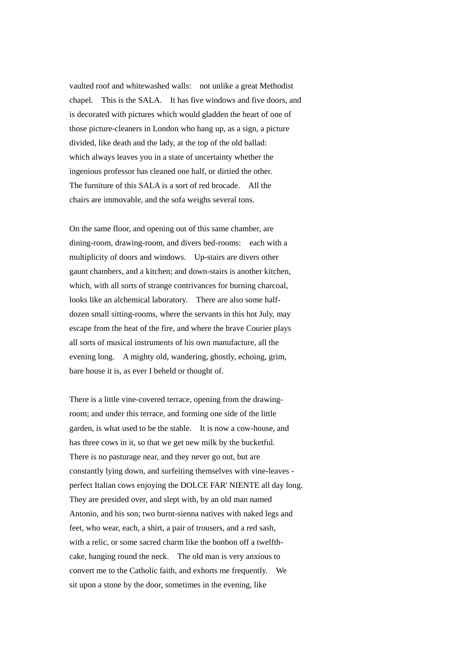vaulted roof and whitewashed walls: not unlike a great Methodist chapel. This is the SALA. It has five windows and five doors, and is decorated with pictures which would gladden the heart of one of those picture-cleaners in London who hang up, as a sign, a picture divided, like death and the lady, at the top of the old ballad: which always leaves you in a state of uncertainty whether the ingenious professor has cleaned one half, or dirtied the other. The furniture of this SALA is a sort of red brocade. All the chairs are immovable, and the sofa weighs several tons.

On the same floor, and opening out of this same chamber, are dining-room, drawing-room, and divers bed-rooms: each with a multiplicity of doors and windows. Up-stairs are divers other gaunt chambers, and a kitchen; and down-stairs is another kitchen, which, with all sorts of strange contrivances for burning charcoal, looks like an alchemical laboratory. There are also some halfdozen small sitting-rooms, where the servants in this hot July, may escape from the heat of the fire, and where the brave Courier plays all sorts of musical instruments of his own manufacture, all the evening long. A mighty old, wandering, ghostly, echoing, grim, bare house it is, as ever I beheld or thought of.

There is a little vine-covered terrace, opening from the drawingroom; and under this terrace, and forming one side of the little garden, is what used to be the stable. It is now a cow-house, and has three cows in it, so that we get new milk by the bucketful. There is no pasturage near, and they never go out, but are constantly lying down, and surfeiting themselves with vine-leaves perfect Italian cows enjoying the DOLCE FAR' NIENTE all day long. They are presided over, and slept with, by an old man named Antonio, and his son; two burnt-sienna natives with naked legs and feet, who wear, each, a shirt, a pair of trousers, and a red sash, with a relic, or some sacred charm like the bonbon off a twelfthcake, hanging round the neck. The old man is very anxious to convert me to the Catholic faith, and exhorts me frequently. We sit upon a stone by the door, sometimes in the evening, like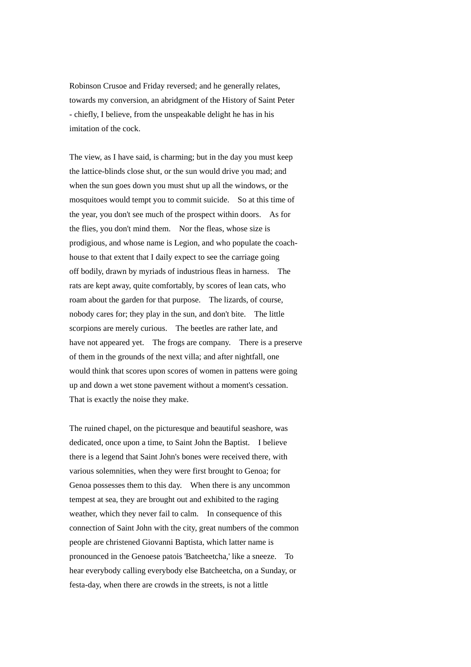Robinson Crusoe and Friday reversed; and he generally relates, towards my conversion, an abridgment of the History of Saint Peter - chiefly, I believe, from the unspeakable delight he has in his imitation of the cock.

The view, as I have said, is charming; but in the day you must keep the lattice-blinds close shut, or the sun would drive you mad; and when the sun goes down you must shut up all the windows, or the mosquitoes would tempt you to commit suicide. So at this time of the year, you don't see much of the prospect within doors. As for the flies, you don't mind them. Nor the fleas, whose size is prodigious, and whose name is Legion, and who populate the coachhouse to that extent that I daily expect to see the carriage going off bodily, drawn by myriads of industrious fleas in harness. The rats are kept away, quite comfortably, by scores of lean cats, who roam about the garden for that purpose. The lizards, of course, nobody cares for; they play in the sun, and don't bite. The little scorpions are merely curious. The beetles are rather late, and have not appeared yet. The frogs are company. There is a preserve of them in the grounds of the next villa; and after nightfall, one would think that scores upon scores of women in pattens were going up and down a wet stone pavement without a moment's cessation. That is exactly the noise they make.

The ruined chapel, on the picturesque and beautiful seashore, was dedicated, once upon a time, to Saint John the Baptist. I believe there is a legend that Saint John's bones were received there, with various solemnities, when they were first brought to Genoa; for Genoa possesses them to this day. When there is any uncommon tempest at sea, they are brought out and exhibited to the raging weather, which they never fail to calm. In consequence of this connection of Saint John with the city, great numbers of the common people are christened Giovanni Baptista, which latter name is pronounced in the Genoese patois 'Batcheetcha,' like a sneeze. To hear everybody calling everybody else Batcheetcha, on a Sunday, or festa-day, when there are crowds in the streets, is not a little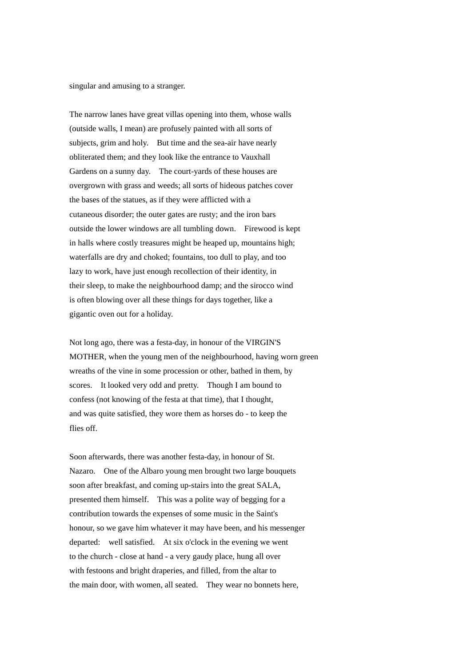singular and amusing to a stranger.

The narrow lanes have great villas opening into them, whose walls (outside walls, I mean) are profusely painted with all sorts of subjects, grim and holy. But time and the sea-air have nearly obliterated them; and they look like the entrance to Vauxhall Gardens on a sunny day. The court-yards of these houses are overgrown with grass and weeds; all sorts of hideous patches cover the bases of the statues, as if they were afflicted with a cutaneous disorder; the outer gates are rusty; and the iron bars outside the lower windows are all tumbling down. Firewood is kept in halls where costly treasures might be heaped up, mountains high; waterfalls are dry and choked; fountains, too dull to play, and too lazy to work, have just enough recollection of their identity, in their sleep, to make the neighbourhood damp; and the sirocco wind is often blowing over all these things for days together, like a gigantic oven out for a holiday.

Not long ago, there was a festa-day, in honour of the VIRGIN'S MOTHER, when the young men of the neighbourhood, having worn green wreaths of the vine in some procession or other, bathed in them, by scores. It looked very odd and pretty. Though I am bound to confess (not knowing of the festa at that time), that I thought, and was quite satisfied, they wore them as horses do - to keep the flies off.

Soon afterwards, there was another festa-day, in honour of St. Nazaro. One of the Albaro young men brought two large bouquets soon after breakfast, and coming up-stairs into the great SALA, presented them himself. This was a polite way of begging for a contribution towards the expenses of some music in the Saint's honour, so we gave him whatever it may have been, and his messenger departed: well satisfied. At six o'clock in the evening we went to the church - close at hand - a very gaudy place, hung all over with festoons and bright draperies, and filled, from the altar to the main door, with women, all seated. They wear no bonnets here,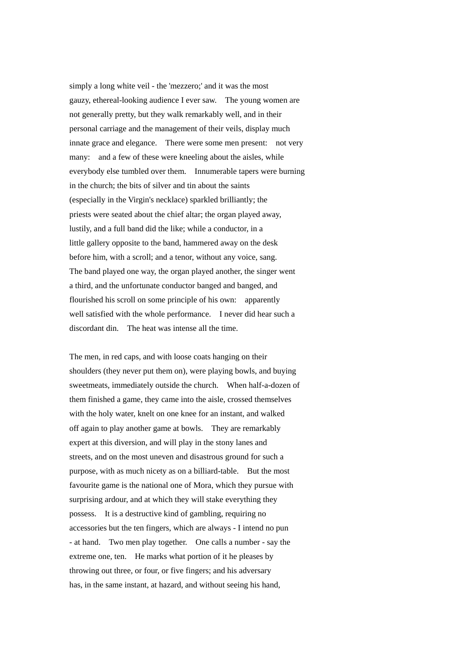simply a long white veil - the 'mezzero;' and it was the most gauzy, ethereal-looking audience I ever saw. The young women are not generally pretty, but they walk remarkably well, and in their personal carriage and the management of their veils, display much innate grace and elegance. There were some men present: not very many: and a few of these were kneeling about the aisles, while everybody else tumbled over them. Innumerable tapers were burning in the church; the bits of silver and tin about the saints (especially in the Virgin's necklace) sparkled brilliantly; the priests were seated about the chief altar; the organ played away, lustily, and a full band did the like; while a conductor, in a little gallery opposite to the band, hammered away on the desk before him, with a scroll; and a tenor, without any voice, sang. The band played one way, the organ played another, the singer went a third, and the unfortunate conductor banged and banged, and flourished his scroll on some principle of his own: apparently well satisfied with the whole performance. I never did hear such a discordant din. The heat was intense all the time.

The men, in red caps, and with loose coats hanging on their shoulders (they never put them on), were playing bowls, and buying sweetmeats, immediately outside the church. When half-a-dozen of them finished a game, they came into the aisle, crossed themselves with the holy water, knelt on one knee for an instant, and walked off again to play another game at bowls. They are remarkably expert at this diversion, and will play in the stony lanes and streets, and on the most uneven and disastrous ground for such a purpose, with as much nicety as on a billiard-table. But the most favourite game is the national one of Mora, which they pursue with surprising ardour, and at which they will stake everything they possess. It is a destructive kind of gambling, requiring no accessories but the ten fingers, which are always - I intend no pun - at hand. Two men play together. One calls a number - say the extreme one, ten. He marks what portion of it he pleases by throwing out three, or four, or five fingers; and his adversary has, in the same instant, at hazard, and without seeing his hand,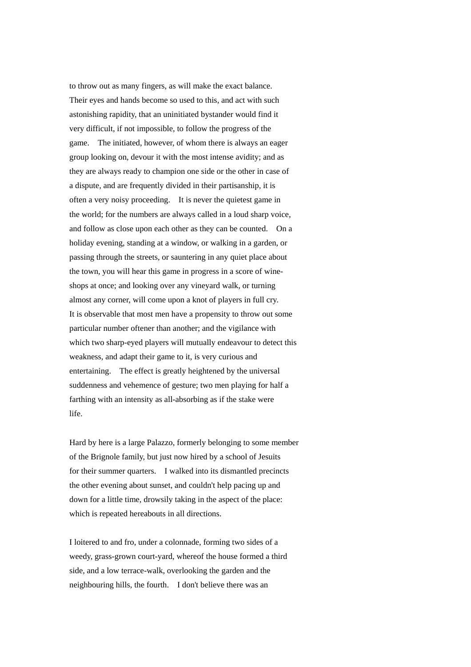to throw out as many fingers, as will make the exact balance. Their eyes and hands become so used to this, and act with such astonishing rapidity, that an uninitiated bystander would find it very difficult, if not impossible, to follow the progress of the game. The initiated, however, of whom there is always an eager group looking on, devour it with the most intense avidity; and as they are always ready to champion one side or the other in case of a dispute, and are frequently divided in their partisanship, it is often a very noisy proceeding. It is never the quietest game in the world; for the numbers are always called in a loud sharp voice, and follow as close upon each other as they can be counted. On a holiday evening, standing at a window, or walking in a garden, or passing through the streets, or sauntering in any quiet place about the town, you will hear this game in progress in a score of wineshops at once; and looking over any vineyard walk, or turning almost any corner, will come upon a knot of players in full cry. It is observable that most men have a propensity to throw out some particular number oftener than another; and the vigilance with which two sharp-eyed players will mutually endeavour to detect this weakness, and adapt their game to it, is very curious and entertaining. The effect is greatly heightened by the universal suddenness and vehemence of gesture; two men playing for half a farthing with an intensity as all-absorbing as if the stake were life.

Hard by here is a large Palazzo, formerly belonging to some member of the Brignole family, but just now hired by a school of Jesuits for their summer quarters. I walked into its dismantled precincts the other evening about sunset, and couldn't help pacing up and down for a little time, drowsily taking in the aspect of the place: which is repeated hereabouts in all directions.

I loitered to and fro, under a colonnade, forming two sides of a weedy, grass-grown court-yard, whereof the house formed a third side, and a low terrace-walk, overlooking the garden and the neighbouring hills, the fourth. I don't believe there was an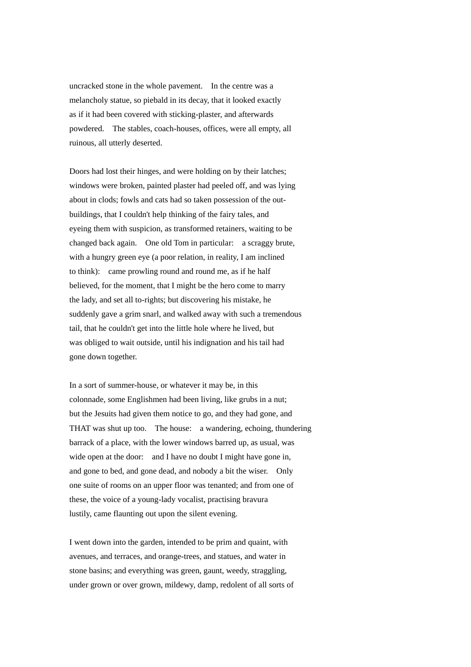uncracked stone in the whole pavement. In the centre was a melancholy statue, so piebald in its decay, that it looked exactly as if it had been covered with sticking-plaster, and afterwards powdered. The stables, coach-houses, offices, were all empty, all ruinous, all utterly deserted.

Doors had lost their hinges, and were holding on by their latches; windows were broken, painted plaster had peeled off, and was lying about in clods; fowls and cats had so taken possession of the outbuildings, that I couldn't help thinking of the fairy tales, and eyeing them with suspicion, as transformed retainers, waiting to be changed back again. One old Tom in particular: a scraggy brute, with a hungry green eye (a poor relation, in reality, I am inclined to think): came prowling round and round me, as if he half believed, for the moment, that I might be the hero come to marry the lady, and set all to-rights; but discovering his mistake, he suddenly gave a grim snarl, and walked away with such a tremendous tail, that he couldn't get into the little hole where he lived, but was obliged to wait outside, until his indignation and his tail had gone down together.

In a sort of summer-house, or whatever it may be, in this colonnade, some Englishmen had been living, like grubs in a nut; but the Jesuits had given them notice to go, and they had gone, and THAT was shut up too. The house: a wandering, echoing, thundering barrack of a place, with the lower windows barred up, as usual, was wide open at the door: and I have no doubt I might have gone in, and gone to bed, and gone dead, and nobody a bit the wiser. Only one suite of rooms on an upper floor was tenanted; and from one of these, the voice of a young-lady vocalist, practising bravura lustily, came flaunting out upon the silent evening.

I went down into the garden, intended to be prim and quaint, with avenues, and terraces, and orange-trees, and statues, and water in stone basins; and everything was green, gaunt, weedy, straggling, under grown or over grown, mildewy, damp, redolent of all sorts of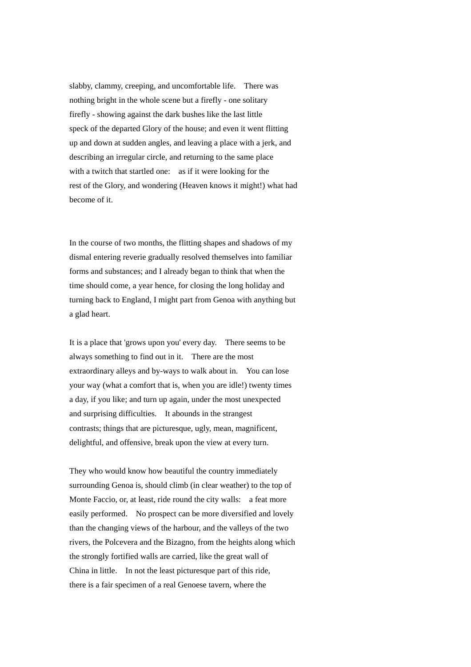slabby, clammy, creeping, and uncomfortable life. There was nothing bright in the whole scene but a firefly - one solitary firefly - showing against the dark bushes like the last little speck of the departed Glory of the house; and even it went flitting up and down at sudden angles, and leaving a place with a jerk, and describing an irregular circle, and returning to the same place with a twitch that startled one: as if it were looking for the rest of the Glory, and wondering (Heaven knows it might!) what had become of it.

In the course of two months, the flitting shapes and shadows of my dismal entering reverie gradually resolved themselves into familiar forms and substances; and I already began to think that when the time should come, a year hence, for closing the long holiday and turning back to England, I might part from Genoa with anything but a glad heart.

It is a place that 'grows upon you' every day. There seems to be always something to find out in it. There are the most extraordinary alleys and by-ways to walk about in. You can lose your way (what a comfort that is, when you are idle!) twenty times a day, if you like; and turn up again, under the most unexpected and surprising difficulties. It abounds in the strangest contrasts; things that are picturesque, ugly, mean, magnificent, delightful, and offensive, break upon the view at every turn.

They who would know how beautiful the country immediately surrounding Genoa is, should climb (in clear weather) to the top of Monte Faccio, or, at least, ride round the city walls: a feat more easily performed. No prospect can be more diversified and lovely than the changing views of the harbour, and the valleys of the two rivers, the Polcevera and the Bizagno, from the heights along which the strongly fortified walls are carried, like the great wall of China in little. In not the least picturesque part of this ride, there is a fair specimen of a real Genoese tavern, where the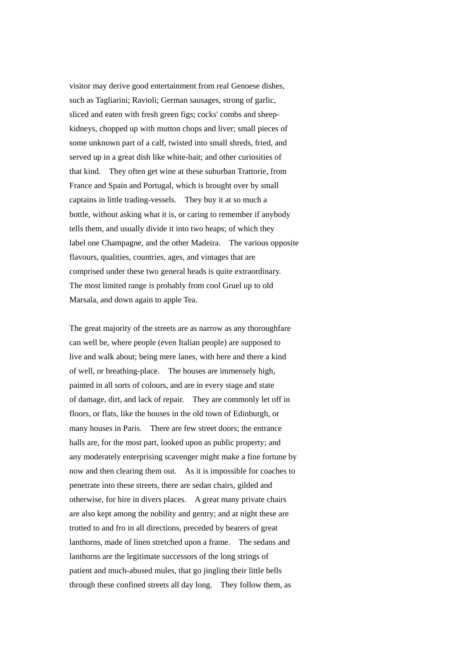visitor may derive good entertainment from real Genoese dishes, such as Tagliarini; Ravioli; German sausages, strong of garlic, sliced and eaten with fresh green figs; cocks' combs and sheepkidneys, chopped up with mutton chops and liver; small pieces of some unknown part of a calf, twisted into small shreds, fried, and served up in a great dish like white-bait; and other curiosities of that kind. They often get wine at these suburban Trattorie, from France and Spain and Portugal, which is brought over by small captains in little trading-vessels. They buy it at so much a bottle, without asking what it is, or caring to remember if anybody tells them, and usually divide it into two heaps; of which they label one Champagne, and the other Madeira. The various opposite flavours, qualities, countries, ages, and vintages that are comprised under these two general heads is quite extraordinary. The most limited range is probably from cool Gruel up to old Marsala, and down again to apple Tea.

The great majority of the streets are as narrow as any thoroughfare can well be, where people (even Italian people) are supposed to live and walk about; being mere lanes, with here and there a kind of well, or breathing-place. The houses are immensely high, painted in all sorts of colours, and are in every stage and state of damage, dirt, and lack of repair. They are commonly let off in floors, or flats, like the houses in the old town of Edinburgh, or many houses in Paris. There are few street doors; the entrance halls are, for the most part, looked upon as public property; and any moderately enterprising scavenger might make a fine fortune by now and then clearing them out. As it is impossible for coaches to penetrate into these streets, there are sedan chairs, gilded and otherwise, for hire in divers places. A great many private chairs are also kept among the nobility and gentry; and at night these are trotted to and fro in all directions, preceded by bearers of great lanthorns, made of linen stretched upon a frame. The sedans and lanthorns are the legitimate successors of the long strings of patient and much-abused mules, that go jingling their little bells through these confined streets all day long. They follow them, as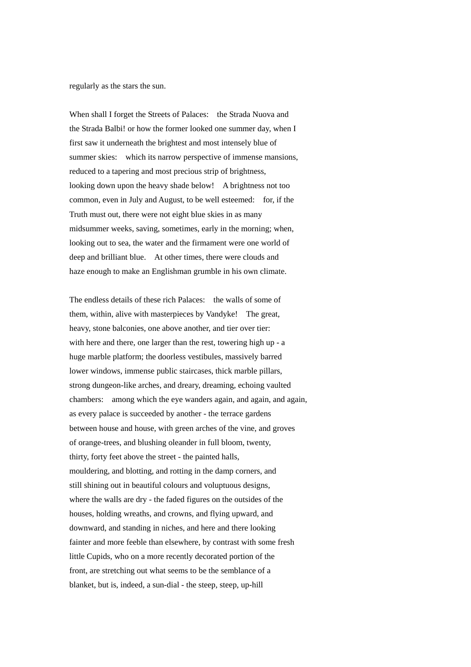regularly as the stars the sun.

When shall I forget the Streets of Palaces: the Strada Nuova and the Strada Balbi! or how the former looked one summer day, when I first saw it underneath the brightest and most intensely blue of summer skies: which its narrow perspective of immense mansions, reduced to a tapering and most precious strip of brightness, looking down upon the heavy shade below! A brightness not too common, even in July and August, to be well esteemed: for, if the Truth must out, there were not eight blue skies in as many midsummer weeks, saving, sometimes, early in the morning; when, looking out to sea, the water and the firmament were one world of deep and brilliant blue. At other times, there were clouds and haze enough to make an Englishman grumble in his own climate.

The endless details of these rich Palaces: the walls of some of them, within, alive with masterpieces by Vandyke! The great, heavy, stone balconies, one above another, and tier over tier: with here and there, one larger than the rest, towering high up - a huge marble platform; the doorless vestibules, massively barred lower windows, immense public staircases, thick marble pillars, strong dungeon-like arches, and dreary, dreaming, echoing vaulted chambers: among which the eye wanders again, and again, and again, as every palace is succeeded by another - the terrace gardens between house and house, with green arches of the vine, and groves of orange-trees, and blushing oleander in full bloom, twenty, thirty, forty feet above the street - the painted halls, mouldering, and blotting, and rotting in the damp corners, and still shining out in beautiful colours and voluptuous designs, where the walls are dry - the faded figures on the outsides of the houses, holding wreaths, and crowns, and flying upward, and downward, and standing in niches, and here and there looking fainter and more feeble than elsewhere, by contrast with some fresh little Cupids, who on a more recently decorated portion of the front, are stretching out what seems to be the semblance of a blanket, but is, indeed, a sun-dial - the steep, steep, up-hill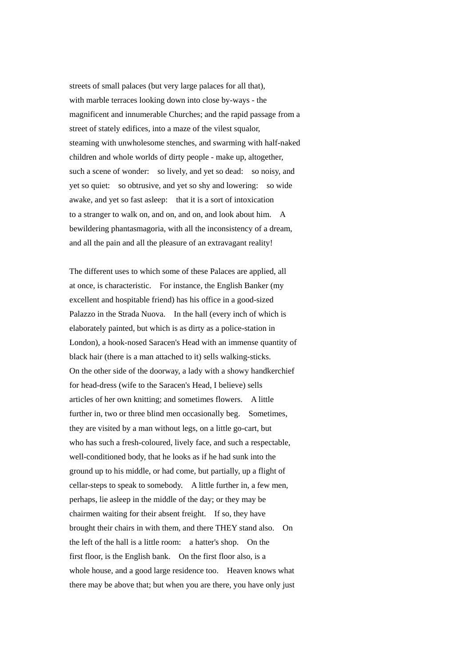streets of small palaces (but very large palaces for all that), with marble terraces looking down into close by-ways - the magnificent and innumerable Churches; and the rapid passage from a street of stately edifices, into a maze of the vilest squalor. steaming with unwholesome stenches, and swarming with half-naked children and whole worlds of dirty people - make up, altogether, such a scene of wonder: so lively, and yet so dead: so noisy, and yet so quiet: so obtrusive, and yet so shy and lowering: so wide awake, and yet so fast asleep: that it is a sort of intoxication to a stranger to walk on, and on, and on, and look about him. A bewildering phantasmagoria, with all the inconsistency of a dream, and all the pain and all the pleasure of an extravagant reality!

The different uses to which some of these Palaces are applied, all at once, is characteristic. For instance, the English Banker (my excellent and hospitable friend) has his office in a good-sized Palazzo in the Strada Nuova. In the hall (every inch of which is elaborately painted, but which is as dirty as a police-station in London), a hook-nosed Saracen's Head with an immense quantity of black hair (there is a man attached to it) sells walking-sticks. On the other side of the doorway, a lady with a showy handkerchief for head-dress (wife to the Saracen's Head, I believe) sells articles of her own knitting; and sometimes flowers. A little further in, two or three blind men occasionally beg. Sometimes, they are visited by a man without legs, on a little go-cart, but who has such a fresh-coloured, lively face, and such a respectable, well-conditioned body, that he looks as if he had sunk into the ground up to his middle, or had come, but partially, up a flight of cellar-steps to speak to somebody. A little further in, a few men, perhaps, lie asleep in the middle of the day; or they may be chairmen waiting for their absent freight. If so, they have brought their chairs in with them, and there THEY stand also. On the left of the hall is a little room: a hatter's shop. On the first floor, is the English bank. On the first floor also, is a whole house, and a good large residence too. Heaven knows what there may be above that; but when you are there, you have only just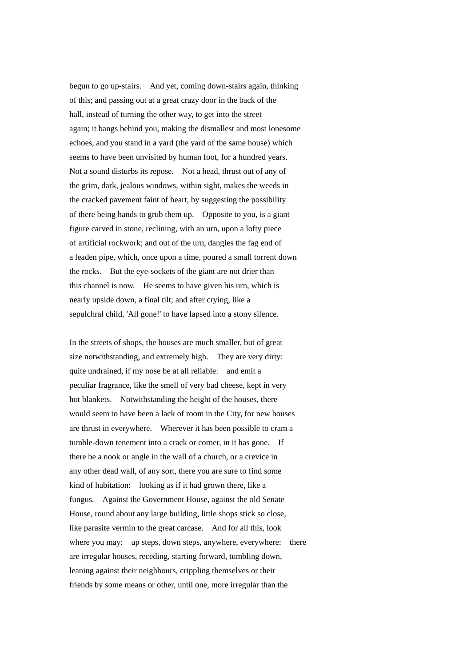begun to go up-stairs. And yet, coming down-stairs again, thinking of this; and passing out at a great crazy door in the back of the hall, instead of turning the other way, to get into the street again; it bangs behind you, making the dismallest and most lonesome echoes, and you stand in a yard (the yard of the same house) which seems to have been unvisited by human foot, for a hundred years. Not a sound disturbs its repose. Not a head, thrust out of any of the grim, dark, jealous windows, within sight, makes the weeds in the cracked pavement faint of heart, by suggesting the possibility of there being hands to grub them up. Opposite to you, is a giant figure carved in stone, reclining, with an urn, upon a lofty piece of artificial rockwork; and out of the urn, dangles the fag end of a leaden pipe, which, once upon a time, poured a small torrent down the rocks. But the eye-sockets of the giant are not drier than this channel is now. He seems to have given his urn, which is nearly upside down, a final tilt; and after crying, like a sepulchral child, 'All gone!' to have lapsed into a stony silence.

In the streets of shops, the houses are much smaller, but of great size notwithstanding, and extremely high. They are very dirty: quite undrained, if my nose be at all reliable: and emit a peculiar fragrance, like the smell of very bad cheese, kept in very hot blankets. Notwithstanding the height of the houses, there would seem to have been a lack of room in the City, for new houses are thrust in everywhere. Wherever it has been possible to cram a tumble-down tenement into a crack or corner, in it has gone. If there be a nook or angle in the wall of a church, or a crevice in any other dead wall, of any sort, there you are sure to find some kind of habitation: looking as if it had grown there, like a fungus. Against the Government House, against the old Senate House, round about any large building, little shops stick so close, like parasite vermin to the great carcase. And for all this, look where you may: up steps, down steps, anywhere, everywhere: there are irregular houses, receding, starting forward, tumbling down, leaning against their neighbours, crippling themselves or their friends by some means or other, until one, more irregular than the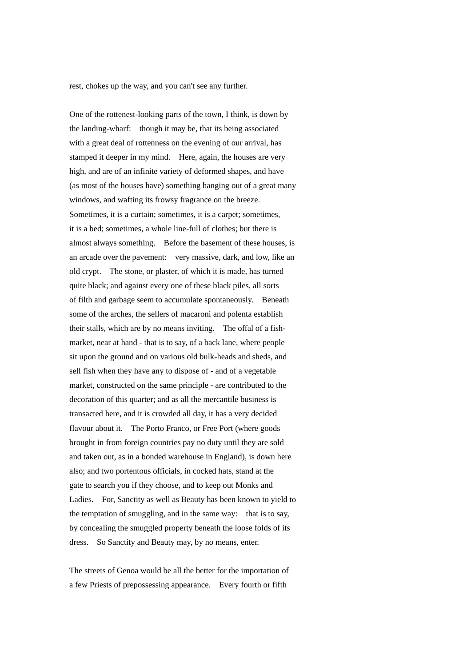rest, chokes up the way, and you can't see any further.

One of the rottenest-looking parts of the town, I think, is down by the landing-wharf: though it may be, that its being associated with a great deal of rottenness on the evening of our arrival, has stamped it deeper in my mind. Here, again, the houses are very high, and are of an infinite variety of deformed shapes, and have (as most of the houses have) something hanging out of a great many windows, and wafting its frowsy fragrance on the breeze. Sometimes, it is a curtain; sometimes, it is a carpet; sometimes, it is a bed; sometimes, a whole line-full of clothes; but there is almost always something. Before the basement of these houses, is an arcade over the pavement: very massive, dark, and low, like an old crypt. The stone, or plaster, of which it is made, has turned quite black; and against every one of these black piles, all sorts of filth and garbage seem to accumulate spontaneously. Beneath some of the arches, the sellers of macaroni and polenta establish their stalls, which are by no means inviting. The offal of a fishmarket, near at hand - that is to say, of a back lane, where people sit upon the ground and on various old bulk-heads and sheds, and sell fish when they have any to dispose of - and of a vegetable market, constructed on the same principle - are contributed to the decoration of this quarter; and as all the mercantile business is transacted here, and it is crowded all day, it has a very decided flavour about it. The Porto Franco, or Free Port (where goods brought in from foreign countries pay no duty until they are sold and taken out, as in a bonded warehouse in England), is down here also; and two portentous officials, in cocked hats, stand at the gate to search you if they choose, and to keep out Monks and Ladies. For, Sanctity as well as Beauty has been known to yield to the temptation of smuggling, and in the same way: that is to say, by concealing the smuggled property beneath the loose folds of its dress. So Sanctity and Beauty may, by no means, enter.

The streets of Genoa would be all the better for the importation of a few Priests of prepossessing appearance. Every fourth or fifth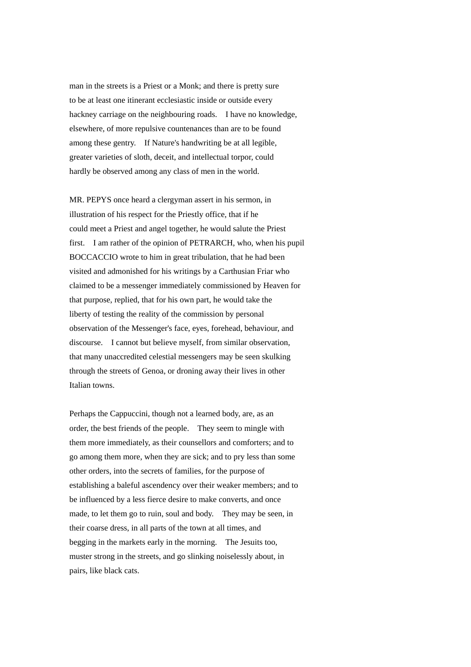man in the streets is a Priest or a Monk; and there is pretty sure to be at least one itinerant ecclesiastic inside or outside every hackney carriage on the neighbouring roads. I have no knowledge, elsewhere, of more repulsive countenances than are to be found among these gentry. If Nature's handwriting be at all legible, greater varieties of sloth, deceit, and intellectual torpor, could hardly be observed among any class of men in the world.

MR. PEPYS once heard a clergyman assert in his sermon, in illustration of his respect for the Priestly office, that if he could meet a Priest and angel together, he would salute the Priest first. I am rather of the opinion of PETRARCH, who, when his pupil BOCCACCIO wrote to him in great tribulation, that he had been visited and admonished for his writings by a Carthusian Friar who claimed to be a messenger immediately commissioned by Heaven for that purpose, replied, that for his own part, he would take the liberty of testing the reality of the commission by personal observation of the Messenger's face, eyes, forehead, behaviour, and discourse. I cannot but believe myself, from similar observation, that many unaccredited celestial messengers may be seen skulking through the streets of Genoa, or droning away their lives in other Italian towns.

Perhaps the Cappuccini, though not a learned body, are, as an order, the best friends of the people. They seem to mingle with them more immediately, as their counsellors and comforters; and to go among them more, when they are sick; and to pry less than some other orders, into the secrets of families, for the purpose of establishing a baleful ascendency over their weaker members; and to be influenced by a less fierce desire to make converts, and once made, to let them go to ruin, soul and body. They may be seen, in their coarse dress, in all parts of the town at all times, and begging in the markets early in the morning. The Jesuits too, muster strong in the streets, and go slinking noiselessly about, in pairs, like black cats.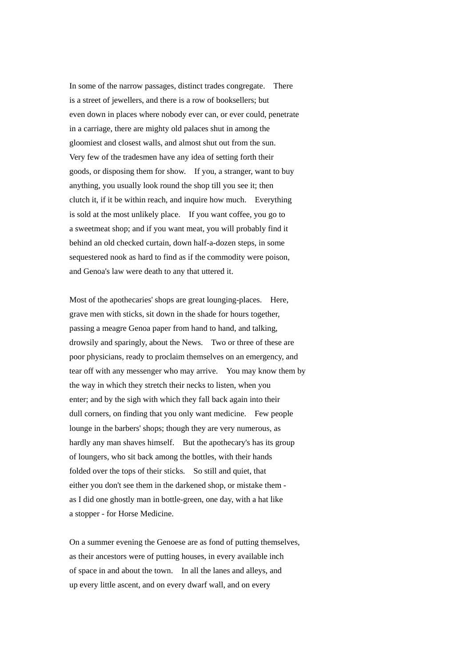In some of the narrow passages, distinct trades congregate. There is a street of jewellers, and there is a row of booksellers; but even down in places where nobody ever can, or ever could, penetrate in a carriage, there are mighty old palaces shut in among the gloomiest and closest walls, and almost shut out from the sun. Very few of the tradesmen have any idea of setting forth their goods, or disposing them for show. If you, a stranger, want to buy anything, you usually look round the shop till you see it; then clutch it, if it be within reach, and inquire how much. Everything is sold at the most unlikely place. If you want coffee, you go to a sweetmeat shop; and if you want meat, you will probably find it behind an old checked curtain, down half-a-dozen steps, in some sequestered nook as hard to find as if the commodity were poison, and Genoa's law were death to any that uttered it.

Most of the apothecaries' shops are great lounging-places. Here, grave men with sticks, sit down in the shade for hours together, passing a meagre Genoa paper from hand to hand, and talking, drowsily and sparingly, about the News. Two or three of these are poor physicians, ready to proclaim themselves on an emergency, and tear off with any messenger who may arrive. You may know them by the way in which they stretch their necks to listen, when you enter; and by the sigh with which they fall back again into their dull corners, on finding that you only want medicine. Few people lounge in the barbers' shops; though they are very numerous, as hardly any man shaves himself. But the apothecary's has its group of loungers, who sit back among the bottles, with their hands folded over the tops of their sticks. So still and quiet, that either you don't see them in the darkened shop, or mistake them as I did one ghostly man in bottle-green, one day, with a hat like a stopper - for Horse Medicine.

On a summer evening the Genoese are as fond of putting themselves, as their ancestors were of putting houses, in every available inch of space in and about the town. In all the lanes and alleys, and up every little ascent, and on every dwarf wall, and on every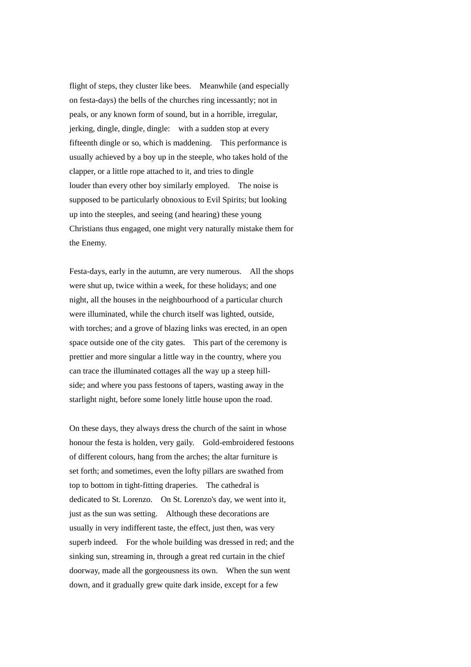flight of steps, they cluster like bees. Meanwhile (and especially on festa-days) the bells of the churches ring incessantly; not in peals, or any known form of sound, but in a horrible, irregular, jerking, dingle, dingle, dingle: with a sudden stop at every fifteenth dingle or so, which is maddening. This performance is usually achieved by a boy up in the steeple, who takes hold of the clapper, or a little rope attached to it, and tries to dingle louder than every other boy similarly employed. The noise is supposed to be particularly obnoxious to Evil Spirits; but looking up into the steeples, and seeing (and hearing) these young Christians thus engaged, one might very naturally mistake them for the Enemy.

Festa-days, early in the autumn, are very numerous. All the shops were shut up, twice within a week, for these holidays; and one night, all the houses in the neighbourhood of a particular church were illuminated, while the church itself was lighted, outside, with torches; and a grove of blazing links was erected, in an open space outside one of the city gates. This part of the ceremony is prettier and more singular a little way in the country, where you can trace the illuminated cottages all the way up a steep hillside; and where you pass festoons of tapers, wasting away in the starlight night, before some lonely little house upon the road.

On these days, they always dress the church of the saint in whose honour the festa is holden, very gaily. Gold-embroidered festoons of different colours, hang from the arches; the altar furniture is set forth; and sometimes, even the lofty pillars are swathed from top to bottom in tight-fitting draperies. The cathedral is dedicated to St. Lorenzo. On St. Lorenzo's day, we went into it, just as the sun was setting. Although these decorations are usually in very indifferent taste, the effect, just then, was very superb indeed. For the whole building was dressed in red; and the sinking sun, streaming in, through a great red curtain in the chief doorway, made all the gorgeousness its own. When the sun went down, and it gradually grew quite dark inside, except for a few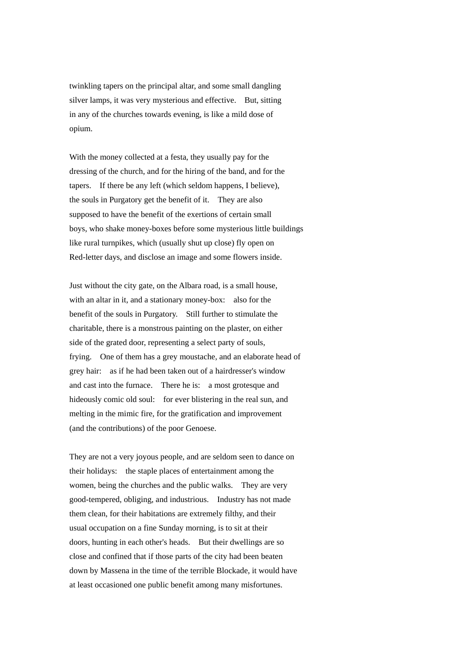twinkling tapers on the principal altar, and some small dangling silver lamps, it was very mysterious and effective. But, sitting in any of the churches towards evening, is like a mild dose of opium.

With the money collected at a festa, they usually pay for the dressing of the church, and for the hiring of the band, and for the tapers. If there be any left (which seldom happens, I believe), the souls in Purgatory get the benefit of it. They are also supposed to have the benefit of the exertions of certain small boys, who shake money-boxes before some mysterious little buildings like rural turnpikes, which (usually shut up close) fly open on Red-letter days, and disclose an image and some flowers inside.

Just without the city gate, on the Albara road, is a small house, with an altar in it, and a stationary money-box: also for the benefit of the souls in Purgatory. Still further to stimulate the charitable, there is a monstrous painting on the plaster, on either side of the grated door, representing a select party of souls, frying. One of them has a grey moustache, and an elaborate head of grey hair: as if he had been taken out of a hairdresser's window and cast into the furnace. There he is: a most grotesque and hideously comic old soul: for ever blistering in the real sun, and melting in the mimic fire, for the gratification and improvement (and the contributions) of the poor Genoese.

They are not a very joyous people, and are seldom seen to dance on their holidays: the staple places of entertainment among the women, being the churches and the public walks. They are very good-tempered, obliging, and industrious. Industry has not made them clean, for their habitations are extremely filthy, and their usual occupation on a fine Sunday morning, is to sit at their doors, hunting in each other's heads. But their dwellings are so close and confined that if those parts of the city had been beaten down by Massena in the time of the terrible Blockade, it would have at least occasioned one public benefit among many misfortunes.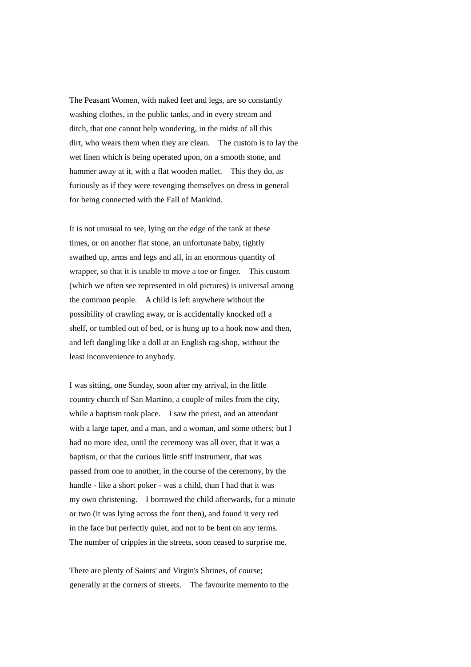The Peasant Women, with naked feet and legs, are so constantly washing clothes, in the public tanks, and in every stream and ditch, that one cannot help wondering, in the midst of all this dirt, who wears them when they are clean. The custom is to lay the wet linen which is being operated upon, on a smooth stone, and hammer away at it, with a flat wooden mallet. This they do, as furiously as if they were revenging themselves on dress in general for being connected with the Fall of Mankind.

It is not unusual to see, lying on the edge of the tank at these times, or on another flat stone, an unfortunate baby, tightly swathed up, arms and legs and all, in an enormous quantity of wrapper, so that it is unable to move a toe or finger. This custom (which we often see represented in old pictures) is universal among the common people. A child is left anywhere without the possibility of crawling away, or is accidentally knocked off a shelf, or tumbled out of bed, or is hung up to a hook now and then, and left dangling like a doll at an English rag-shop, without the least inconvenience to anybody.

I was sitting, one Sunday, soon after my arrival, in the little country church of San Martino, a couple of miles from the city, while a baptism took place. I saw the priest, and an attendant with a large taper, and a man, and a woman, and some others; but I had no more idea, until the ceremony was all over, that it was a baptism, or that the curious little stiff instrument, that was passed from one to another, in the course of the ceremony, by the handle - like a short poker - was a child, than I had that it was my own christening. I borrowed the child afterwards, for a minute or two (it was lying across the font then), and found it very red in the face but perfectly quiet, and not to be bent on any terms. The number of cripples in the streets, soon ceased to surprise me.

There are plenty of Saints' and Virgin's Shrines, of course; generally at the corners of streets. The favourite memento to the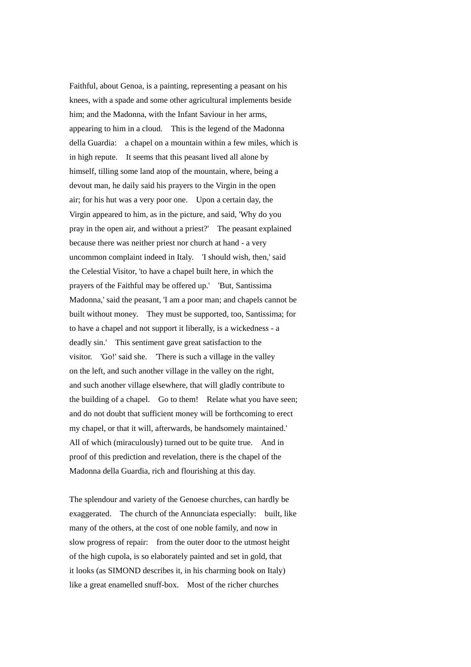Faithful, about Genoa, is a painting, representing a peasant on his knees, with a spade and some other agricultural implements beside him; and the Madonna, with the Infant Saviour in her arms, appearing to him in a cloud. This is the legend of the Madonna della Guardia: a chapel on a mountain within a few miles, which is in high repute. It seems that this peasant lived all alone by himself, tilling some land atop of the mountain, where, being a devout man, he daily said his prayers to the Virgin in the open air; for his hut was a very poor one. Upon a certain day, the Virgin appeared to him, as in the picture, and said, 'Why do you pray in the open air, and without a priest?' The peasant explained because there was neither priest nor church at hand - a very uncommon complaint indeed in Italy. 'I should wish, then,' said the Celestial Visitor, 'to have a chapel built here, in which the prayers of the Faithful may be offered up.' 'But, Santissima Madonna,' said the peasant, 'I am a poor man; and chapels cannot be built without money. They must be supported, too, Santissima; for to have a chapel and not support it liberally, is a wickedness - a deadly sin.' This sentiment gave great satisfaction to the visitor. 'Go!' said she. 'There is such a village in the valley on the left, and such another village in the valley on the right, and such another village elsewhere, that will gladly contribute to the building of a chapel. Go to them! Relate what you have seen; and do not doubt that sufficient money will be forthcoming to erect my chapel, or that it will, afterwards, be handsomely maintained.' All of which (miraculously) turned out to be quite true. And in proof of this prediction and revelation, there is the chapel of the Madonna della Guardia, rich and flourishing at this day.

The splendour and variety of the Genoese churches, can hardly be exaggerated. The church of the Annunciata especially: built, like many of the others, at the cost of one noble family, and now in slow progress of repair: from the outer door to the utmost height of the high cupola, is so elaborately painted and set in gold, that it looks (as SIMOND describes it, in his charming book on Italy) like a great enamelled snuff-box. Most of the richer churches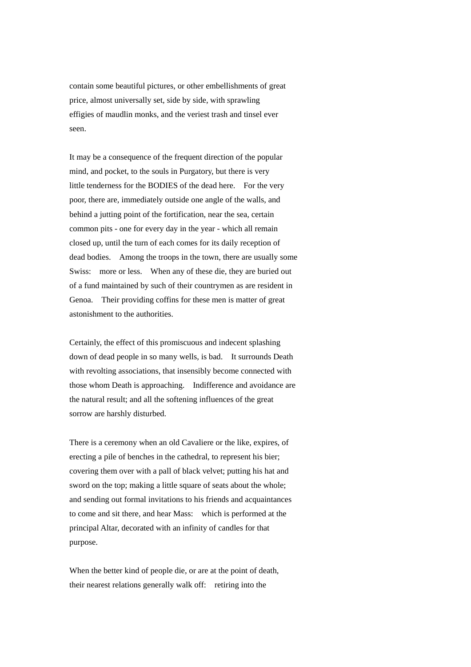contain some beautiful pictures, or other embellishments of great price, almost universally set, side by side, with sprawling effigies of maudlin monks, and the veriest trash and tinsel ever seen.

It may be a consequence of the frequent direction of the popular mind, and pocket, to the souls in Purgatory, but there is very little tenderness for the BODIES of the dead here. For the very poor, there are, immediately outside one angle of the walls, and behind a jutting point of the fortification, near the sea, certain common pits - one for every day in the year - which all remain closed up, until the turn of each comes for its daily reception of dead bodies. Among the troops in the town, there are usually some Swiss: more or less. When any of these die, they are buried out of a fund maintained by such of their countrymen as are resident in Genoa. Their providing coffins for these men is matter of great astonishment to the authorities.

Certainly, the effect of this promiscuous and indecent splashing down of dead people in so many wells, is bad. It surrounds Death with revolting associations, that insensibly become connected with those whom Death is approaching. Indifference and avoidance are the natural result; and all the softening influences of the great sorrow are harshly disturbed.

There is a ceremony when an old Cavaliere or the like, expires, of erecting a pile of benches in the cathedral, to represent his bier; covering them over with a pall of black velvet; putting his hat and sword on the top; making a little square of seats about the whole; and sending out formal invitations to his friends and acquaintances to come and sit there, and hear Mass: which is performed at the principal Altar, decorated with an infinity of candles for that purpose.

When the better kind of people die, or are at the point of death, their nearest relations generally walk off: retiring into the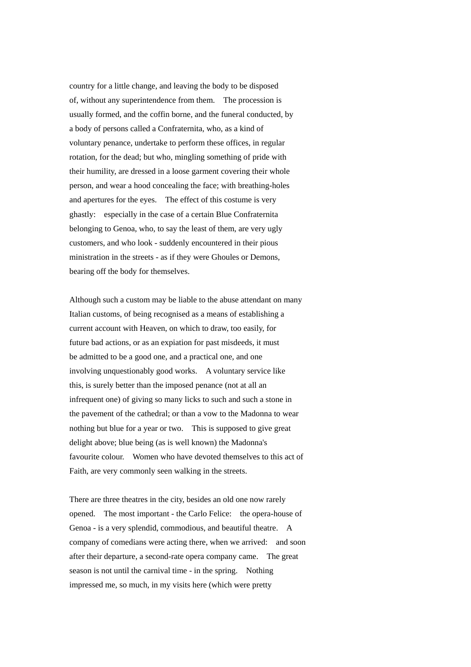country for a little change, and leaving the body to be disposed of, without any superintendence from them. The procession is usually formed, and the coffin borne, and the funeral conducted, by a body of persons called a Confraternita, who, as a kind of voluntary penance, undertake to perform these offices, in regular rotation, for the dead; but who, mingling something of pride with their humility, are dressed in a loose garment covering their whole person, and wear a hood concealing the face; with breathing-holes and apertures for the eyes. The effect of this costume is very ghastly: especially in the case of a certain Blue Confraternita belonging to Genoa, who, to say the least of them, are very ugly customers, and who look - suddenly encountered in their pious ministration in the streets - as if they were Ghoules or Demons, bearing off the body for themselves.

Although such a custom may be liable to the abuse attendant on many Italian customs, of being recognised as a means of establishing a current account with Heaven, on which to draw, too easily, for future bad actions, or as an expiation for past misdeeds, it must be admitted to be a good one, and a practical one, and one involving unquestionably good works. A voluntary service like this, is surely better than the imposed penance (not at all an infrequent one) of giving so many licks to such and such a stone in the pavement of the cathedral; or than a vow to the Madonna to wear nothing but blue for a year or two. This is supposed to give great delight above; blue being (as is well known) the Madonna's favourite colour. Women who have devoted themselves to this act of Faith, are very commonly seen walking in the streets.

There are three theatres in the city, besides an old one now rarely opened. The most important - the Carlo Felice: the opera-house of Genoa - is a very splendid, commodious, and beautiful theatre. A company of comedians were acting there, when we arrived: and soon after their departure, a second-rate opera company came. The great season is not until the carnival time - in the spring. Nothing impressed me, so much, in my visits here (which were pretty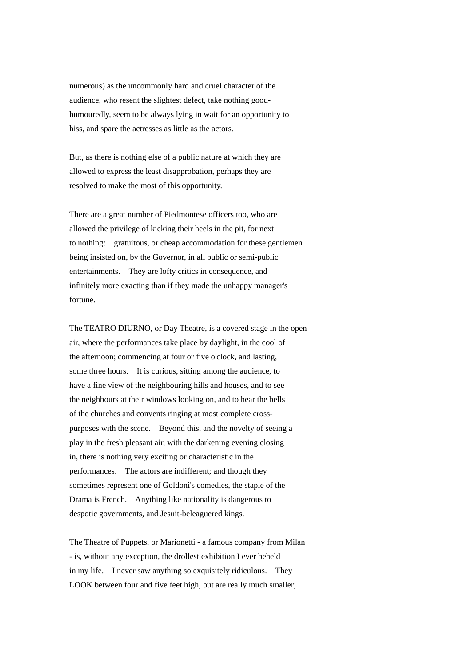numerous) as the uncommonly hard and cruel character of the audience, who resent the slightest defect, take nothing goodhumouredly, seem to be always lying in wait for an opportunity to hiss, and spare the actresses as little as the actors.

But, as there is nothing else of a public nature at which they are allowed to express the least disapprobation, perhaps they are resolved to make the most of this opportunity.

There are a great number of Piedmontese officers too, who are allowed the privilege of kicking their heels in the pit, for next to nothing: gratuitous, or cheap accommodation for these gentlemen being insisted on, by the Governor, in all public or semi-public entertainments. They are lofty critics in consequence, and infinitely more exacting than if they made the unhappy manager's fortune.

The TEATRO DIURNO, or Day Theatre, is a covered stage in the open air, where the performances take place by daylight, in the cool of the afternoon; commencing at four or five o'clock, and lasting, some three hours. It is curious, sitting among the audience, to have a fine view of the neighbouring hills and houses, and to see the neighbours at their windows looking on, and to hear the bells of the churches and convents ringing at most complete crosspurposes with the scene. Beyond this, and the novelty of seeing a play in the fresh pleasant air, with the darkening evening closing in, there is nothing very exciting or characteristic in the performances. The actors are indifferent; and though they sometimes represent one of Goldoni's comedies, the staple of the Drama is French. Anything like nationality is dangerous to despotic governments, and Jesuit-beleaguered kings.

The Theatre of Puppets, or Marionetti - a famous company from Milan - is, without any exception, the drollest exhibition I ever beheld in my life. I never saw anything so exquisitely ridiculous. They LOOK between four and five feet high, but are really much smaller;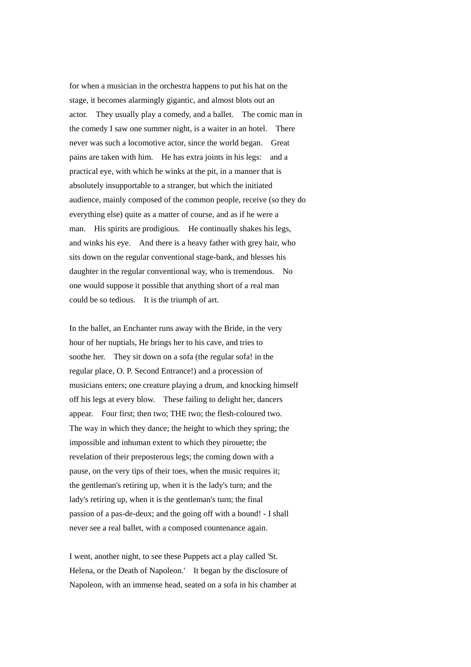for when a musician in the orchestra happens to put his hat on the stage, it becomes alarmingly gigantic, and almost blots out an actor. They usually play a comedy, and a ballet. The comic man in the comedy I saw one summer night, is a waiter in an hotel. There never was such a locomotive actor, since the world began. Great pains are taken with him. He has extra joints in his legs: and a practical eye, with which he winks at the pit, in a manner that is absolutely insupportable to a stranger, but which the initiated audience, mainly composed of the common people, receive (so they do everything else) quite as a matter of course, and as if he were a man. His spirits are prodigious. He continually shakes his legs, and winks his eye. And there is a heavy father with grey hair, who sits down on the regular conventional stage-bank, and blesses his daughter in the regular conventional way, who is tremendous. No one would suppose it possible that anything short of a real man could be so tedious. It is the triumph of art.

In the ballet, an Enchanter runs away with the Bride, in the very hour of her nuptials, He brings her to his cave, and tries to soothe her. They sit down on a sofa (the regular sofa! in the regular place, O. P. Second Entrance!) and a procession of musicians enters; one creature playing a drum, and knocking himself off his legs at every blow. These failing to delight her, dancers appear. Four first; then two; THE two; the flesh-coloured two. The way in which they dance; the height to which they spring; the impossible and inhuman extent to which they pirouette; the revelation of their preposterous legs; the coming down with a pause, on the very tips of their toes, when the music requires it; the gentleman's retiring up, when it is the lady's turn; and the lady's retiring up, when it is the gentleman's turn; the final passion of a pas-de-deux; and the going off with a bound! - I shall never see a real ballet, with a composed countenance again.

I went, another night, to see these Puppets act a play called 'St. Helena, or the Death of Napoleon.' It began by the disclosure of Napoleon, with an immense head, seated on a sofa in his chamber at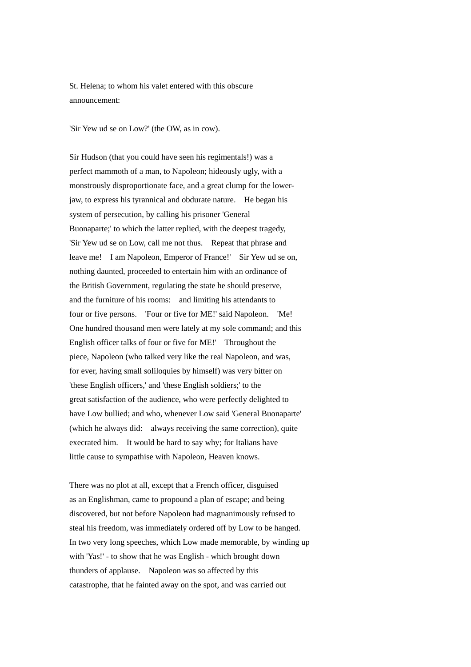St. Helena; to whom his valet entered with this obscure announcement:

'Sir Yew ud se on Low?' (the OW, as in cow).

Sir Hudson (that you could have seen his regimentals!) was a perfect mammoth of a man, to Napoleon; hideously ugly, with a monstrously disproportionate face, and a great clump for the lowerjaw, to express his tyrannical and obdurate nature. He began his system of persecution, by calling his prisoner 'General Buonaparte;' to which the latter replied, with the deepest tragedy, 'Sir Yew ud se on Low, call me not thus. Repeat that phrase and leave me! I am Napoleon, Emperor of France!' Sir Yew ud se on, nothing daunted, proceeded to entertain him with an ordinance of the British Government, regulating the state he should preserve, and the furniture of his rooms: and limiting his attendants to four or five persons. 'Four or five for ME!' said Napoleon. 'Me! One hundred thousand men were lately at my sole command; and this English officer talks of four or five for ME!' Throughout the piece, Napoleon (who talked very like the real Napoleon, and was, for ever, having small soliloquies by himself) was very bitter on 'these English officers,' and 'these English soldiers;' to the great satisfaction of the audience, who were perfectly delighted to have Low bullied; and who, whenever Low said 'General Buonaparte' (which he always did: always receiving the same correction), quite execrated him. It would be hard to say why; for Italians have little cause to sympathise with Napoleon, Heaven knows.

There was no plot at all, except that a French officer, disguised as an Englishman, came to propound a plan of escape; and being discovered, but not before Napoleon had magnanimously refused to steal his freedom, was immediately ordered off by Low to be hanged. In two very long speeches, which Low made memorable, by winding up with 'Yas!' - to show that he was English - which brought down thunders of applause. Napoleon was so affected by this catastrophe, that he fainted away on the spot, and was carried out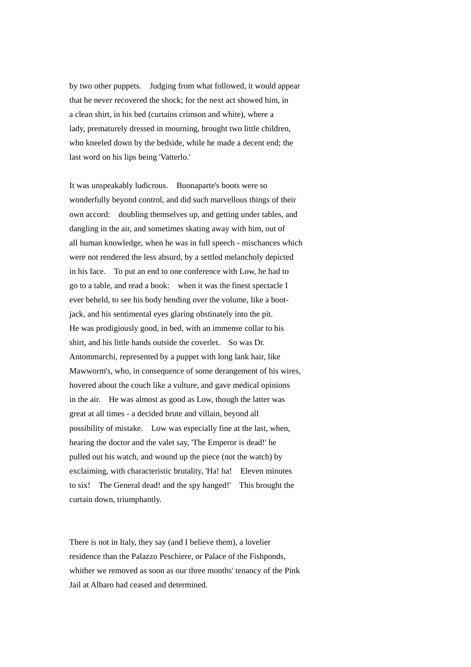by two other puppets. Judging from what followed, it would appear that he never recovered the shock; for the next act showed him, in a clean shirt, in his bed (curtains crimson and white), where a lady, prematurely dressed in mourning, brought two little children, who kneeled down by the bedside, while he made a decent end; the last word on his lips being 'Vatterlo.'

It was unspeakably ludicrous. Buonaparte's boots were so wonderfully beyond control, and did such marvellous things of their own accord: doubling themselves up, and getting under tables, and dangling in the air, and sometimes skating away with him, out of all human knowledge, when he was in full speech - mischances which were not rendered the less absurd, by a settled melancholy depicted in his face. To put an end to one conference with Low, he had to go to a table, and read a book: when it was the finest spectacle I ever beheld, to see his body bending over the volume, like a bootjack, and his sentimental eyes glaring obstinately into the pit. He was prodigiously good, in bed, with an immense collar to his shirt, and his little hands outside the coverlet. So was Dr. Antommarchi, represented by a puppet with long lank hair, like Mawworm's, who, in consequence of some derangement of his wires, hovered about the couch like a vulture, and gave medical opinions in the air. He was almost as good as Low, though the latter was great at all times - a decided brute and villain, beyond all possibility of mistake. Low was especially fine at the last, when, hearing the doctor and the valet say, 'The Emperor is dead!' he pulled out his watch, and wound up the piece (not the watch) by exclaiming, with characteristic brutality, 'Ha! ha! Eleven minutes to six! The General dead! and the spy hanged!' This brought the curtain down, triumphantly.

There is not in Italy, they say (and I believe them), a lovelier residence than the Palazzo Peschiere, or Palace of the Fishponds, whither we removed as soon as our three months' tenancy of the Pink Jail at Albaro had ceased and determined.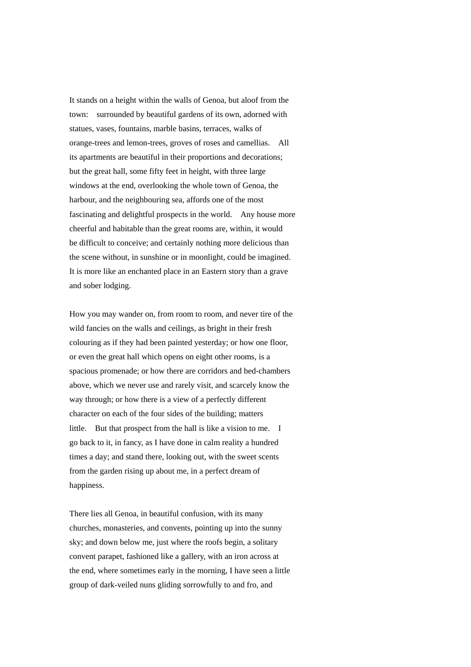It stands on a height within the walls of Genoa, but aloof from the town: surrounded by beautiful gardens of its own, adorned with statues, vases, fountains, marble basins, terraces, walks of orange-trees and lemon-trees, groves of roses and camellias. All its apartments are beautiful in their proportions and decorations; but the great hall, some fifty feet in height, with three large windows at the end, overlooking the whole town of Genoa, the harbour, and the neighbouring sea, affords one of the most fascinating and delightful prospects in the world. Any house more cheerful and habitable than the great rooms are, within, it would be difficult to conceive; and certainly nothing more delicious than the scene without, in sunshine or in moonlight, could be imagined. It is more like an enchanted place in an Eastern story than a grave and sober lodging.

How you may wander on, from room to room, and never tire of the wild fancies on the walls and ceilings, as bright in their fresh colouring as if they had been painted yesterday; or how one floor, or even the great hall which opens on eight other rooms, is a spacious promenade; or how there are corridors and bed-chambers above, which we never use and rarely visit, and scarcely know the way through; or how there is a view of a perfectly different character on each of the four sides of the building; matters little. But that prospect from the hall is like a vision to me. I go back to it, in fancy, as I have done in calm reality a hundred times a day; and stand there, looking out, with the sweet scents from the garden rising up about me, in a perfect dream of happiness.

There lies all Genoa, in beautiful confusion, with its many churches, monasteries, and convents, pointing up into the sunny sky; and down below me, just where the roofs begin, a solitary convent parapet, fashioned like a gallery, with an iron across at the end, where sometimes early in the morning, I have seen a little group of dark-veiled nuns gliding sorrowfully to and fro, and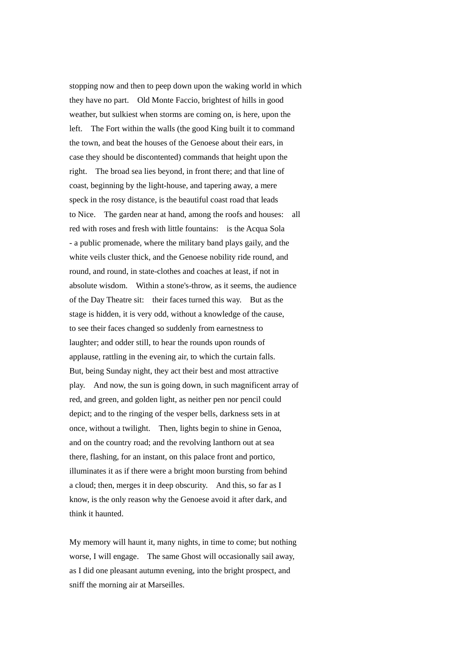stopping now and then to peep down upon the waking world in which they have no part. Old Monte Faccio, brightest of hills in good weather, but sulkiest when storms are coming on, is here, upon the left. The Fort within the walls (the good King built it to command the town, and beat the houses of the Genoese about their ears, in case they should be discontented) commands that height upon the right. The broad sea lies beyond, in front there; and that line of coast, beginning by the light-house, and tapering away, a mere speck in the rosy distance, is the beautiful coast road that leads to Nice. The garden near at hand, among the roofs and houses: all red with roses and fresh with little fountains: is the Acqua Sola - a public promenade, where the military band plays gaily, and the white veils cluster thick, and the Genoese nobility ride round, and round, and round, in state-clothes and coaches at least, if not in absolute wisdom. Within a stone's-throw, as it seems, the audience of the Day Theatre sit: their faces turned this way. But as the stage is hidden, it is very odd, without a knowledge of the cause, to see their faces changed so suddenly from earnestness to laughter; and odder still, to hear the rounds upon rounds of applause, rattling in the evening air, to which the curtain falls. But, being Sunday night, they act their best and most attractive play. And now, the sun is going down, in such magnificent array of red, and green, and golden light, as neither pen nor pencil could depict; and to the ringing of the vesper bells, darkness sets in at once, without a twilight. Then, lights begin to shine in Genoa, and on the country road; and the revolving lanthorn out at sea there, flashing, for an instant, on this palace front and portico, illuminates it as if there were a bright moon bursting from behind a cloud; then, merges it in deep obscurity. And this, so far as I know, is the only reason why the Genoese avoid it after dark, and think it haunted.

My memory will haunt it, many nights, in time to come; but nothing worse, I will engage. The same Ghost will occasionally sail away, as I did one pleasant autumn evening, into the bright prospect, and sniff the morning air at Marseilles.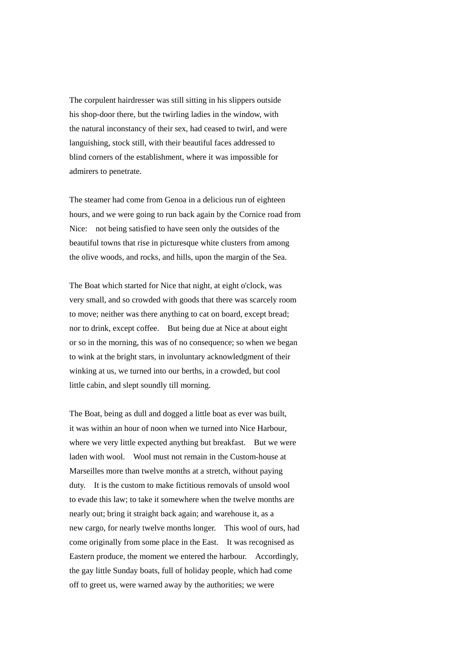The corpulent hairdresser was still sitting in his slippers outside his shop-door there, but the twirling ladies in the window, with the natural inconstancy of their sex, had ceased to twirl, and were languishing, stock still, with their beautiful faces addressed to blind corners of the establishment, where it was impossible for admirers to penetrate.

The steamer had come from Genoa in a delicious run of eighteen hours, and we were going to run back again by the Cornice road from Nice: not being satisfied to have seen only the outsides of the beautiful towns that rise in picturesque white clusters from among the olive woods, and rocks, and hills, upon the margin of the Sea.

The Boat which started for Nice that night, at eight o'clock, was very small, and so crowded with goods that there was scarcely room to move; neither was there anything to cat on board, except bread; nor to drink, except coffee. But being due at Nice at about eight or so in the morning, this was of no consequence; so when we began to wink at the bright stars, in involuntary acknowledgment of their winking at us, we turned into our berths, in a crowded, but cool little cabin, and slept soundly till morning.

The Boat, being as dull and dogged a little boat as ever was built, it was within an hour of noon when we turned into Nice Harbour, where we very little expected anything but breakfast. But we were laden with wool. Wool must not remain in the Custom-house at Marseilles more than twelve months at a stretch, without paying duty. It is the custom to make fictitious removals of unsold wool to evade this law; to take it somewhere when the twelve months are nearly out; bring it straight back again; and warehouse it, as a new cargo, for nearly twelve months longer. This wool of ours, had come originally from some place in the East. It was recognised as Eastern produce, the moment we entered the harbour. Accordingly, the gay little Sunday boats, full of holiday people, which had come off to greet us, were warned away by the authorities; we were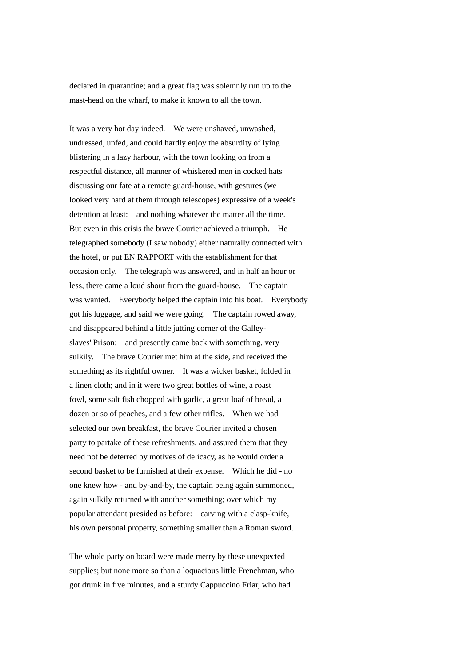declared in quarantine; and a great flag was solemnly run up to the mast-head on the wharf, to make it known to all the town.

It was a very hot day indeed. We were unshaved, unwashed, undressed, unfed, and could hardly enjoy the absurdity of lying blistering in a lazy harbour, with the town looking on from a respectful distance, all manner of whiskered men in cocked hats discussing our fate at a remote guard-house, with gestures (we looked very hard at them through telescopes) expressive of a week's detention at least: and nothing whatever the matter all the time. But even in this crisis the brave Courier achieved a triumph. He telegraphed somebody (I saw nobody) either naturally connected with the hotel, or put EN RAPPORT with the establishment for that occasion only. The telegraph was answered, and in half an hour or less, there came a loud shout from the guard-house. The captain was wanted. Everybody helped the captain into his boat. Everybody got his luggage, and said we were going. The captain rowed away, and disappeared behind a little jutting corner of the Galleyslaves' Prison: and presently came back with something, very sulkily. The brave Courier met him at the side, and received the something as its rightful owner. It was a wicker basket, folded in a linen cloth; and in it were two great bottles of wine, a roast fowl, some salt fish chopped with garlic, a great loaf of bread, a dozen or so of peaches, and a few other trifles. When we had selected our own breakfast, the brave Courier invited a chosen party to partake of these refreshments, and assured them that they need not be deterred by motives of delicacy, as he would order a second basket to be furnished at their expense. Which he did - no one knew how - and by-and-by, the captain being again summoned, again sulkily returned with another something; over which my popular attendant presided as before: carving with a clasp-knife, his own personal property, something smaller than a Roman sword.

The whole party on board were made merry by these unexpected supplies; but none more so than a loquacious little Frenchman, who got drunk in five minutes, and a sturdy Cappuccino Friar, who had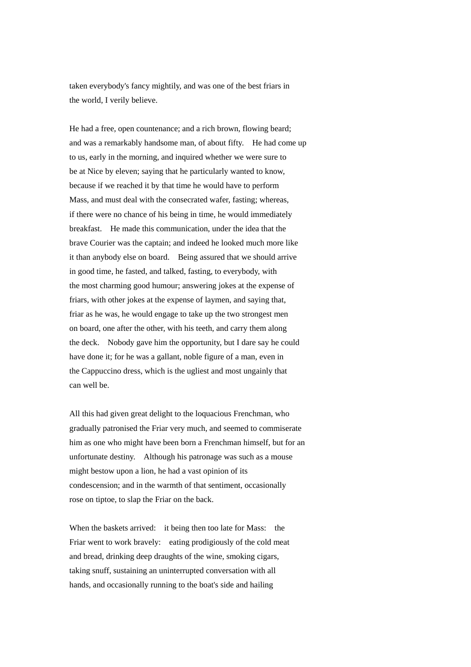taken everybody's fancy mightily, and was one of the best friars in the world, I verily believe.

He had a free, open countenance; and a rich brown, flowing beard; and was a remarkably handsome man, of about fifty. He had come up to us, early in the morning, and inquired whether we were sure to be at Nice by eleven; saying that he particularly wanted to know, because if we reached it by that time he would have to perform Mass, and must deal with the consecrated wafer, fasting; whereas, if there were no chance of his being in time, he would immediately breakfast. He made this communication, under the idea that the brave Courier was the captain; and indeed he looked much more like it than anybody else on board. Being assured that we should arrive in good time, he fasted, and talked, fasting, to everybody, with the most charming good humour; answering jokes at the expense of friars, with other jokes at the expense of laymen, and saying that, friar as he was, he would engage to take up the two strongest men on board, one after the other, with his teeth, and carry them along the deck. Nobody gave him the opportunity, but I dare say he could have done it; for he was a gallant, noble figure of a man, even in the Cappuccino dress, which is the ugliest and most ungainly that can well be.

All this had given great delight to the loquacious Frenchman, who gradually patronised the Friar very much, and seemed to commiserate him as one who might have been born a Frenchman himself, but for an unfortunate destiny. Although his patronage was such as a mouse might bestow upon a lion, he had a vast opinion of its condescension; and in the warmth of that sentiment, occasionally rose on tiptoe, to slap the Friar on the back.

When the baskets arrived: it being then too late for Mass: the Friar went to work bravely: eating prodigiously of the cold meat and bread, drinking deep draughts of the wine, smoking cigars, taking snuff, sustaining an uninterrupted conversation with all hands, and occasionally running to the boat's side and hailing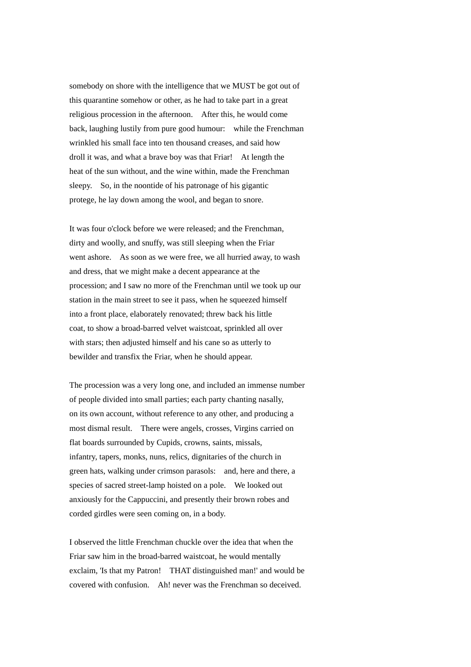somebody on shore with the intelligence that we MUST be got out of this quarantine somehow or other, as he had to take part in a great religious procession in the afternoon. After this, he would come back, laughing lustily from pure good humour: while the Frenchman wrinkled his small face into ten thousand creases, and said how droll it was, and what a brave boy was that Friar! At length the heat of the sun without, and the wine within, made the Frenchman sleepy. So, in the noontide of his patronage of his gigantic protege, he lay down among the wool, and began to snore.

It was four o'clock before we were released; and the Frenchman, dirty and woolly, and snuffy, was still sleeping when the Friar went ashore. As soon as we were free, we all hurried away, to wash and dress, that we might make a decent appearance at the procession; and I saw no more of the Frenchman until we took up our station in the main street to see it pass, when he squeezed himself into a front place, elaborately renovated; threw back his little coat, to show a broad-barred velvet waistcoat, sprinkled all over with stars; then adjusted himself and his cane so as utterly to bewilder and transfix the Friar, when he should appear.

The procession was a very long one, and included an immense number of people divided into small parties; each party chanting nasally, on its own account, without reference to any other, and producing a most dismal result. There were angels, crosses, Virgins carried on flat boards surrounded by Cupids, crowns, saints, missals, infantry, tapers, monks, nuns, relics, dignitaries of the church in green hats, walking under crimson parasols: and, here and there, a species of sacred street-lamp hoisted on a pole. We looked out anxiously for the Cappuccini, and presently their brown robes and corded girdles were seen coming on, in a body.

I observed the little Frenchman chuckle over the idea that when the Friar saw him in the broad-barred waistcoat, he would mentally exclaim, 'Is that my Patron! THAT distinguished man!' and would be covered with confusion. Ah! never was the Frenchman so deceived.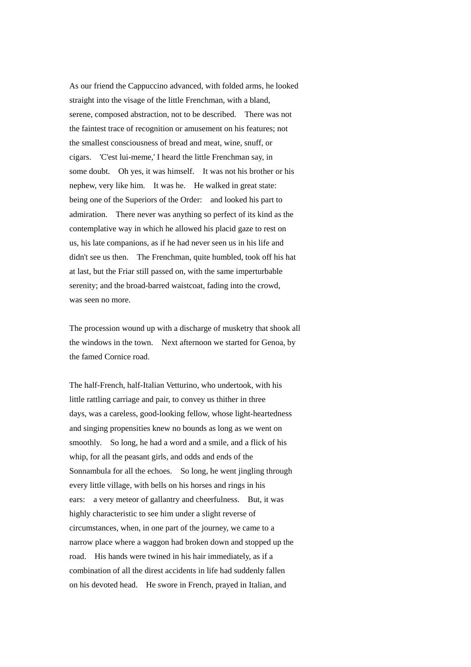As our friend the Cappuccino advanced, with folded arms, he looked straight into the visage of the little Frenchman, with a bland, serene, composed abstraction, not to be described. There was not the faintest trace of recognition or amusement on his features; not the smallest consciousness of bread and meat, wine, snuff, or cigars. 'C'est lui-meme,' I heard the little Frenchman say, in some doubt. Oh yes, it was himself. It was not his brother or his nephew, very like him. It was he. He walked in great state: being one of the Superiors of the Order: and looked his part to admiration. There never was anything so perfect of its kind as the contemplative way in which he allowed his placid gaze to rest on us, his late companions, as if he had never seen us in his life and didn't see us then. The Frenchman, quite humbled, took off his hat at last, but the Friar still passed on, with the same imperturbable serenity; and the broad-barred waistcoat, fading into the crowd, was seen no more.

The procession wound up with a discharge of musketry that shook all the windows in the town. Next afternoon we started for Genoa, by the famed Cornice road.

The half-French, half-Italian Vetturino, who undertook, with his little rattling carriage and pair, to convey us thither in three days, was a careless, good-looking fellow, whose light-heartedness and singing propensities knew no bounds as long as we went on smoothly. So long, he had a word and a smile, and a flick of his whip, for all the peasant girls, and odds and ends of the Sonnambula for all the echoes. So long, he went jingling through every little village, with bells on his horses and rings in his ears: a very meteor of gallantry and cheerfulness. But, it was highly characteristic to see him under a slight reverse of circumstances, when, in one part of the journey, we came to a narrow place where a waggon had broken down and stopped up the road. His hands were twined in his hair immediately, as if a combination of all the direst accidents in life had suddenly fallen on his devoted head. He swore in French, prayed in Italian, and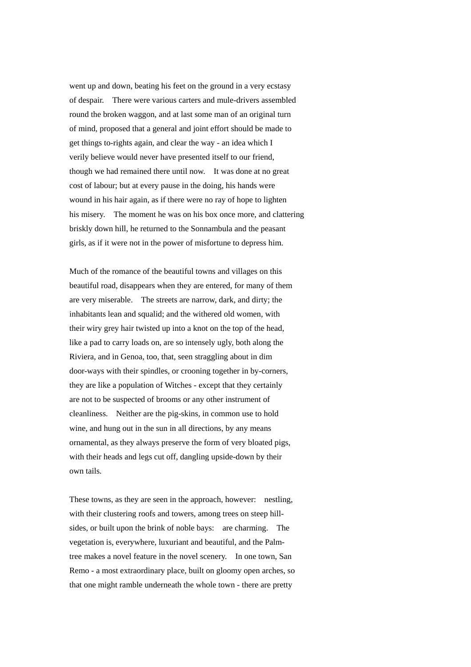went up and down, beating his feet on the ground in a very ecstasy of despair. There were various carters and mule-drivers assembled round the broken waggon, and at last some man of an original turn of mind, proposed that a general and joint effort should be made to get things to-rights again, and clear the way - an idea which I verily believe would never have presented itself to our friend, though we had remained there until now. It was done at no great cost of labour; but at every pause in the doing, his hands were wound in his hair again, as if there were no ray of hope to lighten his misery. The moment he was on his box once more, and clattering briskly down hill, he returned to the Sonnambula and the peasant girls, as if it were not in the power of misfortune to depress him.

Much of the romance of the beautiful towns and villages on this beautiful road, disappears when they are entered, for many of them are very miserable. The streets are narrow, dark, and dirty; the inhabitants lean and squalid; and the withered old women, with their wiry grey hair twisted up into a knot on the top of the head, like a pad to carry loads on, are so intensely ugly, both along the Riviera, and in Genoa, too, that, seen straggling about in dim door-ways with their spindles, or crooning together in by-corners, they are like a population of Witches - except that they certainly are not to be suspected of brooms or any other instrument of cleanliness. Neither are the pig-skins, in common use to hold wine, and hung out in the sun in all directions, by any means ornamental, as they always preserve the form of very bloated pigs, with their heads and legs cut off, dangling upside-down by their own tails.

These towns, as they are seen in the approach, however: nestling, with their clustering roofs and towers, among trees on steep hillsides, or built upon the brink of noble bays: are charming. The vegetation is, everywhere, luxuriant and beautiful, and the Palmtree makes a novel feature in the novel scenery. In one town, San Remo - a most extraordinary place, built on gloomy open arches, so that one might ramble underneath the whole town - there are pretty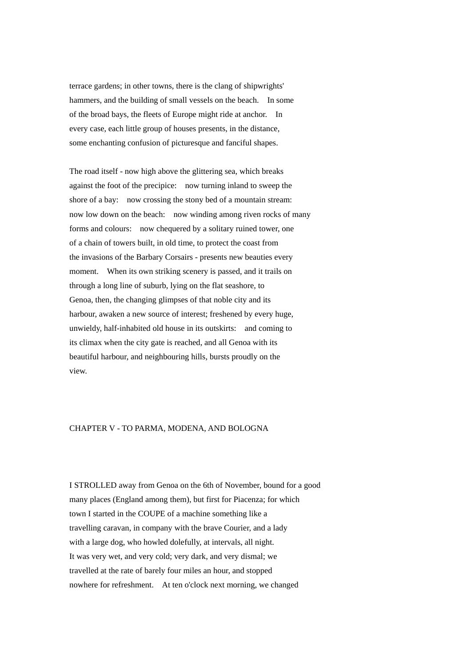terrace gardens; in other towns, there is the clang of shipwrights' hammers, and the building of small vessels on the beach. In some of the broad bays, the fleets of Europe might ride at anchor. In every case, each little group of houses presents, in the distance, some enchanting confusion of picturesque and fanciful shapes.

The road itself - now high above the glittering sea, which breaks against the foot of the precipice: now turning inland to sweep the shore of a bay: now crossing the stony bed of a mountain stream: now low down on the beach: now winding among riven rocks of many forms and colours: now chequered by a solitary ruined tower, one of a chain of towers built, in old time, to protect the coast from the invasions of the Barbary Corsairs - presents new beauties every moment. When its own striking scenery is passed, and it trails on through a long line of suburb, lying on the flat seashore, to Genoa, then, the changing glimpses of that noble city and its harbour, awaken a new source of interest; freshened by every huge, unwieldy, half-inhabited old house in its outskirts: and coming to its climax when the city gate is reached, and all Genoa with its beautiful harbour, and neighbouring hills, bursts proudly on the view.

## CHAPTER V - TO PARMA, MODENA, AND BOLOGNA

I STROLLED away from Genoa on the 6th of November, bound for a good many places (England among them), but first for Piacenza; for which town I started in the COUPE of a machine something like a travelling caravan, in company with the brave Courier, and a lady with a large dog, who howled dolefully, at intervals, all night. It was very wet, and very cold; very dark, and very dismal; we travelled at the rate of barely four miles an hour, and stopped nowhere for refreshment. At ten o'clock next morning, we changed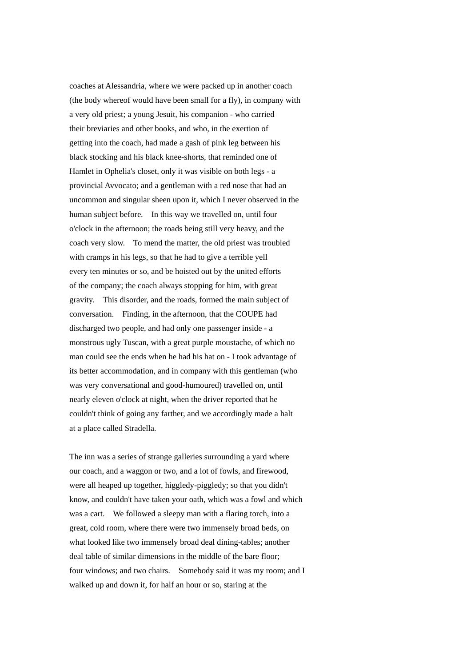coaches at Alessandria, where we were packed up in another coach (the body whereof would have been small for a fly), in company with a very old priest; a young Jesuit, his companion - who carried their breviaries and other books, and who, in the exertion of getting into the coach, had made a gash of pink leg between his black stocking and his black knee-shorts, that reminded one of Hamlet in Ophelia's closet, only it was visible on both legs - a provincial Avvocato; and a gentleman with a red nose that had an uncommon and singular sheen upon it, which I never observed in the human subject before. In this way we travelled on, until four o'clock in the afternoon; the roads being still very heavy, and the coach very slow. To mend the matter, the old priest was troubled with cramps in his legs, so that he had to give a terrible yell every ten minutes or so, and be hoisted out by the united efforts of the company; the coach always stopping for him, with great gravity. This disorder, and the roads, formed the main subject of conversation. Finding, in the afternoon, that the COUPE had discharged two people, and had only one passenger inside - a monstrous ugly Tuscan, with a great purple moustache, of which no man could see the ends when he had his hat on - I took advantage of its better accommodation, and in company with this gentleman (who was very conversational and good-humoured) travelled on, until nearly eleven o'clock at night, when the driver reported that he couldn't think of going any farther, and we accordingly made a halt at a place called Stradella.

The inn was a series of strange galleries surrounding a yard where our coach, and a waggon or two, and a lot of fowls, and firewood, were all heaped up together, higgledy-piggledy; so that you didn't know, and couldn't have taken your oath, which was a fowl and which was a cart. We followed a sleepy man with a flaring torch, into a great, cold room, where there were two immensely broad beds, on what looked like two immensely broad deal dining-tables; another deal table of similar dimensions in the middle of the bare floor; four windows; and two chairs. Somebody said it was my room; and I walked up and down it, for half an hour or so, staring at the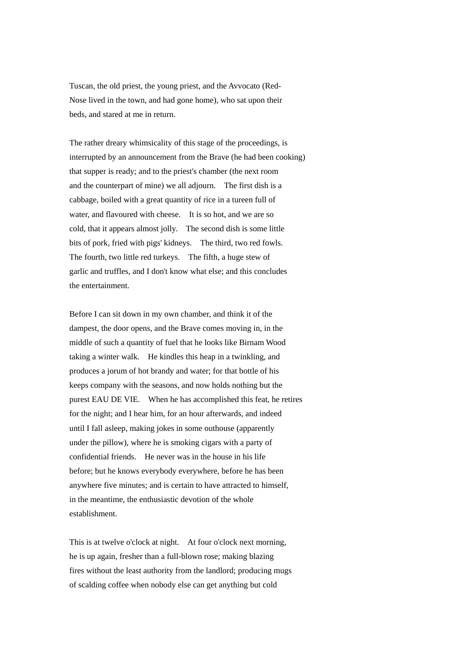Tuscan, the old priest, the young priest, and the Avvocato (Red-Nose lived in the town, and had gone home), who sat upon their beds, and stared at me in return.

The rather dreary whimsicality of this stage of the proceedings, is interrupted by an announcement from the Brave (he had been cooking) that supper is ready; and to the priest's chamber (the next room and the counterpart of mine) we all adjourn. The first dish is a cabbage, boiled with a great quantity of rice in a tureen full of water, and flavoured with cheese. It is so hot, and we are so cold, that it appears almost jolly. The second dish is some little bits of pork, fried with pigs' kidneys. The third, two red fowls. The fourth, two little red turkeys. The fifth, a huge stew of garlic and truffles, and I don't know what else; and this concludes the entertainment.

Before I can sit down in my own chamber, and think it of the dampest, the door opens, and the Brave comes moving in, in the middle of such a quantity of fuel that he looks like Birnam Wood taking a winter walk. He kindles this heap in a twinkling, and produces a jorum of hot brandy and water; for that bottle of his keeps company with the seasons, and now holds nothing but the purest EAU DE VIE. When he has accomplished this feat, he retires for the night; and I hear him, for an hour afterwards, and indeed until I fall asleep, making jokes in some outhouse (apparently under the pillow), where he is smoking cigars with a party of confidential friends. He never was in the house in his life before; but he knows everybody everywhere, before he has been anywhere five minutes; and is certain to have attracted to himself, in the meantime, the enthusiastic devotion of the whole establishment.

This is at twelve o'clock at night. At four o'clock next morning, he is up again, fresher than a full-blown rose; making blazing fires without the least authority from the landlord; producing mugs of scalding coffee when nobody else can get anything but cold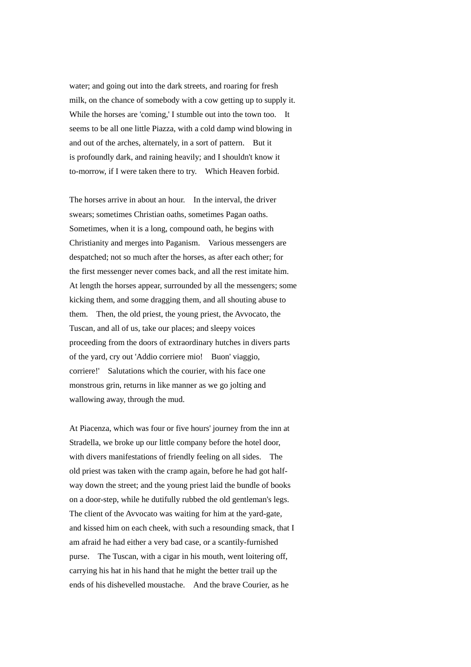water; and going out into the dark streets, and roaring for fresh milk, on the chance of somebody with a cow getting up to supply it. While the horses are 'coming,' I stumble out into the town too. It seems to be all one little Piazza, with a cold damp wind blowing in and out of the arches, alternately, in a sort of pattern. But it is profoundly dark, and raining heavily; and I shouldn't know it to-morrow, if I were taken there to try. Which Heaven forbid.

The horses arrive in about an hour. In the interval, the driver swears; sometimes Christian oaths, sometimes Pagan oaths. Sometimes, when it is a long, compound oath, he begins with Christianity and merges into Paganism. Various messengers are despatched; not so much after the horses, as after each other; for the first messenger never comes back, and all the rest imitate him. At length the horses appear, surrounded by all the messengers; some kicking them, and some dragging them, and all shouting abuse to them. Then, the old priest, the young priest, the Avvocato, the Tuscan, and all of us, take our places; and sleepy voices proceeding from the doors of extraordinary hutches in divers parts of the yard, cry out 'Addio corriere mio! Buon' viaggio, corriere!' Salutations which the courier, with his face one monstrous grin, returns in like manner as we go jolting and wallowing away, through the mud.

At Piacenza, which was four or five hours' journey from the inn at Stradella, we broke up our little company before the hotel door, with divers manifestations of friendly feeling on all sides. The old priest was taken with the cramp again, before he had got halfway down the street; and the young priest laid the bundle of books on a door-step, while he dutifully rubbed the old gentleman's legs. The client of the Avvocato was waiting for him at the yard-gate, and kissed him on each cheek, with such a resounding smack, that I am afraid he had either a very bad case, or a scantily-furnished purse. The Tuscan, with a cigar in his mouth, went loitering off, carrying his hat in his hand that he might the better trail up the ends of his dishevelled moustache. And the brave Courier, as he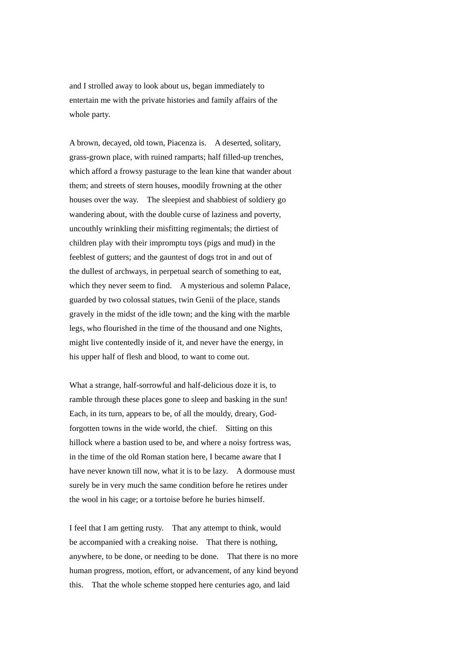and I strolled away to look about us, began immediately to entertain me with the private histories and family affairs of the whole party.

A brown, decayed, old town, Piacenza is. A deserted, solitary, grass-grown place, with ruined ramparts; half filled-up trenches, which afford a frowsy pasturage to the lean kine that wander about them; and streets of stern houses, moodily frowning at the other houses over the way. The sleepiest and shabbiest of soldiery go wandering about, with the double curse of laziness and poverty, uncouthly wrinkling their misfitting regimentals; the dirtiest of children play with their impromptu toys (pigs and mud) in the feeblest of gutters; and the gauntest of dogs trot in and out of the dullest of archways, in perpetual search of something to eat, which they never seem to find. A mysterious and solemn Palace, guarded by two colossal statues, twin Genii of the place, stands gravely in the midst of the idle town; and the king with the marble legs, who flourished in the time of the thousand and one Nights, might live contentedly inside of it, and never have the energy, in his upper half of flesh and blood, to want to come out.

What a strange, half-sorrowful and half-delicious doze it is, to ramble through these places gone to sleep and basking in the sun! Each, in its turn, appears to be, of all the mouldy, dreary, Godforgotten towns in the wide world, the chief. Sitting on this hillock where a bastion used to be, and where a noisy fortress was, in the time of the old Roman station here, I became aware that I have never known till now, what it is to be lazy. A dormouse must surely be in very much the same condition before he retires under the wool in his cage; or a tortoise before he buries himself.

I feel that I am getting rusty. That any attempt to think, would be accompanied with a creaking noise. That there is nothing, anywhere, to be done, or needing to be done. That there is no more human progress, motion, effort, or advancement, of any kind beyond this. That the whole scheme stopped here centuries ago, and laid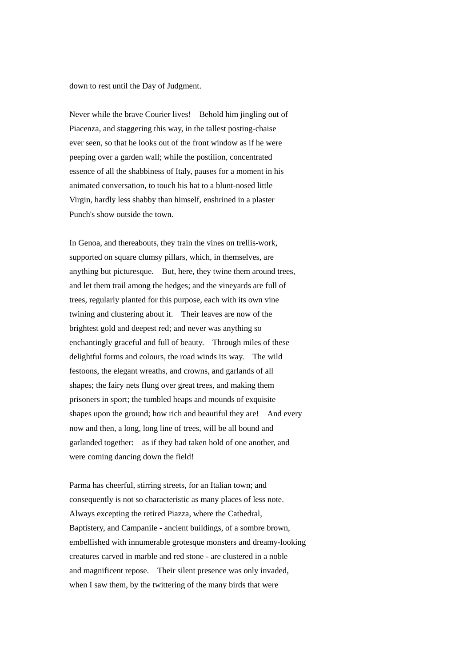down to rest until the Day of Judgment.

Never while the brave Courier lives! Behold him jingling out of Piacenza, and staggering this way, in the tallest posting-chaise ever seen, so that he looks out of the front window as if he were peeping over a garden wall; while the postilion, concentrated essence of all the shabbiness of Italy, pauses for a moment in his animated conversation, to touch his hat to a blunt-nosed little Virgin, hardly less shabby than himself, enshrined in a plaster Punch's show outside the town.

In Genoa, and thereabouts, they train the vines on trellis-work, supported on square clumsy pillars, which, in themselves, are anything but picturesque. But, here, they twine them around trees, and let them trail among the hedges; and the vineyards are full of trees, regularly planted for this purpose, each with its own vine twining and clustering about it. Their leaves are now of the brightest gold and deepest red; and never was anything so enchantingly graceful and full of beauty. Through miles of these delightful forms and colours, the road winds its way. The wild festoons, the elegant wreaths, and crowns, and garlands of all shapes; the fairy nets flung over great trees, and making them prisoners in sport; the tumbled heaps and mounds of exquisite shapes upon the ground; how rich and beautiful they are! And every now and then, a long, long line of trees, will be all bound and garlanded together: as if they had taken hold of one another, and were coming dancing down the field!

Parma has cheerful, stirring streets, for an Italian town; and consequently is not so characteristic as many places of less note. Always excepting the retired Piazza, where the Cathedral, Baptistery, and Campanile - ancient buildings, of a sombre brown, embellished with innumerable grotesque monsters and dreamy-looking creatures carved in marble and red stone - are clustered in a noble and magnificent repose. Their silent presence was only invaded, when I saw them, by the twittering of the many birds that were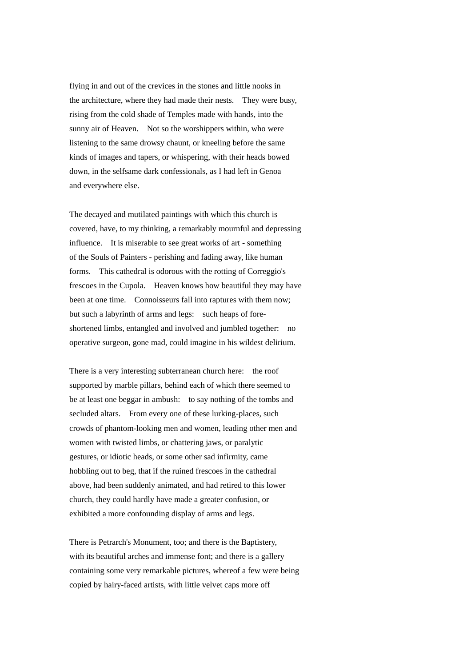flying in and out of the crevices in the stones and little nooks in the architecture, where they had made their nests. They were busy, rising from the cold shade of Temples made with hands, into the sunny air of Heaven. Not so the worshippers within, who were listening to the same drowsy chaunt, or kneeling before the same kinds of images and tapers, or whispering, with their heads bowed down, in the selfsame dark confessionals, as I had left in Genoa and everywhere else.

The decayed and mutilated paintings with which this church is covered, have, to my thinking, a remarkably mournful and depressing influence. It is miserable to see great works of art - something of the Souls of Painters - perishing and fading away, like human forms. This cathedral is odorous with the rotting of Correggio's frescoes in the Cupola. Heaven knows how beautiful they may have been at one time. Connoisseurs fall into raptures with them now: but such a labyrinth of arms and legs: such heaps of foreshortened limbs, entangled and involved and jumbled together: no operative surgeon, gone mad, could imagine in his wildest delirium.

There is a very interesting subterranean church here: the roof supported by marble pillars, behind each of which there seemed to be at least one beggar in ambush: to say nothing of the tombs and secluded altars. From every one of these lurking-places, such crowds of phantom-looking men and women, leading other men and women with twisted limbs, or chattering jaws, or paralytic gestures, or idiotic heads, or some other sad infirmity, came hobbling out to beg, that if the ruined frescoes in the cathedral above, had been suddenly animated, and had retired to this lower church, they could hardly have made a greater confusion, or exhibited a more confounding display of arms and legs.

There is Petrarch's Monument, too; and there is the Baptistery, with its beautiful arches and immense font; and there is a gallery containing some very remarkable pictures, whereof a few were being copied by hairy-faced artists, with little velvet caps more off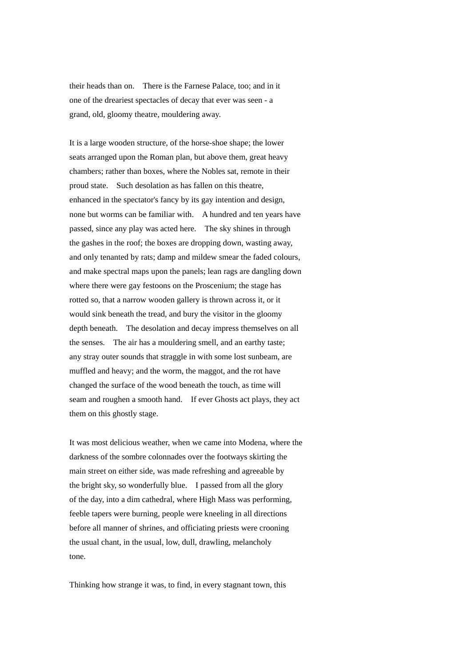their heads than on. There is the Farnese Palace, too; and in it one of the dreariest spectacles of decay that ever was seen - a grand, old, gloomy theatre, mouldering away.

It is a large wooden structure, of the horse-shoe shape; the lower seats arranged upon the Roman plan, but above them, great heavy chambers; rather than boxes, where the Nobles sat, remote in their proud state. Such desolation as has fallen on this theatre, enhanced in the spectator's fancy by its gay intention and design, none but worms can be familiar with. A hundred and ten years have passed, since any play was acted here. The sky shines in through the gashes in the roof; the boxes are dropping down, wasting away, and only tenanted by rats; damp and mildew smear the faded colours, and make spectral maps upon the panels; lean rags are dangling down where there were gay festoons on the Proscenium; the stage has rotted so, that a narrow wooden gallery is thrown across it, or it would sink beneath the tread, and bury the visitor in the gloomy depth beneath. The desolation and decay impress themselves on all the senses. The air has a mouldering smell, and an earthy taste; any stray outer sounds that straggle in with some lost sunbeam, are muffled and heavy; and the worm, the maggot, and the rot have changed the surface of the wood beneath the touch, as time will seam and roughen a smooth hand. If ever Ghosts act plays, they act them on this ghostly stage.

It was most delicious weather, when we came into Modena, where the darkness of the sombre colonnades over the footways skirting the main street on either side, was made refreshing and agreeable by the bright sky, so wonderfully blue. I passed from all the glory of the day, into a dim cathedral, where High Mass was performing, feeble tapers were burning, people were kneeling in all directions before all manner of shrines, and officiating priests were crooning the usual chant, in the usual, low, dull, drawling, melancholy tone.

Thinking how strange it was, to find, in every stagnant town, this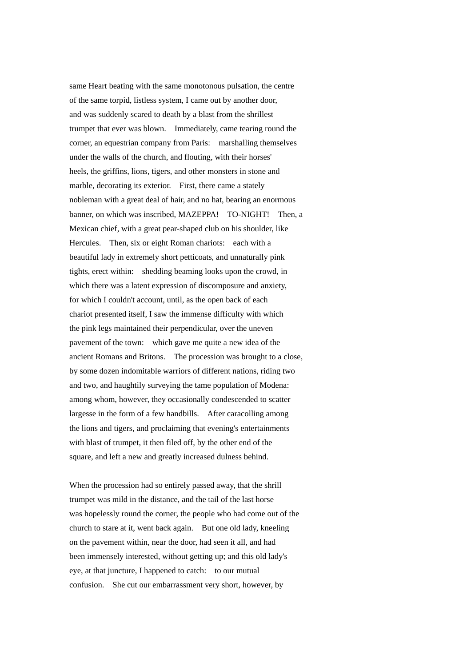same Heart beating with the same monotonous pulsation, the centre of the same torpid, listless system, I came out by another door, and was suddenly scared to death by a blast from the shrillest trumpet that ever was blown. Immediately, came tearing round the corner, an equestrian company from Paris: marshalling themselves under the walls of the church, and flouting, with their horses' heels, the griffins, lions, tigers, and other monsters in stone and marble, decorating its exterior. First, there came a stately nobleman with a great deal of hair, and no hat, bearing an enormous banner, on which was inscribed, MAZEPPA! TO-NIGHT! Then, a Mexican chief, with a great pear-shaped club on his shoulder, like Hercules. Then, six or eight Roman chariots: each with a beautiful lady in extremely short petticoats, and unnaturally pink tights, erect within: shedding beaming looks upon the crowd, in which there was a latent expression of discomposure and anxiety, for which I couldn't account, until, as the open back of each chariot presented itself, I saw the immense difficulty with which the pink legs maintained their perpendicular, over the uneven pavement of the town: which gave me quite a new idea of the ancient Romans and Britons. The procession was brought to a close, by some dozen indomitable warriors of different nations, riding two and two, and haughtily surveying the tame population of Modena: among whom, however, they occasionally condescended to scatter largesse in the form of a few handbills. After caracolling among the lions and tigers, and proclaiming that evening's entertainments with blast of trumpet, it then filed off, by the other end of the square, and left a new and greatly increased dulness behind.

When the procession had so entirely passed away, that the shrill trumpet was mild in the distance, and the tail of the last horse was hopelessly round the corner, the people who had come out of the church to stare at it, went back again. But one old lady, kneeling on the pavement within, near the door, had seen it all, and had been immensely interested, without getting up; and this old lady's eye, at that juncture, I happened to catch: to our mutual confusion. She cut our embarrassment very short, however, by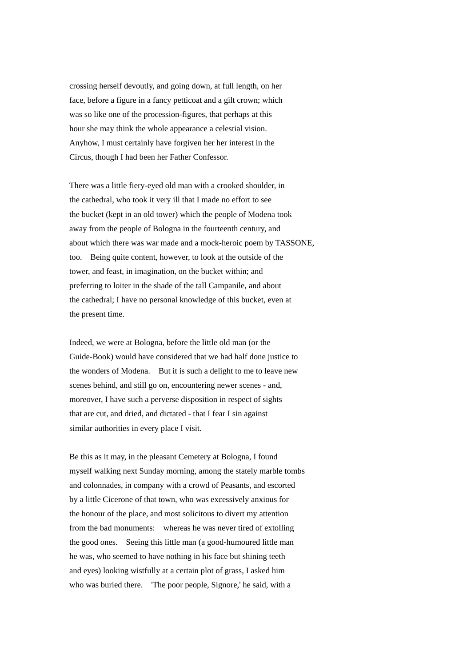crossing herself devoutly, and going down, at full length, on her face, before a figure in a fancy petticoat and a gilt crown; which was so like one of the procession-figures, that perhaps at this hour she may think the whole appearance a celestial vision. Anyhow, I must certainly have forgiven her her interest in the Circus, though I had been her Father Confessor.

There was a little fiery-eyed old man with a crooked shoulder, in the cathedral, who took it very ill that I made no effort to see the bucket (kept in an old tower) which the people of Modena took away from the people of Bologna in the fourteenth century, and about which there was war made and a mock-heroic poem by TASSONE, too. Being quite content, however, to look at the outside of the tower, and feast, in imagination, on the bucket within; and preferring to loiter in the shade of the tall Campanile, and about the cathedral; I have no personal knowledge of this bucket, even at the present time.

Indeed, we were at Bologna, before the little old man (or the Guide-Book) would have considered that we had half done justice to the wonders of Modena. But it is such a delight to me to leave new scenes behind, and still go on, encountering newer scenes - and, moreover, I have such a perverse disposition in respect of sights that are cut, and dried, and dictated - that I fear I sin against similar authorities in every place I visit.

Be this as it may, in the pleasant Cemetery at Bologna, I found myself walking next Sunday morning, among the stately marble tombs and colonnades, in company with a crowd of Peasants, and escorted by a little Cicerone of that town, who was excessively anxious for the honour of the place, and most solicitous to divert my attention from the bad monuments: whereas he was never tired of extolling the good ones. Seeing this little man (a good-humoured little man he was, who seemed to have nothing in his face but shining teeth and eyes) looking wistfully at a certain plot of grass, I asked him who was buried there. 'The poor people, Signore,' he said, with a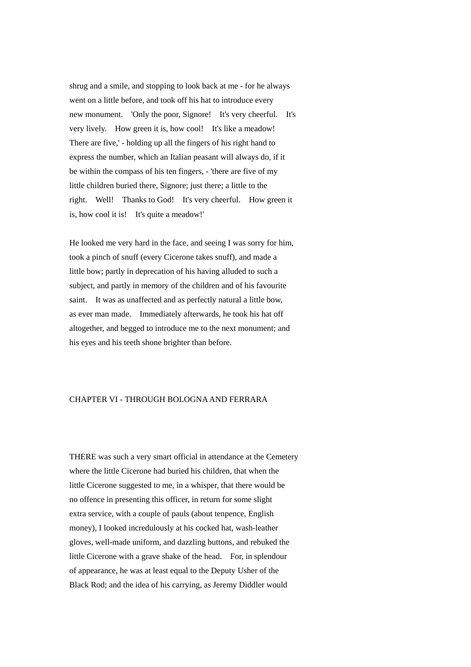shrug and a smile, and stopping to look back at me - for he always went on a little before, and took off his hat to introduce every new monument. 'Only the poor, Signore! It's very cheerful. It's very lively. How green it is, how cool! It's like a meadow! There are five,' - holding up all the fingers of his right hand to express the number, which an Italian peasant will always do, if it be within the compass of his ten fingers, - 'there are five of my little children buried there, Signore; just there; a little to the right. Well! Thanks to God! It's very cheerful. How green it is, how cool it is! It's quite a meadow!'

He looked me very hard in the face, and seeing I was sorry for him, took a pinch of snuff (every Cicerone takes snuff), and made a little bow; partly in deprecation of his having alluded to such a subject, and partly in memory of the children and of his favourite saint. It was as unaffected and as perfectly natural a little bow, as ever man made. Immediately afterwards, he took his hat off altogether, and begged to introduce me to the next monument; and his eyes and his teeth shone brighter than before.

## CHAPTER VI - THROUGH BOLOGNA AND FERRARA

THERE was such a very smart official in attendance at the Cemetery where the little Cicerone had buried his children, that when the little Cicerone suggested to me, in a whisper, that there would be no offence in presenting this officer, in return for some slight extra service, with a couple of pauls (about tenpence, English money), I looked incredulously at his cocked hat, wash-leather gloves, well-made uniform, and dazzling buttons, and rebuked the little Cicerone with a grave shake of the head. For, in splendour of appearance, he was at least equal to the Deputy Usher of the Black Rod; and the idea of his carrying, as Jeremy Diddler would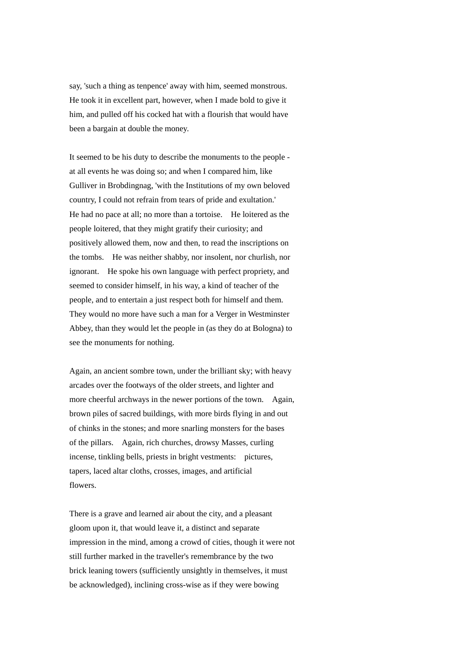say, 'such a thing as tenpence' away with him, seemed monstrous. He took it in excellent part, however, when I made bold to give it him, and pulled off his cocked hat with a flourish that would have been a bargain at double the money.

It seemed to be his duty to describe the monuments to the people at all events he was doing so; and when I compared him, like Gulliver in Brobdingnag, 'with the Institutions of my own beloved country, I could not refrain from tears of pride and exultation.' He had no pace at all; no more than a tortoise. He loitered as the people loitered, that they might gratify their curiosity; and positively allowed them, now and then, to read the inscriptions on the tombs. He was neither shabby, nor insolent, nor churlish, nor ignorant. He spoke his own language with perfect propriety, and seemed to consider himself, in his way, a kind of teacher of the people, and to entertain a just respect both for himself and them. They would no more have such a man for a Verger in Westminster Abbey, than they would let the people in (as they do at Bologna) to see the monuments for nothing.

Again, an ancient sombre town, under the brilliant sky; with heavy arcades over the footways of the older streets, and lighter and more cheerful archways in the newer portions of the town. Again, brown piles of sacred buildings, with more birds flying in and out of chinks in the stones; and more snarling monsters for the bases of the pillars. Again, rich churches, drowsy Masses, curling incense, tinkling bells, priests in bright vestments: pictures, tapers, laced altar cloths, crosses, images, and artificial flowers.

There is a grave and learned air about the city, and a pleasant gloom upon it, that would leave it, a distinct and separate impression in the mind, among a crowd of cities, though it were not still further marked in the traveller's remembrance by the two brick leaning towers (sufficiently unsightly in themselves, it must be acknowledged), inclining cross-wise as if they were bowing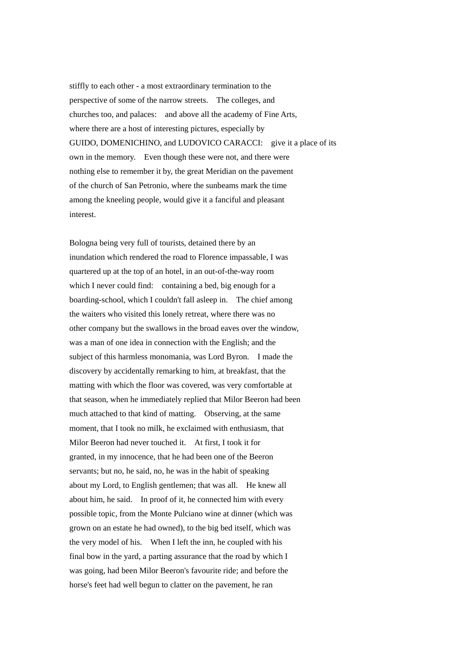stiffly to each other - a most extraordinary termination to the perspective of some of the narrow streets. The colleges, and churches too, and palaces: and above all the academy of Fine Arts, where there are a host of interesting pictures, especially by GUIDO, DOMENICHINO, and LUDOVICO CARACCI: give it a place of its own in the memory. Even though these were not, and there were nothing else to remember it by, the great Meridian on the pavement of the church of San Petronio, where the sunbeams mark the time among the kneeling people, would give it a fanciful and pleasant interest.

Bologna being very full of tourists, detained there by an inundation which rendered the road to Florence impassable, I was quartered up at the top of an hotel, in an out-of-the-way room which I never could find: containing a bed, big enough for a boarding-school, which I couldn't fall asleep in. The chief among the waiters who visited this lonely retreat, where there was no other company but the swallows in the broad eaves over the window, was a man of one idea in connection with the English; and the subject of this harmless monomania, was Lord Byron. I made the discovery by accidentally remarking to him, at breakfast, that the matting with which the floor was covered, was very comfortable at that season, when he immediately replied that Milor Beeron had been much attached to that kind of matting. Observing, at the same moment, that I took no milk, he exclaimed with enthusiasm, that Milor Beeron had never touched it. At first, I took it for granted, in my innocence, that he had been one of the Beeron servants; but no, he said, no, he was in the habit of speaking about my Lord, to English gentlemen; that was all. He knew all about him, he said. In proof of it, he connected him with every possible topic, from the Monte Pulciano wine at dinner (which was grown on an estate he had owned), to the big bed itself, which was the very model of his. When I left the inn, he coupled with his final bow in the yard, a parting assurance that the road by which I was going, had been Milor Beeron's favourite ride; and before the horse's feet had well begun to clatter on the pavement, he ran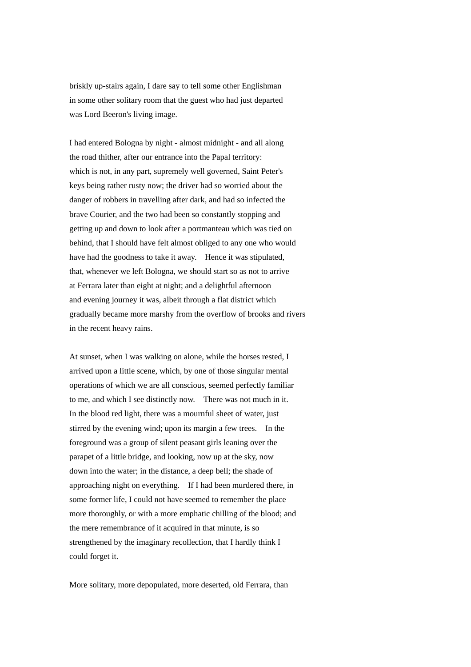briskly up-stairs again, I dare say to tell some other Englishman in some other solitary room that the guest who had just departed was Lord Beeron's living image.

I had entered Bologna by night - almost midnight - and all along the road thither, after our entrance into the Papal territory: which is not, in any part, supremely well governed, Saint Peter's keys being rather rusty now; the driver had so worried about the danger of robbers in travelling after dark, and had so infected the brave Courier, and the two had been so constantly stopping and getting up and down to look after a portmanteau which was tied on behind, that I should have felt almost obliged to any one who would have had the goodness to take it away. Hence it was stipulated, that, whenever we left Bologna, we should start so as not to arrive at Ferrara later than eight at night; and a delightful afternoon and evening journey it was, albeit through a flat district which gradually became more marshy from the overflow of brooks and rivers in the recent heavy rains.

At sunset, when I was walking on alone, while the horses rested, I arrived upon a little scene, which, by one of those singular mental operations of which we are all conscious, seemed perfectly familiar to me, and which I see distinctly now. There was not much in it. In the blood red light, there was a mournful sheet of water, just stirred by the evening wind; upon its margin a few trees. In the foreground was a group of silent peasant girls leaning over the parapet of a little bridge, and looking, now up at the sky, now down into the water; in the distance, a deep bell; the shade of approaching night on everything. If I had been murdered there, in some former life, I could not have seemed to remember the place more thoroughly, or with a more emphatic chilling of the blood; and the mere remembrance of it acquired in that minute, is so strengthened by the imaginary recollection, that I hardly think I could forget it.

More solitary, more depopulated, more deserted, old Ferrara, than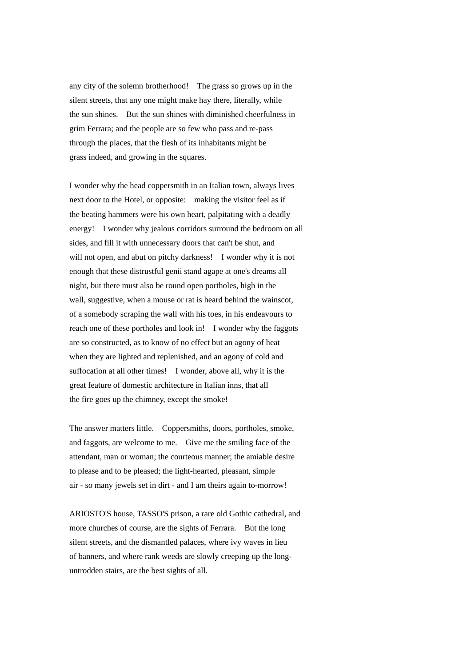any city of the solemn brotherhood! The grass so grows up in the silent streets, that any one might make hay there, literally, while the sun shines. But the sun shines with diminished cheerfulness in grim Ferrara; and the people are so few who pass and re-pass through the places, that the flesh of its inhabitants might be grass indeed, and growing in the squares.

I wonder why the head coppersmith in an Italian town, always lives next door to the Hotel, or opposite: making the visitor feel as if the beating hammers were his own heart, palpitating with a deadly energy! I wonder why jealous corridors surround the bedroom on all sides, and fill it with unnecessary doors that can't be shut, and will not open, and abut on pitchy darkness! I wonder why it is not enough that these distrustful genii stand agape at one's dreams all night, but there must also be round open portholes, high in the wall, suggestive, when a mouse or rat is heard behind the wainscot. of a somebody scraping the wall with his toes, in his endeavours to reach one of these portholes and look in! I wonder why the faggots are so constructed, as to know of no effect but an agony of heat when they are lighted and replenished, and an agony of cold and suffocation at all other times! I wonder, above all, why it is the great feature of domestic architecture in Italian inns, that all the fire goes up the chimney, except the smoke!

The answer matters little. Coppersmiths, doors, portholes, smoke, and faggots, are welcome to me. Give me the smiling face of the attendant, man or woman; the courteous manner; the amiable desire to please and to be pleased; the light-hearted, pleasant, simple air - so many jewels set in dirt - and I am theirs again to-morrow!

ARIOSTO'S house, TASSO'S prison, a rare old Gothic cathedral, and more churches of course, are the sights of Ferrara. But the long silent streets, and the dismantled palaces, where ivy waves in lieu of banners, and where rank weeds are slowly creeping up the longuntrodden stairs, are the best sights of all.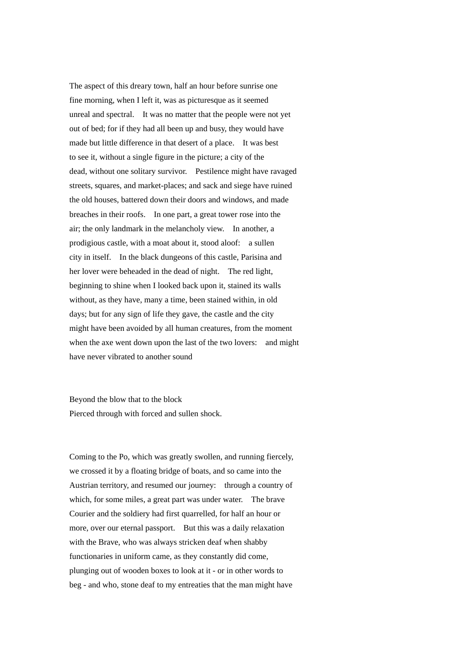The aspect of this dreary town, half an hour before sunrise one fine morning, when I left it, was as picturesque as it seemed unreal and spectral. It was no matter that the people were not yet out of bed; for if they had all been up and busy, they would have made but little difference in that desert of a place. It was best to see it, without a single figure in the picture; a city of the dead, without one solitary survivor. Pestilence might have ravaged streets, squares, and market-places; and sack and siege have ruined the old houses, battered down their doors and windows, and made breaches in their roofs. In one part, a great tower rose into the air; the only landmark in the melancholy view. In another, a prodigious castle, with a moat about it, stood aloof: a sullen city in itself. In the black dungeons of this castle, Parisina and her lover were beheaded in the dead of night. The red light, beginning to shine when I looked back upon it, stained its walls without, as they have, many a time, been stained within, in old days; but for any sign of life they gave, the castle and the city might have been avoided by all human creatures, from the moment when the axe went down upon the last of the two lovers: and might have never vibrated to another sound

Beyond the blow that to the block Pierced through with forced and sullen shock.

Coming to the Po, which was greatly swollen, and running fiercely, we crossed it by a floating bridge of boats, and so came into the Austrian territory, and resumed our journey: through a country of which, for some miles, a great part was under water. The brave Courier and the soldiery had first quarrelled, for half an hour or more, over our eternal passport. But this was a daily relaxation with the Brave, who was always stricken deaf when shabby functionaries in uniform came, as they constantly did come, plunging out of wooden boxes to look at it - or in other words to beg - and who, stone deaf to my entreaties that the man might have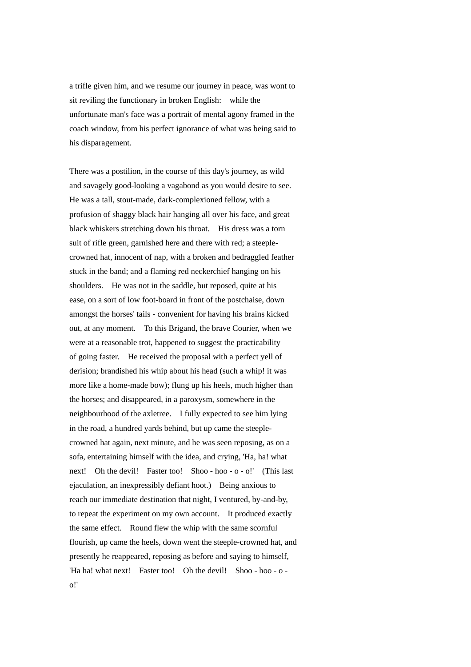a trifle given him, and we resume our journey in peace, was wont to sit reviling the functionary in broken English: while the unfortunate man's face was a portrait of mental agony framed in the coach window, from his perfect ignorance of what was being said to his disparagement.

There was a postilion, in the course of this day's journey, as wild and savagely good-looking a vagabond as you would desire to see. He was a tall, stout-made, dark-complexioned fellow, with a profusion of shaggy black hair hanging all over his face, and great black whiskers stretching down his throat. His dress was a torn suit of rifle green, garnished here and there with red; a steeplecrowned hat, innocent of nap, with a broken and bedraggled feather stuck in the band; and a flaming red neckerchief hanging on his shoulders. He was not in the saddle, but reposed, quite at his ease, on a sort of low foot-board in front of the postchaise, down amongst the horses' tails - convenient for having his brains kicked out, at any moment. To this Brigand, the brave Courier, when we were at a reasonable trot, happened to suggest the practicability of going faster. He received the proposal with a perfect yell of derision; brandished his whip about his head (such a whip! it was more like a home-made bow); flung up his heels, much higher than the horses; and disappeared, in a paroxysm, somewhere in the neighbourhood of the axletree. I fully expected to see him lying in the road, a hundred yards behind, but up came the steeplecrowned hat again, next minute, and he was seen reposing, as on a sofa, entertaining himself with the idea, and crying, 'Ha, ha! what next! Oh the devil! Faster too! Shoo - hoo - o - o!' (This last ejaculation, an inexpressibly defiant hoot.) Being anxious to reach our immediate destination that night, I ventured, by-and-by, to repeat the experiment on my own account. It produced exactly the same effect. Round flew the whip with the same scornful flourish, up came the heels, down went the steeple-crowned hat, and presently he reappeared, reposing as before and saying to himself, 'Ha ha! what next! Faster too! Oh the devil! Shoo - hoo - o o!'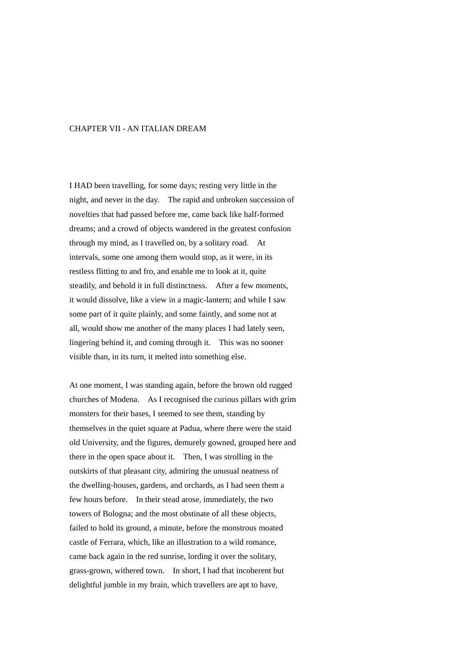## CHAPTER VII - AN ITALIAN DREAM

I HAD been travelling, for some days; resting very little in the night, and never in the day. The rapid and unbroken succession of novelties that had passed before me, came back like half-formed dreams; and a crowd of objects wandered in the greatest confusion through my mind, as I travelled on, by a solitary road. At intervals, some one among them would stop, as it were, in its restless flitting to and fro, and enable me to look at it, quite steadily, and behold it in full distinctness. After a few moments, it would dissolve, like a view in a magic-lantern; and while I saw some part of it quite plainly, and some faintly, and some not at all, would show me another of the many places I had lately seen, lingering behind it, and coming through it. This was no sooner visible than, in its turn, it melted into something else.

At one moment, I was standing again, before the brown old rugged churches of Modena. As I recognised the curious pillars with grim monsters for their bases, I seemed to see them, standing by themselves in the quiet square at Padua, where there were the staid old University, and the figures, demurely gowned, grouped here and there in the open space about it. Then, I was strolling in the outskirts of that pleasant city, admiring the unusual neatness of the dwelling-houses, gardens, and orchards, as I had seen them a few hours before. In their stead arose, immediately, the two towers of Bologna; and the most obstinate of all these objects, failed to hold its ground, a minute, before the monstrous moated castle of Ferrara, which, like an illustration to a wild romance, came back again in the red sunrise, lording it over the solitary, grass-grown, withered town. In short, I had that incoherent but delightful jumble in my brain, which travellers are apt to have,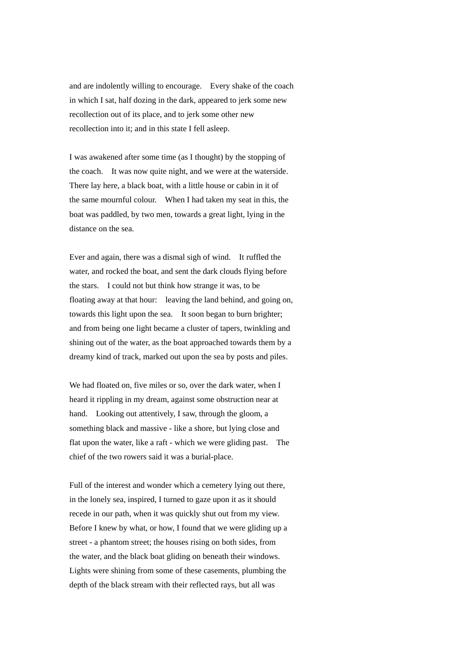and are indolently willing to encourage. Every shake of the coach in which I sat, half dozing in the dark, appeared to jerk some new recollection out of its place, and to jerk some other new recollection into it; and in this state I fell asleep.

I was awakened after some time (as I thought) by the stopping of the coach. It was now quite night, and we were at the waterside. There lay here, a black boat, with a little house or cabin in it of the same mournful colour. When I had taken my seat in this, the boat was paddled, by two men, towards a great light, lying in the distance on the sea.

Ever and again, there was a dismal sigh of wind. It ruffled the water, and rocked the boat, and sent the dark clouds flying before the stars. I could not but think how strange it was, to be floating away at that hour: leaving the land behind, and going on, towards this light upon the sea. It soon began to burn brighter; and from being one light became a cluster of tapers, twinkling and shining out of the water, as the boat approached towards them by a dreamy kind of track, marked out upon the sea by posts and piles.

We had floated on, five miles or so, over the dark water, when I heard it rippling in my dream, against some obstruction near at hand. Looking out attentively, I saw, through the gloom, a something black and massive - like a shore, but lying close and flat upon the water, like a raft - which we were gliding past. The chief of the two rowers said it was a burial-place.

Full of the interest and wonder which a cemetery lying out there, in the lonely sea, inspired, I turned to gaze upon it as it should recede in our path, when it was quickly shut out from my view. Before I knew by what, or how, I found that we were gliding up a street - a phantom street; the houses rising on both sides, from the water, and the black boat gliding on beneath their windows. Lights were shining from some of these casements, plumbing the depth of the black stream with their reflected rays, but all was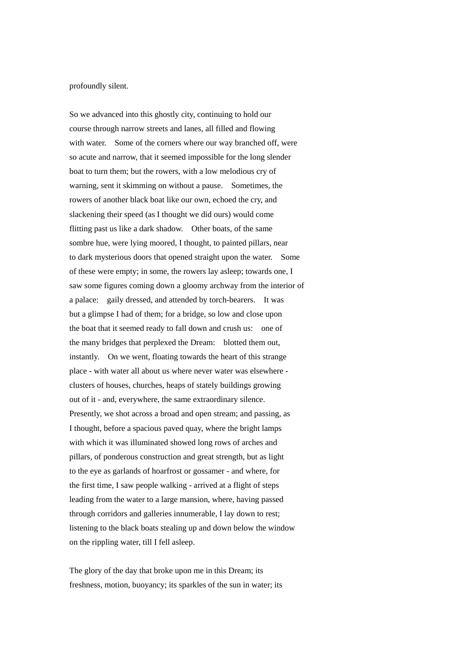profoundly silent.

So we advanced into this ghostly city, continuing to hold our course through narrow streets and lanes, all filled and flowing with water. Some of the corners where our way branched off, were so acute and narrow, that it seemed impossible for the long slender boat to turn them; but the rowers, with a low melodious cry of warning, sent it skimming on without a pause. Sometimes, the rowers of another black boat like our own, echoed the cry, and slackening their speed (as I thought we did ours) would come flitting past us like a dark shadow. Other boats, of the same sombre hue, were lying moored, I thought, to painted pillars, near to dark mysterious doors that opened straight upon the water. Some of these were empty; in some, the rowers lay asleep; towards one, I saw some figures coming down a gloomy archway from the interior of a palace: gaily dressed, and attended by torch-bearers. It was but a glimpse I had of them; for a bridge, so low and close upon the boat that it seemed ready to fall down and crush us: one of the many bridges that perplexed the Dream: blotted them out, instantly. On we went, floating towards the heart of this strange place - with water all about us where never water was elsewhere clusters of houses, churches, heaps of stately buildings growing out of it - and, everywhere, the same extraordinary silence. Presently, we shot across a broad and open stream; and passing, as I thought, before a spacious paved quay, where the bright lamps with which it was illuminated showed long rows of arches and pillars, of ponderous construction and great strength, but as light to the eye as garlands of hoarfrost or gossamer - and where, for the first time, I saw people walking - arrived at a flight of steps leading from the water to a large mansion, where, having passed through corridors and galleries innumerable, I lay down to rest; listening to the black boats stealing up and down below the window on the rippling water, till I fell asleep.

The glory of the day that broke upon me in this Dream; its freshness, motion, buoyancy; its sparkles of the sun in water; its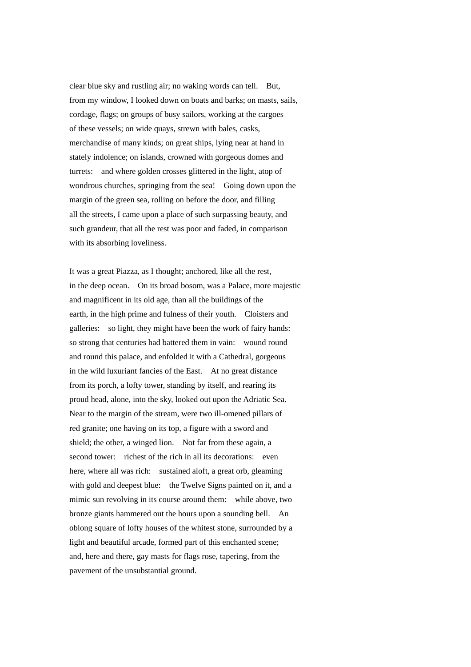clear blue sky and rustling air; no waking words can tell. But, from my window, I looked down on boats and barks; on masts, sails, cordage, flags; on groups of busy sailors, working at the cargoes of these vessels; on wide quays, strewn with bales, casks, merchandise of many kinds; on great ships, lying near at hand in stately indolence; on islands, crowned with gorgeous domes and turrets: and where golden crosses glittered in the light, atop of wondrous churches, springing from the sea! Going down upon the margin of the green sea, rolling on before the door, and filling all the streets, I came upon a place of such surpassing beauty, and such grandeur, that all the rest was poor and faded, in comparison with its absorbing loveliness.

It was a great Piazza, as I thought; anchored, like all the rest, in the deep ocean. On its broad bosom, was a Palace, more majestic and magnificent in its old age, than all the buildings of the earth, in the high prime and fulness of their youth. Cloisters and galleries: so light, they might have been the work of fairy hands: so strong that centuries had battered them in vain: wound round and round this palace, and enfolded it with a Cathedral, gorgeous in the wild luxuriant fancies of the East. At no great distance from its porch, a lofty tower, standing by itself, and rearing its proud head, alone, into the sky, looked out upon the Adriatic Sea. Near to the margin of the stream, were two ill-omened pillars of red granite; one having on its top, a figure with a sword and shield; the other, a winged lion. Not far from these again, a second tower: richest of the rich in all its decorations: even here, where all was rich: sustained aloft, a great orb, gleaming with gold and deepest blue: the Twelve Signs painted on it, and a mimic sun revolving in its course around them: while above, two bronze giants hammered out the hours upon a sounding bell. An oblong square of lofty houses of the whitest stone, surrounded by a light and beautiful arcade, formed part of this enchanted scene; and, here and there, gay masts for flags rose, tapering, from the pavement of the unsubstantial ground.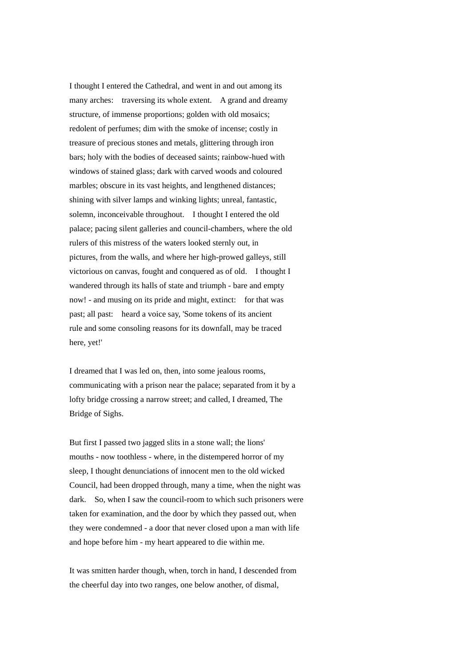I thought I entered the Cathedral, and went in and out among its many arches: traversing its whole extent. A grand and dreamy structure, of immense proportions; golden with old mosaics; redolent of perfumes; dim with the smoke of incense; costly in treasure of precious stones and metals, glittering through iron bars; holy with the bodies of deceased saints; rainbow-hued with windows of stained glass; dark with carved woods and coloured marbles; obscure in its vast heights, and lengthened distances; shining with silver lamps and winking lights; unreal, fantastic, solemn, inconceivable throughout. I thought I entered the old palace; pacing silent galleries and council-chambers, where the old rulers of this mistress of the waters looked sternly out, in pictures, from the walls, and where her high-prowed galleys, still victorious on canvas, fought and conquered as of old. I thought I wandered through its halls of state and triumph - bare and empty now! - and musing on its pride and might, extinct: for that was past; all past: heard a voice say, 'Some tokens of its ancient rule and some consoling reasons for its downfall, may be traced here, yet!'

I dreamed that I was led on, then, into some jealous rooms, communicating with a prison near the palace; separated from it by a lofty bridge crossing a narrow street; and called, I dreamed, The Bridge of Sighs.

But first I passed two jagged slits in a stone wall; the lions' mouths - now toothless - where, in the distempered horror of my sleep, I thought denunciations of innocent men to the old wicked Council, had been dropped through, many a time, when the night was dark. So, when I saw the council-room to which such prisoners were taken for examination, and the door by which they passed out, when they were condemned - a door that never closed upon a man with life and hope before him - my heart appeared to die within me.

It was smitten harder though, when, torch in hand, I descended from the cheerful day into two ranges, one below another, of dismal,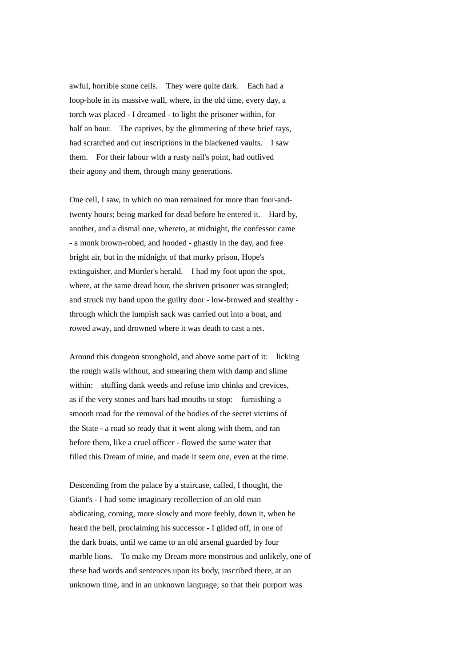awful, horrible stone cells. They were quite dark. Each had a loop-hole in its massive wall, where, in the old time, every day, a torch was placed - I dreamed - to light the prisoner within, for half an hour. The captives, by the glimmering of these brief rays, had scratched and cut inscriptions in the blackened vaults. I saw them. For their labour with a rusty nail's point, had outlived their agony and them, through many generations.

One cell, I saw, in which no man remained for more than four-andtwenty hours; being marked for dead before he entered it. Hard by, another, and a dismal one, whereto, at midnight, the confessor came - a monk brown-robed, and hooded - ghastly in the day, and free bright air, but in the midnight of that murky prison, Hope's extinguisher, and Murder's herald. I had my foot upon the spot, where, at the same dread hour, the shriven prisoner was strangled; and struck my hand upon the guilty door - low-browed and stealthy through which the lumpish sack was carried out into a boat, and rowed away, and drowned where it was death to cast a net.

Around this dungeon stronghold, and above some part of it: licking the rough walls without, and smearing them with damp and slime within: stuffing dank weeds and refuse into chinks and crevices, as if the very stones and bars had mouths to stop: furnishing a smooth road for the removal of the bodies of the secret victims of the State - a road so ready that it went along with them, and ran before them, like a cruel officer - flowed the same water that filled this Dream of mine, and made it seem one, even at the time.

Descending from the palace by a staircase, called, I thought, the Giant's - I had some imaginary recollection of an old man abdicating, coming, more slowly and more feebly, down it, when he heard the bell, proclaiming his successor - I glided off, in one of the dark boats, until we came to an old arsenal guarded by four marble lions. To make my Dream more monstrous and unlikely, one of these had words and sentences upon its body, inscribed there, at an unknown time, and in an unknown language; so that their purport was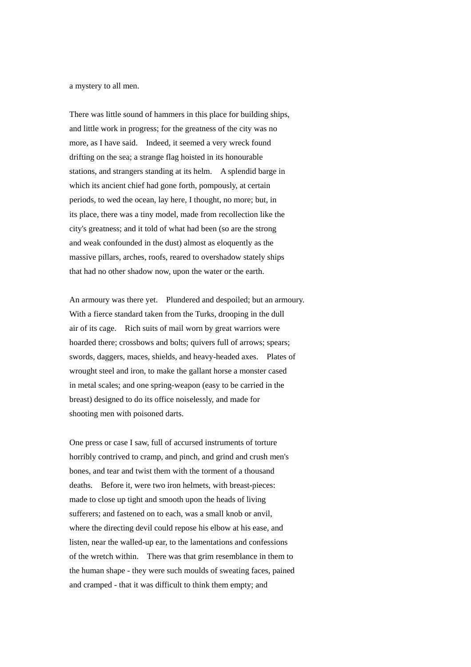a mystery to all men.

There was little sound of hammers in this place for building ships, and little work in progress; for the greatness of the city was no more, as I have said. Indeed, it seemed a very wreck found drifting on the sea; a strange flag hoisted in its honourable stations, and strangers standing at its helm. A splendid barge in which its ancient chief had gone forth, pompously, at certain periods, to wed the ocean, lay here, I thought, no more; but, in its place, there was a tiny model, made from recollection like the city's greatness; and it told of what had been (so are the strong and weak confounded in the dust) almost as eloquently as the massive pillars, arches, roofs, reared to overshadow stately ships that had no other shadow now, upon the water or the earth.

An armoury was there yet. Plundered and despoiled; but an armoury. With a fierce standard taken from the Turks, drooping in the dull air of its cage. Rich suits of mail worn by great warriors were hoarded there; crossbows and bolts; quivers full of arrows; spears; swords, daggers, maces, shields, and heavy-headed axes. Plates of wrought steel and iron, to make the gallant horse a monster cased in metal scales; and one spring-weapon (easy to be carried in the breast) designed to do its office noiselessly, and made for shooting men with poisoned darts.

One press or case I saw, full of accursed instruments of torture horribly contrived to cramp, and pinch, and grind and crush men's bones, and tear and twist them with the torment of a thousand deaths. Before it, were two iron helmets, with breast-pieces: made to close up tight and smooth upon the heads of living sufferers; and fastened on to each, was a small knob or anvil, where the directing devil could repose his elbow at his ease, and listen, near the walled-up ear, to the lamentations and confessions of the wretch within. There was that grim resemblance in them to the human shape - they were such moulds of sweating faces, pained and cramped - that it was difficult to think them empty; and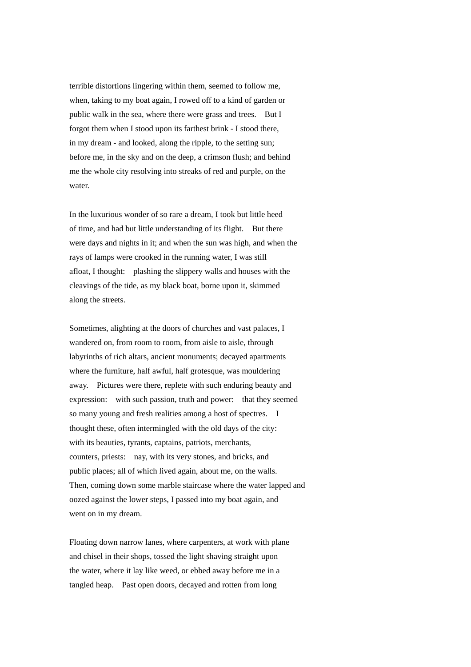terrible distortions lingering within them, seemed to follow me, when, taking to my boat again, I rowed off to a kind of garden or public walk in the sea, where there were grass and trees. But I forgot them when I stood upon its farthest brink - I stood there, in my dream - and looked, along the ripple, to the setting sun; before me, in the sky and on the deep, a crimson flush; and behind me the whole city resolving into streaks of red and purple, on the water.

In the luxurious wonder of so rare a dream, I took but little heed of time, and had but little understanding of its flight. But there were days and nights in it; and when the sun was high, and when the rays of lamps were crooked in the running water, I was still afloat, I thought: plashing the slippery walls and houses with the cleavings of the tide, as my black boat, borne upon it, skimmed along the streets.

Sometimes, alighting at the doors of churches and vast palaces, I wandered on, from room to room, from aisle to aisle, through labyrinths of rich altars, ancient monuments; decayed apartments where the furniture, half awful, half grotesque, was mouldering away. Pictures were there, replete with such enduring beauty and expression: with such passion, truth and power: that they seemed so many young and fresh realities among a host of spectres. I thought these, often intermingled with the old days of the city: with its beauties, tyrants, captains, patriots, merchants, counters, priests: nay, with its very stones, and bricks, and public places; all of which lived again, about me, on the walls. Then, coming down some marble staircase where the water lapped and oozed against the lower steps, I passed into my boat again, and went on in my dream.

Floating down narrow lanes, where carpenters, at work with plane and chisel in their shops, tossed the light shaving straight upon the water, where it lay like weed, or ebbed away before me in a tangled heap. Past open doors, decayed and rotten from long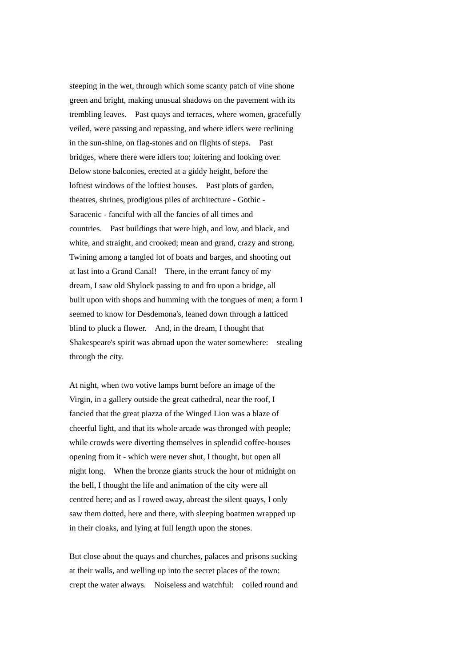steeping in the wet, through which some scanty patch of vine shone green and bright, making unusual shadows on the pavement with its trembling leaves. Past quays and terraces, where women, gracefully veiled, were passing and repassing, and where idlers were reclining in the sun-shine, on flag-stones and on flights of steps. Past bridges, where there were idlers too; loitering and looking over. Below stone balconies, erected at a giddy height, before the loftiest windows of the loftiest houses. Past plots of garden, theatres, shrines, prodigious piles of architecture - Gothic - Saracenic - fanciful with all the fancies of all times and countries. Past buildings that were high, and low, and black, and white, and straight, and crooked; mean and grand, crazy and strong. Twining among a tangled lot of boats and barges, and shooting out at last into a Grand Canal! There, in the errant fancy of my dream, I saw old Shylock passing to and fro upon a bridge, all built upon with shops and humming with the tongues of men; a form I seemed to know for Desdemona's, leaned down through a latticed blind to pluck a flower. And, in the dream, I thought that Shakespeare's spirit was abroad upon the water somewhere: stealing through the city.

At night, when two votive lamps burnt before an image of the Virgin, in a gallery outside the great cathedral, near the roof, I fancied that the great piazza of the Winged Lion was a blaze of cheerful light, and that its whole arcade was thronged with people; while crowds were diverting themselves in splendid coffee-houses opening from it - which were never shut, I thought, but open all night long. When the bronze giants struck the hour of midnight on the bell, I thought the life and animation of the city were all centred here; and as I rowed away, abreast the silent quays, I only saw them dotted, here and there, with sleeping boatmen wrapped up in their cloaks, and lying at full length upon the stones.

But close about the quays and churches, palaces and prisons sucking at their walls, and welling up into the secret places of the town: crept the water always. Noiseless and watchful: coiled round and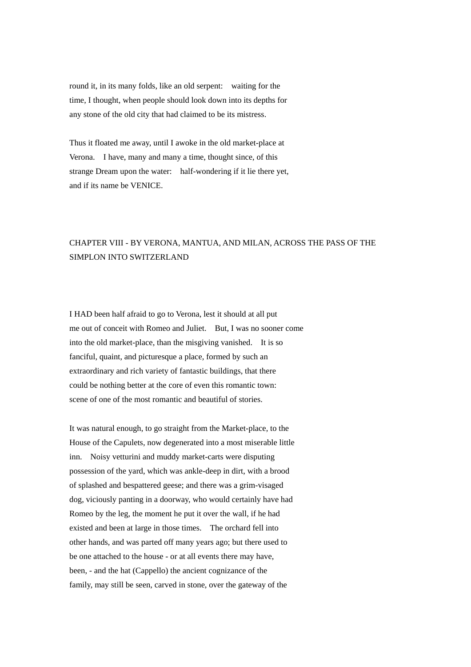round it, in its many folds, like an old serpent: waiting for the time, I thought, when people should look down into its depths for any stone of the old city that had claimed to be its mistress.

Thus it floated me away, until I awoke in the old market-place at Verona. I have, many and many a time, thought since, of this strange Dream upon the water: half-wondering if it lie there yet, and if its name be VENICE.

## CHAPTER VIII - BY VERONA, MANTUA, AND MILAN, ACROSS THE PASS OF THE SIMPLON INTO SWITZERLAND

I HAD been half afraid to go to Verona, lest it should at all put me out of conceit with Romeo and Juliet. But, I was no sooner come into the old market-place, than the misgiving vanished. It is so fanciful, quaint, and picturesque a place, formed by such an extraordinary and rich variety of fantastic buildings, that there could be nothing better at the core of even this romantic town: scene of one of the most romantic and beautiful of stories.

It was natural enough, to go straight from the Market-place, to the House of the Capulets, now degenerated into a most miserable little inn. Noisy vetturini and muddy market-carts were disputing possession of the yard, which was ankle-deep in dirt, with a brood of splashed and bespattered geese; and there was a grim-visaged dog, viciously panting in a doorway, who would certainly have had Romeo by the leg, the moment he put it over the wall, if he had existed and been at large in those times. The orchard fell into other hands, and was parted off many years ago; but there used to be one attached to the house - or at all events there may have, been, - and the hat (Cappello) the ancient cognizance of the family, may still be seen, carved in stone, over the gateway of the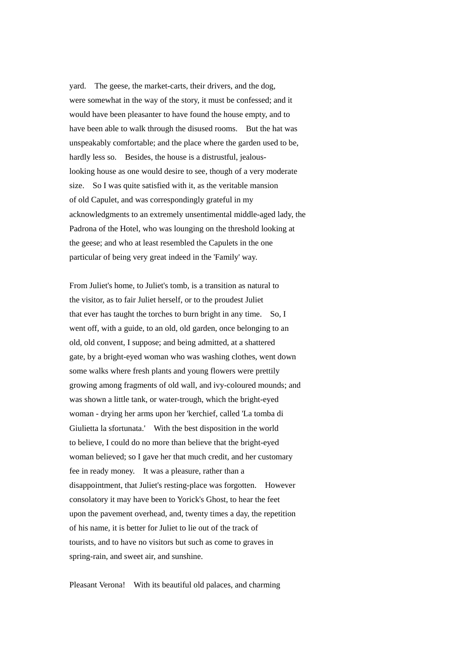yard. The geese, the market-carts, their drivers, and the dog, were somewhat in the way of the story, it must be confessed; and it would have been pleasanter to have found the house empty, and to have been able to walk through the disused rooms. But the hat was unspeakably comfortable; and the place where the garden used to be, hardly less so. Besides, the house is a distrustful, jealouslooking house as one would desire to see, though of a very moderate size. So I was quite satisfied with it, as the veritable mansion of old Capulet, and was correspondingly grateful in my acknowledgments to an extremely unsentimental middle-aged lady, the Padrona of the Hotel, who was lounging on the threshold looking at the geese; and who at least resembled the Capulets in the one particular of being very great indeed in the 'Family' way.

From Juliet's home, to Juliet's tomb, is a transition as natural to the visitor, as to fair Juliet herself, or to the proudest Juliet that ever has taught the torches to burn bright in any time. So, I went off, with a guide, to an old, old garden, once belonging to an old, old convent, I suppose; and being admitted, at a shattered gate, by a bright-eyed woman who was washing clothes, went down some walks where fresh plants and young flowers were prettily growing among fragments of old wall, and ivy-coloured mounds; and was shown a little tank, or water-trough, which the bright-eyed woman - drying her arms upon her 'kerchief, called 'La tomba di Giulietta la sfortunata.' With the best disposition in the world to believe, I could do no more than believe that the bright-eyed woman believed; so I gave her that much credit, and her customary fee in ready money. It was a pleasure, rather than a disappointment, that Juliet's resting-place was forgotten. However consolatory it may have been to Yorick's Ghost, to hear the feet upon the pavement overhead, and, twenty times a day, the repetition of his name, it is better for Juliet to lie out of the track of tourists, and to have no visitors but such as come to graves in spring-rain, and sweet air, and sunshine.

Pleasant Verona! With its beautiful old palaces, and charming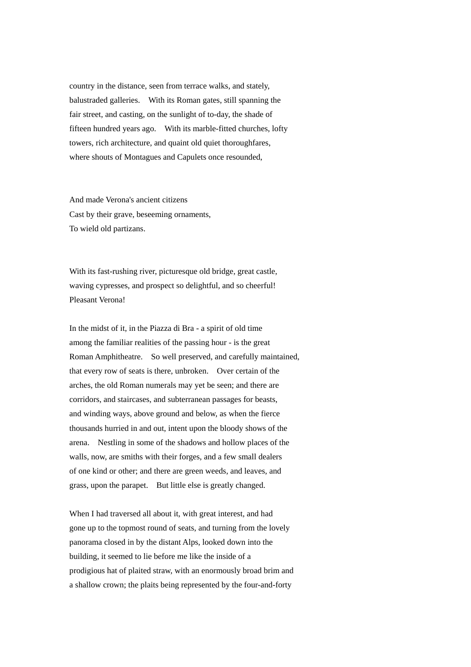country in the distance, seen from terrace walks, and stately, balustraded galleries. With its Roman gates, still spanning the fair street, and casting, on the sunlight of to-day, the shade of fifteen hundred years ago. With its marble-fitted churches, lofty towers, rich architecture, and quaint old quiet thoroughfares, where shouts of Montagues and Capulets once resounded,

And made Verona's ancient citizens Cast by their grave, beseeming ornaments, To wield old partizans.

With its fast-rushing river, picturesque old bridge, great castle, waving cypresses, and prospect so delightful, and so cheerful! Pleasant Verona!

In the midst of it, in the Piazza di Bra - a spirit of old time among the familiar realities of the passing hour - is the great Roman Amphitheatre. So well preserved, and carefully maintained, that every row of seats is there, unbroken. Over certain of the arches, the old Roman numerals may yet be seen; and there are corridors, and staircases, and subterranean passages for beasts, and winding ways, above ground and below, as when the fierce thousands hurried in and out, intent upon the bloody shows of the arena. Nestling in some of the shadows and hollow places of the walls, now, are smiths with their forges, and a few small dealers of one kind or other; and there are green weeds, and leaves, and grass, upon the parapet. But little else is greatly changed.

When I had traversed all about it, with great interest, and had gone up to the topmost round of seats, and turning from the lovely panorama closed in by the distant Alps, looked down into the building, it seemed to lie before me like the inside of a prodigious hat of plaited straw, with an enormously broad brim and a shallow crown; the plaits being represented by the four-and-forty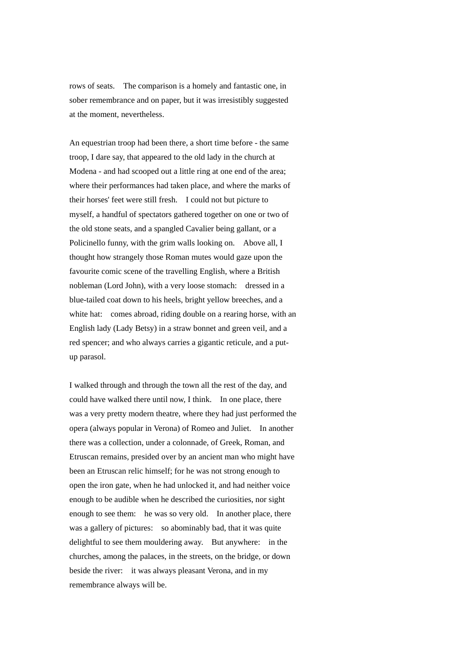rows of seats. The comparison is a homely and fantastic one, in sober remembrance and on paper, but it was irresistibly suggested at the moment, nevertheless.

An equestrian troop had been there, a short time before - the same troop, I dare say, that appeared to the old lady in the church at Modena - and had scooped out a little ring at one end of the area; where their performances had taken place, and where the marks of their horses' feet were still fresh. I could not but picture to myself, a handful of spectators gathered together on one or two of the old stone seats, and a spangled Cavalier being gallant, or a Policinello funny, with the grim walls looking on. Above all, I thought how strangely those Roman mutes would gaze upon the favourite comic scene of the travelling English, where a British nobleman (Lord John), with a very loose stomach: dressed in a blue-tailed coat down to his heels, bright yellow breeches, and a white hat: comes abroad, riding double on a rearing horse, with an English lady (Lady Betsy) in a straw bonnet and green veil, and a red spencer; and who always carries a gigantic reticule, and a putup parasol.

I walked through and through the town all the rest of the day, and could have walked there until now, I think. In one place, there was a very pretty modern theatre, where they had just performed the opera (always popular in Verona) of Romeo and Juliet. In another there was a collection, under a colonnade, of Greek, Roman, and Etruscan remains, presided over by an ancient man who might have been an Etruscan relic himself; for he was not strong enough to open the iron gate, when he had unlocked it, and had neither voice enough to be audible when he described the curiosities, nor sight enough to see them: he was so very old. In another place, there was a gallery of pictures: so abominably bad, that it was quite delightful to see them mouldering away. But anywhere: in the churches, among the palaces, in the streets, on the bridge, or down beside the river: it was always pleasant Verona, and in my remembrance always will be.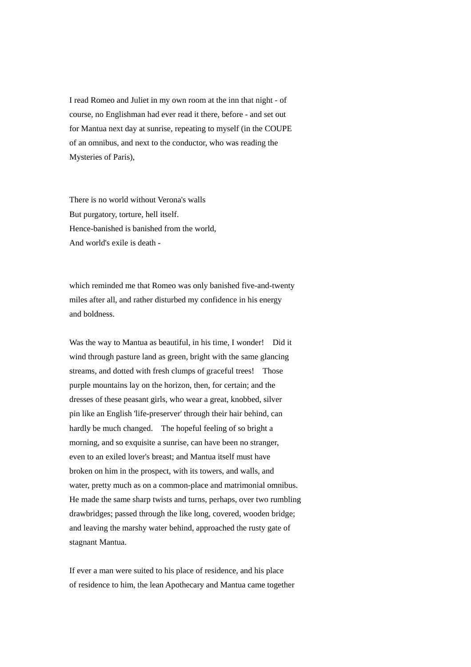I read Romeo and Juliet in my own room at the inn that night - of course, no Englishman had ever read it there, before - and set out for Mantua next day at sunrise, repeating to myself (in the COUPE of an omnibus, and next to the conductor, who was reading the Mysteries of Paris),

There is no world without Verona's walls But purgatory, torture, hell itself. Hence-banished is banished from the world, And world's exile is death -

which reminded me that Romeo was only banished five-and-twenty miles after all, and rather disturbed my confidence in his energy and boldness.

Was the way to Mantua as beautiful, in his time, I wonder! Did it wind through pasture land as green, bright with the same glancing streams, and dotted with fresh clumps of graceful trees! Those purple mountains lay on the horizon, then, for certain; and the dresses of these peasant girls, who wear a great, knobbed, silver pin like an English 'life-preserver' through their hair behind, can hardly be much changed. The hopeful feeling of so bright a morning, and so exquisite a sunrise, can have been no stranger, even to an exiled lover's breast; and Mantua itself must have broken on him in the prospect, with its towers, and walls, and water, pretty much as on a common-place and matrimonial omnibus. He made the same sharp twists and turns, perhaps, over two rumbling drawbridges; passed through the like long, covered, wooden bridge; and leaving the marshy water behind, approached the rusty gate of stagnant Mantua.

If ever a man were suited to his place of residence, and his place of residence to him, the lean Apothecary and Mantua came together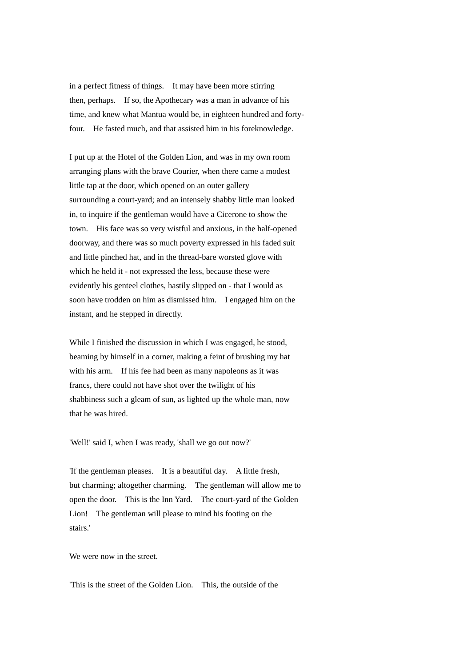in a perfect fitness of things. It may have been more stirring then, perhaps. If so, the Apothecary was a man in advance of his time, and knew what Mantua would be, in eighteen hundred and fortyfour. He fasted much, and that assisted him in his foreknowledge.

I put up at the Hotel of the Golden Lion, and was in my own room arranging plans with the brave Courier, when there came a modest little tap at the door, which opened on an outer gallery surrounding a court-yard; and an intensely shabby little man looked in, to inquire if the gentleman would have a Cicerone to show the town. His face was so very wistful and anxious, in the half-opened doorway, and there was so much poverty expressed in his faded suit and little pinched hat, and in the thread-bare worsted glove with which he held it - not expressed the less, because these were evidently his genteel clothes, hastily slipped on - that I would as soon have trodden on him as dismissed him. I engaged him on the instant, and he stepped in directly.

While I finished the discussion in which I was engaged, he stood, beaming by himself in a corner, making a feint of brushing my hat with his arm. If his fee had been as many napoleons as it was francs, there could not have shot over the twilight of his shabbiness such a gleam of sun, as lighted up the whole man, now that he was hired.

'Well!' said I, when I was ready, 'shall we go out now?'

'If the gentleman pleases. It is a beautiful day. A little fresh, but charming; altogether charming. The gentleman will allow me to open the door. This is the Inn Yard. The court-yard of the Golden Lion! The gentleman will please to mind his footing on the stairs.'

We were now in the street.

'This is the street of the Golden Lion. This, the outside of the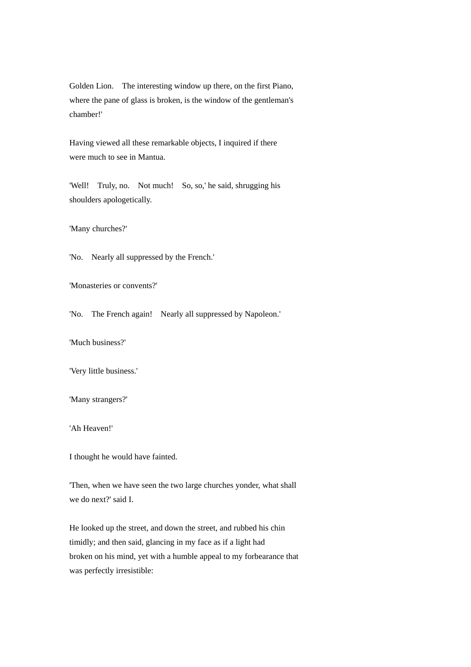Golden Lion. The interesting window up there, on the first Piano, where the pane of glass is broken, is the window of the gentleman's chamber!'

Having viewed all these remarkable objects, I inquired if there were much to see in Mantua.

'Well! Truly, no. Not much! So, so,' he said, shrugging his shoulders apologetically.

'Many churches?'

'No. Nearly all suppressed by the French.'

'Monasteries or convents?'

'No. The French again! Nearly all suppressed by Napoleon.'

'Much business?'

'Very little business.'

'Many strangers?'

'Ah Heaven!'

I thought he would have fainted.

'Then, when we have seen the two large churches yonder, what shall we do next?' said I.

He looked up the street, and down the street, and rubbed his chin timidly; and then said, glancing in my face as if a light had broken on his mind, yet with a humble appeal to my forbearance that was perfectly irresistible: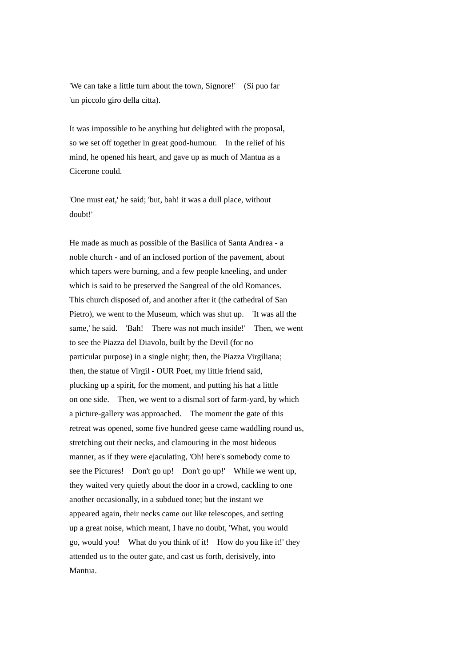'We can take a little turn about the town, Signore!' (Si puo far 'un piccolo giro della citta).

It was impossible to be anything but delighted with the proposal, so we set off together in great good-humour. In the relief of his mind, he opened his heart, and gave up as much of Mantua as a Cicerone could.

'One must eat,' he said; 'but, bah! it was a dull place, without doubt!'

He made as much as possible of the Basilica of Santa Andrea - a noble church - and of an inclosed portion of the pavement, about which tapers were burning, and a few people kneeling, and under which is said to be preserved the Sangreal of the old Romances. This church disposed of, and another after it (the cathedral of San Pietro), we went to the Museum, which was shut up. 'It was all the same,' he said. 'Bah! There was not much inside!' Then, we went to see the Piazza del Diavolo, built by the Devil (for no particular purpose) in a single night; then, the Piazza Virgiliana; then, the statue of Virgil - OUR Poet, my little friend said, plucking up a spirit, for the moment, and putting his hat a little on one side. Then, we went to a dismal sort of farm-yard, by which a picture-gallery was approached. The moment the gate of this retreat was opened, some five hundred geese came waddling round us, stretching out their necks, and clamouring in the most hideous manner, as if they were ejaculating, 'Oh! here's somebody come to see the Pictures! Don't go up! Don't go up!' While we went up, they waited very quietly about the door in a crowd, cackling to one another occasionally, in a subdued tone; but the instant we appeared again, their necks came out like telescopes, and setting up a great noise, which meant, I have no doubt, 'What, you would go, would you! What do you think of it! How do you like it!' they attended us to the outer gate, and cast us forth, derisively, into Mantua.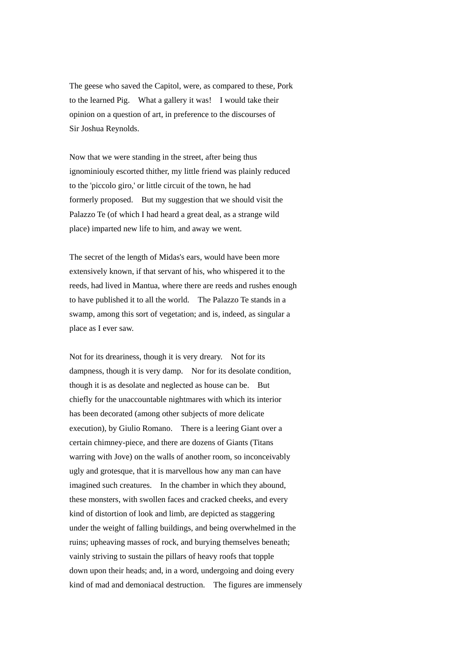The geese who saved the Capitol, were, as compared to these, Pork to the learned Pig. What a gallery it was! I would take their opinion on a question of art, in preference to the discourses of Sir Joshua Reynolds.

Now that we were standing in the street, after being thus ignominiouly escorted thither, my little friend was plainly reduced to the 'piccolo giro,' or little circuit of the town, he had formerly proposed. But my suggestion that we should visit the Palazzo Te (of which I had heard a great deal, as a strange wild place) imparted new life to him, and away we went.

The secret of the length of Midas's ears, would have been more extensively known, if that servant of his, who whispered it to the reeds, had lived in Mantua, where there are reeds and rushes enough to have published it to all the world. The Palazzo Te stands in a swamp, among this sort of vegetation; and is, indeed, as singular a place as I ever saw.

Not for its dreariness, though it is very dreary. Not for its dampness, though it is very damp. Nor for its desolate condition, though it is as desolate and neglected as house can be. But chiefly for the unaccountable nightmares with which its interior has been decorated (among other subjects of more delicate execution), by Giulio Romano. There is a leering Giant over a certain chimney-piece, and there are dozens of Giants (Titans warring with Jove) on the walls of another room, so inconceivably ugly and grotesque, that it is marvellous how any man can have imagined such creatures. In the chamber in which they abound, these monsters, with swollen faces and cracked cheeks, and every kind of distortion of look and limb, are depicted as staggering under the weight of falling buildings, and being overwhelmed in the ruins; upheaving masses of rock, and burying themselves beneath; vainly striving to sustain the pillars of heavy roofs that topple down upon their heads; and, in a word, undergoing and doing every kind of mad and demoniacal destruction. The figures are immensely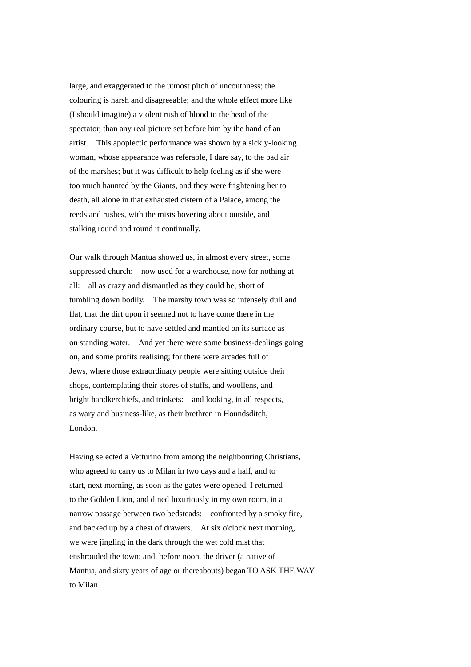large, and exaggerated to the utmost pitch of uncouthness; the colouring is harsh and disagreeable; and the whole effect more like (I should imagine) a violent rush of blood to the head of the spectator, than any real picture set before him by the hand of an artist. This apoplectic performance was shown by a sickly-looking woman, whose appearance was referable, I dare say, to the bad air of the marshes; but it was difficult to help feeling as if she were too much haunted by the Giants, and they were frightening her to death, all alone in that exhausted cistern of a Palace, among the reeds and rushes, with the mists hovering about outside, and stalking round and round it continually.

Our walk through Mantua showed us, in almost every street, some suppressed church: now used for a warehouse, now for nothing at all: all as crazy and dismantled as they could be, short of tumbling down bodily. The marshy town was so intensely dull and flat, that the dirt upon it seemed not to have come there in the ordinary course, but to have settled and mantled on its surface as on standing water. And yet there were some business-dealings going on, and some profits realising; for there were arcades full of Jews, where those extraordinary people were sitting outside their shops, contemplating their stores of stuffs, and woollens, and bright handkerchiefs, and trinkets: and looking, in all respects, as wary and business-like, as their brethren in Houndsditch, London.

Having selected a Vetturino from among the neighbouring Christians, who agreed to carry us to Milan in two days and a half, and to start, next morning, as soon as the gates were opened, I returned to the Golden Lion, and dined luxuriously in my own room, in a narrow passage between two bedsteads: confronted by a smoky fire, and backed up by a chest of drawers. At six o'clock next morning, we were jingling in the dark through the wet cold mist that enshrouded the town; and, before noon, the driver (a native of Mantua, and sixty years of age or thereabouts) began TO ASK THE WAY to Milan.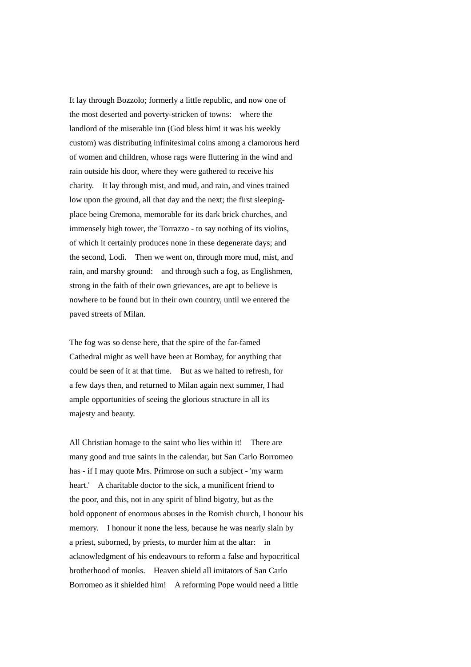It lay through Bozzolo; formerly a little republic, and now one of the most deserted and poverty-stricken of towns: where the landlord of the miserable inn (God bless him! it was his weekly custom) was distributing infinitesimal coins among a clamorous herd of women and children, whose rags were fluttering in the wind and rain outside his door, where they were gathered to receive his charity. It lay through mist, and mud, and rain, and vines trained low upon the ground, all that day and the next; the first sleepingplace being Cremona, memorable for its dark brick churches, and immensely high tower, the Torrazzo - to say nothing of its violins, of which it certainly produces none in these degenerate days; and the second, Lodi. Then we went on, through more mud, mist, and rain, and marshy ground: and through such a fog, as Englishmen, strong in the faith of their own grievances, are apt to believe is nowhere to be found but in their own country, until we entered the paved streets of Milan.

The fog was so dense here, that the spire of the far-famed Cathedral might as well have been at Bombay, for anything that could be seen of it at that time. But as we halted to refresh, for a few days then, and returned to Milan again next summer, I had ample opportunities of seeing the glorious structure in all its majesty and beauty.

All Christian homage to the saint who lies within it! There are many good and true saints in the calendar, but San Carlo Borromeo has - if I may quote Mrs. Primrose on such a subject - 'my warm heart.' A charitable doctor to the sick, a munificent friend to the poor, and this, not in any spirit of blind bigotry, but as the bold opponent of enormous abuses in the Romish church, I honour his memory. I honour it none the less, because he was nearly slain by a priest, suborned, by priests, to murder him at the altar: in acknowledgment of his endeavours to reform a false and hypocritical brotherhood of monks. Heaven shield all imitators of San Carlo Borromeo as it shielded him! A reforming Pope would need a little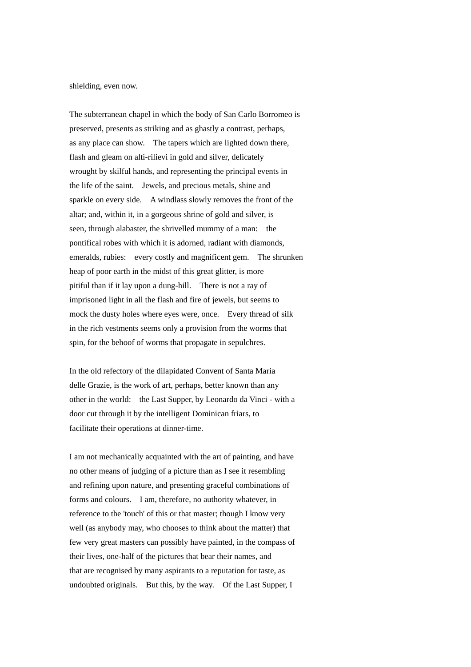shielding, even now.

The subterranean chapel in which the body of San Carlo Borromeo is preserved, presents as striking and as ghastly a contrast, perhaps, as any place can show. The tapers which are lighted down there, flash and gleam on alti-rilievi in gold and silver, delicately wrought by skilful hands, and representing the principal events in the life of the saint. Jewels, and precious metals, shine and sparkle on every side. A windlass slowly removes the front of the altar; and, within it, in a gorgeous shrine of gold and silver, is seen, through alabaster, the shrivelled mummy of a man: the pontifical robes with which it is adorned, radiant with diamonds, emeralds, rubies: every costly and magnificent gem. The shrunken heap of poor earth in the midst of this great glitter, is more pitiful than if it lay upon a dung-hill. There is not a ray of imprisoned light in all the flash and fire of jewels, but seems to mock the dusty holes where eyes were, once. Every thread of silk in the rich vestments seems only a provision from the worms that spin, for the behoof of worms that propagate in sepulchres.

In the old refectory of the dilapidated Convent of Santa Maria delle Grazie, is the work of art, perhaps, better known than any other in the world: the Last Supper, by Leonardo da Vinci - with a door cut through it by the intelligent Dominican friars, to facilitate their operations at dinner-time.

I am not mechanically acquainted with the art of painting, and have no other means of judging of a picture than as I see it resembling and refining upon nature, and presenting graceful combinations of forms and colours. I am, therefore, no authority whatever, in reference to the 'touch' of this or that master; though I know very well (as anybody may, who chooses to think about the matter) that few very great masters can possibly have painted, in the compass of their lives, one-half of the pictures that bear their names, and that are recognised by many aspirants to a reputation for taste, as undoubted originals. But this, by the way. Of the Last Supper, I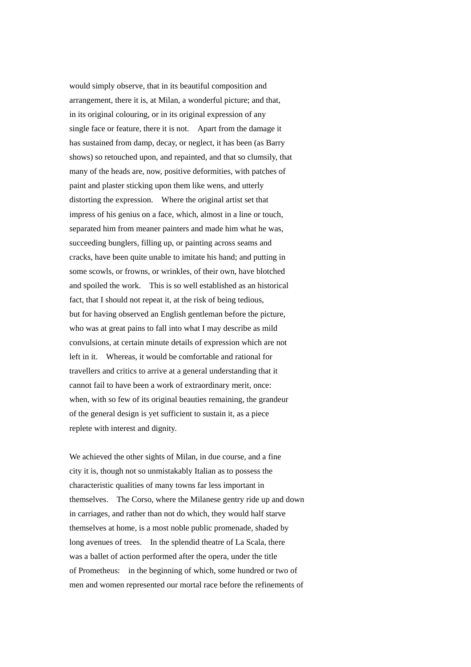would simply observe, that in its beautiful composition and arrangement, there it is, at Milan, a wonderful picture; and that, in its original colouring, or in its original expression of any single face or feature, there it is not. Apart from the damage it has sustained from damp, decay, or neglect, it has been (as Barry shows) so retouched upon, and repainted, and that so clumsily, that many of the heads are, now, positive deformities, with patches of paint and plaster sticking upon them like wens, and utterly distorting the expression. Where the original artist set that impress of his genius on a face, which, almost in a line or touch, separated him from meaner painters and made him what he was, succeeding bunglers, filling up, or painting across seams and cracks, have been quite unable to imitate his hand; and putting in some scowls, or frowns, or wrinkles, of their own, have blotched and spoiled the work. This is so well established as an historical fact, that I should not repeat it, at the risk of being tedious, but for having observed an English gentleman before the picture, who was at great pains to fall into what I may describe as mild convulsions, at certain minute details of expression which are not left in it. Whereas, it would be comfortable and rational for travellers and critics to arrive at a general understanding that it cannot fail to have been a work of extraordinary merit, once: when, with so few of its original beauties remaining, the grandeur of the general design is yet sufficient to sustain it, as a piece replete with interest and dignity.

We achieved the other sights of Milan, in due course, and a fine city it is, though not so unmistakably Italian as to possess the characteristic qualities of many towns far less important in themselves. The Corso, where the Milanese gentry ride up and down in carriages, and rather than not do which, they would half starve themselves at home, is a most noble public promenade, shaded by long avenues of trees. In the splendid theatre of La Scala, there was a ballet of action performed after the opera, under the title of Prometheus: in the beginning of which, some hundred or two of men and women represented our mortal race before the refinements of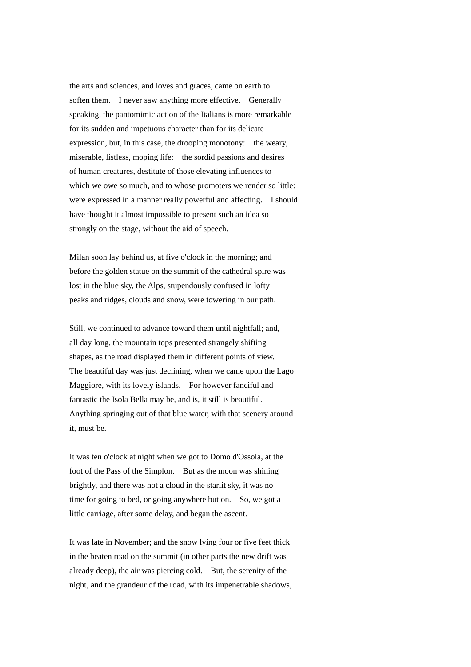the arts and sciences, and loves and graces, came on earth to soften them. I never saw anything more effective. Generally speaking, the pantomimic action of the Italians is more remarkable for its sudden and impetuous character than for its delicate expression, but, in this case, the drooping monotony: the weary, miserable, listless, moping life: the sordid passions and desires of human creatures, destitute of those elevating influences to which we owe so much, and to whose promoters we render so little: were expressed in a manner really powerful and affecting. I should have thought it almost impossible to present such an idea so strongly on the stage, without the aid of speech.

Milan soon lay behind us, at five o'clock in the morning; and before the golden statue on the summit of the cathedral spire was lost in the blue sky, the Alps, stupendously confused in lofty peaks and ridges, clouds and snow, were towering in our path.

Still, we continued to advance toward them until nightfall; and, all day long, the mountain tops presented strangely shifting shapes, as the road displayed them in different points of view. The beautiful day was just declining, when we came upon the Lago Maggiore, with its lovely islands. For however fanciful and fantastic the Isola Bella may be, and is, it still is beautiful. Anything springing out of that blue water, with that scenery around it, must be.

It was ten o'clock at night when we got to Domo d'Ossola, at the foot of the Pass of the Simplon. But as the moon was shining brightly, and there was not a cloud in the starlit sky, it was no time for going to bed, or going anywhere but on. So, we got a little carriage, after some delay, and began the ascent.

It was late in November; and the snow lying four or five feet thick in the beaten road on the summit (in other parts the new drift was already deep), the air was piercing cold. But, the serenity of the night, and the grandeur of the road, with its impenetrable shadows,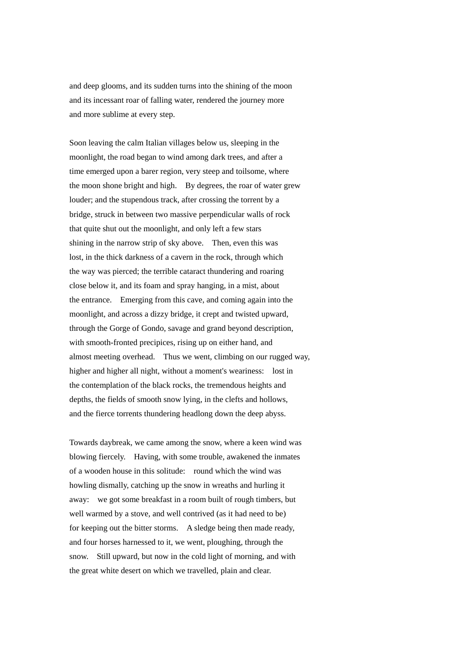and deep glooms, and its sudden turns into the shining of the moon and its incessant roar of falling water, rendered the journey more and more sublime at every step.

Soon leaving the calm Italian villages below us, sleeping in the moonlight, the road began to wind among dark trees, and after a time emerged upon a barer region, very steep and toilsome, where the moon shone bright and high. By degrees, the roar of water grew louder; and the stupendous track, after crossing the torrent by a bridge, struck in between two massive perpendicular walls of rock that quite shut out the moonlight, and only left a few stars shining in the narrow strip of sky above. Then, even this was lost, in the thick darkness of a cavern in the rock, through which the way was pierced; the terrible cataract thundering and roaring close below it, and its foam and spray hanging, in a mist, about the entrance. Emerging from this cave, and coming again into the moonlight, and across a dizzy bridge, it crept and twisted upward, through the Gorge of Gondo, savage and grand beyond description, with smooth-fronted precipices, rising up on either hand, and almost meeting overhead. Thus we went, climbing on our rugged way, higher and higher all night, without a moment's weariness: lost in the contemplation of the black rocks, the tremendous heights and depths, the fields of smooth snow lying, in the clefts and hollows, and the fierce torrents thundering headlong down the deep abyss.

Towards daybreak, we came among the snow, where a keen wind was blowing fiercely. Having, with some trouble, awakened the inmates of a wooden house in this solitude: round which the wind was howling dismally, catching up the snow in wreaths and hurling it away: we got some breakfast in a room built of rough timbers, but well warmed by a stove, and well contrived (as it had need to be) for keeping out the bitter storms. A sledge being then made ready, and four horses harnessed to it, we went, ploughing, through the snow. Still upward, but now in the cold light of morning, and with the great white desert on which we travelled, plain and clear.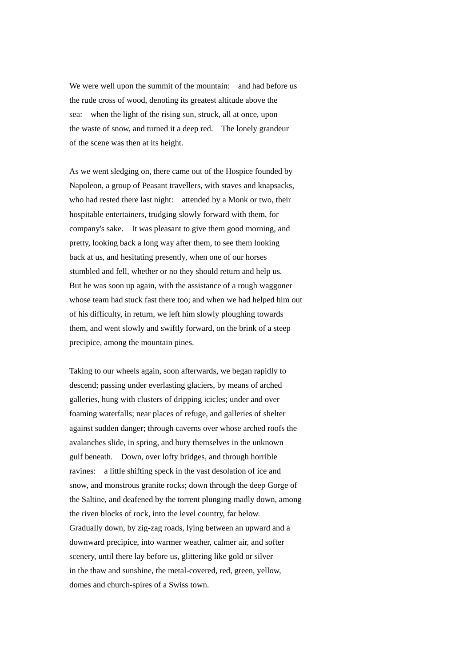We were well upon the summit of the mountain: and had before us the rude cross of wood, denoting its greatest altitude above the sea: when the light of the rising sun, struck, all at once, upon the waste of snow, and turned it a deep red. The lonely grandeur of the scene was then at its height.

As we went sledging on, there came out of the Hospice founded by Napoleon, a group of Peasant travellers, with staves and knapsacks, who had rested there last night: attended by a Monk or two, their hospitable entertainers, trudging slowly forward with them, for company's sake. It was pleasant to give them good morning, and pretty, looking back a long way after them, to see them looking back at us, and hesitating presently, when one of our horses stumbled and fell, whether or no they should return and help us. But he was soon up again, with the assistance of a rough waggoner whose team had stuck fast there too; and when we had helped him out of his difficulty, in return, we left him slowly ploughing towards them, and went slowly and swiftly forward, on the brink of a steep precipice, among the mountain pines.

Taking to our wheels again, soon afterwards, we began rapidly to descend; passing under everlasting glaciers, by means of arched galleries, hung with clusters of dripping icicles; under and over foaming waterfalls; near places of refuge, and galleries of shelter against sudden danger; through caverns over whose arched roofs the avalanches slide, in spring, and bury themselves in the unknown gulf beneath. Down, over lofty bridges, and through horrible ravines: a little shifting speck in the vast desolation of ice and snow, and monstrous granite rocks; down through the deep Gorge of the Saltine, and deafened by the torrent plunging madly down, among the riven blocks of rock, into the level country, far below. Gradually down, by zig-zag roads, lying between an upward and a downward precipice, into warmer weather, calmer air, and softer scenery, until there lay before us, glittering like gold or silver in the thaw and sunshine, the metal-covered, red, green, yellow, domes and church-spires of a Swiss town.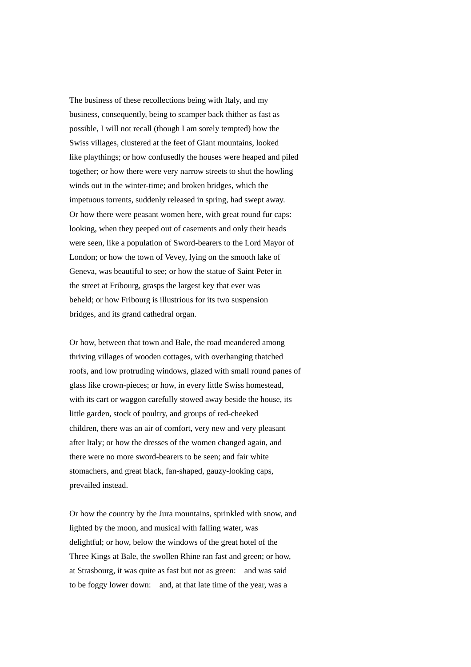The business of these recollections being with Italy, and my business, consequently, being to scamper back thither as fast as possible, I will not recall (though I am sorely tempted) how the Swiss villages, clustered at the feet of Giant mountains, looked like playthings; or how confusedly the houses were heaped and piled together; or how there were very narrow streets to shut the howling winds out in the winter-time; and broken bridges, which the impetuous torrents, suddenly released in spring, had swept away. Or how there were peasant women here, with great round fur caps: looking, when they peeped out of casements and only their heads were seen, like a population of Sword-bearers to the Lord Mayor of London; or how the town of Vevey, lying on the smooth lake of Geneva, was beautiful to see; or how the statue of Saint Peter in the street at Fribourg, grasps the largest key that ever was beheld; or how Fribourg is illustrious for its two suspension bridges, and its grand cathedral organ.

Or how, between that town and Bale, the road meandered among thriving villages of wooden cottages, with overhanging thatched roofs, and low protruding windows, glazed with small round panes of glass like crown-pieces; or how, in every little Swiss homestead, with its cart or waggon carefully stowed away beside the house, its little garden, stock of poultry, and groups of red-cheeked children, there was an air of comfort, very new and very pleasant after Italy; or how the dresses of the women changed again, and there were no more sword-bearers to be seen; and fair white stomachers, and great black, fan-shaped, gauzy-looking caps, prevailed instead.

Or how the country by the Jura mountains, sprinkled with snow, and lighted by the moon, and musical with falling water, was delightful; or how, below the windows of the great hotel of the Three Kings at Bale, the swollen Rhine ran fast and green; or how, at Strasbourg, it was quite as fast but not as green: and was said to be foggy lower down: and, at that late time of the year, was a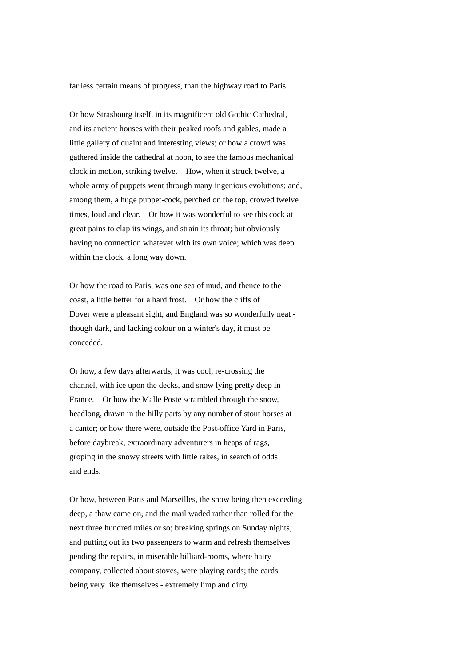far less certain means of progress, than the highway road to Paris.

Or how Strasbourg itself, in its magnificent old Gothic Cathedral, and its ancient houses with their peaked roofs and gables, made a little gallery of quaint and interesting views; or how a crowd was gathered inside the cathedral at noon, to see the famous mechanical clock in motion, striking twelve. How, when it struck twelve, a whole army of puppets went through many ingenious evolutions; and, among them, a huge puppet-cock, perched on the top, crowed twelve times, loud and clear. Or how it was wonderful to see this cock at great pains to clap its wings, and strain its throat; but obviously having no connection whatever with its own voice; which was deep within the clock, a long way down.

Or how the road to Paris, was one sea of mud, and thence to the coast, a little better for a hard frost. Or how the cliffs of Dover were a pleasant sight, and England was so wonderfully neat though dark, and lacking colour on a winter's day, it must be conceded.

Or how, a few days afterwards, it was cool, re-crossing the channel, with ice upon the decks, and snow lying pretty deep in France. Or how the Malle Poste scrambled through the snow, headlong, drawn in the hilly parts by any number of stout horses at a canter; or how there were, outside the Post-office Yard in Paris, before daybreak, extraordinary adventurers in heaps of rags, groping in the snowy streets with little rakes, in search of odds and ends.

Or how, between Paris and Marseilles, the snow being then exceeding deep, a thaw came on, and the mail waded rather than rolled for the next three hundred miles or so; breaking springs on Sunday nights, and putting out its two passengers to warm and refresh themselves pending the repairs, in miserable billiard-rooms, where hairy company, collected about stoves, were playing cards; the cards being very like themselves - extremely limp and dirty.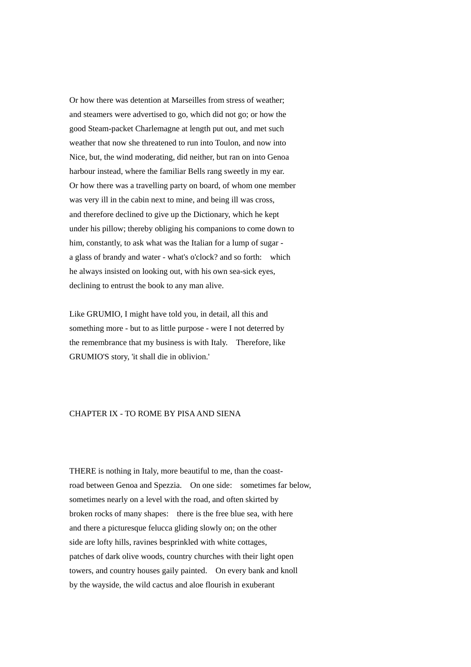Or how there was detention at Marseilles from stress of weather; and steamers were advertised to go, which did not go; or how the good Steam-packet Charlemagne at length put out, and met such weather that now she threatened to run into Toulon, and now into Nice, but, the wind moderating, did neither, but ran on into Genoa harbour instead, where the familiar Bells rang sweetly in my ear. Or how there was a travelling party on board, of whom one member was very ill in the cabin next to mine, and being ill was cross, and therefore declined to give up the Dictionary, which he kept under his pillow; thereby obliging his companions to come down to him, constantly, to ask what was the Italian for a lump of sugar a glass of brandy and water - what's o'clock? and so forth: which he always insisted on looking out, with his own sea-sick eyes, declining to entrust the book to any man alive.

Like GRUMIO, I might have told you, in detail, all this and something more - but to as little purpose - were I not deterred by the remembrance that my business is with Italy. Therefore, like GRUMIO'S story, 'it shall die in oblivion.'

## CHAPTER IX - TO ROME BY PISA AND SIENA

THERE is nothing in Italy, more beautiful to me, than the coastroad between Genoa and Spezzia. On one side: sometimes far below, sometimes nearly on a level with the road, and often skirted by broken rocks of many shapes: there is the free blue sea, with here and there a picturesque felucca gliding slowly on; on the other side are lofty hills, ravines besprinkled with white cottages, patches of dark olive woods, country churches with their light open towers, and country houses gaily painted. On every bank and knoll by the wayside, the wild cactus and aloe flourish in exuberant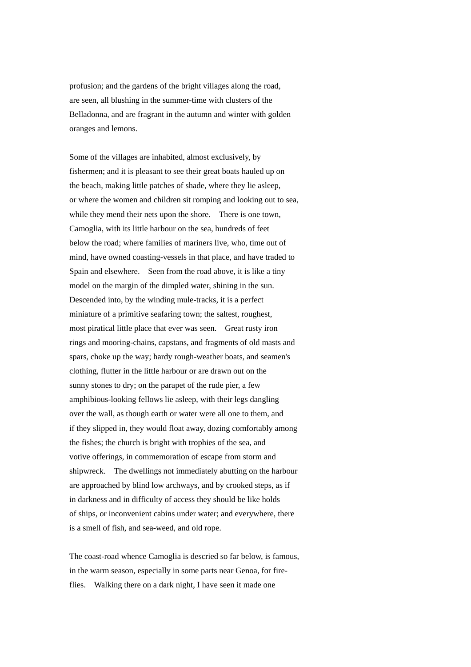profusion; and the gardens of the bright villages along the road, are seen, all blushing in the summer-time with clusters of the Belladonna, and are fragrant in the autumn and winter with golden oranges and lemons.

Some of the villages are inhabited, almost exclusively, by fishermen; and it is pleasant to see their great boats hauled up on the beach, making little patches of shade, where they lie asleep, or where the women and children sit romping and looking out to sea, while they mend their nets upon the shore. There is one town, Camoglia, with its little harbour on the sea, hundreds of feet below the road; where families of mariners live, who, time out of mind, have owned coasting-vessels in that place, and have traded to Spain and elsewhere. Seen from the road above, it is like a tiny model on the margin of the dimpled water, shining in the sun. Descended into, by the winding mule-tracks, it is a perfect miniature of a primitive seafaring town; the saltest, roughest, most piratical little place that ever was seen. Great rusty iron rings and mooring-chains, capstans, and fragments of old masts and spars, choke up the way; hardy rough-weather boats, and seamen's clothing, flutter in the little harbour or are drawn out on the sunny stones to dry; on the parapet of the rude pier, a few amphibious-looking fellows lie asleep, with their legs dangling over the wall, as though earth or water were all one to them, and if they slipped in, they would float away, dozing comfortably among the fishes; the church is bright with trophies of the sea, and votive offerings, in commemoration of escape from storm and shipwreck. The dwellings not immediately abutting on the harbour are approached by blind low archways, and by crooked steps, as if in darkness and in difficulty of access they should be like holds of ships, or inconvenient cabins under water; and everywhere, there is a smell of fish, and sea-weed, and old rope.

The coast-road whence Camoglia is descried so far below, is famous, in the warm season, especially in some parts near Genoa, for fireflies. Walking there on a dark night, I have seen it made one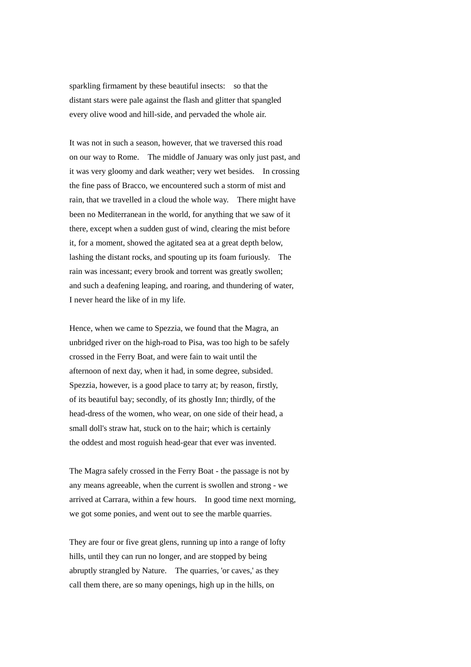sparkling firmament by these beautiful insects: so that the distant stars were pale against the flash and glitter that spangled every olive wood and hill-side, and pervaded the whole air.

It was not in such a season, however, that we traversed this road on our way to Rome. The middle of January was only just past, and it was very gloomy and dark weather; very wet besides. In crossing the fine pass of Bracco, we encountered such a storm of mist and rain, that we travelled in a cloud the whole way. There might have been no Mediterranean in the world, for anything that we saw of it there, except when a sudden gust of wind, clearing the mist before it, for a moment, showed the agitated sea at a great depth below, lashing the distant rocks, and spouting up its foam furiously. The rain was incessant; every brook and torrent was greatly swollen; and such a deafening leaping, and roaring, and thundering of water, I never heard the like of in my life.

Hence, when we came to Spezzia, we found that the Magra, an unbridged river on the high-road to Pisa, was too high to be safely crossed in the Ferry Boat, and were fain to wait until the afternoon of next day, when it had, in some degree, subsided. Spezzia, however, is a good place to tarry at; by reason, firstly, of its beautiful bay; secondly, of its ghostly Inn; thirdly, of the head-dress of the women, who wear, on one side of their head, a small doll's straw hat, stuck on to the hair; which is certainly the oddest and most roguish head-gear that ever was invented.

The Magra safely crossed in the Ferry Boat - the passage is not by any means agreeable, when the current is swollen and strong - we arrived at Carrara, within a few hours. In good time next morning, we got some ponies, and went out to see the marble quarries.

They are four or five great glens, running up into a range of lofty hills, until they can run no longer, and are stopped by being abruptly strangled by Nature. The quarries, 'or caves,' as they call them there, are so many openings, high up in the hills, on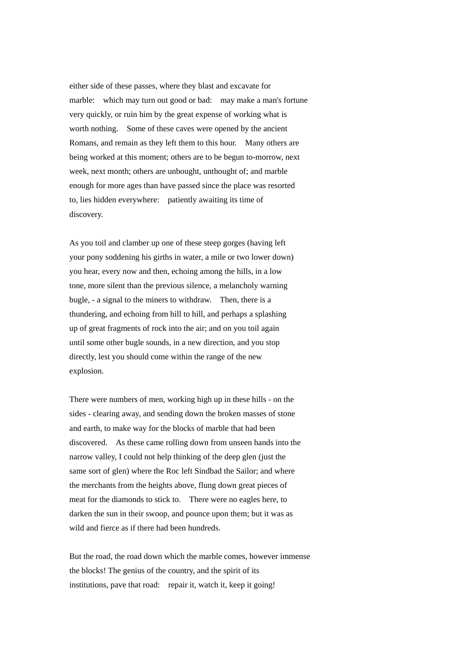either side of these passes, where they blast and excavate for marble: which may turn out good or bad: may make a man's fortune very quickly, or ruin him by the great expense of working what is worth nothing. Some of these caves were opened by the ancient Romans, and remain as they left them to this hour. Many others are being worked at this moment; others are to be begun to-morrow, next week, next month; others are unbought, unthought of; and marble enough for more ages than have passed since the place was resorted to, lies hidden everywhere: patiently awaiting its time of discovery.

As you toil and clamber up one of these steep gorges (having left your pony soddening his girths in water, a mile or two lower down) you hear, every now and then, echoing among the hills, in a low tone, more silent than the previous silence, a melancholy warning bugle, - a signal to the miners to withdraw. Then, there is a thundering, and echoing from hill to hill, and perhaps a splashing up of great fragments of rock into the air; and on you toil again until some other bugle sounds, in a new direction, and you stop directly, lest you should come within the range of the new explosion.

There were numbers of men, working high up in these hills - on the sides - clearing away, and sending down the broken masses of stone and earth, to make way for the blocks of marble that had been discovered. As these came rolling down from unseen hands into the narrow valley, I could not help thinking of the deep glen (just the same sort of glen) where the Roc left Sindbad the Sailor; and where the merchants from the heights above, flung down great pieces of meat for the diamonds to stick to. There were no eagles here, to darken the sun in their swoop, and pounce upon them; but it was as wild and fierce as if there had been hundreds.

But the road, the road down which the marble comes, however immense the blocks! The genius of the country, and the spirit of its institutions, pave that road: repair it, watch it, keep it going!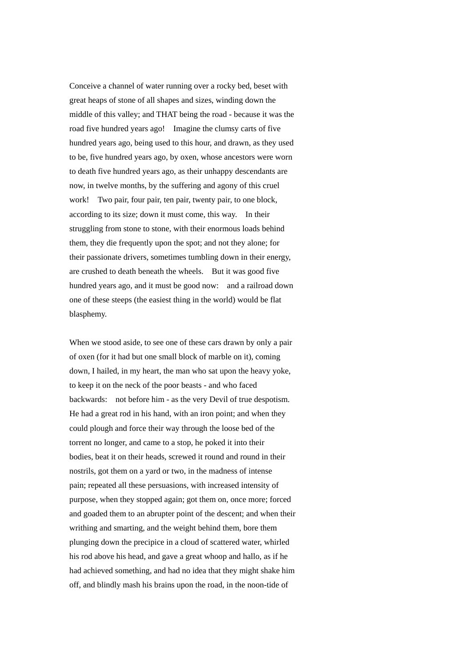Conceive a channel of water running over a rocky bed, beset with great heaps of stone of all shapes and sizes, winding down the middle of this valley; and THAT being the road - because it was the road five hundred years ago! Imagine the clumsy carts of five hundred years ago, being used to this hour, and drawn, as they used to be, five hundred years ago, by oxen, whose ancestors were worn to death five hundred years ago, as their unhappy descendants are now, in twelve months, by the suffering and agony of this cruel work! Two pair, four pair, ten pair, twenty pair, to one block, according to its size; down it must come, this way. In their struggling from stone to stone, with their enormous loads behind them, they die frequently upon the spot; and not they alone; for their passionate drivers, sometimes tumbling down in their energy, are crushed to death beneath the wheels. But it was good five hundred years ago, and it must be good now: and a railroad down one of these steeps (the easiest thing in the world) would be flat blasphemy.

When we stood aside, to see one of these cars drawn by only a pair of oxen (for it had but one small block of marble on it), coming down, I hailed, in my heart, the man who sat upon the heavy yoke, to keep it on the neck of the poor beasts - and who faced backwards: not before him - as the very Devil of true despotism. He had a great rod in his hand, with an iron point; and when they could plough and force their way through the loose bed of the torrent no longer, and came to a stop, he poked it into their bodies, beat it on their heads, screwed it round and round in their nostrils, got them on a yard or two, in the madness of intense pain; repeated all these persuasions, with increased intensity of purpose, when they stopped again; got them on, once more; forced and goaded them to an abrupter point of the descent; and when their writhing and smarting, and the weight behind them, bore them plunging down the precipice in a cloud of scattered water, whirled his rod above his head, and gave a great whoop and hallo, as if he had achieved something, and had no idea that they might shake him off, and blindly mash his brains upon the road, in the noon-tide of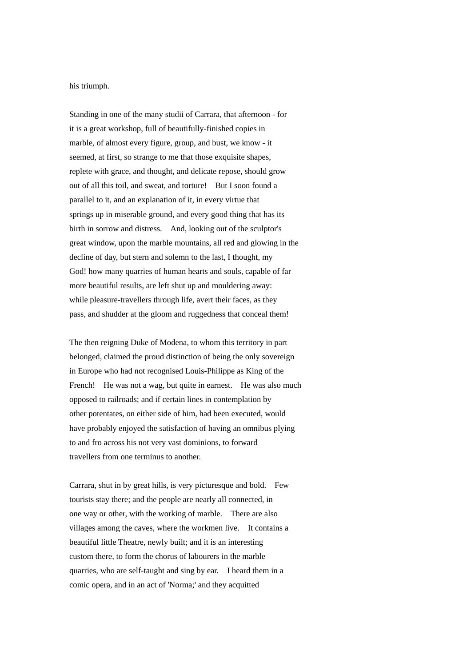his triumph.

Standing in one of the many studii of Carrara, that afternoon - for it is a great workshop, full of beautifully-finished copies in marble, of almost every figure, group, and bust, we know - it seemed, at first, so strange to me that those exquisite shapes, replete with grace, and thought, and delicate repose, should grow out of all this toil, and sweat, and torture! But I soon found a parallel to it, and an explanation of it, in every virtue that springs up in miserable ground, and every good thing that has its birth in sorrow and distress. And, looking out of the sculptor's great window, upon the marble mountains, all red and glowing in the decline of day, but stern and solemn to the last, I thought, my God! how many quarries of human hearts and souls, capable of far more beautiful results, are left shut up and mouldering away: while pleasure-travellers through life, avert their faces, as they pass, and shudder at the gloom and ruggedness that conceal them!

The then reigning Duke of Modena, to whom this territory in part belonged, claimed the proud distinction of being the only sovereign in Europe who had not recognised Louis-Philippe as King of the French! He was not a wag, but quite in earnest. He was also much opposed to railroads; and if certain lines in contemplation by other potentates, on either side of him, had been executed, would have probably enjoyed the satisfaction of having an omnibus plying to and fro across his not very vast dominions, to forward travellers from one terminus to another.

Carrara, shut in by great hills, is very picturesque and bold. Few tourists stay there; and the people are nearly all connected, in one way or other, with the working of marble. There are also villages among the caves, where the workmen live. It contains a beautiful little Theatre, newly built; and it is an interesting custom there, to form the chorus of labourers in the marble quarries, who are self-taught and sing by ear. I heard them in a comic opera, and in an act of 'Norma;' and they acquitted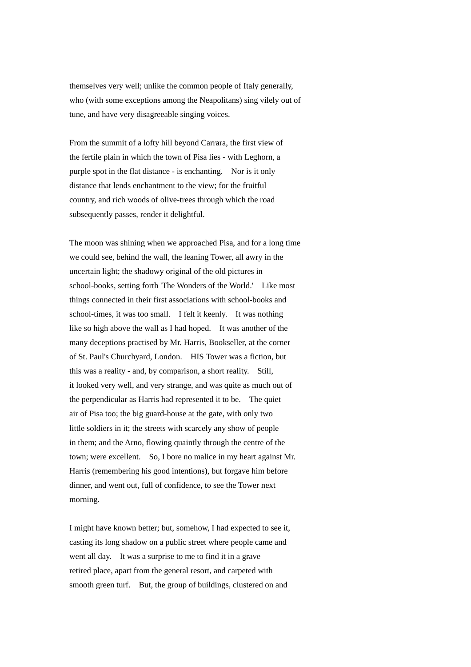themselves very well; unlike the common people of Italy generally, who (with some exceptions among the Neapolitans) sing vilely out of tune, and have very disagreeable singing voices.

From the summit of a lofty hill beyond Carrara, the first view of the fertile plain in which the town of Pisa lies - with Leghorn, a purple spot in the flat distance - is enchanting. Nor is it only distance that lends enchantment to the view; for the fruitful country, and rich woods of olive-trees through which the road subsequently passes, render it delightful.

The moon was shining when we approached Pisa, and for a long time we could see, behind the wall, the leaning Tower, all awry in the uncertain light; the shadowy original of the old pictures in school-books, setting forth 'The Wonders of the World.' Like most things connected in their first associations with school-books and school-times, it was too small. I felt it keenly. It was nothing like so high above the wall as I had hoped. It was another of the many deceptions practised by Mr. Harris, Bookseller, at the corner of St. Paul's Churchyard, London. HIS Tower was a fiction, but this was a reality - and, by comparison, a short reality. Still, it looked very well, and very strange, and was quite as much out of the perpendicular as Harris had represented it to be. The quiet air of Pisa too; the big guard-house at the gate, with only two little soldiers in it; the streets with scarcely any show of people in them; and the Arno, flowing quaintly through the centre of the town; were excellent. So, I bore no malice in my heart against Mr. Harris (remembering his good intentions), but forgave him before dinner, and went out, full of confidence, to see the Tower next morning.

I might have known better; but, somehow, I had expected to see it, casting its long shadow on a public street where people came and went all day. It was a surprise to me to find it in a grave retired place, apart from the general resort, and carpeted with smooth green turf. But, the group of buildings, clustered on and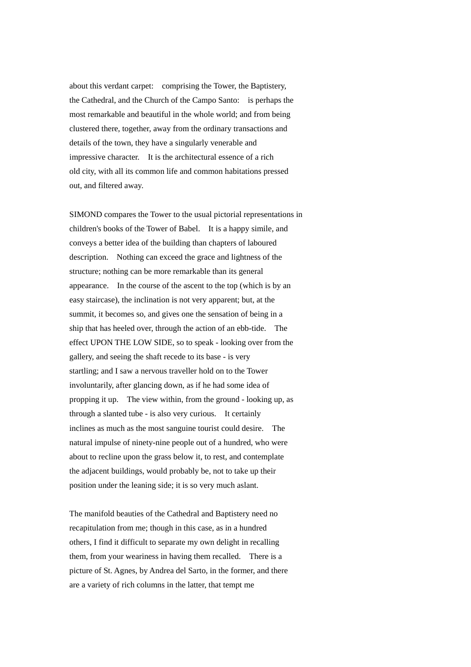about this verdant carpet: comprising the Tower, the Baptistery, the Cathedral, and the Church of the Campo Santo: is perhaps the most remarkable and beautiful in the whole world; and from being clustered there, together, away from the ordinary transactions and details of the town, they have a singularly venerable and impressive character. It is the architectural essence of a rich old city, with all its common life and common habitations pressed out, and filtered away.

SIMOND compares the Tower to the usual pictorial representations in children's books of the Tower of Babel. It is a happy simile, and conveys a better idea of the building than chapters of laboured description. Nothing can exceed the grace and lightness of the structure; nothing can be more remarkable than its general appearance. In the course of the ascent to the top (which is by an easy staircase), the inclination is not very apparent; but, at the summit, it becomes so, and gives one the sensation of being in a ship that has heeled over, through the action of an ebb-tide. The effect UPON THE LOW SIDE, so to speak - looking over from the gallery, and seeing the shaft recede to its base - is very startling; and I saw a nervous traveller hold on to the Tower involuntarily, after glancing down, as if he had some idea of propping it up. The view within, from the ground - looking up, as through a slanted tube - is also very curious. It certainly inclines as much as the most sanguine tourist could desire. The natural impulse of ninety-nine people out of a hundred, who were about to recline upon the grass below it, to rest, and contemplate the adjacent buildings, would probably be, not to take up their position under the leaning side; it is so very much aslant.

The manifold beauties of the Cathedral and Baptistery need no recapitulation from me; though in this case, as in a hundred others, I find it difficult to separate my own delight in recalling them, from your weariness in having them recalled. There is a picture of St. Agnes, by Andrea del Sarto, in the former, and there are a variety of rich columns in the latter, that tempt me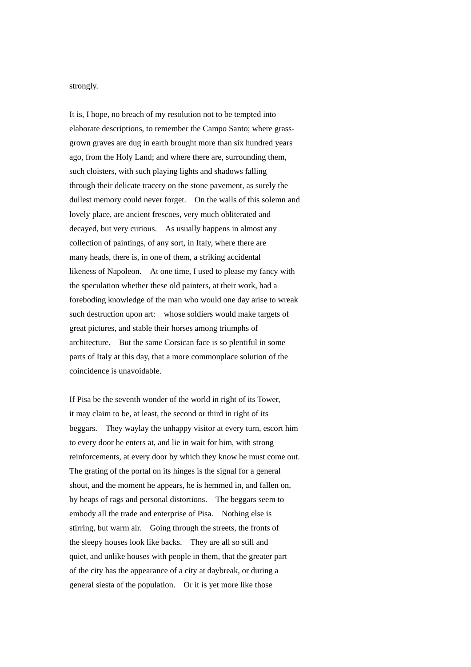strongly.

It is, I hope, no breach of my resolution not to be tempted into elaborate descriptions, to remember the Campo Santo; where grassgrown graves are dug in earth brought more than six hundred years ago, from the Holy Land; and where there are, surrounding them, such cloisters, with such playing lights and shadows falling through their delicate tracery on the stone pavement, as surely the dullest memory could never forget. On the walls of this solemn and lovely place, are ancient frescoes, very much obliterated and decayed, but very curious. As usually happens in almost any collection of paintings, of any sort, in Italy, where there are many heads, there is, in one of them, a striking accidental likeness of Napoleon. At one time, I used to please my fancy with the speculation whether these old painters, at their work, had a foreboding knowledge of the man who would one day arise to wreak such destruction upon art: whose soldiers would make targets of great pictures, and stable their horses among triumphs of architecture. But the same Corsican face is so plentiful in some parts of Italy at this day, that a more commonplace solution of the coincidence is unavoidable.

If Pisa be the seventh wonder of the world in right of its Tower, it may claim to be, at least, the second or third in right of its beggars. They waylay the unhappy visitor at every turn, escort him to every door he enters at, and lie in wait for him, with strong reinforcements, at every door by which they know he must come out. The grating of the portal on its hinges is the signal for a general shout, and the moment he appears, he is hemmed in, and fallen on, by heaps of rags and personal distortions. The beggars seem to embody all the trade and enterprise of Pisa. Nothing else is stirring, but warm air. Going through the streets, the fronts of the sleepy houses look like backs. They are all so still and quiet, and unlike houses with people in them, that the greater part of the city has the appearance of a city at daybreak, or during a general siesta of the population. Or it is yet more like those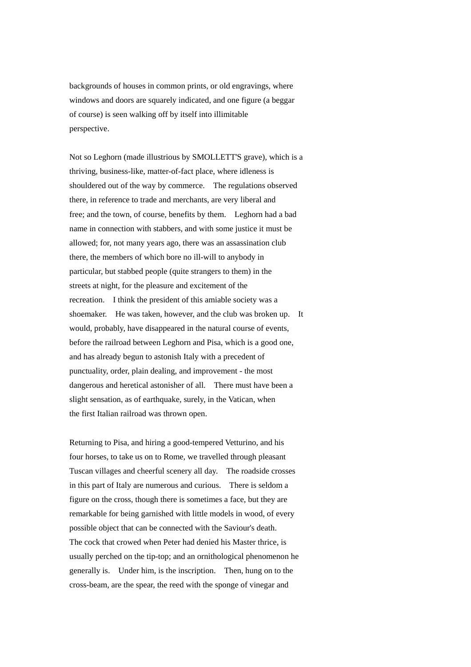backgrounds of houses in common prints, or old engravings, where windows and doors are squarely indicated, and one figure (a beggar of course) is seen walking off by itself into illimitable perspective.

Not so Leghorn (made illustrious by SMOLLETT'S grave), which is a thriving, business-like, matter-of-fact place, where idleness is shouldered out of the way by commerce. The regulations observed there, in reference to trade and merchants, are very liberal and free; and the town, of course, benefits by them. Leghorn had a bad name in connection with stabbers, and with some justice it must be allowed; for, not many years ago, there was an assassination club there, the members of which bore no ill-will to anybody in particular, but stabbed people (quite strangers to them) in the streets at night, for the pleasure and excitement of the recreation. I think the president of this amiable society was a shoemaker. He was taken, however, and the club was broken up. It would, probably, have disappeared in the natural course of events, before the railroad between Leghorn and Pisa, which is a good one, and has already begun to astonish Italy with a precedent of punctuality, order, plain dealing, and improvement - the most dangerous and heretical astonisher of all. There must have been a slight sensation, as of earthquake, surely, in the Vatican, when the first Italian railroad was thrown open.

Returning to Pisa, and hiring a good-tempered Vetturino, and his four horses, to take us on to Rome, we travelled through pleasant Tuscan villages and cheerful scenery all day. The roadside crosses in this part of Italy are numerous and curious. There is seldom a figure on the cross, though there is sometimes a face, but they are remarkable for being garnished with little models in wood, of every possible object that can be connected with the Saviour's death. The cock that crowed when Peter had denied his Master thrice, is usually perched on the tip-top; and an ornithological phenomenon he generally is. Under him, is the inscription. Then, hung on to the cross-beam, are the spear, the reed with the sponge of vinegar and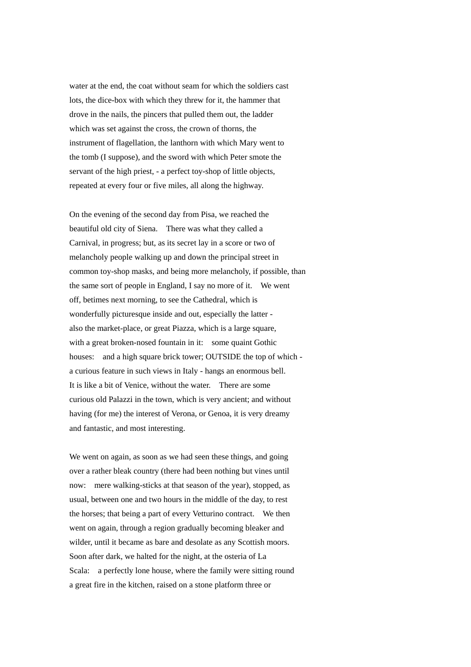water at the end, the coat without seam for which the soldiers cast lots, the dice-box with which they threw for it, the hammer that drove in the nails, the pincers that pulled them out, the ladder which was set against the cross, the crown of thorns, the instrument of flagellation, the lanthorn with which Mary went to the tomb (I suppose), and the sword with which Peter smote the servant of the high priest, - a perfect toy-shop of little objects, repeated at every four or five miles, all along the highway.

On the evening of the second day from Pisa, we reached the beautiful old city of Siena. There was what they called a Carnival, in progress; but, as its secret lay in a score or two of melancholy people walking up and down the principal street in common toy-shop masks, and being more melancholy, if possible, than the same sort of people in England, I say no more of it. We went off, betimes next morning, to see the Cathedral, which is wonderfully picturesque inside and out, especially the latter also the market-place, or great Piazza, which is a large square, with a great broken-nosed fountain in it: some quaint Gothic houses: and a high square brick tower; OUTSIDE the top of which a curious feature in such views in Italy - hangs an enormous bell. It is like a bit of Venice, without the water. There are some curious old Palazzi in the town, which is very ancient; and without having (for me) the interest of Verona, or Genoa, it is very dreamy and fantastic, and most interesting.

We went on again, as soon as we had seen these things, and going over a rather bleak country (there had been nothing but vines until now: mere walking-sticks at that season of the year), stopped, as usual, between one and two hours in the middle of the day, to rest the horses; that being a part of every Vetturino contract. We then went on again, through a region gradually becoming bleaker and wilder, until it became as bare and desolate as any Scottish moors. Soon after dark, we halted for the night, at the osteria of La Scala: a perfectly lone house, where the family were sitting round a great fire in the kitchen, raised on a stone platform three or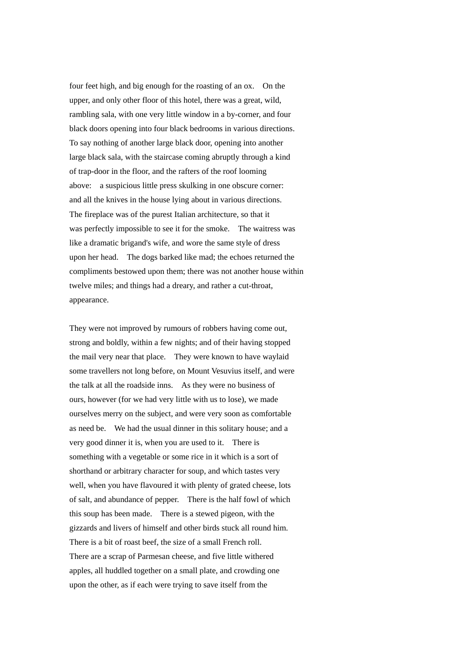four feet high, and big enough for the roasting of an ox. On the upper, and only other floor of this hotel, there was a great, wild, rambling sala, with one very little window in a by-corner, and four black doors opening into four black bedrooms in various directions. To say nothing of another large black door, opening into another large black sala, with the staircase coming abruptly through a kind of trap-door in the floor, and the rafters of the roof looming above: a suspicious little press skulking in one obscure corner: and all the knives in the house lying about in various directions. The fireplace was of the purest Italian architecture, so that it was perfectly impossible to see it for the smoke. The waitress was like a dramatic brigand's wife, and wore the same style of dress upon her head. The dogs barked like mad; the echoes returned the compliments bestowed upon them; there was not another house within twelve miles; and things had a dreary, and rather a cut-throat, appearance.

They were not improved by rumours of robbers having come out, strong and boldly, within a few nights; and of their having stopped the mail very near that place. They were known to have waylaid some travellers not long before, on Mount Vesuvius itself, and were the talk at all the roadside inns. As they were no business of ours, however (for we had very little with us to lose), we made ourselves merry on the subject, and were very soon as comfortable as need be. We had the usual dinner in this solitary house; and a very good dinner it is, when you are used to it. There is something with a vegetable or some rice in it which is a sort of shorthand or arbitrary character for soup, and which tastes very well, when you have flavoured it with plenty of grated cheese, lots of salt, and abundance of pepper. There is the half fowl of which this soup has been made. There is a stewed pigeon, with the gizzards and livers of himself and other birds stuck all round him. There is a bit of roast beef, the size of a small French roll. There are a scrap of Parmesan cheese, and five little withered apples, all huddled together on a small plate, and crowding one upon the other, as if each were trying to save itself from the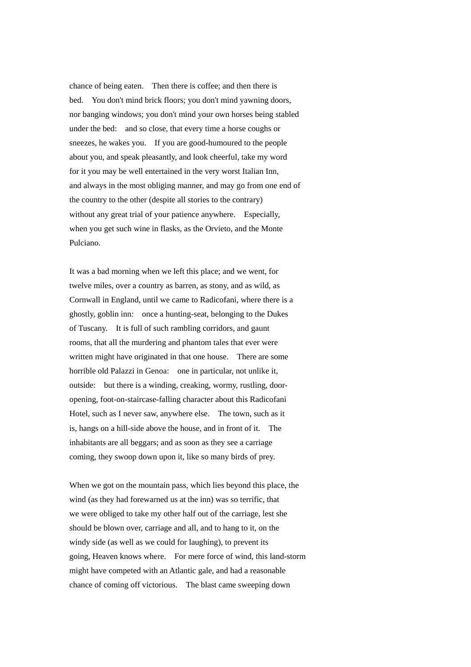chance of being eaten. Then there is coffee; and then there is bed. You don't mind brick floors; you don't mind yawning doors, nor banging windows; you don't mind your own horses being stabled under the bed: and so close, that every time a horse coughs or sneezes, he wakes you. If you are good-humoured to the people about you, and speak pleasantly, and look cheerful, take my word for it you may be well entertained in the very worst Italian Inn, and always in the most obliging manner, and may go from one end of the country to the other (despite all stories to the contrary) without any great trial of your patience anywhere. Especially, when you get such wine in flasks, as the Orvieto, and the Monte Pulciano.

It was a bad morning when we left this place; and we went, for twelve miles, over a country as barren, as stony, and as wild, as Cornwall in England, until we came to Radicofani, where there is a ghostly, goblin inn: once a hunting-seat, belonging to the Dukes of Tuscany. It is full of such rambling corridors, and gaunt rooms, that all the murdering and phantom tales that ever were written might have originated in that one house. There are some horrible old Palazzi in Genoa: one in particular, not unlike it, outside: but there is a winding, creaking, wormy, rustling, dooropening, foot-on-staircase-falling character about this Radicofani Hotel, such as I never saw, anywhere else. The town, such as it is, hangs on a hill-side above the house, and in front of it. The inhabitants are all beggars; and as soon as they see a carriage coming, they swoop down upon it, like so many birds of prey.

When we got on the mountain pass, which lies beyond this place, the wind (as they had forewarned us at the inn) was so terrific, that we were obliged to take my other half out of the carriage, lest she should be blown over, carriage and all, and to hang to it, on the windy side (as well as we could for laughing), to prevent its going, Heaven knows where. For mere force of wind, this land-storm might have competed with an Atlantic gale, and had a reasonable chance of coming off victorious. The blast came sweeping down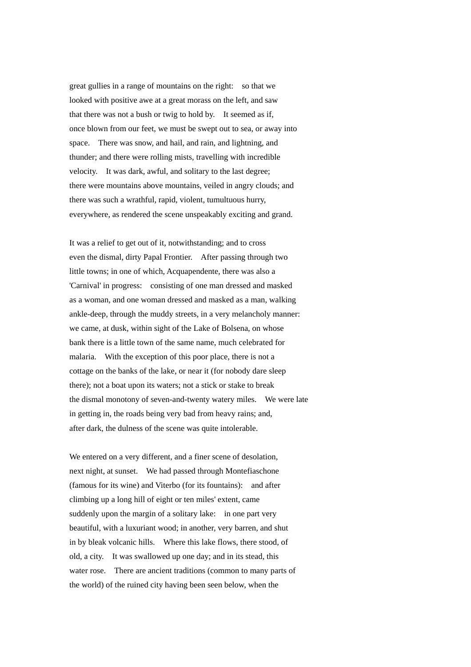great gullies in a range of mountains on the right: so that we looked with positive awe at a great morass on the left, and saw that there was not a bush or twig to hold by. It seemed as if, once blown from our feet, we must be swept out to sea, or away into space. There was snow, and hail, and rain, and lightning, and thunder; and there were rolling mists, travelling with incredible velocity. It was dark, awful, and solitary to the last degree; there were mountains above mountains, veiled in angry clouds; and there was such a wrathful, rapid, violent, tumultuous hurry, everywhere, as rendered the scene unspeakably exciting and grand.

It was a relief to get out of it, notwithstanding; and to cross even the dismal, dirty Papal Frontier. After passing through two little towns; in one of which, Acquapendente, there was also a 'Carnival' in progress: consisting of one man dressed and masked as a woman, and one woman dressed and masked as a man, walking ankle-deep, through the muddy streets, in a very melancholy manner: we came, at dusk, within sight of the Lake of Bolsena, on whose bank there is a little town of the same name, much celebrated for malaria. With the exception of this poor place, there is not a cottage on the banks of the lake, or near it (for nobody dare sleep there); not a boat upon its waters; not a stick or stake to break the dismal monotony of seven-and-twenty watery miles. We were late in getting in, the roads being very bad from heavy rains; and, after dark, the dulness of the scene was quite intolerable.

We entered on a very different, and a finer scene of desolation, next night, at sunset. We had passed through Montefiaschone (famous for its wine) and Viterbo (for its fountains): and after climbing up a long hill of eight or ten miles' extent, came suddenly upon the margin of a solitary lake: in one part very beautiful, with a luxuriant wood; in another, very barren, and shut in by bleak volcanic hills. Where this lake flows, there stood, of old, a city. It was swallowed up one day; and in its stead, this water rose. There are ancient traditions (common to many parts of the world) of the ruined city having been seen below, when the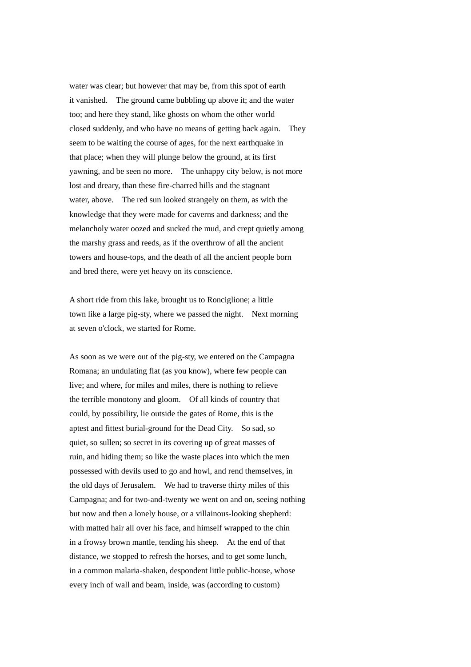water was clear; but however that may be, from this spot of earth it vanished. The ground came bubbling up above it; and the water too; and here they stand, like ghosts on whom the other world closed suddenly, and who have no means of getting back again. They seem to be waiting the course of ages, for the next earthquake in that place; when they will plunge below the ground, at its first yawning, and be seen no more. The unhappy city below, is not more lost and dreary, than these fire-charred hills and the stagnant water, above. The red sun looked strangely on them, as with the knowledge that they were made for caverns and darkness; and the melancholy water oozed and sucked the mud, and crept quietly among the marshy grass and reeds, as if the overthrow of all the ancient towers and house-tops, and the death of all the ancient people born and bred there, were yet heavy on its conscience.

A short ride from this lake, brought us to Ronciglione; a little town like a large pig-sty, where we passed the night. Next morning at seven o'clock, we started for Rome.

As soon as we were out of the pig-sty, we entered on the Campagna Romana; an undulating flat (as you know), where few people can live; and where, for miles and miles, there is nothing to relieve the terrible monotony and gloom. Of all kinds of country that could, by possibility, lie outside the gates of Rome, this is the aptest and fittest burial-ground for the Dead City. So sad, so quiet, so sullen; so secret in its covering up of great masses of ruin, and hiding them; so like the waste places into which the men possessed with devils used to go and howl, and rend themselves, in the old days of Jerusalem. We had to traverse thirty miles of this Campagna; and for two-and-twenty we went on and on, seeing nothing but now and then a lonely house, or a villainous-looking shepherd: with matted hair all over his face, and himself wrapped to the chin in a frowsy brown mantle, tending his sheep. At the end of that distance, we stopped to refresh the horses, and to get some lunch, in a common malaria-shaken, despondent little public-house, whose every inch of wall and beam, inside, was (according to custom)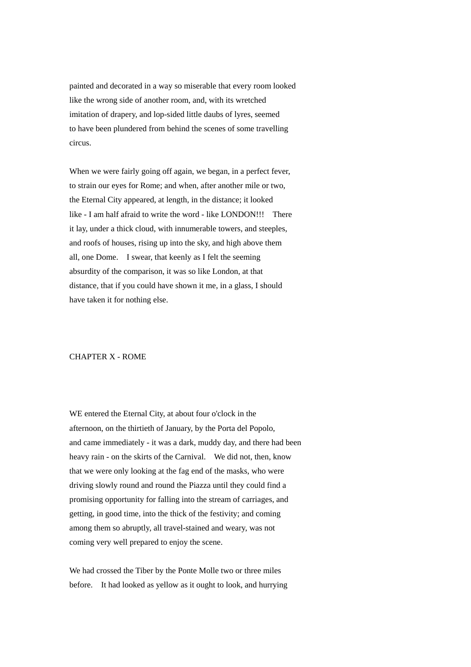painted and decorated in a way so miserable that every room looked like the wrong side of another room, and, with its wretched imitation of drapery, and lop-sided little daubs of lyres, seemed to have been plundered from behind the scenes of some travelling circus.

When we were fairly going off again, we began, in a perfect fever, to strain our eyes for Rome; and when, after another mile or two, the Eternal City appeared, at length, in the distance; it looked like - I am half afraid to write the word - like LONDON!!! There it lay, under a thick cloud, with innumerable towers, and steeples, and roofs of houses, rising up into the sky, and high above them all, one Dome. I swear, that keenly as I felt the seeming absurdity of the comparison, it was so like London, at that distance, that if you could have shown it me, in a glass, I should have taken it for nothing else.

## CHAPTER X - ROME

WE entered the Eternal City, at about four o'clock in the afternoon, on the thirtieth of January, by the Porta del Popolo, and came immediately - it was a dark, muddy day, and there had been heavy rain - on the skirts of the Carnival. We did not, then, know that we were only looking at the fag end of the masks, who were driving slowly round and round the Piazza until they could find a promising opportunity for falling into the stream of carriages, and getting, in good time, into the thick of the festivity; and coming among them so abruptly, all travel-stained and weary, was not coming very well prepared to enjoy the scene.

We had crossed the Tiber by the Ponte Molle two or three miles before. It had looked as yellow as it ought to look, and hurrying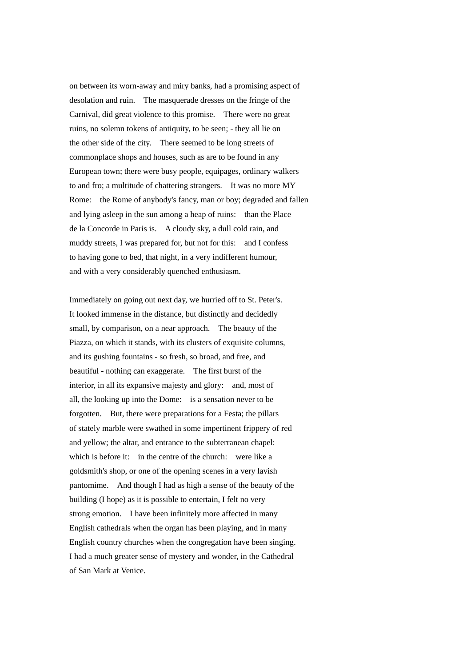on between its worn-away and miry banks, had a promising aspect of desolation and ruin. The masquerade dresses on the fringe of the Carnival, did great violence to this promise. There were no great ruins, no solemn tokens of antiquity, to be seen; - they all lie on the other side of the city. There seemed to be long streets of commonplace shops and houses, such as are to be found in any European town; there were busy people, equipages, ordinary walkers to and fro; a multitude of chattering strangers. It was no more MY Rome: the Rome of anybody's fancy, man or boy; degraded and fallen and lying asleep in the sun among a heap of ruins: than the Place de la Concorde in Paris is. A cloudy sky, a dull cold rain, and muddy streets, I was prepared for, but not for this: and I confess to having gone to bed, that night, in a very indifferent humour, and with a very considerably quenched enthusiasm.

Immediately on going out next day, we hurried off to St. Peter's. It looked immense in the distance, but distinctly and decidedly small, by comparison, on a near approach. The beauty of the Piazza, on which it stands, with its clusters of exquisite columns, and its gushing fountains - so fresh, so broad, and free, and beautiful - nothing can exaggerate. The first burst of the interior, in all its expansive majesty and glory: and, most of all, the looking up into the Dome: is a sensation never to be forgotten. But, there were preparations for a Festa; the pillars of stately marble were swathed in some impertinent frippery of red and yellow; the altar, and entrance to the subterranean chapel: which is before it: in the centre of the church: were like a goldsmith's shop, or one of the opening scenes in a very lavish pantomime. And though I had as high a sense of the beauty of the building (I hope) as it is possible to entertain, I felt no very strong emotion. I have been infinitely more affected in many English cathedrals when the organ has been playing, and in many English country churches when the congregation have been singing. I had a much greater sense of mystery and wonder, in the Cathedral of San Mark at Venice.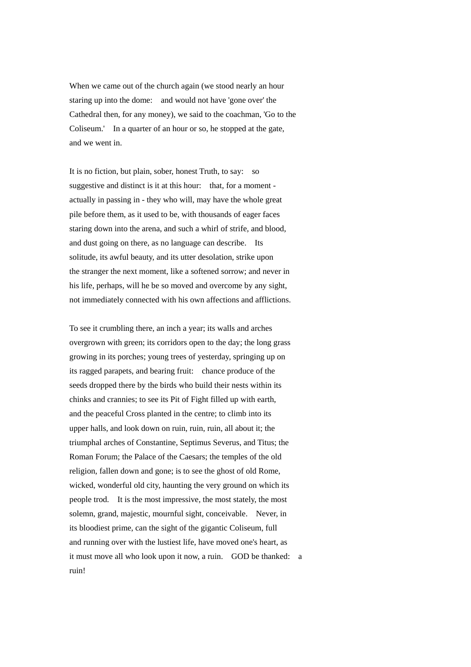When we came out of the church again (we stood nearly an hour staring up into the dome: and would not have 'gone over' the Cathedral then, for any money), we said to the coachman, 'Go to the Coliseum.' In a quarter of an hour or so, he stopped at the gate, and we went in.

It is no fiction, but plain, sober, honest Truth, to say: so suggestive and distinct is it at this hour: that, for a moment actually in passing in - they who will, may have the whole great pile before them, as it used to be, with thousands of eager faces staring down into the arena, and such a whirl of strife, and blood, and dust going on there, as no language can describe. Its solitude, its awful beauty, and its utter desolation, strike upon the stranger the next moment, like a softened sorrow; and never in his life, perhaps, will he be so moved and overcome by any sight, not immediately connected with his own affections and afflictions.

To see it crumbling there, an inch a year; its walls and arches overgrown with green; its corridors open to the day; the long grass growing in its porches; young trees of yesterday, springing up on its ragged parapets, and bearing fruit: chance produce of the seeds dropped there by the birds who build their nests within its chinks and crannies; to see its Pit of Fight filled up with earth, and the peaceful Cross planted in the centre; to climb into its upper halls, and look down on ruin, ruin, ruin, all about it; the triumphal arches of Constantine, Septimus Severus, and Titus; the Roman Forum; the Palace of the Caesars; the temples of the old religion, fallen down and gone; is to see the ghost of old Rome, wicked, wonderful old city, haunting the very ground on which its people trod. It is the most impressive, the most stately, the most solemn, grand, majestic, mournful sight, conceivable. Never, in its bloodiest prime, can the sight of the gigantic Coliseum, full and running over with the lustiest life, have moved one's heart, as it must move all who look upon it now, a ruin. GOD be thanked: a ruin!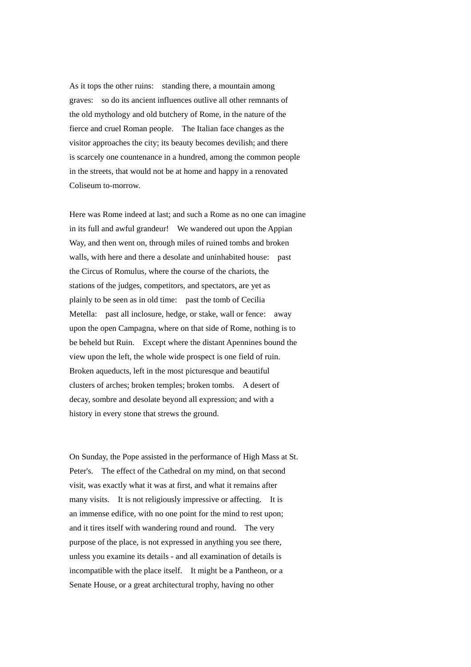As it tops the other ruins: standing there, a mountain among graves: so do its ancient influences outlive all other remnants of the old mythology and old butchery of Rome, in the nature of the fierce and cruel Roman people. The Italian face changes as the visitor approaches the city; its beauty becomes devilish; and there is scarcely one countenance in a hundred, among the common people in the streets, that would not be at home and happy in a renovated Coliseum to-morrow.

Here was Rome indeed at last; and such a Rome as no one can imagine in its full and awful grandeur! We wandered out upon the Appian Way, and then went on, through miles of ruined tombs and broken walls, with here and there a desolate and uninhabited house: past the Circus of Romulus, where the course of the chariots, the stations of the judges, competitors, and spectators, are yet as plainly to be seen as in old time: past the tomb of Cecilia Metella: past all inclosure, hedge, or stake, wall or fence: away upon the open Campagna, where on that side of Rome, nothing is to be beheld but Ruin. Except where the distant Apennines bound the view upon the left, the whole wide prospect is one field of ruin. Broken aqueducts, left in the most picturesque and beautiful clusters of arches; broken temples; broken tombs. A desert of decay, sombre and desolate beyond all expression; and with a history in every stone that strews the ground.

On Sunday, the Pope assisted in the performance of High Mass at St. Peter's. The effect of the Cathedral on my mind, on that second visit, was exactly what it was at first, and what it remains after many visits. It is not religiously impressive or affecting. It is an immense edifice, with no one point for the mind to rest upon; and it tires itself with wandering round and round. The very purpose of the place, is not expressed in anything you see there, unless you examine its details - and all examination of details is incompatible with the place itself. It might be a Pantheon, or a Senate House, or a great architectural trophy, having no other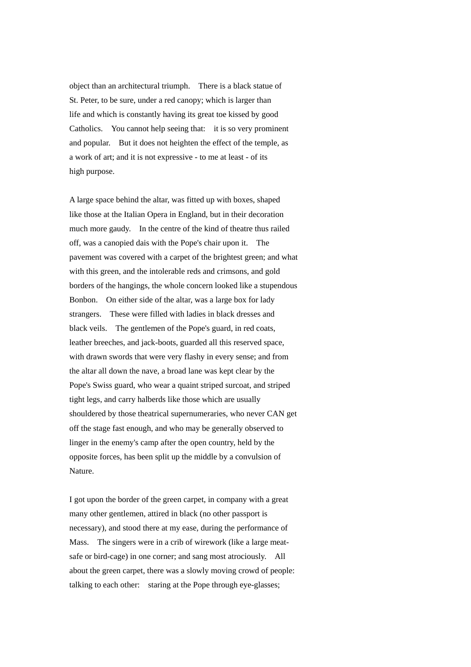object than an architectural triumph. There is a black statue of St. Peter, to be sure, under a red canopy; which is larger than life and which is constantly having its great toe kissed by good Catholics. You cannot help seeing that: it is so very prominent and popular. But it does not heighten the effect of the temple, as a work of art; and it is not expressive - to me at least - of its high purpose.

A large space behind the altar, was fitted up with boxes, shaped like those at the Italian Opera in England, but in their decoration much more gaudy. In the centre of the kind of theatre thus railed off, was a canopied dais with the Pope's chair upon it. The pavement was covered with a carpet of the brightest green; and what with this green, and the intolerable reds and crimsons, and gold borders of the hangings, the whole concern looked like a stupendous Bonbon. On either side of the altar, was a large box for lady strangers. These were filled with ladies in black dresses and black veils. The gentlemen of the Pope's guard, in red coats, leather breeches, and jack-boots, guarded all this reserved space, with drawn swords that were very flashy in every sense; and from the altar all down the nave, a broad lane was kept clear by the Pope's Swiss guard, who wear a quaint striped surcoat, and striped tight legs, and carry halberds like those which are usually shouldered by those theatrical supernumeraries, who never CAN get off the stage fast enough, and who may be generally observed to linger in the enemy's camp after the open country, held by the opposite forces, has been split up the middle by a convulsion of Nature.

I got upon the border of the green carpet, in company with a great many other gentlemen, attired in black (no other passport is necessary), and stood there at my ease, during the performance of Mass. The singers were in a crib of wirework (like a large meatsafe or bird-cage) in one corner; and sang most atrociously. All about the green carpet, there was a slowly moving crowd of people: talking to each other: staring at the Pope through eye-glasses;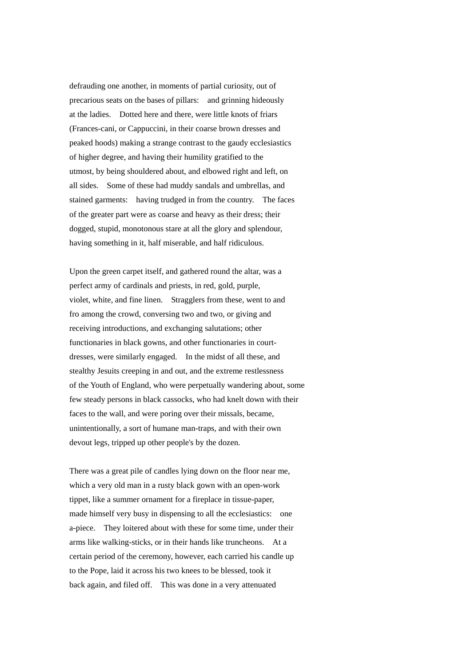defrauding one another, in moments of partial curiosity, out of precarious seats on the bases of pillars: and grinning hideously at the ladies. Dotted here and there, were little knots of friars (Frances-cani, or Cappuccini, in their coarse brown dresses and peaked hoods) making a strange contrast to the gaudy ecclesiastics of higher degree, and having their humility gratified to the utmost, by being shouldered about, and elbowed right and left, on all sides. Some of these had muddy sandals and umbrellas, and stained garments: having trudged in from the country. The faces of the greater part were as coarse and heavy as their dress; their dogged, stupid, monotonous stare at all the glory and splendour, having something in it, half miserable, and half ridiculous.

Upon the green carpet itself, and gathered round the altar, was a perfect army of cardinals and priests, in red, gold, purple, violet, white, and fine linen. Stragglers from these, went to and fro among the crowd, conversing two and two, or giving and receiving introductions, and exchanging salutations; other functionaries in black gowns, and other functionaries in courtdresses, were similarly engaged. In the midst of all these, and stealthy Jesuits creeping in and out, and the extreme restlessness of the Youth of England, who were perpetually wandering about, some few steady persons in black cassocks, who had knelt down with their faces to the wall, and were poring over their missals, became, unintentionally, a sort of humane man-traps, and with their own devout legs, tripped up other people's by the dozen.

There was a great pile of candles lying down on the floor near me, which a very old man in a rusty black gown with an open-work tippet, like a summer ornament for a fireplace in tissue-paper, made himself very busy in dispensing to all the ecclesiastics: one a-piece. They loitered about with these for some time, under their arms like walking-sticks, or in their hands like truncheons. At a certain period of the ceremony, however, each carried his candle up to the Pope, laid it across his two knees to be blessed, took it back again, and filed off. This was done in a very attenuated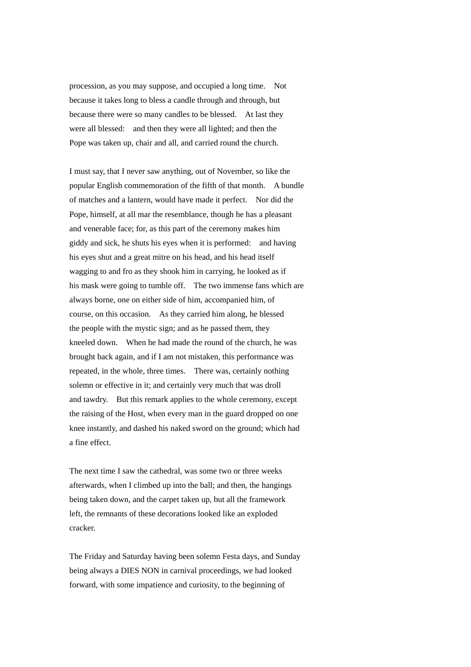procession, as you may suppose, and occupied a long time. Not because it takes long to bless a candle through and through, but because there were so many candles to be blessed. At last they were all blessed: and then they were all lighted; and then the Pope was taken up, chair and all, and carried round the church.

I must say, that I never saw anything, out of November, so like the popular English commemoration of the fifth of that month. A bundle of matches and a lantern, would have made it perfect. Nor did the Pope, himself, at all mar the resemblance, though he has a pleasant and venerable face; for, as this part of the ceremony makes him giddy and sick, he shuts his eyes when it is performed: and having his eyes shut and a great mitre on his head, and his head itself wagging to and fro as they shook him in carrying, he looked as if his mask were going to tumble off. The two immense fans which are always borne, one on either side of him, accompanied him, of course, on this occasion. As they carried him along, he blessed the people with the mystic sign; and as he passed them, they kneeled down. When he had made the round of the church, he was brought back again, and if I am not mistaken, this performance was repeated, in the whole, three times. There was, certainly nothing solemn or effective in it; and certainly very much that was droll and tawdry. But this remark applies to the whole ceremony, except the raising of the Host, when every man in the guard dropped on one knee instantly, and dashed his naked sword on the ground; which had a fine effect.

The next time I saw the cathedral, was some two or three weeks afterwards, when I climbed up into the ball; and then, the hangings being taken down, and the carpet taken up, but all the framework left, the remnants of these decorations looked like an exploded cracker.

The Friday and Saturday having been solemn Festa days, and Sunday being always a DIES NON in carnival proceedings, we had looked forward, with some impatience and curiosity, to the beginning of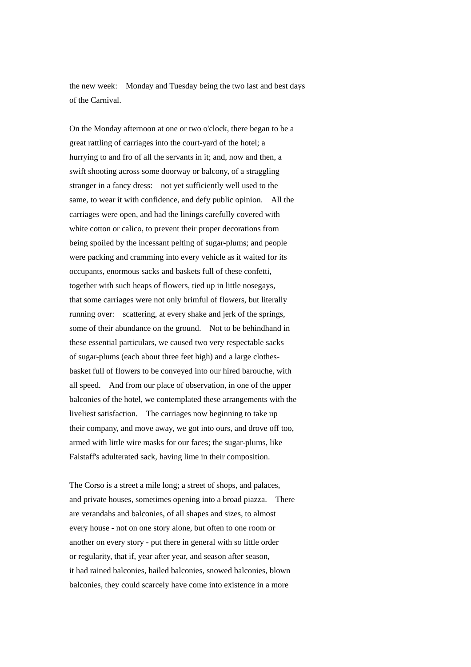the new week: Monday and Tuesday being the two last and best days of the Carnival.

On the Monday afternoon at one or two o'clock, there began to be a great rattling of carriages into the court-yard of the hotel; a hurrying to and fro of all the servants in it; and, now and then, a swift shooting across some doorway or balcony, of a straggling stranger in a fancy dress: not yet sufficiently well used to the same, to wear it with confidence, and defy public opinion. All the carriages were open, and had the linings carefully covered with white cotton or calico, to prevent their proper decorations from being spoiled by the incessant pelting of sugar-plums; and people were packing and cramming into every vehicle as it waited for its occupants, enormous sacks and baskets full of these confetti, together with such heaps of flowers, tied up in little nosegays, that some carriages were not only brimful of flowers, but literally running over: scattering, at every shake and jerk of the springs, some of their abundance on the ground. Not to be behindhand in these essential particulars, we caused two very respectable sacks of sugar-plums (each about three feet high) and a large clothesbasket full of flowers to be conveyed into our hired barouche, with all speed. And from our place of observation, in one of the upper balconies of the hotel, we contemplated these arrangements with the liveliest satisfaction. The carriages now beginning to take up their company, and move away, we got into ours, and drove off too, armed with little wire masks for our faces; the sugar-plums, like Falstaff's adulterated sack, having lime in their composition.

The Corso is a street a mile long; a street of shops, and palaces, and private houses, sometimes opening into a broad piazza. There are verandahs and balconies, of all shapes and sizes, to almost every house - not on one story alone, but often to one room or another on every story - put there in general with so little order or regularity, that if, year after year, and season after season, it had rained balconies, hailed balconies, snowed balconies, blown balconies, they could scarcely have come into existence in a more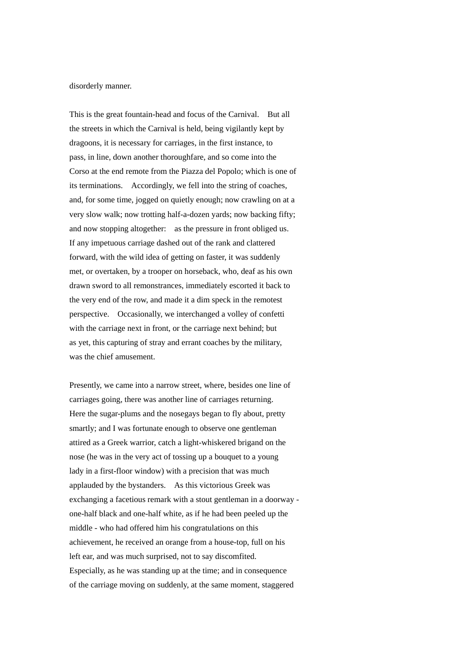## disorderly manner.

This is the great fountain-head and focus of the Carnival. But all the streets in which the Carnival is held, being vigilantly kept by dragoons, it is necessary for carriages, in the first instance, to pass, in line, down another thoroughfare, and so come into the Corso at the end remote from the Piazza del Popolo; which is one of its terminations. Accordingly, we fell into the string of coaches, and, for some time, jogged on quietly enough; now crawling on at a very slow walk; now trotting half-a-dozen yards; now backing fifty; and now stopping altogether: as the pressure in front obliged us. If any impetuous carriage dashed out of the rank and clattered forward, with the wild idea of getting on faster, it was suddenly met, or overtaken, by a trooper on horseback, who, deaf as his own drawn sword to all remonstrances, immediately escorted it back to the very end of the row, and made it a dim speck in the remotest perspective. Occasionally, we interchanged a volley of confetti with the carriage next in front, or the carriage next behind; but as yet, this capturing of stray and errant coaches by the military, was the chief amusement.

Presently, we came into a narrow street, where, besides one line of carriages going, there was another line of carriages returning. Here the sugar-plums and the nosegays began to fly about, pretty smartly; and I was fortunate enough to observe one gentleman attired as a Greek warrior, catch a light-whiskered brigand on the nose (he was in the very act of tossing up a bouquet to a young lady in a first-floor window) with a precision that was much applauded by the bystanders. As this victorious Greek was exchanging a facetious remark with a stout gentleman in a doorway one-half black and one-half white, as if he had been peeled up the middle - who had offered him his congratulations on this achievement, he received an orange from a house-top, full on his left ear, and was much surprised, not to say discomfited. Especially, as he was standing up at the time; and in consequence of the carriage moving on suddenly, at the same moment, staggered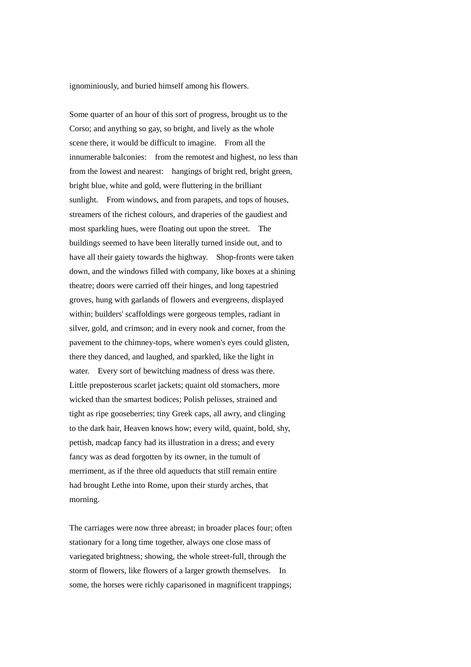ignominiously, and buried himself among his flowers.

Some quarter of an hour of this sort of progress, brought us to the Corso; and anything so gay, so bright, and lively as the whole scene there, it would be difficult to imagine. From all the innumerable balconies: from the remotest and highest, no less than from the lowest and nearest: hangings of bright red, bright green, bright blue, white and gold, were fluttering in the brilliant sunlight. From windows, and from parapets, and tops of houses, streamers of the richest colours, and draperies of the gaudiest and most sparkling hues, were floating out upon the street. The buildings seemed to have been literally turned inside out, and to have all their gaiety towards the highway. Shop-fronts were taken down, and the windows filled with company, like boxes at a shining theatre; doors were carried off their hinges, and long tapestried groves, hung with garlands of flowers and evergreens, displayed within; builders' scaffoldings were gorgeous temples, radiant in silver, gold, and crimson; and in every nook and corner, from the pavement to the chimney-tops, where women's eyes could glisten, there they danced, and laughed, and sparkled, like the light in water. Every sort of bewitching madness of dress was there. Little preposterous scarlet jackets; quaint old stomachers, more wicked than the smartest bodices; Polish pelisses, strained and tight as ripe gooseberries; tiny Greek caps, all awry, and clinging to the dark hair, Heaven knows how; every wild, quaint, bold, shy, pettish, madcap fancy had its illustration in a dress; and every fancy was as dead forgotten by its owner, in the tumult of merriment, as if the three old aqueducts that still remain entire had brought Lethe into Rome, upon their sturdy arches, that morning.

The carriages were now three abreast; in broader places four; often stationary for a long time together, always one close mass of variegated brightness; showing, the whole street-full, through the storm of flowers, like flowers of a larger growth themselves. In some, the horses were richly caparisoned in magnificent trappings;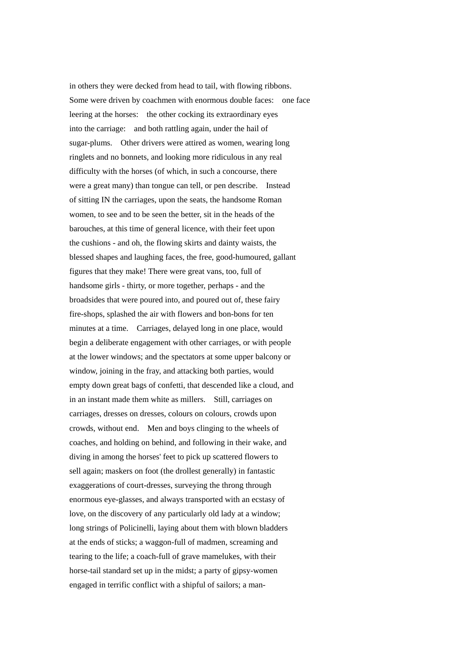in others they were decked from head to tail, with flowing ribbons. Some were driven by coachmen with enormous double faces: one face leering at the horses: the other cocking its extraordinary eyes into the carriage: and both rattling again, under the hail of sugar-plums. Other drivers were attired as women, wearing long ringlets and no bonnets, and looking more ridiculous in any real difficulty with the horses (of which, in such a concourse, there were a great many) than tongue can tell, or pen describe. Instead of sitting IN the carriages, upon the seats, the handsome Roman women, to see and to be seen the better, sit in the heads of the barouches, at this time of general licence, with their feet upon the cushions - and oh, the flowing skirts and dainty waists, the blessed shapes and laughing faces, the free, good-humoured, gallant figures that they make! There were great vans, too, full of handsome girls - thirty, or more together, perhaps - and the broadsides that were poured into, and poured out of, these fairy fire-shops, splashed the air with flowers and bon-bons for ten minutes at a time. Carriages, delayed long in one place, would begin a deliberate engagement with other carriages, or with people at the lower windows; and the spectators at some upper balcony or window, joining in the fray, and attacking both parties, would empty down great bags of confetti, that descended like a cloud, and in an instant made them white as millers. Still, carriages on carriages, dresses on dresses, colours on colours, crowds upon crowds, without end. Men and boys clinging to the wheels of coaches, and holding on behind, and following in their wake, and diving in among the horses' feet to pick up scattered flowers to sell again; maskers on foot (the drollest generally) in fantastic exaggerations of court-dresses, surveying the throng through enormous eye-glasses, and always transported with an ecstasy of love, on the discovery of any particularly old lady at a window; long strings of Policinelli, laying about them with blown bladders at the ends of sticks; a waggon-full of madmen, screaming and tearing to the life; a coach-full of grave mamelukes, with their horse-tail standard set up in the midst; a party of gipsy-women engaged in terrific conflict with a shipful of sailors; a man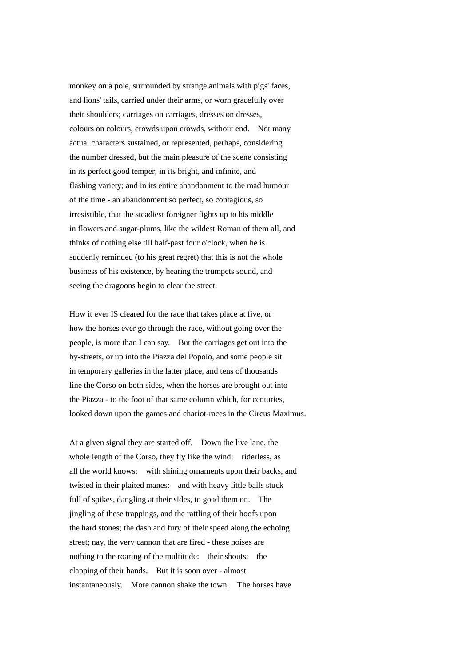monkey on a pole, surrounded by strange animals with pigs' faces, and lions' tails, carried under their arms, or worn gracefully over their shoulders; carriages on carriages, dresses on dresses, colours on colours, crowds upon crowds, without end. Not many actual characters sustained, or represented, perhaps, considering the number dressed, but the main pleasure of the scene consisting in its perfect good temper; in its bright, and infinite, and flashing variety; and in its entire abandonment to the mad humour of the time - an abandonment so perfect, so contagious, so irresistible, that the steadiest foreigner fights up to his middle in flowers and sugar-plums, like the wildest Roman of them all, and thinks of nothing else till half-past four o'clock, when he is suddenly reminded (to his great regret) that this is not the whole business of his existence, by hearing the trumpets sound, and seeing the dragoons begin to clear the street.

How it ever IS cleared for the race that takes place at five, or how the horses ever go through the race, without going over the people, is more than I can say. But the carriages get out into the by-streets, or up into the Piazza del Popolo, and some people sit in temporary galleries in the latter place, and tens of thousands line the Corso on both sides, when the horses are brought out into the Piazza - to the foot of that same column which, for centuries, looked down upon the games and chariot-races in the Circus Maximus.

At a given signal they are started off. Down the live lane, the whole length of the Corso, they fly like the wind: riderless, as all the world knows: with shining ornaments upon their backs, and twisted in their plaited manes: and with heavy little balls stuck full of spikes, dangling at their sides, to goad them on. The jingling of these trappings, and the rattling of their hoofs upon the hard stones; the dash and fury of their speed along the echoing street; nay, the very cannon that are fired - these noises are nothing to the roaring of the multitude: their shouts: the clapping of their hands. But it is soon over - almost instantaneously. More cannon shake the town. The horses have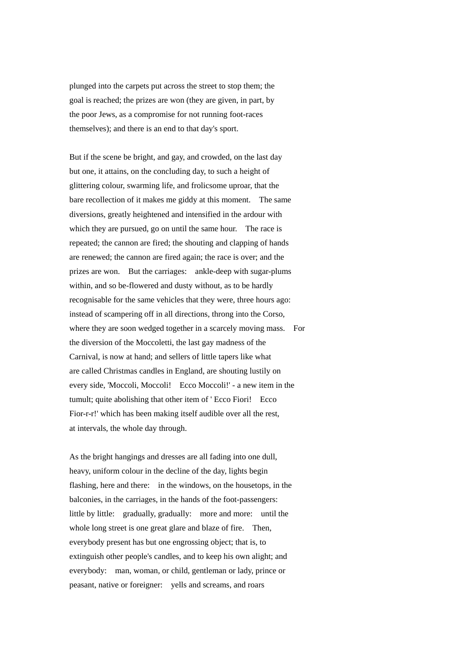plunged into the carpets put across the street to stop them; the goal is reached; the prizes are won (they are given, in part, by the poor Jews, as a compromise for not running foot-races themselves); and there is an end to that day's sport.

But if the scene be bright, and gay, and crowded, on the last day but one, it attains, on the concluding day, to such a height of glittering colour, swarming life, and frolicsome uproar, that the bare recollection of it makes me giddy at this moment. The same diversions, greatly heightened and intensified in the ardour with which they are pursued, go on until the same hour. The race is repeated; the cannon are fired; the shouting and clapping of hands are renewed; the cannon are fired again; the race is over; and the prizes are won. But the carriages: ankle-deep with sugar-plums within, and so be-flowered and dusty without, as to be hardly recognisable for the same vehicles that they were, three hours ago: instead of scampering off in all directions, throng into the Corso, where they are soon wedged together in a scarcely moving mass. For the diversion of the Moccoletti, the last gay madness of the Carnival, is now at hand; and sellers of little tapers like what are called Christmas candles in England, are shouting lustily on every side, 'Moccoli, Moccoli! Ecco Moccoli!' - a new item in the tumult; quite abolishing that other item of ' Ecco Fiori! Ecco Fior-r-r!' which has been making itself audible over all the rest, at intervals, the whole day through.

As the bright hangings and dresses are all fading into one dull, heavy, uniform colour in the decline of the day, lights begin flashing, here and there: in the windows, on the housetops, in the balconies, in the carriages, in the hands of the foot-passengers: little by little: gradually, gradually: more and more: until the whole long street is one great glare and blaze of fire. Then, everybody present has but one engrossing object; that is, to extinguish other people's candles, and to keep his own alight; and everybody: man, woman, or child, gentleman or lady, prince or peasant, native or foreigner: yells and screams, and roars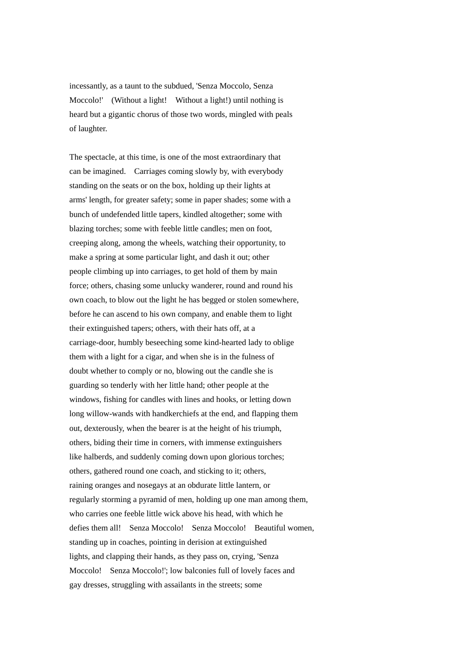incessantly, as a taunt to the subdued, 'Senza Moccolo, Senza Moccolo!' (Without a light! Without a light!) until nothing is heard but a gigantic chorus of those two words, mingled with peals of laughter.

The spectacle, at this time, is one of the most extraordinary that can be imagined. Carriages coming slowly by, with everybody standing on the seats or on the box, holding up their lights at arms' length, for greater safety; some in paper shades; some with a bunch of undefended little tapers, kindled altogether; some with blazing torches; some with feeble little candles; men on foot, creeping along, among the wheels, watching their opportunity, to make a spring at some particular light, and dash it out; other people climbing up into carriages, to get hold of them by main force; others, chasing some unlucky wanderer, round and round his own coach, to blow out the light he has begged or stolen somewhere, before he can ascend to his own company, and enable them to light their extinguished tapers; others, with their hats off, at a carriage-door, humbly beseeching some kind-hearted lady to oblige them with a light for a cigar, and when she is in the fulness of doubt whether to comply or no, blowing out the candle she is guarding so tenderly with her little hand; other people at the windows, fishing for candles with lines and hooks, or letting down long willow-wands with handkerchiefs at the end, and flapping them out, dexterously, when the bearer is at the height of his triumph, others, biding their time in corners, with immense extinguishers like halberds, and suddenly coming down upon glorious torches; others, gathered round one coach, and sticking to it; others, raining oranges and nosegays at an obdurate little lantern, or regularly storming a pyramid of men, holding up one man among them, who carries one feeble little wick above his head, with which he defies them all! Senza Moccolo! Senza Moccolo! Beautiful women, standing up in coaches, pointing in derision at extinguished lights, and clapping their hands, as they pass on, crying, 'Senza Moccolo! Senza Moccolo!'; low balconies full of lovely faces and gay dresses, struggling with assailants in the streets; some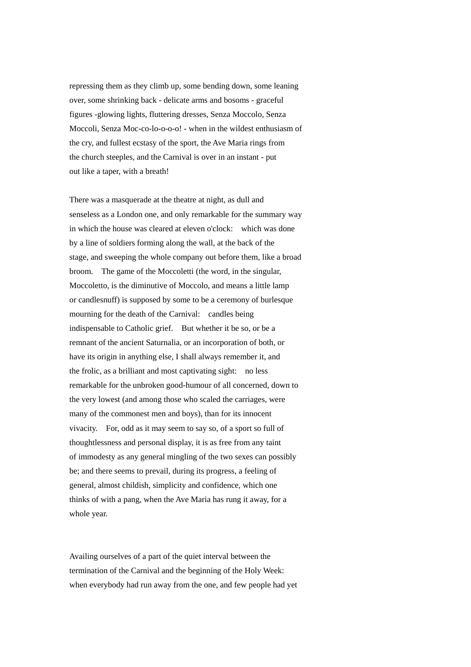repressing them as they climb up, some bending down, some leaning over, some shrinking back - delicate arms and bosoms - graceful figures -glowing lights, fluttering dresses, Senza Moccolo, Senza Moccoli, Senza Moc-co-lo-o-o-o! - when in the wildest enthusiasm of the cry, and fullest ecstasy of the sport, the Ave Maria rings from the church steeples, and the Carnival is over in an instant - put out like a taper, with a breath!

There was a masquerade at the theatre at night, as dull and senseless as a London one, and only remarkable for the summary way in which the house was cleared at eleven o'clock: which was done by a line of soldiers forming along the wall, at the back of the stage, and sweeping the whole company out before them, like a broad broom. The game of the Moccoletti (the word, in the singular, Moccoletto, is the diminutive of Moccolo, and means a little lamp or candlesnuff) is supposed by some to be a ceremony of burlesque mourning for the death of the Carnival: candles being indispensable to Catholic grief. But whether it be so, or be a remnant of the ancient Saturnalia, or an incorporation of both, or have its origin in anything else, I shall always remember it, and the frolic, as a brilliant and most captivating sight: no less remarkable for the unbroken good-humour of all concerned, down to the very lowest (and among those who scaled the carriages, were many of the commonest men and boys), than for its innocent vivacity. For, odd as it may seem to say so, of a sport so full of thoughtlessness and personal display, it is as free from any taint of immodesty as any general mingling of the two sexes can possibly be; and there seems to prevail, during its progress, a feeling of general, almost childish, simplicity and confidence, which one thinks of with a pang, when the Ave Maria has rung it away, for a whole year.

Availing ourselves of a part of the quiet interval between the termination of the Carnival and the beginning of the Holy Week: when everybody had run away from the one, and few people had yet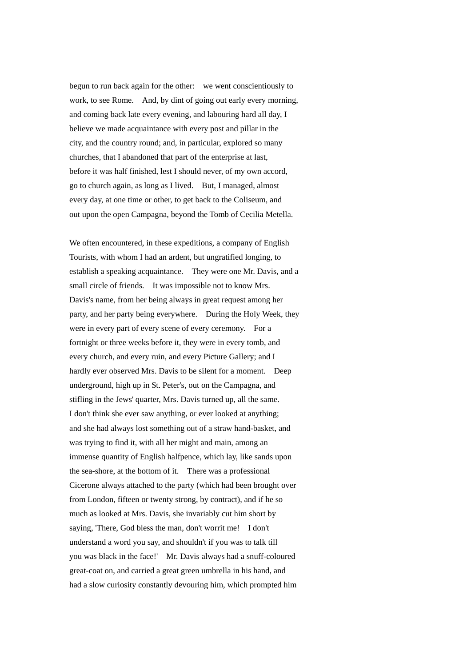begun to run back again for the other: we went conscientiously to work, to see Rome. And, by dint of going out early every morning, and coming back late every evening, and labouring hard all day, I believe we made acquaintance with every post and pillar in the city, and the country round; and, in particular, explored so many churches, that I abandoned that part of the enterprise at last, before it was half finished, lest I should never, of my own accord, go to church again, as long as I lived. But, I managed, almost every day, at one time or other, to get back to the Coliseum, and out upon the open Campagna, beyond the Tomb of Cecilia Metella.

We often encountered, in these expeditions, a company of English Tourists, with whom I had an ardent, but ungratified longing, to establish a speaking acquaintance. They were one Mr. Davis, and a small circle of friends. It was impossible not to know Mrs. Davis's name, from her being always in great request among her party, and her party being everywhere. During the Holy Week, they were in every part of every scene of every ceremony. For a fortnight or three weeks before it, they were in every tomb, and every church, and every ruin, and every Picture Gallery; and I hardly ever observed Mrs. Davis to be silent for a moment. Deep underground, high up in St. Peter's, out on the Campagna, and stifling in the Jews' quarter, Mrs. Davis turned up, all the same. I don't think she ever saw anything, or ever looked at anything; and she had always lost something out of a straw hand-basket, and was trying to find it, with all her might and main, among an immense quantity of English halfpence, which lay, like sands upon the sea-shore, at the bottom of it. There was a professional Cicerone always attached to the party (which had been brought over from London, fifteen or twenty strong, by contract), and if he so much as looked at Mrs. Davis, she invariably cut him short by saying, 'There, God bless the man, don't worrit me! I don't understand a word you say, and shouldn't if you was to talk till you was black in the face!' Mr. Davis always had a snuff-coloured great-coat on, and carried a great green umbrella in his hand, and had a slow curiosity constantly devouring him, which prompted him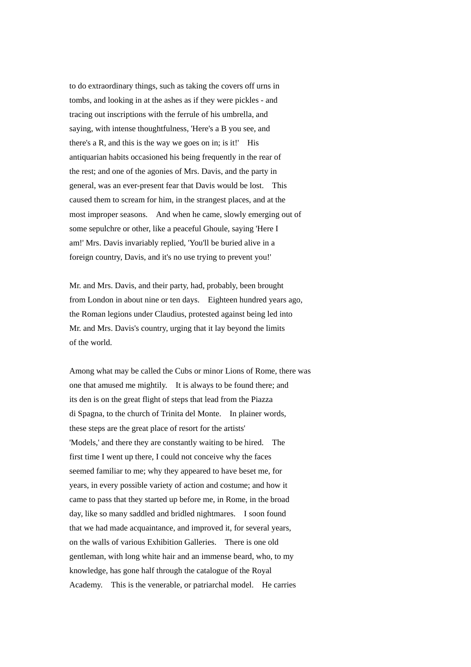to do extraordinary things, such as taking the covers off urns in tombs, and looking in at the ashes as if they were pickles - and tracing out inscriptions with the ferrule of his umbrella, and saying, with intense thoughtfulness, 'Here's a B you see, and there's a R, and this is the way we goes on in; is it!' His antiquarian habits occasioned his being frequently in the rear of the rest; and one of the agonies of Mrs. Davis, and the party in general, was an ever-present fear that Davis would be lost. This caused them to scream for him, in the strangest places, and at the most improper seasons. And when he came, slowly emerging out of some sepulchre or other, like a peaceful Ghoule, saying 'Here I am!' Mrs. Davis invariably replied, 'You'll be buried alive in a foreign country, Davis, and it's no use trying to prevent you!'

Mr. and Mrs. Davis, and their party, had, probably, been brought from London in about nine or ten days. Eighteen hundred years ago, the Roman legions under Claudius, protested against being led into Mr. and Mrs. Davis's country, urging that it lay beyond the limits of the world.

Among what may be called the Cubs or minor Lions of Rome, there was one that amused me mightily. It is always to be found there; and its den is on the great flight of steps that lead from the Piazza di Spagna, to the church of Trinita del Monte. In plainer words, these steps are the great place of resort for the artists' 'Models,' and there they are constantly waiting to be hired. The first time I went up there, I could not conceive why the faces seemed familiar to me; why they appeared to have beset me, for years, in every possible variety of action and costume; and how it came to pass that they started up before me, in Rome, in the broad day, like so many saddled and bridled nightmares. I soon found that we had made acquaintance, and improved it, for several years, on the walls of various Exhibition Galleries. There is one old gentleman, with long white hair and an immense beard, who, to my knowledge, has gone half through the catalogue of the Royal Academy. This is the venerable, or patriarchal model. He carries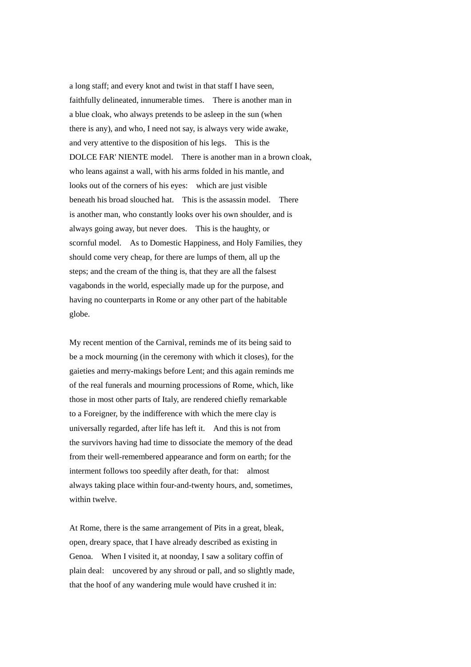a long staff; and every knot and twist in that staff I have seen, faithfully delineated, innumerable times. There is another man in a blue cloak, who always pretends to be asleep in the sun (when there is any), and who, I need not say, is always very wide awake, and very attentive to the disposition of his legs. This is the DOLCE FAR' NIENTE model. There is another man in a brown cloak, who leans against a wall, with his arms folded in his mantle, and looks out of the corners of his eyes: which are just visible beneath his broad slouched hat. This is the assassin model. There is another man, who constantly looks over his own shoulder, and is always going away, but never does. This is the haughty, or scornful model. As to Domestic Happiness, and Holy Families, they should come very cheap, for there are lumps of them, all up the steps; and the cream of the thing is, that they are all the falsest vagabonds in the world, especially made up for the purpose, and having no counterparts in Rome or any other part of the habitable globe.

My recent mention of the Carnival, reminds me of its being said to be a mock mourning (in the ceremony with which it closes), for the gaieties and merry-makings before Lent; and this again reminds me of the real funerals and mourning processions of Rome, which, like those in most other parts of Italy, are rendered chiefly remarkable to a Foreigner, by the indifference with which the mere clay is universally regarded, after life has left it. And this is not from the survivors having had time to dissociate the memory of the dead from their well-remembered appearance and form on earth; for the interment follows too speedily after death, for that: almost always taking place within four-and-twenty hours, and, sometimes, within twelve.

At Rome, there is the same arrangement of Pits in a great, bleak, open, dreary space, that I have already described as existing in Genoa. When I visited it, at noonday, I saw a solitary coffin of plain deal: uncovered by any shroud or pall, and so slightly made, that the hoof of any wandering mule would have crushed it in: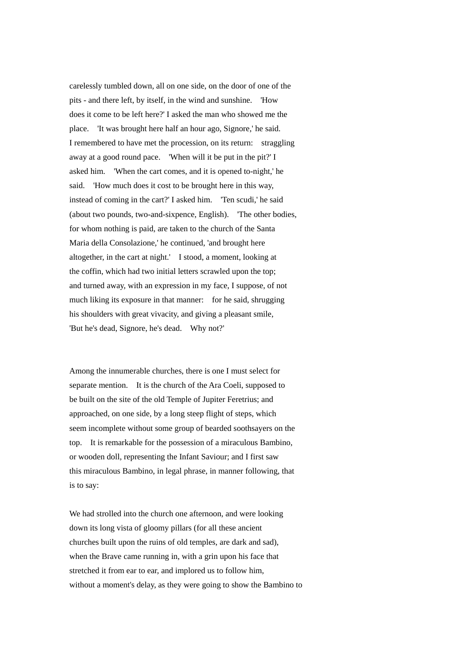carelessly tumbled down, all on one side, on the door of one of the pits - and there left, by itself, in the wind and sunshine. 'How does it come to be left here?' I asked the man who showed me the place. 'It was brought here half an hour ago, Signore,' he said. I remembered to have met the procession, on its return: straggling away at a good round pace. 'When will it be put in the pit?' I asked him. 'When the cart comes, and it is opened to-night,' he said. 'How much does it cost to be brought here in this way, instead of coming in the cart?' I asked him. 'Ten scudi,' he said (about two pounds, two-and-sixpence, English). 'The other bodies, for whom nothing is paid, are taken to the church of the Santa Maria della Consolazione,' he continued, 'and brought here altogether, in the cart at night.' I stood, a moment, looking at the coffin, which had two initial letters scrawled upon the top; and turned away, with an expression in my face, I suppose, of not much liking its exposure in that manner: for he said, shrugging his shoulders with great vivacity, and giving a pleasant smile, 'But he's dead, Signore, he's dead. Why not?'

Among the innumerable churches, there is one I must select for separate mention. It is the church of the Ara Coeli, supposed to be built on the site of the old Temple of Jupiter Feretrius; and approached, on one side, by a long steep flight of steps, which seem incomplete without some group of bearded soothsayers on the top. It is remarkable for the possession of a miraculous Bambino, or wooden doll, representing the Infant Saviour; and I first saw this miraculous Bambino, in legal phrase, in manner following, that is to say:

We had strolled into the church one afternoon, and were looking down its long vista of gloomy pillars (for all these ancient churches built upon the ruins of old temples, are dark and sad), when the Brave came running in, with a grin upon his face that stretched it from ear to ear, and implored us to follow him, without a moment's delay, as they were going to show the Bambino to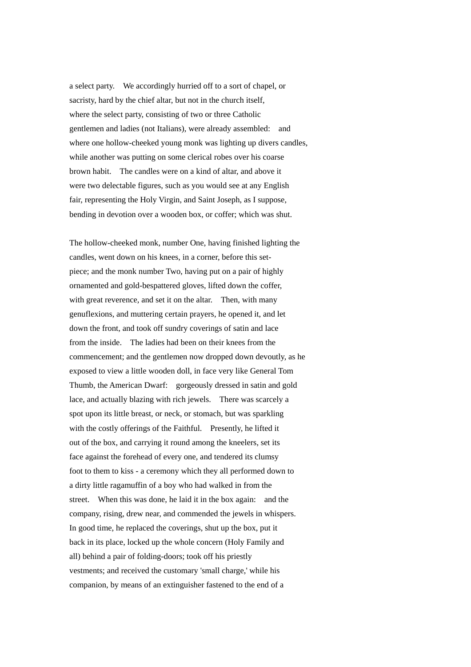a select party. We accordingly hurried off to a sort of chapel, or sacristy, hard by the chief altar, but not in the church itself, where the select party, consisting of two or three Catholic gentlemen and ladies (not Italians), were already assembled: and where one hollow-cheeked young monk was lighting up divers candles, while another was putting on some clerical robes over his coarse brown habit. The candles were on a kind of altar, and above it were two delectable figures, such as you would see at any English fair, representing the Holy Virgin, and Saint Joseph, as I suppose, bending in devotion over a wooden box, or coffer; which was shut.

The hollow-cheeked monk, number One, having finished lighting the candles, went down on his knees, in a corner, before this setpiece; and the monk number Two, having put on a pair of highly ornamented and gold-bespattered gloves, lifted down the coffer, with great reverence, and set it on the altar. Then, with many genuflexions, and muttering certain prayers, he opened it, and let down the front, and took off sundry coverings of satin and lace from the inside. The ladies had been on their knees from the commencement; and the gentlemen now dropped down devoutly, as he exposed to view a little wooden doll, in face very like General Tom Thumb, the American Dwarf: gorgeously dressed in satin and gold lace, and actually blazing with rich jewels. There was scarcely a spot upon its little breast, or neck, or stomach, but was sparkling with the costly offerings of the Faithful. Presently, he lifted it out of the box, and carrying it round among the kneelers, set its face against the forehead of every one, and tendered its clumsy foot to them to kiss - a ceremony which they all performed down to a dirty little ragamuffin of a boy who had walked in from the street. When this was done, he laid it in the box again: and the company, rising, drew near, and commended the jewels in whispers. In good time, he replaced the coverings, shut up the box, put it back in its place, locked up the whole concern (Holy Family and all) behind a pair of folding-doors; took off his priestly vestments; and received the customary 'small charge,' while his companion, by means of an extinguisher fastened to the end of a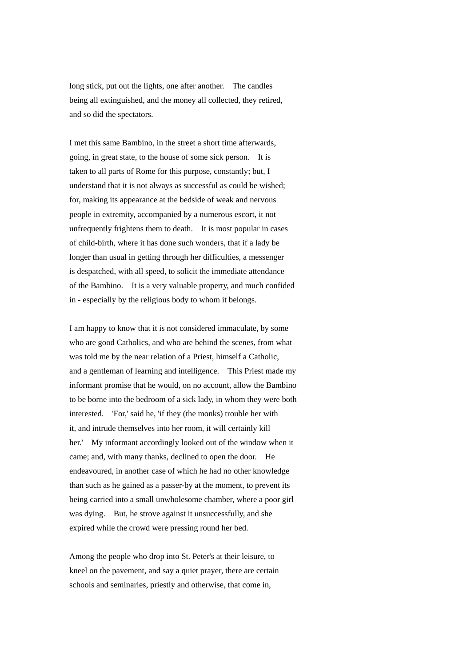long stick, put out the lights, one after another. The candles being all extinguished, and the money all collected, they retired, and so did the spectators.

I met this same Bambino, in the street a short time afterwards, going, in great state, to the house of some sick person. It is taken to all parts of Rome for this purpose, constantly; but, I understand that it is not always as successful as could be wished; for, making its appearance at the bedside of weak and nervous people in extremity, accompanied by a numerous escort, it not unfrequently frightens them to death. It is most popular in cases of child-birth, where it has done such wonders, that if a lady be longer than usual in getting through her difficulties, a messenger is despatched, with all speed, to solicit the immediate attendance of the Bambino. It is a very valuable property, and much confided in - especially by the religious body to whom it belongs.

I am happy to know that it is not considered immaculate, by some who are good Catholics, and who are behind the scenes, from what was told me by the near relation of a Priest, himself a Catholic, and a gentleman of learning and intelligence. This Priest made my informant promise that he would, on no account, allow the Bambino to be borne into the bedroom of a sick lady, in whom they were both interested. 'For,' said he, 'if they (the monks) trouble her with it, and intrude themselves into her room, it will certainly kill her.' My informant accordingly looked out of the window when it came; and, with many thanks, declined to open the door. He endeavoured, in another case of which he had no other knowledge than such as he gained as a passer-by at the moment, to prevent its being carried into a small unwholesome chamber, where a poor girl was dying. But, he strove against it unsuccessfully, and she expired while the crowd were pressing round her bed.

Among the people who drop into St. Peter's at their leisure, to kneel on the pavement, and say a quiet prayer, there are certain schools and seminaries, priestly and otherwise, that come in,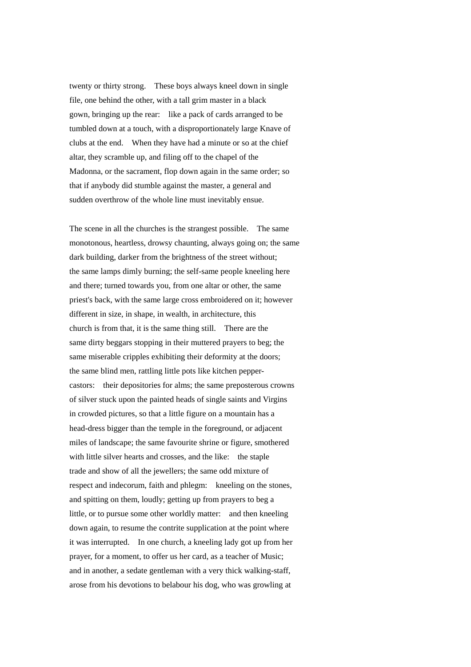twenty or thirty strong. These boys always kneel down in single file, one behind the other, with a tall grim master in a black gown, bringing up the rear: like a pack of cards arranged to be tumbled down at a touch, with a disproportionately large Knave of clubs at the end. When they have had a minute or so at the chief altar, they scramble up, and filing off to the chapel of the Madonna, or the sacrament, flop down again in the same order; so that if anybody did stumble against the master, a general and sudden overthrow of the whole line must inevitably ensue.

The scene in all the churches is the strangest possible. The same monotonous, heartless, drowsy chaunting, always going on; the same dark building, darker from the brightness of the street without; the same lamps dimly burning; the self-same people kneeling here and there; turned towards you, from one altar or other, the same priest's back, with the same large cross embroidered on it; however different in size, in shape, in wealth, in architecture, this church is from that, it is the same thing still. There are the same dirty beggars stopping in their muttered prayers to beg; the same miserable cripples exhibiting their deformity at the doors; the same blind men, rattling little pots like kitchen peppercastors: their depositories for alms; the same preposterous crowns of silver stuck upon the painted heads of single saints and Virgins in crowded pictures, so that a little figure on a mountain has a head-dress bigger than the temple in the foreground, or adjacent miles of landscape; the same favourite shrine or figure, smothered with little silver hearts and crosses, and the like: the staple trade and show of all the jewellers; the same odd mixture of respect and indecorum, faith and phlegm: kneeling on the stones, and spitting on them, loudly; getting up from prayers to beg a little, or to pursue some other worldly matter: and then kneeling down again, to resume the contrite supplication at the point where it was interrupted. In one church, a kneeling lady got up from her prayer, for a moment, to offer us her card, as a teacher of Music; and in another, a sedate gentleman with a very thick walking-staff, arose from his devotions to belabour his dog, who was growling at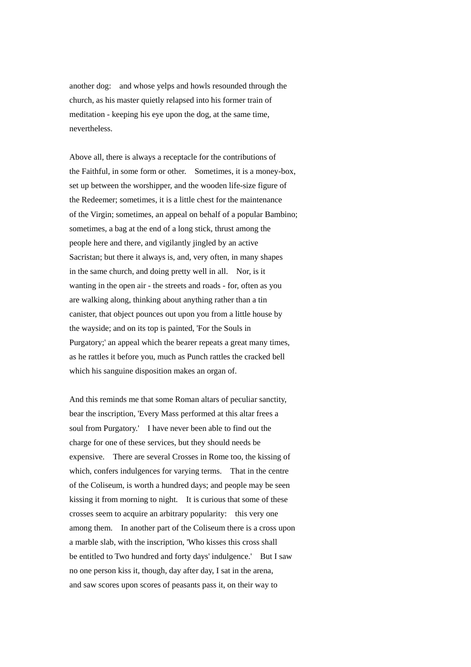another dog: and whose yelps and howls resounded through the church, as his master quietly relapsed into his former train of meditation - keeping his eye upon the dog, at the same time, nevertheless.

Above all, there is always a receptacle for the contributions of the Faithful, in some form or other. Sometimes, it is a money-box, set up between the worshipper, and the wooden life-size figure of the Redeemer; sometimes, it is a little chest for the maintenance of the Virgin; sometimes, an appeal on behalf of a popular Bambino; sometimes, a bag at the end of a long stick, thrust among the people here and there, and vigilantly jingled by an active Sacristan; but there it always is, and, very often, in many shapes in the same church, and doing pretty well in all. Nor, is it wanting in the open air - the streets and roads - for, often as you are walking along, thinking about anything rather than a tin canister, that object pounces out upon you from a little house by the wayside; and on its top is painted, 'For the Souls in Purgatory;' an appeal which the bearer repeats a great many times, as he rattles it before you, much as Punch rattles the cracked bell which his sanguine disposition makes an organ of.

And this reminds me that some Roman altars of peculiar sanctity, bear the inscription, 'Every Mass performed at this altar frees a soul from Purgatory.' I have never been able to find out the charge for one of these services, but they should needs be expensive. There are several Crosses in Rome too, the kissing of which, confers indulgences for varying terms. That in the centre of the Coliseum, is worth a hundred days; and people may be seen kissing it from morning to night. It is curious that some of these crosses seem to acquire an arbitrary popularity: this very one among them. In another part of the Coliseum there is a cross upon a marble slab, with the inscription, 'Who kisses this cross shall be entitled to Two hundred and forty days' indulgence.' But I saw no one person kiss it, though, day after day, I sat in the arena, and saw scores upon scores of peasants pass it, on their way to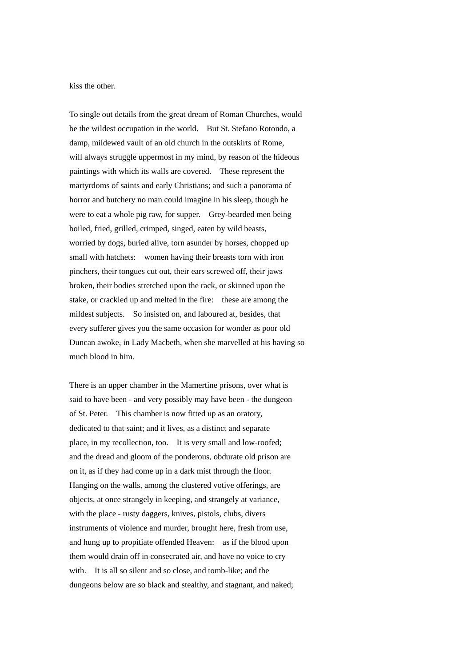kiss the other.

To single out details from the great dream of Roman Churches, would be the wildest occupation in the world. But St. Stefano Rotondo, a damp, mildewed vault of an old church in the outskirts of Rome, will always struggle uppermost in my mind, by reason of the hideous paintings with which its walls are covered. These represent the martyrdoms of saints and early Christians; and such a panorama of horror and butchery no man could imagine in his sleep, though he were to eat a whole pig raw, for supper. Grey-bearded men being boiled, fried, grilled, crimped, singed, eaten by wild beasts, worried by dogs, buried alive, torn asunder by horses, chopped up small with hatchets: women having their breasts torn with iron pinchers, their tongues cut out, their ears screwed off, their jaws broken, their bodies stretched upon the rack, or skinned upon the stake, or crackled up and melted in the fire: these are among the mildest subjects. So insisted on, and laboured at, besides, that every sufferer gives you the same occasion for wonder as poor old Duncan awoke, in Lady Macbeth, when she marvelled at his having so much blood in him.

There is an upper chamber in the Mamertine prisons, over what is said to have been - and very possibly may have been - the dungeon of St. Peter. This chamber is now fitted up as an oratory, dedicated to that saint; and it lives, as a distinct and separate place, in my recollection, too. It is very small and low-roofed; and the dread and gloom of the ponderous, obdurate old prison are on it, as if they had come up in a dark mist through the floor. Hanging on the walls, among the clustered votive offerings, are objects, at once strangely in keeping, and strangely at variance, with the place - rusty daggers, knives, pistols, clubs, divers instruments of violence and murder, brought here, fresh from use, and hung up to propitiate offended Heaven: as if the blood upon them would drain off in consecrated air, and have no voice to cry with. It is all so silent and so close, and tomb-like; and the dungeons below are so black and stealthy, and stagnant, and naked;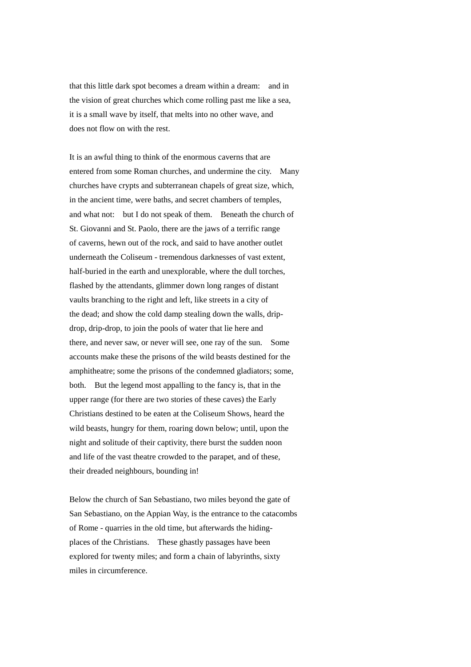that this little dark spot becomes a dream within a dream: and in the vision of great churches which come rolling past me like a sea, it is a small wave by itself, that melts into no other wave, and does not flow on with the rest.

It is an awful thing to think of the enormous caverns that are entered from some Roman churches, and undermine the city. Many churches have crypts and subterranean chapels of great size, which, in the ancient time, were baths, and secret chambers of temples, and what not: but I do not speak of them. Beneath the church of St. Giovanni and St. Paolo, there are the jaws of a terrific range of caverns, hewn out of the rock, and said to have another outlet underneath the Coliseum - tremendous darknesses of vast extent, half-buried in the earth and unexplorable, where the dull torches, flashed by the attendants, glimmer down long ranges of distant vaults branching to the right and left, like streets in a city of the dead; and show the cold damp stealing down the walls, dripdrop, drip-drop, to join the pools of water that lie here and there, and never saw, or never will see, one ray of the sun. Some accounts make these the prisons of the wild beasts destined for the amphitheatre; some the prisons of the condemned gladiators; some, both. But the legend most appalling to the fancy is, that in the upper range (for there are two stories of these caves) the Early Christians destined to be eaten at the Coliseum Shows, heard the wild beasts, hungry for them, roaring down below; until, upon the night and solitude of their captivity, there burst the sudden noon and life of the vast theatre crowded to the parapet, and of these, their dreaded neighbours, bounding in!

Below the church of San Sebastiano, two miles beyond the gate of San Sebastiano, on the Appian Way, is the entrance to the catacombs of Rome - quarries in the old time, but afterwards the hidingplaces of the Christians. These ghastly passages have been explored for twenty miles; and form a chain of labyrinths, sixty miles in circumference.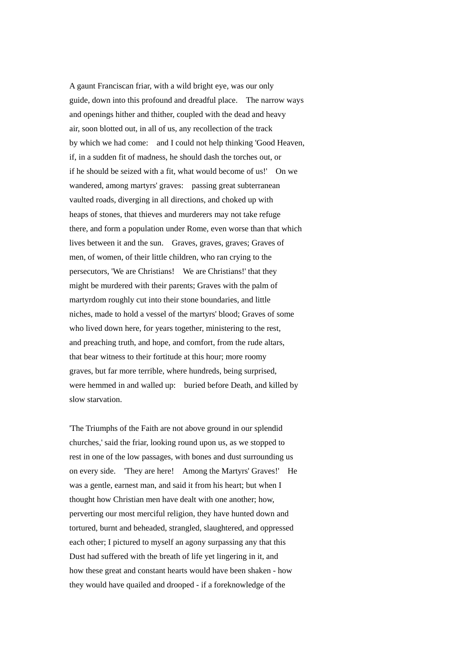A gaunt Franciscan friar, with a wild bright eye, was our only guide, down into this profound and dreadful place. The narrow ways and openings hither and thither, coupled with the dead and heavy air, soon blotted out, in all of us, any recollection of the track by which we had come: and I could not help thinking 'Good Heaven, if, in a sudden fit of madness, he should dash the torches out, or if he should be seized with a fit, what would become of us!' On we wandered, among martyrs' graves: passing great subterranean vaulted roads, diverging in all directions, and choked up with heaps of stones, that thieves and murderers may not take refuge there, and form a population under Rome, even worse than that which lives between it and the sun. Graves, graves, graves; Graves of men, of women, of their little children, who ran crying to the persecutors, 'We are Christians! We are Christians!' that they might be murdered with their parents; Graves with the palm of martyrdom roughly cut into their stone boundaries, and little niches, made to hold a vessel of the martyrs' blood; Graves of some who lived down here, for years together, ministering to the rest, and preaching truth, and hope, and comfort, from the rude altars, that bear witness to their fortitude at this hour; more roomy graves, but far more terrible, where hundreds, being surprised, were hemmed in and walled up: buried before Death, and killed by slow starvation.

'The Triumphs of the Faith are not above ground in our splendid churches,' said the friar, looking round upon us, as we stopped to rest in one of the low passages, with bones and dust surrounding us on every side. 'They are here! Among the Martyrs' Graves!' He was a gentle, earnest man, and said it from his heart; but when I thought how Christian men have dealt with one another; how, perverting our most merciful religion, they have hunted down and tortured, burnt and beheaded, strangled, slaughtered, and oppressed each other; I pictured to myself an agony surpassing any that this Dust had suffered with the breath of life yet lingering in it, and how these great and constant hearts would have been shaken - how they would have quailed and drooped - if a foreknowledge of the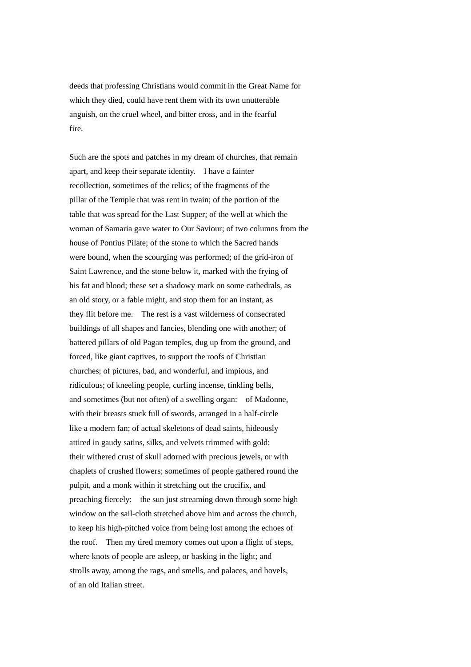deeds that professing Christians would commit in the Great Name for which they died, could have rent them with its own unutterable anguish, on the cruel wheel, and bitter cross, and in the fearful fire.

Such are the spots and patches in my dream of churches, that remain apart, and keep their separate identity. I have a fainter recollection, sometimes of the relics; of the fragments of the pillar of the Temple that was rent in twain; of the portion of the table that was spread for the Last Supper; of the well at which the woman of Samaria gave water to Our Saviour; of two columns from the house of Pontius Pilate; of the stone to which the Sacred hands were bound, when the scourging was performed; of the grid-iron of Saint Lawrence, and the stone below it, marked with the frying of his fat and blood; these set a shadowy mark on some cathedrals, as an old story, or a fable might, and stop them for an instant, as they flit before me. The rest is a vast wilderness of consecrated buildings of all shapes and fancies, blending one with another; of battered pillars of old Pagan temples, dug up from the ground, and forced, like giant captives, to support the roofs of Christian churches; of pictures, bad, and wonderful, and impious, and ridiculous; of kneeling people, curling incense, tinkling bells, and sometimes (but not often) of a swelling organ: of Madonne, with their breasts stuck full of swords, arranged in a half-circle like a modern fan; of actual skeletons of dead saints, hideously attired in gaudy satins, silks, and velvets trimmed with gold: their withered crust of skull adorned with precious jewels, or with chaplets of crushed flowers; sometimes of people gathered round the pulpit, and a monk within it stretching out the crucifix, and preaching fiercely: the sun just streaming down through some high window on the sail-cloth stretched above him and across the church, to keep his high-pitched voice from being lost among the echoes of the roof. Then my tired memory comes out upon a flight of steps, where knots of people are asleep, or basking in the light; and strolls away, among the rags, and smells, and palaces, and hovels, of an old Italian street.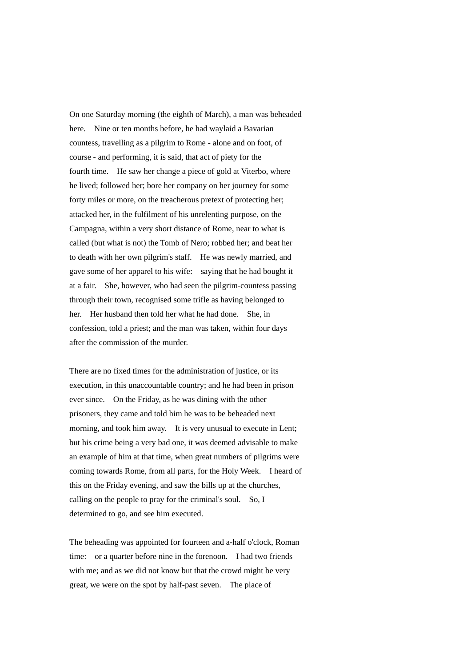On one Saturday morning (the eighth of March), a man was beheaded here. Nine or ten months before, he had waylaid a Bavarian countess, travelling as a pilgrim to Rome - alone and on foot, of course - and performing, it is said, that act of piety for the fourth time. He saw her change a piece of gold at Viterbo, where he lived; followed her; bore her company on her journey for some forty miles or more, on the treacherous pretext of protecting her; attacked her, in the fulfilment of his unrelenting purpose, on the Campagna, within a very short distance of Rome, near to what is called (but what is not) the Tomb of Nero; robbed her; and beat her to death with her own pilgrim's staff. He was newly married, and gave some of her apparel to his wife: saying that he had bought it at a fair. She, however, who had seen the pilgrim-countess passing through their town, recognised some trifle as having belonged to her. Her husband then told her what he had done. She, in confession, told a priest; and the man was taken, within four days after the commission of the murder.

There are no fixed times for the administration of justice, or its execution, in this unaccountable country; and he had been in prison ever since. On the Friday, as he was dining with the other prisoners, they came and told him he was to be beheaded next morning, and took him away. It is very unusual to execute in Lent; but his crime being a very bad one, it was deemed advisable to make an example of him at that time, when great numbers of pilgrims were coming towards Rome, from all parts, for the Holy Week. I heard of this on the Friday evening, and saw the bills up at the churches, calling on the people to pray for the criminal's soul. So, I determined to go, and see him executed.

The beheading was appointed for fourteen and a-half o'clock, Roman time: or a quarter before nine in the forenoon. I had two friends with me; and as we did not know but that the crowd might be very great, we were on the spot by half-past seven. The place of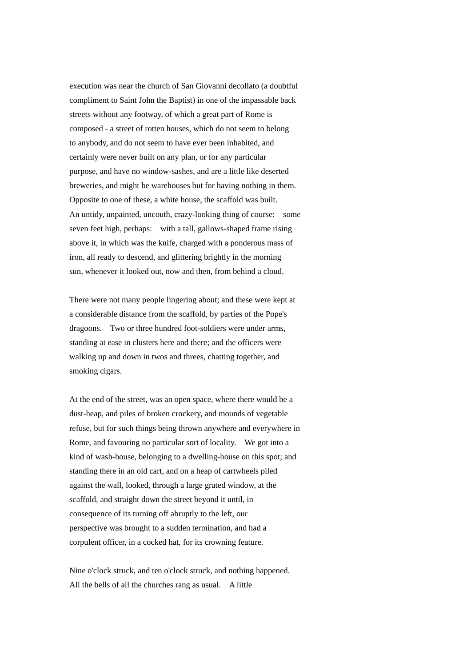execution was near the church of San Giovanni decollato (a doubtful compliment to Saint John the Baptist) in one of the impassable back streets without any footway, of which a great part of Rome is composed - a street of rotten houses, which do not seem to belong to anybody, and do not seem to have ever been inhabited, and certainly were never built on any plan, or for any particular purpose, and have no window-sashes, and are a little like deserted breweries, and might be warehouses but for having nothing in them. Opposite to one of these, a white house, the scaffold was built. An untidy, unpainted, uncouth, crazy-looking thing of course: some seven feet high, perhaps: with a tall, gallows-shaped frame rising above it, in which was the knife, charged with a ponderous mass of iron, all ready to descend, and glittering brightly in the morning sun, whenever it looked out, now and then, from behind a cloud.

There were not many people lingering about; and these were kept at a considerable distance from the scaffold, by parties of the Pope's dragoons. Two or three hundred foot-soldiers were under arms, standing at ease in clusters here and there; and the officers were walking up and down in twos and threes, chatting together, and smoking cigars.

At the end of the street, was an open space, where there would be a dust-heap, and piles of broken crockery, and mounds of vegetable refuse, but for such things being thrown anywhere and everywhere in Rome, and favouring no particular sort of locality. We got into a kind of wash-house, belonging to a dwelling-house on this spot; and standing there in an old cart, and on a heap of cartwheels piled against the wall, looked, through a large grated window, at the scaffold, and straight down the street beyond it until, in consequence of its turning off abruptly to the left, our perspective was brought to a sudden termination, and had a corpulent officer, in a cocked hat, for its crowning feature.

Nine o'clock struck, and ten o'clock struck, and nothing happened. All the bells of all the churches rang as usual. A little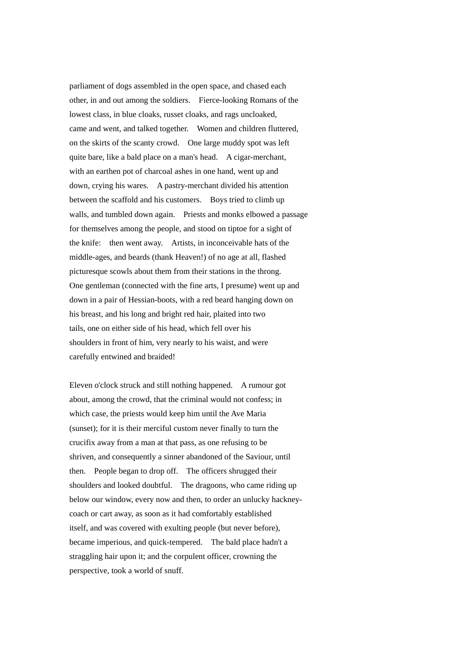parliament of dogs assembled in the open space, and chased each other, in and out among the soldiers. Fierce-looking Romans of the lowest class, in blue cloaks, russet cloaks, and rags uncloaked, came and went, and talked together. Women and children fluttered, on the skirts of the scanty crowd. One large muddy spot was left quite bare, like a bald place on a man's head. A cigar-merchant, with an earthen pot of charcoal ashes in one hand, went up and down, crying his wares. A pastry-merchant divided his attention between the scaffold and his customers. Boys tried to climb up walls, and tumbled down again. Priests and monks elbowed a passage for themselves among the people, and stood on tiptoe for a sight of the knife: then went away. Artists, in inconceivable hats of the middle-ages, and beards (thank Heaven!) of no age at all, flashed picturesque scowls about them from their stations in the throng. One gentleman (connected with the fine arts, I presume) went up and down in a pair of Hessian-boots, with a red beard hanging down on his breast, and his long and bright red hair, plaited into two tails, one on either side of his head, which fell over his shoulders in front of him, very nearly to his waist, and were carefully entwined and braided!

Eleven o'clock struck and still nothing happened. A rumour got about, among the crowd, that the criminal would not confess; in which case, the priests would keep him until the Ave Maria (sunset); for it is their merciful custom never finally to turn the crucifix away from a man at that pass, as one refusing to be shriven, and consequently a sinner abandoned of the Saviour, until then. People began to drop off. The officers shrugged their shoulders and looked doubtful. The dragoons, who came riding up below our window, every now and then, to order an unlucky hackneycoach or cart away, as soon as it had comfortably established itself, and was covered with exulting people (but never before), became imperious, and quick-tempered. The bald place hadn't a straggling hair upon it; and the corpulent officer, crowning the perspective, took a world of snuff.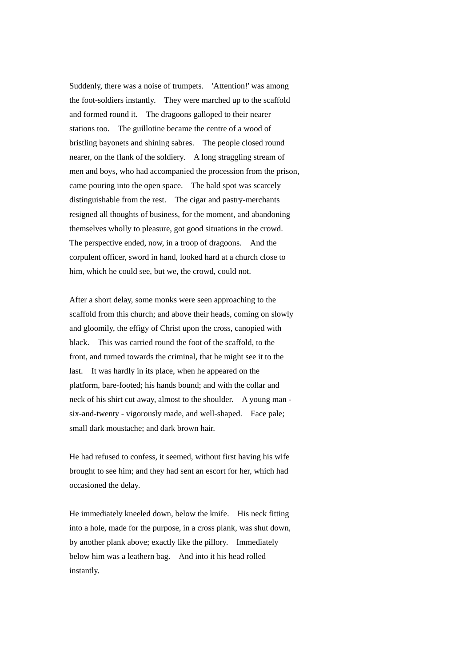Suddenly, there was a noise of trumpets. 'Attention!' was among the foot-soldiers instantly. They were marched up to the scaffold and formed round it. The dragoons galloped to their nearer stations too. The guillotine became the centre of a wood of bristling bayonets and shining sabres. The people closed round nearer, on the flank of the soldiery. A long straggling stream of men and boys, who had accompanied the procession from the prison, came pouring into the open space. The bald spot was scarcely distinguishable from the rest. The cigar and pastry-merchants resigned all thoughts of business, for the moment, and abandoning themselves wholly to pleasure, got good situations in the crowd. The perspective ended, now, in a troop of dragoons. And the corpulent officer, sword in hand, looked hard at a church close to him, which he could see, but we, the crowd, could not.

After a short delay, some monks were seen approaching to the scaffold from this church; and above their heads, coming on slowly and gloomily, the effigy of Christ upon the cross, canopied with black. This was carried round the foot of the scaffold, to the front, and turned towards the criminal, that he might see it to the last. It was hardly in its place, when he appeared on the platform, bare-footed; his hands bound; and with the collar and neck of his shirt cut away, almost to the shoulder. A young man six-and-twenty - vigorously made, and well-shaped. Face pale; small dark moustache; and dark brown hair.

He had refused to confess, it seemed, without first having his wife brought to see him; and they had sent an escort for her, which had occasioned the delay.

He immediately kneeled down, below the knife. His neck fitting into a hole, made for the purpose, in a cross plank, was shut down, by another plank above; exactly like the pillory. Immediately below him was a leathern bag. And into it his head rolled instantly.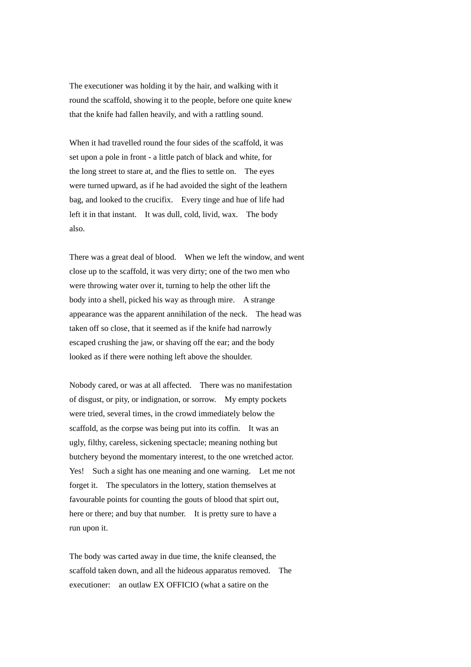The executioner was holding it by the hair, and walking with it round the scaffold, showing it to the people, before one quite knew that the knife had fallen heavily, and with a rattling sound.

When it had travelled round the four sides of the scaffold, it was set upon a pole in front - a little patch of black and white, for the long street to stare at, and the flies to settle on. The eyes were turned upward, as if he had avoided the sight of the leathern bag, and looked to the crucifix. Every tinge and hue of life had left it in that instant. It was dull, cold, livid, wax. The body also.

There was a great deal of blood. When we left the window, and went close up to the scaffold, it was very dirty; one of the two men who were throwing water over it, turning to help the other lift the body into a shell, picked his way as through mire. A strange appearance was the apparent annihilation of the neck. The head was taken off so close, that it seemed as if the knife had narrowly escaped crushing the jaw, or shaving off the ear; and the body looked as if there were nothing left above the shoulder.

Nobody cared, or was at all affected. There was no manifestation of disgust, or pity, or indignation, or sorrow. My empty pockets were tried, several times, in the crowd immediately below the scaffold, as the corpse was being put into its coffin. It was an ugly, filthy, careless, sickening spectacle; meaning nothing but butchery beyond the momentary interest, to the one wretched actor. Yes! Such a sight has one meaning and one warning. Let me not forget it. The speculators in the lottery, station themselves at favourable points for counting the gouts of blood that spirt out, here or there; and buy that number. It is pretty sure to have a run upon it.

The body was carted away in due time, the knife cleansed, the scaffold taken down, and all the hideous apparatus removed. The executioner: an outlaw EX OFFICIO (what a satire on the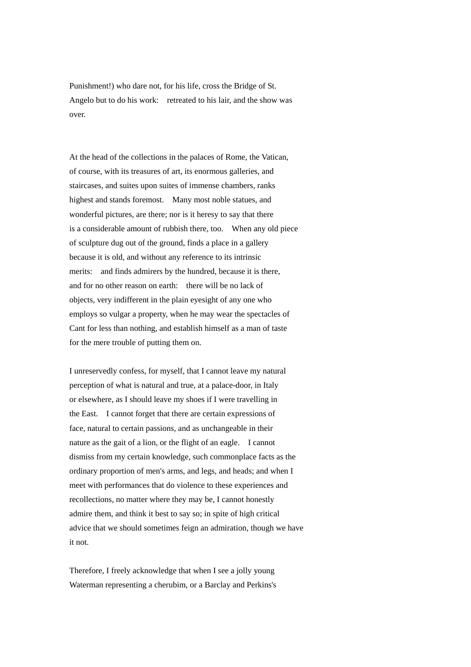Punishment!) who dare not, for his life, cross the Bridge of St. Angelo but to do his work: retreated to his lair, and the show was over.

At the head of the collections in the palaces of Rome, the Vatican, of course, with its treasures of art, its enormous galleries, and staircases, and suites upon suites of immense chambers, ranks highest and stands foremost. Many most noble statues, and wonderful pictures, are there; nor is it heresy to say that there is a considerable amount of rubbish there, too. When any old piece of sculpture dug out of the ground, finds a place in a gallery because it is old, and without any reference to its intrinsic merits: and finds admirers by the hundred, because it is there, and for no other reason on earth: there will be no lack of objects, very indifferent in the plain eyesight of any one who employs so vulgar a property, when he may wear the spectacles of Cant for less than nothing, and establish himself as a man of taste for the mere trouble of putting them on.

I unreservedly confess, for myself, that I cannot leave my natural perception of what is natural and true, at a palace-door, in Italy or elsewhere, as I should leave my shoes if I were travelling in the East. I cannot forget that there are certain expressions of face, natural to certain passions, and as unchangeable in their nature as the gait of a lion, or the flight of an eagle. I cannot dismiss from my certain knowledge, such commonplace facts as the ordinary proportion of men's arms, and legs, and heads; and when I meet with performances that do violence to these experiences and recollections, no matter where they may be, I cannot honestly admire them, and think it best to say so; in spite of high critical advice that we should sometimes feign an admiration, though we have it not.

Therefore, I freely acknowledge that when I see a jolly young Waterman representing a cherubim, or a Barclay and Perkins's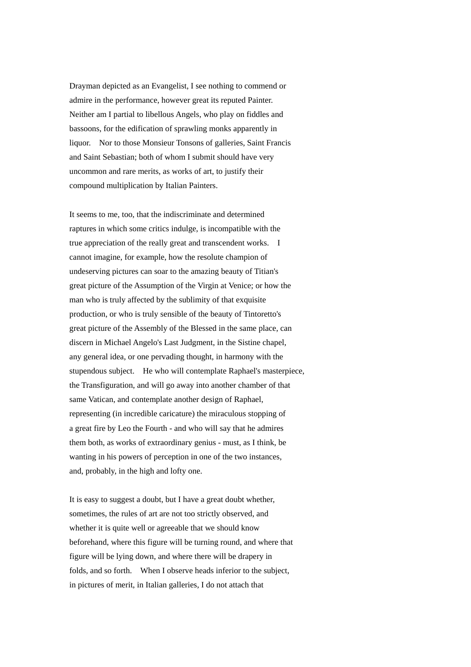Drayman depicted as an Evangelist, I see nothing to commend or admire in the performance, however great its reputed Painter. Neither am I partial to libellous Angels, who play on fiddles and bassoons, for the edification of sprawling monks apparently in liquor. Nor to those Monsieur Tonsons of galleries, Saint Francis and Saint Sebastian; both of whom I submit should have very uncommon and rare merits, as works of art, to justify their compound multiplication by Italian Painters.

It seems to me, too, that the indiscriminate and determined raptures in which some critics indulge, is incompatible with the true appreciation of the really great and transcendent works. I cannot imagine, for example, how the resolute champion of undeserving pictures can soar to the amazing beauty of Titian's great picture of the Assumption of the Virgin at Venice; or how the man who is truly affected by the sublimity of that exquisite production, or who is truly sensible of the beauty of Tintoretto's great picture of the Assembly of the Blessed in the same place, can discern in Michael Angelo's Last Judgment, in the Sistine chapel, any general idea, or one pervading thought, in harmony with the stupendous subject. He who will contemplate Raphael's masterpiece, the Transfiguration, and will go away into another chamber of that same Vatican, and contemplate another design of Raphael, representing (in incredible caricature) the miraculous stopping of a great fire by Leo the Fourth - and who will say that he admires them both, as works of extraordinary genius - must, as I think, be wanting in his powers of perception in one of the two instances, and, probably, in the high and lofty one.

It is easy to suggest a doubt, but I have a great doubt whether, sometimes, the rules of art are not too strictly observed, and whether it is quite well or agreeable that we should know beforehand, where this figure will be turning round, and where that figure will be lying down, and where there will be drapery in folds, and so forth. When I observe heads inferior to the subject, in pictures of merit, in Italian galleries, I do not attach that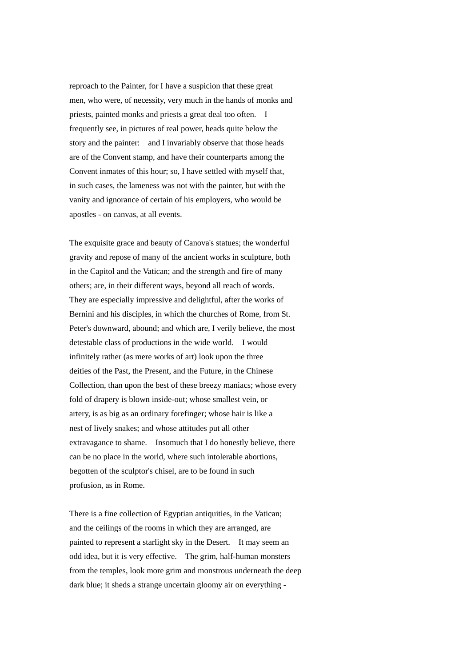reproach to the Painter, for I have a suspicion that these great men, who were, of necessity, very much in the hands of monks and priests, painted monks and priests a great deal too often. I frequently see, in pictures of real power, heads quite below the story and the painter: and I invariably observe that those heads are of the Convent stamp, and have their counterparts among the Convent inmates of this hour; so, I have settled with myself that, in such cases, the lameness was not with the painter, but with the vanity and ignorance of certain of his employers, who would be apostles - on canvas, at all events.

The exquisite grace and beauty of Canova's statues; the wonderful gravity and repose of many of the ancient works in sculpture, both in the Capitol and the Vatican; and the strength and fire of many others; are, in their different ways, beyond all reach of words. They are especially impressive and delightful, after the works of Bernini and his disciples, in which the churches of Rome, from St. Peter's downward, abound; and which are, I verily believe, the most detestable class of productions in the wide world. I would infinitely rather (as mere works of art) look upon the three deities of the Past, the Present, and the Future, in the Chinese Collection, than upon the best of these breezy maniacs; whose every fold of drapery is blown inside-out; whose smallest vein, or artery, is as big as an ordinary forefinger; whose hair is like a nest of lively snakes; and whose attitudes put all other extravagance to shame. Insomuch that I do honestly believe, there can be no place in the world, where such intolerable abortions, begotten of the sculptor's chisel, are to be found in such profusion, as in Rome.

There is a fine collection of Egyptian antiquities, in the Vatican; and the ceilings of the rooms in which they are arranged, are painted to represent a starlight sky in the Desert. It may seem an odd idea, but it is very effective. The grim, half-human monsters from the temples, look more grim and monstrous underneath the deep dark blue; it sheds a strange uncertain gloomy air on everything -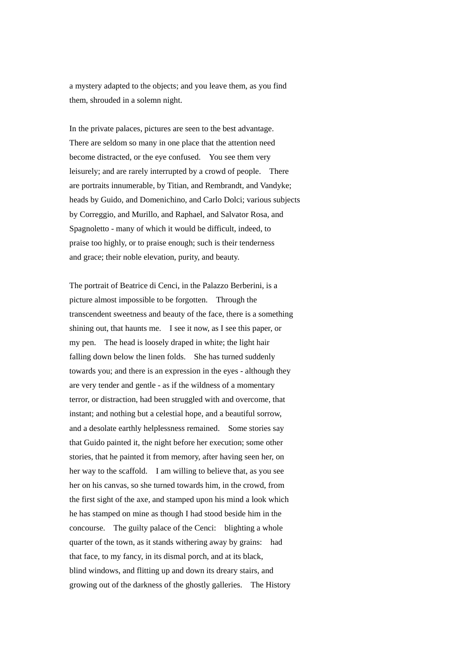a mystery adapted to the objects; and you leave them, as you find them, shrouded in a solemn night.

In the private palaces, pictures are seen to the best advantage. There are seldom so many in one place that the attention need become distracted, or the eye confused. You see them very leisurely; and are rarely interrupted by a crowd of people. There are portraits innumerable, by Titian, and Rembrandt, and Vandyke; heads by Guido, and Domenichino, and Carlo Dolci; various subjects by Correggio, and Murillo, and Raphael, and Salvator Rosa, and Spagnoletto - many of which it would be difficult, indeed, to praise too highly, or to praise enough; such is their tenderness and grace; their noble elevation, purity, and beauty.

The portrait of Beatrice di Cenci, in the Palazzo Berberini, is a picture almost impossible to be forgotten. Through the transcendent sweetness and beauty of the face, there is a something shining out, that haunts me. I see it now, as I see this paper, or my pen. The head is loosely draped in white; the light hair falling down below the linen folds. She has turned suddenly towards you; and there is an expression in the eyes - although they are very tender and gentle - as if the wildness of a momentary terror, or distraction, had been struggled with and overcome, that instant; and nothing but a celestial hope, and a beautiful sorrow, and a desolate earthly helplessness remained. Some stories say that Guido painted it, the night before her execution; some other stories, that he painted it from memory, after having seen her, on her way to the scaffold. I am willing to believe that, as you see her on his canvas, so she turned towards him, in the crowd, from the first sight of the axe, and stamped upon his mind a look which he has stamped on mine as though I had stood beside him in the concourse. The guilty palace of the Cenci: blighting a whole quarter of the town, as it stands withering away by grains: had that face, to my fancy, in its dismal porch, and at its black, blind windows, and flitting up and down its dreary stairs, and growing out of the darkness of the ghostly galleries. The History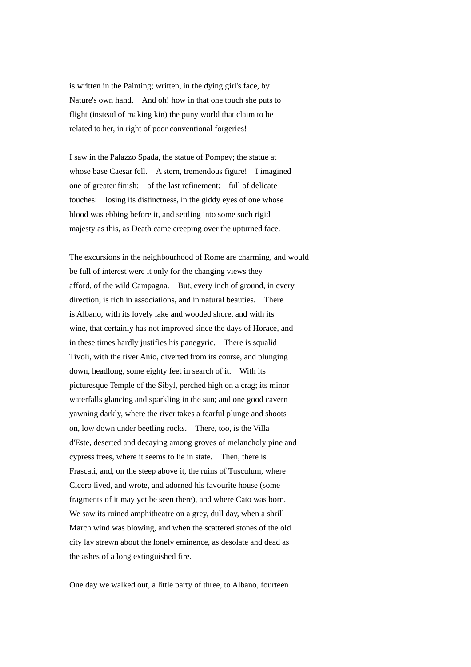is written in the Painting; written, in the dying girl's face, by Nature's own hand. And oh! how in that one touch she puts to flight (instead of making kin) the puny world that claim to be related to her, in right of poor conventional forgeries!

I saw in the Palazzo Spada, the statue of Pompey; the statue at whose base Caesar fell. A stern, tremendous figure! I imagined one of greater finish: of the last refinement: full of delicate touches: losing its distinctness, in the giddy eyes of one whose blood was ebbing before it, and settling into some such rigid majesty as this, as Death came creeping over the upturned face.

The excursions in the neighbourhood of Rome are charming, and would be full of interest were it only for the changing views they afford, of the wild Campagna. But, every inch of ground, in every direction, is rich in associations, and in natural beauties. There is Albano, with its lovely lake and wooded shore, and with its wine, that certainly has not improved since the days of Horace, and in these times hardly justifies his panegyric. There is squalid Tivoli, with the river Anio, diverted from its course, and plunging down, headlong, some eighty feet in search of it. With its picturesque Temple of the Sibyl, perched high on a crag; its minor waterfalls glancing and sparkling in the sun; and one good cavern yawning darkly, where the river takes a fearful plunge and shoots on, low down under beetling rocks. There, too, is the Villa d'Este, deserted and decaying among groves of melancholy pine and cypress trees, where it seems to lie in state. Then, there is Frascati, and, on the steep above it, the ruins of Tusculum, where Cicero lived, and wrote, and adorned his favourite house (some fragments of it may yet be seen there), and where Cato was born. We saw its ruined amphitheatre on a grey, dull day, when a shrill March wind was blowing, and when the scattered stones of the old city lay strewn about the lonely eminence, as desolate and dead as the ashes of a long extinguished fire.

One day we walked out, a little party of three, to Albano, fourteen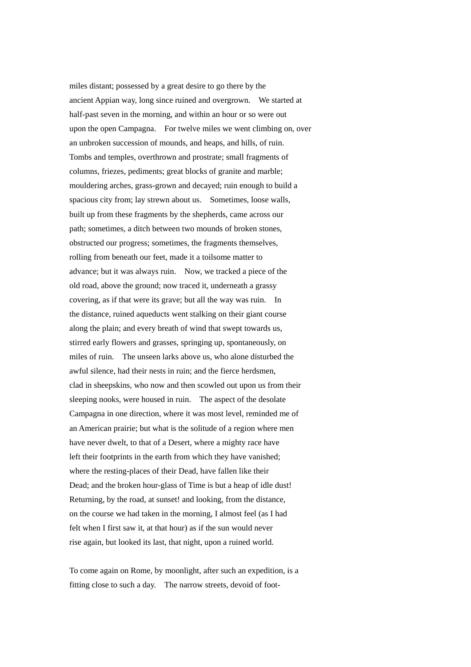miles distant; possessed by a great desire to go there by the ancient Appian way, long since ruined and overgrown. We started at half-past seven in the morning, and within an hour or so were out upon the open Campagna. For twelve miles we went climbing on, over an unbroken succession of mounds, and heaps, and hills, of ruin. Tombs and temples, overthrown and prostrate; small fragments of columns, friezes, pediments; great blocks of granite and marble; mouldering arches, grass-grown and decayed; ruin enough to build a spacious city from; lay strewn about us. Sometimes, loose walls, built up from these fragments by the shepherds, came across our path; sometimes, a ditch between two mounds of broken stones, obstructed our progress; sometimes, the fragments themselves, rolling from beneath our feet, made it a toilsome matter to advance; but it was always ruin. Now, we tracked a piece of the old road, above the ground; now traced it, underneath a grassy covering, as if that were its grave; but all the way was ruin. In the distance, ruined aqueducts went stalking on their giant course along the plain; and every breath of wind that swept towards us, stirred early flowers and grasses, springing up, spontaneously, on miles of ruin. The unseen larks above us, who alone disturbed the awful silence, had their nests in ruin; and the fierce herdsmen, clad in sheepskins, who now and then scowled out upon us from their sleeping nooks, were housed in ruin. The aspect of the desolate Campagna in one direction, where it was most level, reminded me of an American prairie; but what is the solitude of a region where men have never dwelt, to that of a Desert, where a mighty race have left their footprints in the earth from which they have vanished; where the resting-places of their Dead, have fallen like their Dead; and the broken hour-glass of Time is but a heap of idle dust! Returning, by the road, at sunset! and looking, from the distance, on the course we had taken in the morning, I almost feel (as I had felt when I first saw it, at that hour) as if the sun would never rise again, but looked its last, that night, upon a ruined world.

To come again on Rome, by moonlight, after such an expedition, is a fitting close to such a day. The narrow streets, devoid of foot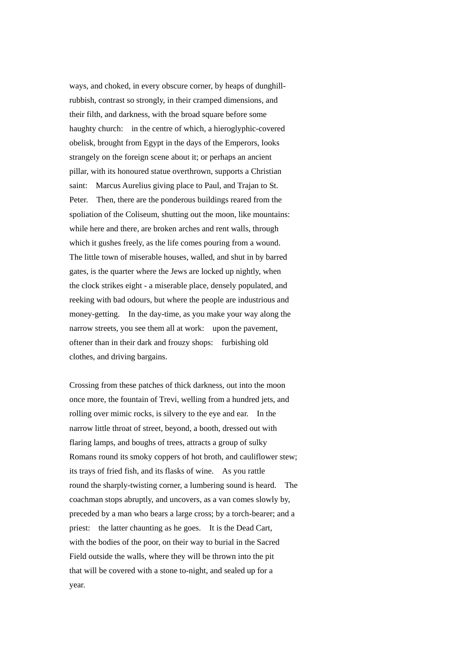ways, and choked, in every obscure corner, by heaps of dunghillrubbish, contrast so strongly, in their cramped dimensions, and their filth, and darkness, with the broad square before some haughty church: in the centre of which, a hieroglyphic-covered obelisk, brought from Egypt in the days of the Emperors, looks strangely on the foreign scene about it; or perhaps an ancient pillar, with its honoured statue overthrown, supports a Christian saint: Marcus Aurelius giving place to Paul, and Trajan to St. Peter. Then, there are the ponderous buildings reared from the spoliation of the Coliseum, shutting out the moon, like mountains: while here and there, are broken arches and rent walls, through which it gushes freely, as the life comes pouring from a wound. The little town of miserable houses, walled, and shut in by barred gates, is the quarter where the Jews are locked up nightly, when the clock strikes eight - a miserable place, densely populated, and reeking with bad odours, but where the people are industrious and money-getting. In the day-time, as you make your way along the narrow streets, you see them all at work: upon the pavement, oftener than in their dark and frouzy shops: furbishing old clothes, and driving bargains.

Crossing from these patches of thick darkness, out into the moon once more, the fountain of Trevi, welling from a hundred jets, and rolling over mimic rocks, is silvery to the eye and ear. In the narrow little throat of street, beyond, a booth, dressed out with flaring lamps, and boughs of trees, attracts a group of sulky Romans round its smoky coppers of hot broth, and cauliflower stew; its trays of fried fish, and its flasks of wine. As you rattle round the sharply-twisting corner, a lumbering sound is heard. The coachman stops abruptly, and uncovers, as a van comes slowly by, preceded by a man who bears a large cross; by a torch-bearer; and a priest: the latter chaunting as he goes. It is the Dead Cart, with the bodies of the poor, on their way to burial in the Sacred Field outside the walls, where they will be thrown into the pit that will be covered with a stone to-night, and sealed up for a year.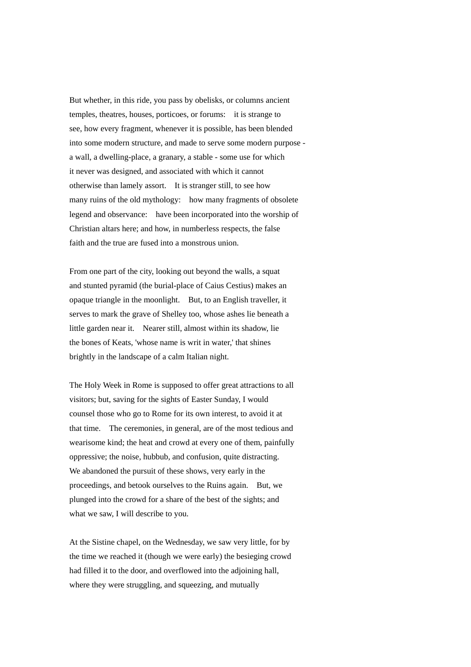But whether, in this ride, you pass by obelisks, or columns ancient temples, theatres, houses, porticoes, or forums: it is strange to see, how every fragment, whenever it is possible, has been blended into some modern structure, and made to serve some modern purpose a wall, a dwelling-place, a granary, a stable - some use for which it never was designed, and associated with which it cannot otherwise than lamely assort. It is stranger still, to see how many ruins of the old mythology: how many fragments of obsolete legend and observance: have been incorporated into the worship of Christian altars here; and how, in numberless respects, the false faith and the true are fused into a monstrous union.

From one part of the city, looking out beyond the walls, a squat and stunted pyramid (the burial-place of Caius Cestius) makes an opaque triangle in the moonlight. But, to an English traveller, it serves to mark the grave of Shelley too, whose ashes lie beneath a little garden near it. Nearer still, almost within its shadow, lie the bones of Keats, 'whose name is writ in water,' that shines brightly in the landscape of a calm Italian night.

The Holy Week in Rome is supposed to offer great attractions to all visitors; but, saving for the sights of Easter Sunday, I would counsel those who go to Rome for its own interest, to avoid it at that time. The ceremonies, in general, are of the most tedious and wearisome kind; the heat and crowd at every one of them, painfully oppressive; the noise, hubbub, and confusion, quite distracting. We abandoned the pursuit of these shows, very early in the proceedings, and betook ourselves to the Ruins again. But, we plunged into the crowd for a share of the best of the sights; and what we saw, I will describe to you.

At the Sistine chapel, on the Wednesday, we saw very little, for by the time we reached it (though we were early) the besieging crowd had filled it to the door, and overflowed into the adjoining hall, where they were struggling, and squeezing, and mutually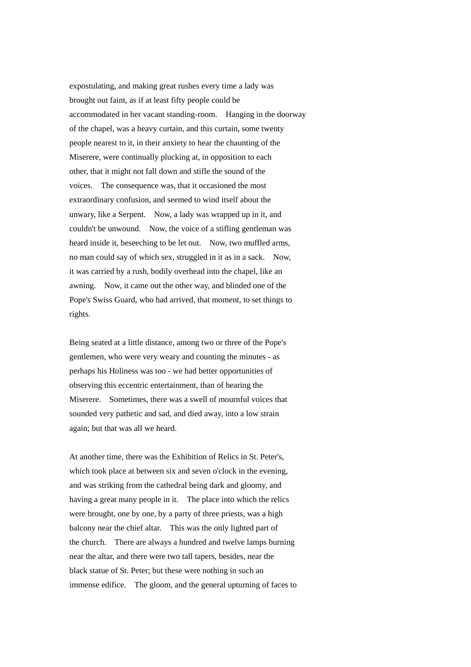expostulating, and making great rushes every time a lady was brought out faint, as if at least fifty people could be accommodated in her vacant standing-room. Hanging in the doorway of the chapel, was a heavy curtain, and this curtain, some twenty people nearest to it, in their anxiety to hear the chaunting of the Miserere, were continually plucking at, in opposition to each other, that it might not fall down and stifle the sound of the voices. The consequence was, that it occasioned the most extraordinary confusion, and seemed to wind itself about the unwary, like a Serpent. Now, a lady was wrapped up in it, and couldn't be unwound. Now, the voice of a stifling gentleman was heard inside it, beseeching to be let out. Now, two muffled arms, no man could say of which sex, struggled in it as in a sack. Now, it was carried by a rush, bodily overhead into the chapel, like an awning. Now, it came out the other way, and blinded one of the Pope's Swiss Guard, who had arrived, that moment, to set things to rights.

Being seated at a little distance, among two or three of the Pope's gentlemen, who were very weary and counting the minutes - as perhaps his Holiness was too - we had better opportunities of observing this eccentric entertainment, than of hearing the Miserere. Sometimes, there was a swell of mournful voices that sounded very pathetic and sad, and died away, into a low strain again; but that was all we heard.

At another time, there was the Exhibition of Relics in St. Peter's, which took place at between six and seven o'clock in the evening, and was striking from the cathedral being dark and gloomy, and having a great many people in it. The place into which the relics were brought, one by one, by a party of three priests, was a high balcony near the chief altar. This was the only lighted part of the church. There are always a hundred and twelve lamps burning near the altar, and there were two tall tapers, besides, near the black statue of St. Peter; but these were nothing in such an immense edifice. The gloom, and the general upturning of faces to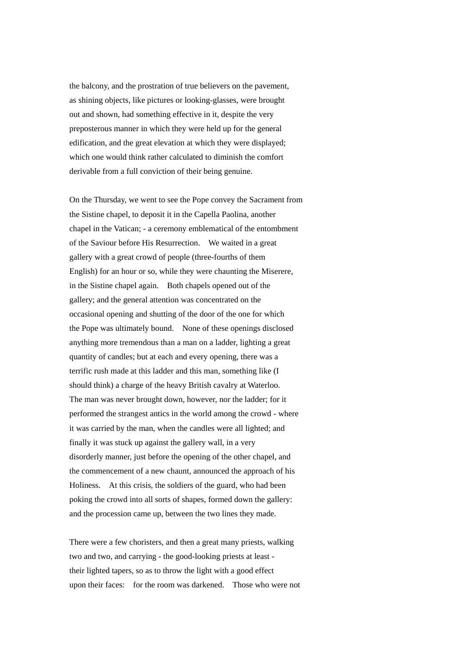the balcony, and the prostration of true believers on the pavement, as shining objects, like pictures or looking-glasses, were brought out and shown, had something effective in it, despite the very preposterous manner in which they were held up for the general edification, and the great elevation at which they were displayed; which one would think rather calculated to diminish the comfort derivable from a full conviction of their being genuine.

On the Thursday, we went to see the Pope convey the Sacrament from the Sistine chapel, to deposit it in the Capella Paolina, another chapel in the Vatican; - a ceremony emblematical of the entombment of the Saviour before His Resurrection. We waited in a great gallery with a great crowd of people (three-fourths of them English) for an hour or so, while they were chaunting the Miserere, in the Sistine chapel again. Both chapels opened out of the gallery; and the general attention was concentrated on the occasional opening and shutting of the door of the one for which the Pope was ultimately bound. None of these openings disclosed anything more tremendous than a man on a ladder, lighting a great quantity of candles; but at each and every opening, there was a terrific rush made at this ladder and this man, something like (I should think) a charge of the heavy British cavalry at Waterloo. The man was never brought down, however, nor the ladder; for it performed the strangest antics in the world among the crowd - where it was carried by the man, when the candles were all lighted; and finally it was stuck up against the gallery wall, in a very disorderly manner, just before the opening of the other chapel, and the commencement of a new chaunt, announced the approach of his Holiness. At this crisis, the soldiers of the guard, who had been poking the crowd into all sorts of shapes, formed down the gallery: and the procession came up, between the two lines they made.

There were a few choristers, and then a great many priests, walking two and two, and carrying - the good-looking priests at least their lighted tapers, so as to throw the light with a good effect upon their faces: for the room was darkened. Those who were not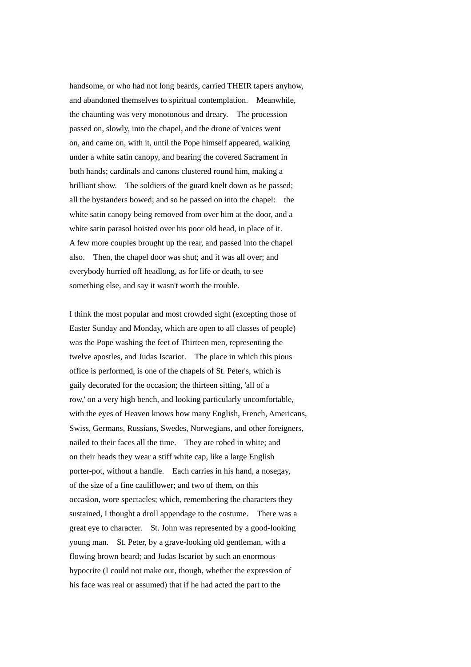handsome, or who had not long beards, carried THEIR tapers anyhow, and abandoned themselves to spiritual contemplation. Meanwhile, the chaunting was very monotonous and dreary. The procession passed on, slowly, into the chapel, and the drone of voices went on, and came on, with it, until the Pope himself appeared, walking under a white satin canopy, and bearing the covered Sacrament in both hands; cardinals and canons clustered round him, making a brilliant show. The soldiers of the guard knelt down as he passed; all the bystanders bowed; and so he passed on into the chapel: the white satin canopy being removed from over him at the door, and a white satin parasol hoisted over his poor old head, in place of it. A few more couples brought up the rear, and passed into the chapel also. Then, the chapel door was shut; and it was all over; and everybody hurried off headlong, as for life or death, to see something else, and say it wasn't worth the trouble.

I think the most popular and most crowded sight (excepting those of Easter Sunday and Monday, which are open to all classes of people) was the Pope washing the feet of Thirteen men, representing the twelve apostles, and Judas Iscariot. The place in which this pious office is performed, is one of the chapels of St. Peter's, which is gaily decorated for the occasion; the thirteen sitting, 'all of a row,' on a very high bench, and looking particularly uncomfortable, with the eyes of Heaven knows how many English, French, Americans, Swiss, Germans, Russians, Swedes, Norwegians, and other foreigners, nailed to their faces all the time. They are robed in white; and on their heads they wear a stiff white cap, like a large English porter-pot, without a handle. Each carries in his hand, a nosegay, of the size of a fine cauliflower; and two of them, on this occasion, wore spectacles; which, remembering the characters they sustained, I thought a droll appendage to the costume. There was a great eye to character. St. John was represented by a good-looking young man. St. Peter, by a grave-looking old gentleman, with a flowing brown beard; and Judas Iscariot by such an enormous hypocrite (I could not make out, though, whether the expression of his face was real or assumed) that if he had acted the part to the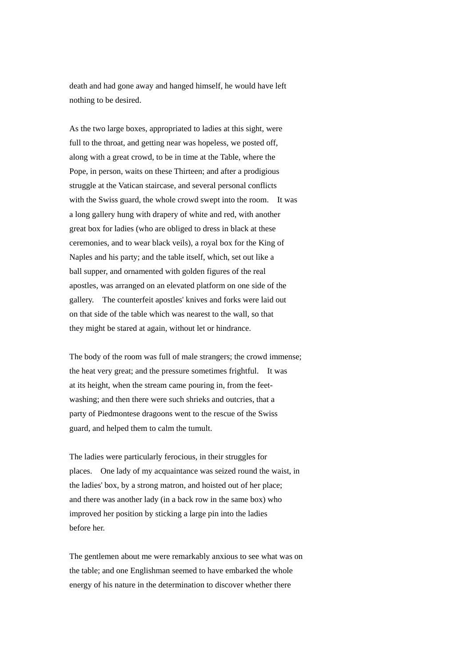death and had gone away and hanged himself, he would have left nothing to be desired.

As the two large boxes, appropriated to ladies at this sight, were full to the throat, and getting near was hopeless, we posted off, along with a great crowd, to be in time at the Table, where the Pope, in person, waits on these Thirteen; and after a prodigious struggle at the Vatican staircase, and several personal conflicts with the Swiss guard, the whole crowd swept into the room. It was a long gallery hung with drapery of white and red, with another great box for ladies (who are obliged to dress in black at these ceremonies, and to wear black veils), a royal box for the King of Naples and his party; and the table itself, which, set out like a ball supper, and ornamented with golden figures of the real apostles, was arranged on an elevated platform on one side of the gallery. The counterfeit apostles' knives and forks were laid out on that side of the table which was nearest to the wall, so that they might be stared at again, without let or hindrance.

The body of the room was full of male strangers; the crowd immense; the heat very great; and the pressure sometimes frightful. It was at its height, when the stream came pouring in, from the feetwashing; and then there were such shrieks and outcries, that a party of Piedmontese dragoons went to the rescue of the Swiss guard, and helped them to calm the tumult.

The ladies were particularly ferocious, in their struggles for places. One lady of my acquaintance was seized round the waist, in the ladies' box, by a strong matron, and hoisted out of her place; and there was another lady (in a back row in the same box) who improved her position by sticking a large pin into the ladies before her.

The gentlemen about me were remarkably anxious to see what was on the table; and one Englishman seemed to have embarked the whole energy of his nature in the determination to discover whether there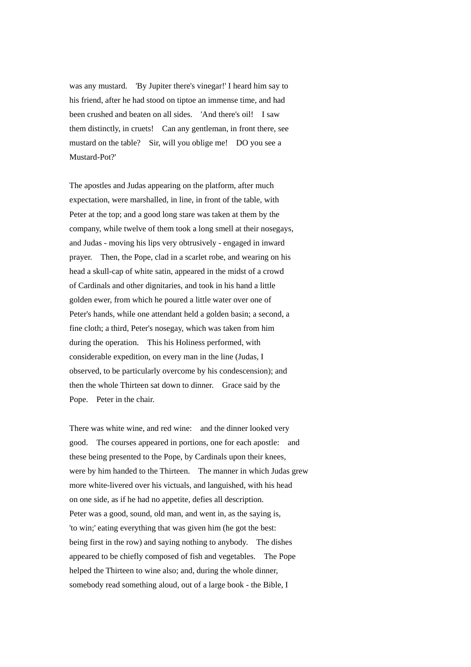was any mustard. 'By Jupiter there's vinegar!' I heard him say to his friend, after he had stood on tiptoe an immense time, and had been crushed and beaten on all sides. 'And there's oil! I saw them distinctly, in cruets! Can any gentleman, in front there, see mustard on the table? Sir, will you oblige me! DO you see a Mustard-Pot?'

The apostles and Judas appearing on the platform, after much expectation, were marshalled, in line, in front of the table, with Peter at the top; and a good long stare was taken at them by the company, while twelve of them took a long smell at their nosegays, and Judas - moving his lips very obtrusively - engaged in inward prayer. Then, the Pope, clad in a scarlet robe, and wearing on his head a skull-cap of white satin, appeared in the midst of a crowd of Cardinals and other dignitaries, and took in his hand a little golden ewer, from which he poured a little water over one of Peter's hands, while one attendant held a golden basin; a second, a fine cloth; a third, Peter's nosegay, which was taken from him during the operation. This his Holiness performed, with considerable expedition, on every man in the line (Judas, I observed, to be particularly overcome by his condescension); and then the whole Thirteen sat down to dinner. Grace said by the Pope. Peter in the chair.

There was white wine, and red wine: and the dinner looked very good. The courses appeared in portions, one for each apostle: and these being presented to the Pope, by Cardinals upon their knees, were by him handed to the Thirteen. The manner in which Judas grew more white-livered over his victuals, and languished, with his head on one side, as if he had no appetite, defies all description. Peter was a good, sound, old man, and went in, as the saying is, 'to win;' eating everything that was given him (he got the best: being first in the row) and saying nothing to anybody. The dishes appeared to be chiefly composed of fish and vegetables. The Pope helped the Thirteen to wine also; and, during the whole dinner, somebody read something aloud, out of a large book - the Bible, I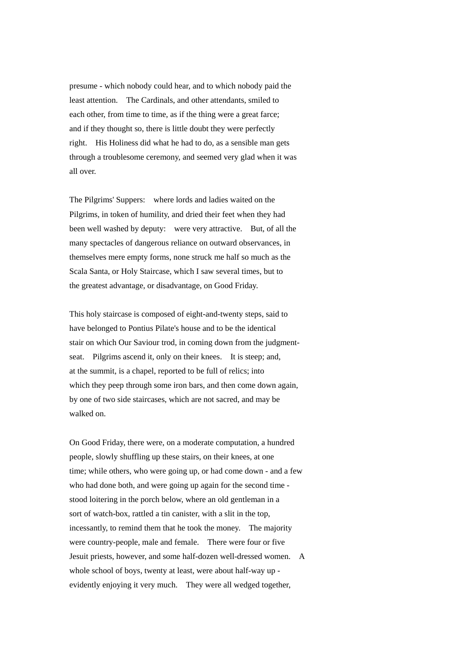presume - which nobody could hear, and to which nobody paid the least attention. The Cardinals, and other attendants, smiled to each other, from time to time, as if the thing were a great farce; and if they thought so, there is little doubt they were perfectly right. His Holiness did what he had to do, as a sensible man gets through a troublesome ceremony, and seemed very glad when it was all over.

The Pilgrims' Suppers: where lords and ladies waited on the Pilgrims, in token of humility, and dried their feet when they had been well washed by deputy: were very attractive. But, of all the many spectacles of dangerous reliance on outward observances, in themselves mere empty forms, none struck me half so much as the Scala Santa, or Holy Staircase, which I saw several times, but to the greatest advantage, or disadvantage, on Good Friday.

This holy staircase is composed of eight-and-twenty steps, said to have belonged to Pontius Pilate's house and to be the identical stair on which Our Saviour trod, in coming down from the judgmentseat. Pilgrims ascend it, only on their knees. It is steep; and, at the summit, is a chapel, reported to be full of relics; into which they peep through some iron bars, and then come down again, by one of two side staircases, which are not sacred, and may be walked on.

On Good Friday, there were, on a moderate computation, a hundred people, slowly shuffling up these stairs, on their knees, at one time; while others, who were going up, or had come down - and a few who had done both, and were going up again for the second time stood loitering in the porch below, where an old gentleman in a sort of watch-box, rattled a tin canister, with a slit in the top, incessantly, to remind them that he took the money. The majority were country-people, male and female. There were four or five Jesuit priests, however, and some half-dozen well-dressed women. A whole school of boys, twenty at least, were about half-way up evidently enjoying it very much. They were all wedged together,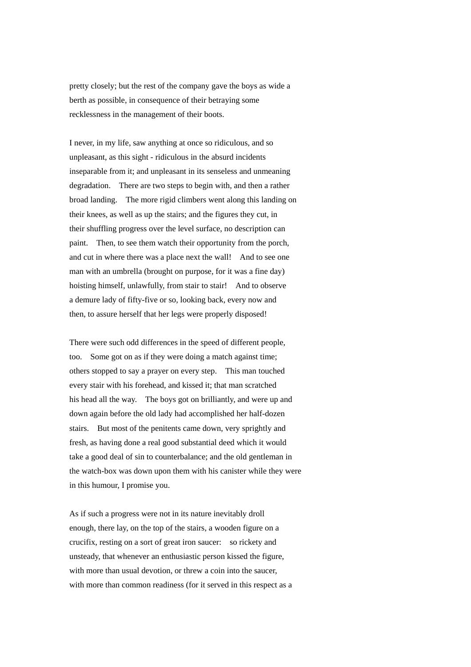pretty closely; but the rest of the company gave the boys as wide a berth as possible, in consequence of their betraying some recklessness in the management of their boots.

I never, in my life, saw anything at once so ridiculous, and so unpleasant, as this sight - ridiculous in the absurd incidents inseparable from it; and unpleasant in its senseless and unmeaning degradation. There are two steps to begin with, and then a rather broad landing. The more rigid climbers went along this landing on their knees, as well as up the stairs; and the figures they cut, in their shuffling progress over the level surface, no description can paint. Then, to see them watch their opportunity from the porch, and cut in where there was a place next the wall! And to see one man with an umbrella (brought on purpose, for it was a fine day) hoisting himself, unlawfully, from stair to stair! And to observe a demure lady of fifty-five or so, looking back, every now and then, to assure herself that her legs were properly disposed!

There were such odd differences in the speed of different people, too. Some got on as if they were doing a match against time; others stopped to say a prayer on every step. This man touched every stair with his forehead, and kissed it; that man scratched his head all the way. The boys got on brilliantly, and were up and down again before the old lady had accomplished her half-dozen stairs. But most of the penitents came down, very sprightly and fresh, as having done a real good substantial deed which it would take a good deal of sin to counterbalance; and the old gentleman in the watch-box was down upon them with his canister while they were in this humour, I promise you.

As if such a progress were not in its nature inevitably droll enough, there lay, on the top of the stairs, a wooden figure on a crucifix, resting on a sort of great iron saucer: so rickety and unsteady, that whenever an enthusiastic person kissed the figure, with more than usual devotion, or threw a coin into the saucer, with more than common readiness (for it served in this respect as a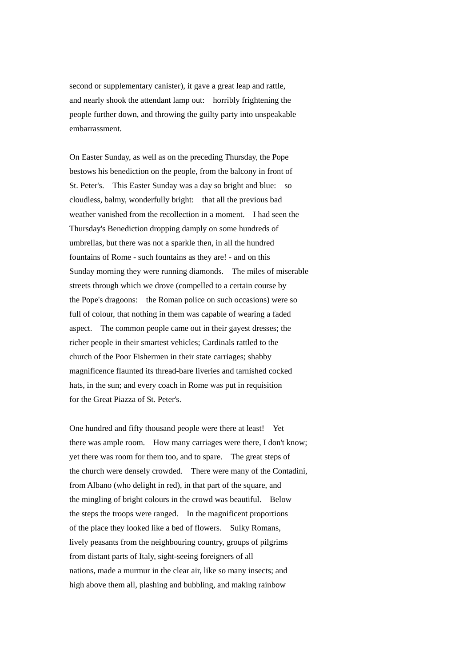second or supplementary canister), it gave a great leap and rattle, and nearly shook the attendant lamp out: horribly frightening the people further down, and throwing the guilty party into unspeakable embarrassment.

On Easter Sunday, as well as on the preceding Thursday, the Pope bestows his benediction on the people, from the balcony in front of St. Peter's. This Easter Sunday was a day so bright and blue: so cloudless, balmy, wonderfully bright: that all the previous bad weather vanished from the recollection in a moment. I had seen the Thursday's Benediction dropping damply on some hundreds of umbrellas, but there was not a sparkle then, in all the hundred fountains of Rome - such fountains as they are! - and on this Sunday morning they were running diamonds. The miles of miserable streets through which we drove (compelled to a certain course by the Pope's dragoons: the Roman police on such occasions) were so full of colour, that nothing in them was capable of wearing a faded aspect. The common people came out in their gayest dresses; the richer people in their smartest vehicles; Cardinals rattled to the church of the Poor Fishermen in their state carriages; shabby magnificence flaunted its thread-bare liveries and tarnished cocked hats, in the sun; and every coach in Rome was put in requisition for the Great Piazza of St. Peter's.

One hundred and fifty thousand people were there at least! Yet there was ample room. How many carriages were there, I don't know; yet there was room for them too, and to spare. The great steps of the church were densely crowded. There were many of the Contadini, from Albano (who delight in red), in that part of the square, and the mingling of bright colours in the crowd was beautiful. Below the steps the troops were ranged. In the magnificent proportions of the place they looked like a bed of flowers. Sulky Romans, lively peasants from the neighbouring country, groups of pilgrims from distant parts of Italy, sight-seeing foreigners of all nations, made a murmur in the clear air, like so many insects; and high above them all, plashing and bubbling, and making rainbow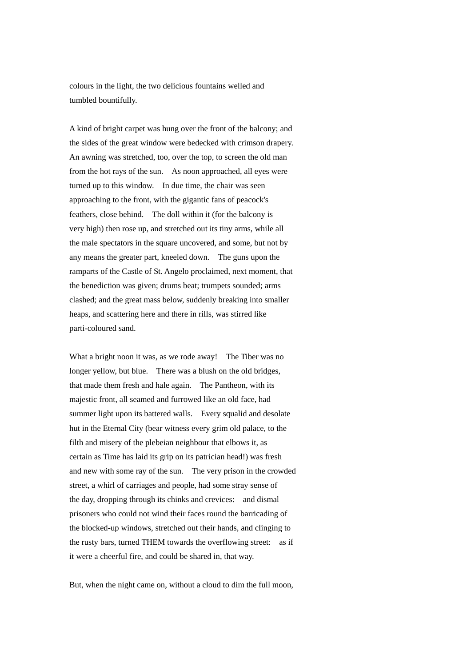colours in the light, the two delicious fountains welled and tumbled bountifully.

A kind of bright carpet was hung over the front of the balcony; and the sides of the great window were bedecked with crimson drapery. An awning was stretched, too, over the top, to screen the old man from the hot rays of the sun. As noon approached, all eyes were turned up to this window. In due time, the chair was seen approaching to the front, with the gigantic fans of peacock's feathers, close behind. The doll within it (for the balcony is very high) then rose up, and stretched out its tiny arms, while all the male spectators in the square uncovered, and some, but not by any means the greater part, kneeled down. The guns upon the ramparts of the Castle of St. Angelo proclaimed, next moment, that the benediction was given; drums beat; trumpets sounded; arms clashed; and the great mass below, suddenly breaking into smaller heaps, and scattering here and there in rills, was stirred like parti-coloured sand.

What a bright noon it was, as we rode away! The Tiber was no longer yellow, but blue. There was a blush on the old bridges, that made them fresh and hale again. The Pantheon, with its majestic front, all seamed and furrowed like an old face, had summer light upon its battered walls. Every squalid and desolate hut in the Eternal City (bear witness every grim old palace, to the filth and misery of the plebeian neighbour that elbows it, as certain as Time has laid its grip on its patrician head!) was fresh and new with some ray of the sun. The very prison in the crowded street, a whirl of carriages and people, had some stray sense of the day, dropping through its chinks and crevices: and dismal prisoners who could not wind their faces round the barricading of the blocked-up windows, stretched out their hands, and clinging to the rusty bars, turned THEM towards the overflowing street: as if it were a cheerful fire, and could be shared in, that way.

But, when the night came on, without a cloud to dim the full moon,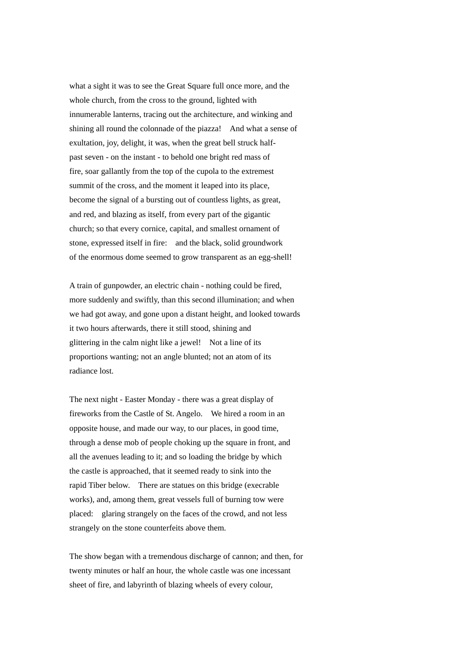what a sight it was to see the Great Square full once more, and the whole church, from the cross to the ground, lighted with innumerable lanterns, tracing out the architecture, and winking and shining all round the colonnade of the piazza! And what a sense of exultation, joy, delight, it was, when the great bell struck halfpast seven - on the instant - to behold one bright red mass of fire, soar gallantly from the top of the cupola to the extremest summit of the cross, and the moment it leaped into its place, become the signal of a bursting out of countless lights, as great, and red, and blazing as itself, from every part of the gigantic church; so that every cornice, capital, and smallest ornament of stone, expressed itself in fire: and the black, solid groundwork of the enormous dome seemed to grow transparent as an egg-shell!

A train of gunpowder, an electric chain - nothing could be fired, more suddenly and swiftly, than this second illumination; and when we had got away, and gone upon a distant height, and looked towards it two hours afterwards, there it still stood, shining and glittering in the calm night like a jewel! Not a line of its proportions wanting; not an angle blunted; not an atom of its radiance lost.

The next night - Easter Monday - there was a great display of fireworks from the Castle of St. Angelo. We hired a room in an opposite house, and made our way, to our places, in good time, through a dense mob of people choking up the square in front, and all the avenues leading to it; and so loading the bridge by which the castle is approached, that it seemed ready to sink into the rapid Tiber below. There are statues on this bridge (execrable works), and, among them, great vessels full of burning tow were placed: glaring strangely on the faces of the crowd, and not less strangely on the stone counterfeits above them.

The show began with a tremendous discharge of cannon; and then, for twenty minutes or half an hour, the whole castle was one incessant sheet of fire, and labyrinth of blazing wheels of every colour,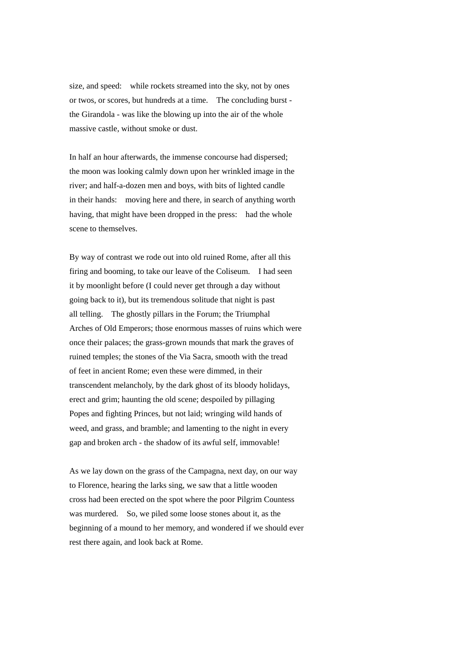size, and speed: while rockets streamed into the sky, not by ones or twos, or scores, but hundreds at a time. The concluding burst the Girandola - was like the blowing up into the air of the whole massive castle, without smoke or dust.

In half an hour afterwards, the immense concourse had dispersed; the moon was looking calmly down upon her wrinkled image in the river; and half-a-dozen men and boys, with bits of lighted candle in their hands: moving here and there, in search of anything worth having, that might have been dropped in the press: had the whole scene to themselves.

By way of contrast we rode out into old ruined Rome, after all this firing and booming, to take our leave of the Coliseum. I had seen it by moonlight before (I could never get through a day without going back to it), but its tremendous solitude that night is past all telling. The ghostly pillars in the Forum; the Triumphal Arches of Old Emperors; those enormous masses of ruins which were once their palaces; the grass-grown mounds that mark the graves of ruined temples; the stones of the Via Sacra, smooth with the tread of feet in ancient Rome; even these were dimmed, in their transcendent melancholy, by the dark ghost of its bloody holidays, erect and grim; haunting the old scene; despoiled by pillaging Popes and fighting Princes, but not laid; wringing wild hands of weed, and grass, and bramble; and lamenting to the night in every gap and broken arch - the shadow of its awful self, immovable!

As we lay down on the grass of the Campagna, next day, on our way to Florence, hearing the larks sing, we saw that a little wooden cross had been erected on the spot where the poor Pilgrim Countess was murdered. So, we piled some loose stones about it, as the beginning of a mound to her memory, and wondered if we should ever rest there again, and look back at Rome.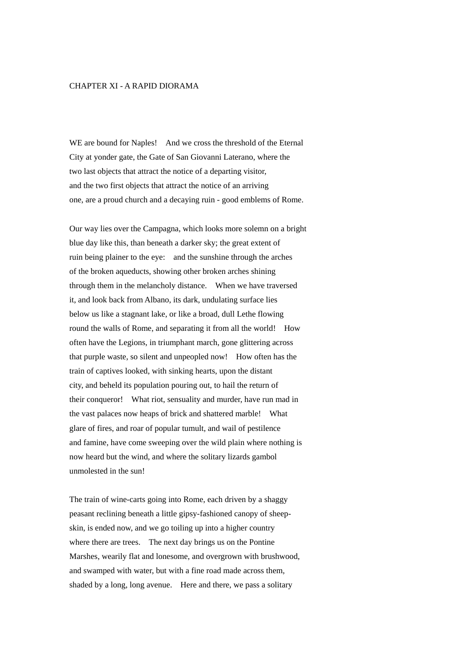## CHAPTER XI - A RAPID DIORAMA

WE are bound for Naples! And we cross the threshold of the Eternal City at yonder gate, the Gate of San Giovanni Laterano, where the two last objects that attract the notice of a departing visitor, and the two first objects that attract the notice of an arriving one, are a proud church and a decaying ruin - good emblems of Rome.

Our way lies over the Campagna, which looks more solemn on a bright blue day like this, than beneath a darker sky; the great extent of ruin being plainer to the eye: and the sunshine through the arches of the broken aqueducts, showing other broken arches shining through them in the melancholy distance. When we have traversed it, and look back from Albano, its dark, undulating surface lies below us like a stagnant lake, or like a broad, dull Lethe flowing round the walls of Rome, and separating it from all the world! How often have the Legions, in triumphant march, gone glittering across that purple waste, so silent and unpeopled now! How often has the train of captives looked, with sinking hearts, upon the distant city, and beheld its population pouring out, to hail the return of their conqueror! What riot, sensuality and murder, have run mad in the vast palaces now heaps of brick and shattered marble! What glare of fires, and roar of popular tumult, and wail of pestilence and famine, have come sweeping over the wild plain where nothing is now heard but the wind, and where the solitary lizards gambol unmolested in the sun!

The train of wine-carts going into Rome, each driven by a shaggy peasant reclining beneath a little gipsy-fashioned canopy of sheepskin, is ended now, and we go toiling up into a higher country where there are trees. The next day brings us on the Pontine Marshes, wearily flat and lonesome, and overgrown with brushwood, and swamped with water, but with a fine road made across them, shaded by a long, long avenue. Here and there, we pass a solitary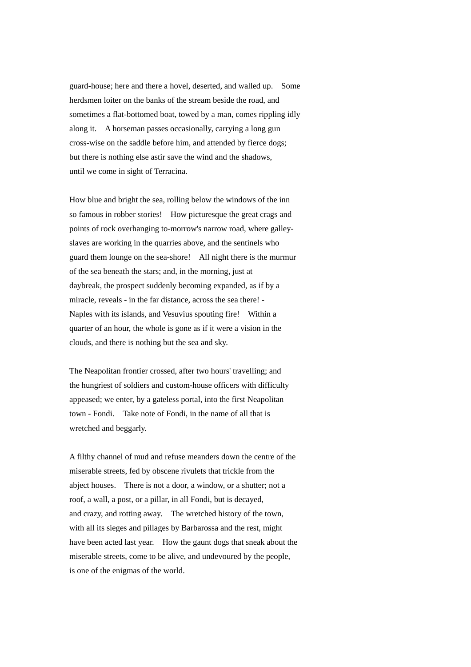guard-house; here and there a hovel, deserted, and walled up. Some herdsmen loiter on the banks of the stream beside the road, and sometimes a flat-bottomed boat, towed by a man, comes rippling idly along it. A horseman passes occasionally, carrying a long gun cross-wise on the saddle before him, and attended by fierce dogs; but there is nothing else astir save the wind and the shadows, until we come in sight of Terracina.

How blue and bright the sea, rolling below the windows of the inn so famous in robber stories! How picturesque the great crags and points of rock overhanging to-morrow's narrow road, where galleyslaves are working in the quarries above, and the sentinels who guard them lounge on the sea-shore! All night there is the murmur of the sea beneath the stars; and, in the morning, just at daybreak, the prospect suddenly becoming expanded, as if by a miracle, reveals - in the far distance, across the sea there! - Naples with its islands, and Vesuvius spouting fire! Within a quarter of an hour, the whole is gone as if it were a vision in the clouds, and there is nothing but the sea and sky.

The Neapolitan frontier crossed, after two hours' travelling; and the hungriest of soldiers and custom-house officers with difficulty appeased; we enter, by a gateless portal, into the first Neapolitan town - Fondi. Take note of Fondi, in the name of all that is wretched and beggarly.

A filthy channel of mud and refuse meanders down the centre of the miserable streets, fed by obscene rivulets that trickle from the abject houses. There is not a door, a window, or a shutter; not a roof, a wall, a post, or a pillar, in all Fondi, but is decayed, and crazy, and rotting away. The wretched history of the town, with all its sieges and pillages by Barbarossa and the rest, might have been acted last year. How the gaunt dogs that sneak about the miserable streets, come to be alive, and undevoured by the people, is one of the enigmas of the world.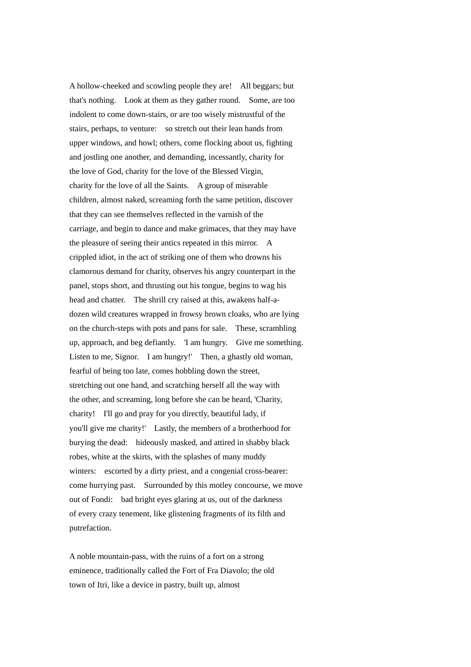A hollow-cheeked and scowling people they are! All beggars; but that's nothing. Look at them as they gather round. Some, are too indolent to come down-stairs, or are too wisely mistrustful of the stairs, perhaps, to venture: so stretch out their lean hands from upper windows, and howl; others, come flocking about us, fighting and jostling one another, and demanding, incessantly, charity for the love of God, charity for the love of the Blessed Virgin, charity for the love of all the Saints. A group of miserable children, almost naked, screaming forth the same petition, discover that they can see themselves reflected in the varnish of the carriage, and begin to dance and make grimaces, that they may have the pleasure of seeing their antics repeated in this mirror. A crippled idiot, in the act of striking one of them who drowns his clamorous demand for charity, observes his angry counterpart in the panel, stops short, and thrusting out his tongue, begins to wag his head and chatter. The shrill cry raised at this, awakens half-adozen wild creatures wrapped in frowsy brown cloaks, who are lying on the church-steps with pots and pans for sale. These, scrambling up, approach, and beg defiantly. 'I am hungry. Give me something. Listen to me, Signor. I am hungry!' Then, a ghastly old woman, fearful of being too late, comes hobbling down the street, stretching out one hand, and scratching herself all the way with the other, and screaming, long before she can be heard, 'Charity, charity! I'll go and pray for you directly, beautiful lady, if you'll give me charity!' Lastly, the members of a brotherhood for burying the dead: hideously masked, and attired in shabby black robes, white at the skirts, with the splashes of many muddy winters: escorted by a dirty priest, and a congenial cross-bearer: come hurrying past. Surrounded by this motley concourse, we move out of Fondi: bad bright eyes glaring at us, out of the darkness of every crazy tenement, like glistening fragments of its filth and putrefaction.

A noble mountain-pass, with the ruins of a fort on a strong eminence, traditionally called the Fort of Fra Diavolo; the old town of Itri, like a device in pastry, built up, almost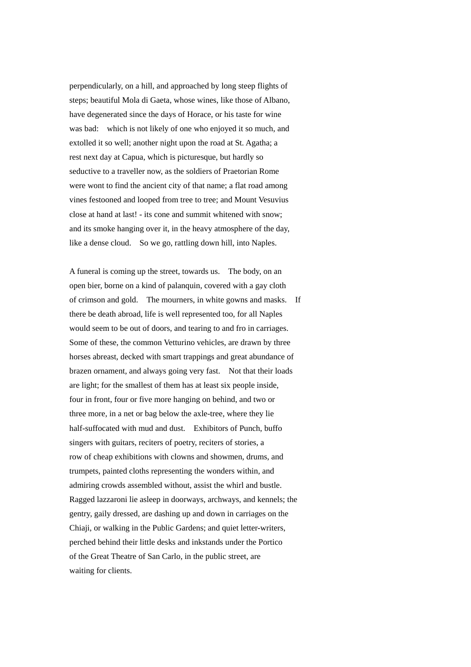perpendicularly, on a hill, and approached by long steep flights of steps; beautiful Mola di Gaeta, whose wines, like those of Albano, have degenerated since the days of Horace, or his taste for wine was bad: which is not likely of one who enjoyed it so much, and extolled it so well; another night upon the road at St. Agatha; a rest next day at Capua, which is picturesque, but hardly so seductive to a traveller now, as the soldiers of Praetorian Rome were wont to find the ancient city of that name; a flat road among vines festooned and looped from tree to tree; and Mount Vesuvius close at hand at last! - its cone and summit whitened with snow; and its smoke hanging over it, in the heavy atmosphere of the day, like a dense cloud. So we go, rattling down hill, into Naples.

A funeral is coming up the street, towards us. The body, on an open bier, borne on a kind of palanquin, covered with a gay cloth of crimson and gold. The mourners, in white gowns and masks. If there be death abroad, life is well represented too, for all Naples would seem to be out of doors, and tearing to and fro in carriages. Some of these, the common Vetturino vehicles, are drawn by three horses abreast, decked with smart trappings and great abundance of brazen ornament, and always going very fast. Not that their loads are light; for the smallest of them has at least six people inside, four in front, four or five more hanging on behind, and two or three more, in a net or bag below the axle-tree, where they lie half-suffocated with mud and dust. Exhibitors of Punch, buffo singers with guitars, reciters of poetry, reciters of stories, a row of cheap exhibitions with clowns and showmen, drums, and trumpets, painted cloths representing the wonders within, and admiring crowds assembled without, assist the whirl and bustle. Ragged lazzaroni lie asleep in doorways, archways, and kennels; the gentry, gaily dressed, are dashing up and down in carriages on the Chiaji, or walking in the Public Gardens; and quiet letter-writers, perched behind their little desks and inkstands under the Portico of the Great Theatre of San Carlo, in the public street, are waiting for clients.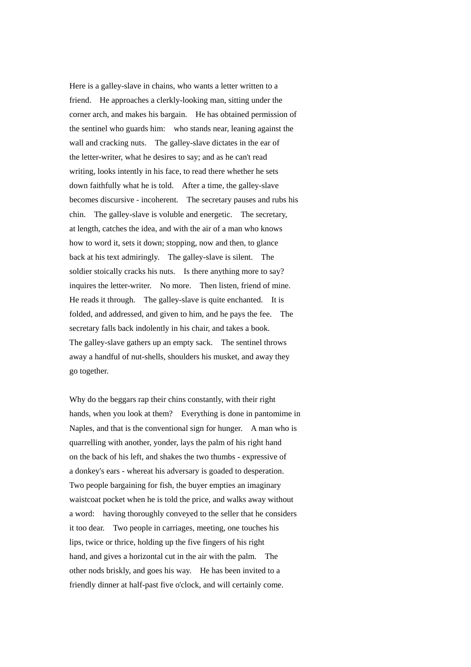Here is a galley-slave in chains, who wants a letter written to a friend. He approaches a clerkly-looking man, sitting under the corner arch, and makes his bargain. He has obtained permission of the sentinel who guards him: who stands near, leaning against the wall and cracking nuts. The galley-slave dictates in the ear of the letter-writer, what he desires to say; and as he can't read writing, looks intently in his face, to read there whether he sets down faithfully what he is told. After a time, the galley-slave becomes discursive - incoherent. The secretary pauses and rubs his chin. The galley-slave is voluble and energetic. The secretary, at length, catches the idea, and with the air of a man who knows how to word it, sets it down; stopping, now and then, to glance back at his text admiringly. The galley-slave is silent. The soldier stoically cracks his nuts. Is there anything more to say? inquires the letter-writer. No more. Then listen, friend of mine. He reads it through. The galley-slave is quite enchanted. It is folded, and addressed, and given to him, and he pays the fee. The secretary falls back indolently in his chair, and takes a book. The galley-slave gathers up an empty sack. The sentinel throws away a handful of nut-shells, shoulders his musket, and away they go together.

Why do the beggars rap their chins constantly, with their right hands, when you look at them? Everything is done in pantomime in Naples, and that is the conventional sign for hunger. A man who is quarrelling with another, yonder, lays the palm of his right hand on the back of his left, and shakes the two thumbs - expressive of a donkey's ears - whereat his adversary is goaded to desperation. Two people bargaining for fish, the buyer empties an imaginary waistcoat pocket when he is told the price, and walks away without a word: having thoroughly conveyed to the seller that he considers it too dear. Two people in carriages, meeting, one touches his lips, twice or thrice, holding up the five fingers of his right hand, and gives a horizontal cut in the air with the palm. The other nods briskly, and goes his way. He has been invited to a friendly dinner at half-past five o'clock, and will certainly come.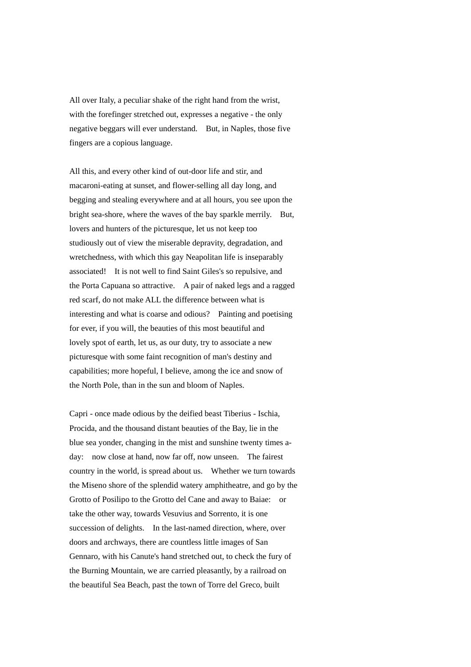All over Italy, a peculiar shake of the right hand from the wrist, with the forefinger stretched out, expresses a negative - the only negative beggars will ever understand. But, in Naples, those five fingers are a copious language.

All this, and every other kind of out-door life and stir, and macaroni-eating at sunset, and flower-selling all day long, and begging and stealing everywhere and at all hours, you see upon the bright sea-shore, where the waves of the bay sparkle merrily. But, lovers and hunters of the picturesque, let us not keep too studiously out of view the miserable depravity, degradation, and wretchedness, with which this gay Neapolitan life is inseparably associated! It is not well to find Saint Giles's so repulsive, and the Porta Capuana so attractive. A pair of naked legs and a ragged red scarf, do not make ALL the difference between what is interesting and what is coarse and odious? Painting and poetising for ever, if you will, the beauties of this most beautiful and lovely spot of earth, let us, as our duty, try to associate a new picturesque with some faint recognition of man's destiny and capabilities; more hopeful, I believe, among the ice and snow of the North Pole, than in the sun and bloom of Naples.

Capri - once made odious by the deified beast Tiberius - Ischia, Procida, and the thousand distant beauties of the Bay, lie in the blue sea yonder, changing in the mist and sunshine twenty times aday: now close at hand, now far off, now unseen. The fairest country in the world, is spread about us. Whether we turn towards the Miseno shore of the splendid watery amphitheatre, and go by the Grotto of Posilipo to the Grotto del Cane and away to Baiae: or take the other way, towards Vesuvius and Sorrento, it is one succession of delights. In the last-named direction, where, over doors and archways, there are countless little images of San Gennaro, with his Canute's hand stretched out, to check the fury of the Burning Mountain, we are carried pleasantly, by a railroad on the beautiful Sea Beach, past the town of Torre del Greco, built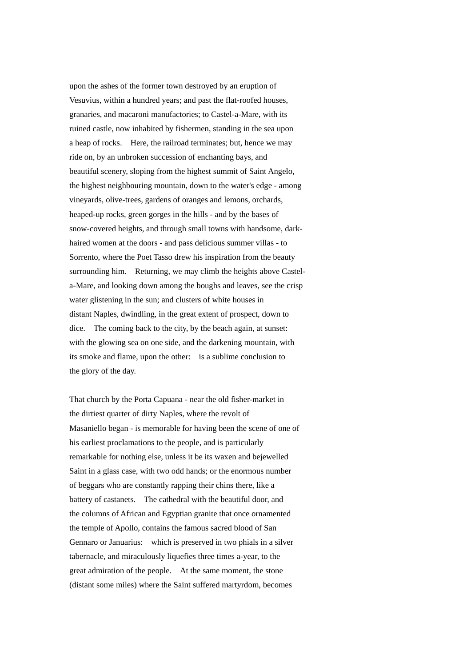upon the ashes of the former town destroyed by an eruption of Vesuvius, within a hundred years; and past the flat-roofed houses, granaries, and macaroni manufactories; to Castel-a-Mare, with its ruined castle, now inhabited by fishermen, standing in the sea upon a heap of rocks. Here, the railroad terminates; but, hence we may ride on, by an unbroken succession of enchanting bays, and beautiful scenery, sloping from the highest summit of Saint Angelo, the highest neighbouring mountain, down to the water's edge - among vineyards, olive-trees, gardens of oranges and lemons, orchards, heaped-up rocks, green gorges in the hills - and by the bases of snow-covered heights, and through small towns with handsome, darkhaired women at the doors - and pass delicious summer villas - to Sorrento, where the Poet Tasso drew his inspiration from the beauty surrounding him. Returning, we may climb the heights above Castela-Mare, and looking down among the boughs and leaves, see the crisp water glistening in the sun; and clusters of white houses in distant Naples, dwindling, in the great extent of prospect, down to dice. The coming back to the city, by the beach again, at sunset: with the glowing sea on one side, and the darkening mountain, with its smoke and flame, upon the other: is a sublime conclusion to the glory of the day.

That church by the Porta Capuana - near the old fisher-market in the dirtiest quarter of dirty Naples, where the revolt of Masaniello began - is memorable for having been the scene of one of his earliest proclamations to the people, and is particularly remarkable for nothing else, unless it be its waxen and bejewelled Saint in a glass case, with two odd hands; or the enormous number of beggars who are constantly rapping their chins there, like a battery of castanets. The cathedral with the beautiful door, and the columns of African and Egyptian granite that once ornamented the temple of Apollo, contains the famous sacred blood of San Gennaro or Januarius: which is preserved in two phials in a silver tabernacle, and miraculously liquefies three times a-year, to the great admiration of the people. At the same moment, the stone (distant some miles) where the Saint suffered martyrdom, becomes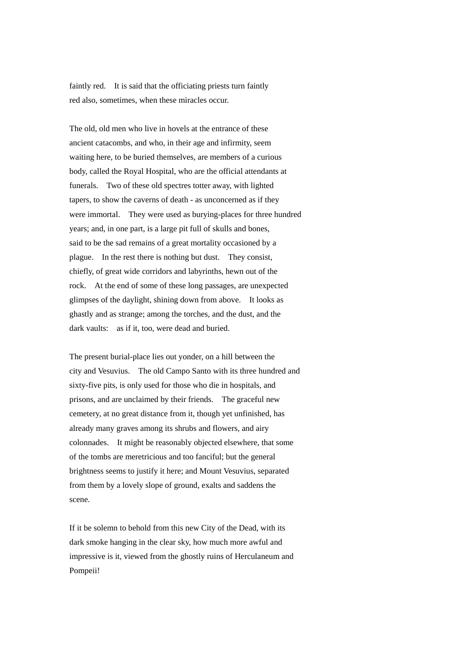faintly red. It is said that the officiating priests turn faintly red also, sometimes, when these miracles occur.

The old, old men who live in hovels at the entrance of these ancient catacombs, and who, in their age and infirmity, seem waiting here, to be buried themselves, are members of a curious body, called the Royal Hospital, who are the official attendants at funerals. Two of these old spectres totter away, with lighted tapers, to show the caverns of death - as unconcerned as if they were immortal. They were used as burying-places for three hundred years; and, in one part, is a large pit full of skulls and bones, said to be the sad remains of a great mortality occasioned by a plague. In the rest there is nothing but dust. They consist, chiefly, of great wide corridors and labyrinths, hewn out of the rock. At the end of some of these long passages, are unexpected glimpses of the daylight, shining down from above. It looks as ghastly and as strange; among the torches, and the dust, and the dark vaults: as if it, too, were dead and buried.

The present burial-place lies out yonder, on a hill between the city and Vesuvius. The old Campo Santo with its three hundred and sixty-five pits, is only used for those who die in hospitals, and prisons, and are unclaimed by their friends. The graceful new cemetery, at no great distance from it, though yet unfinished, has already many graves among its shrubs and flowers, and airy colonnades. It might be reasonably objected elsewhere, that some of the tombs are meretricious and too fanciful; but the general brightness seems to justify it here; and Mount Vesuvius, separated from them by a lovely slope of ground, exalts and saddens the scene.

If it be solemn to behold from this new City of the Dead, with its dark smoke hanging in the clear sky, how much more awful and impressive is it, viewed from the ghostly ruins of Herculaneum and Pompeii!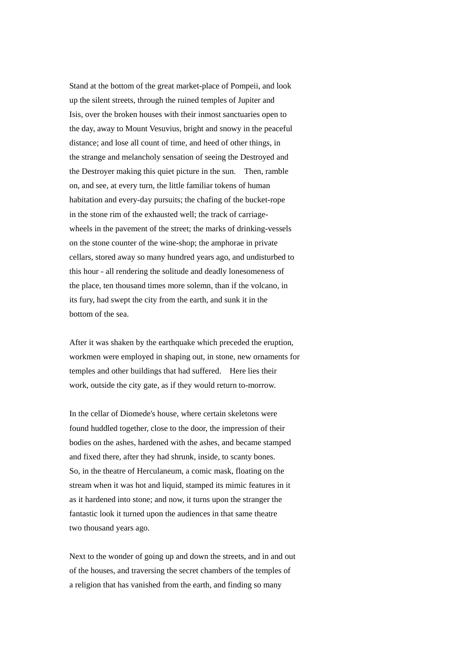Stand at the bottom of the great market-place of Pompeii, and look up the silent streets, through the ruined temples of Jupiter and Isis, over the broken houses with their inmost sanctuaries open to the day, away to Mount Vesuvius, bright and snowy in the peaceful distance; and lose all count of time, and heed of other things, in the strange and melancholy sensation of seeing the Destroyed and the Destroyer making this quiet picture in the sun. Then, ramble on, and see, at every turn, the little familiar tokens of human habitation and every-day pursuits; the chafing of the bucket-rope in the stone rim of the exhausted well; the track of carriagewheels in the pavement of the street; the marks of drinking-vessels on the stone counter of the wine-shop; the amphorae in private cellars, stored away so many hundred years ago, and undisturbed to this hour - all rendering the solitude and deadly lonesomeness of the place, ten thousand times more solemn, than if the volcano, in its fury, had swept the city from the earth, and sunk it in the bottom of the sea.

After it was shaken by the earthquake which preceded the eruption, workmen were employed in shaping out, in stone, new ornaments for temples and other buildings that had suffered. Here lies their work, outside the city gate, as if they would return to-morrow.

In the cellar of Diomede's house, where certain skeletons were found huddled together, close to the door, the impression of their bodies on the ashes, hardened with the ashes, and became stamped and fixed there, after they had shrunk, inside, to scanty bones. So, in the theatre of Herculaneum, a comic mask, floating on the stream when it was hot and liquid, stamped its mimic features in it as it hardened into stone; and now, it turns upon the stranger the fantastic look it turned upon the audiences in that same theatre two thousand years ago.

Next to the wonder of going up and down the streets, and in and out of the houses, and traversing the secret chambers of the temples of a religion that has vanished from the earth, and finding so many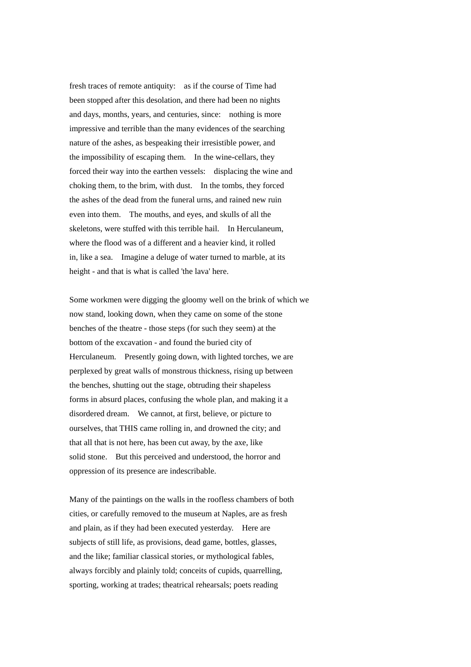fresh traces of remote antiquity: as if the course of Time had been stopped after this desolation, and there had been no nights and days, months, years, and centuries, since: nothing is more impressive and terrible than the many evidences of the searching nature of the ashes, as bespeaking their irresistible power, and the impossibility of escaping them. In the wine-cellars, they forced their way into the earthen vessels: displacing the wine and choking them, to the brim, with dust. In the tombs, they forced the ashes of the dead from the funeral urns, and rained new ruin even into them. The mouths, and eyes, and skulls of all the skeletons, were stuffed with this terrible hail. In Herculaneum, where the flood was of a different and a heavier kind, it rolled in, like a sea. Imagine a deluge of water turned to marble, at its height - and that is what is called 'the lava' here.

Some workmen were digging the gloomy well on the brink of which we now stand, looking down, when they came on some of the stone benches of the theatre - those steps (for such they seem) at the bottom of the excavation - and found the buried city of Herculaneum. Presently going down, with lighted torches, we are perplexed by great walls of monstrous thickness, rising up between the benches, shutting out the stage, obtruding their shapeless forms in absurd places, confusing the whole plan, and making it a disordered dream. We cannot, at first, believe, or picture to ourselves, that THIS came rolling in, and drowned the city; and that all that is not here, has been cut away, by the axe, like solid stone. But this perceived and understood, the horror and oppression of its presence are indescribable.

Many of the paintings on the walls in the roofless chambers of both cities, or carefully removed to the museum at Naples, are as fresh and plain, as if they had been executed yesterday. Here are subjects of still life, as provisions, dead game, bottles, glasses, and the like; familiar classical stories, or mythological fables, always forcibly and plainly told; conceits of cupids, quarrelling, sporting, working at trades; theatrical rehearsals; poets reading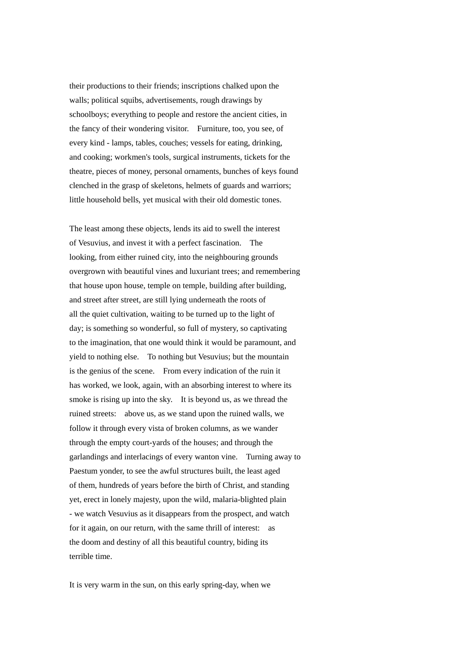their productions to their friends; inscriptions chalked upon the walls; political squibs, advertisements, rough drawings by schoolboys; everything to people and restore the ancient cities, in the fancy of their wondering visitor. Furniture, too, you see, of every kind - lamps, tables, couches; vessels for eating, drinking, and cooking; workmen's tools, surgical instruments, tickets for the theatre, pieces of money, personal ornaments, bunches of keys found clenched in the grasp of skeletons, helmets of guards and warriors; little household bells, yet musical with their old domestic tones.

The least among these objects, lends its aid to swell the interest of Vesuvius, and invest it with a perfect fascination. The looking, from either ruined city, into the neighbouring grounds overgrown with beautiful vines and luxuriant trees; and remembering that house upon house, temple on temple, building after building, and street after street, are still lying underneath the roots of all the quiet cultivation, waiting to be turned up to the light of day; is something so wonderful, so full of mystery, so captivating to the imagination, that one would think it would be paramount, and yield to nothing else. To nothing but Vesuvius; but the mountain is the genius of the scene. From every indication of the ruin it has worked, we look, again, with an absorbing interest to where its smoke is rising up into the sky. It is beyond us, as we thread the ruined streets: above us, as we stand upon the ruined walls, we follow it through every vista of broken columns, as we wander through the empty court-yards of the houses; and through the garlandings and interlacings of every wanton vine. Turning away to Paestum yonder, to see the awful structures built, the least aged of them, hundreds of years before the birth of Christ, and standing yet, erect in lonely majesty, upon the wild, malaria-blighted plain - we watch Vesuvius as it disappears from the prospect, and watch for it again, on our return, with the same thrill of interest: as the doom and destiny of all this beautiful country, biding its terrible time.

It is very warm in the sun, on this early spring-day, when we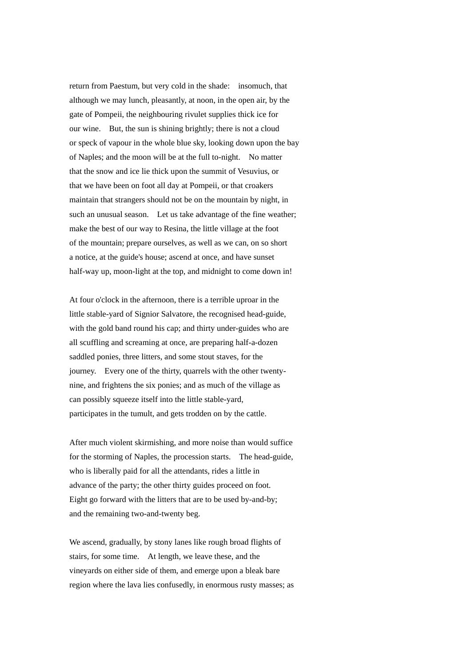return from Paestum, but very cold in the shade: insomuch, that although we may lunch, pleasantly, at noon, in the open air, by the gate of Pompeii, the neighbouring rivulet supplies thick ice for our wine. But, the sun is shining brightly; there is not a cloud or speck of vapour in the whole blue sky, looking down upon the bay of Naples; and the moon will be at the full to-night. No matter that the snow and ice lie thick upon the summit of Vesuvius, or that we have been on foot all day at Pompeii, or that croakers maintain that strangers should not be on the mountain by night, in such an unusual season. Let us take advantage of the fine weather; make the best of our way to Resina, the little village at the foot of the mountain; prepare ourselves, as well as we can, on so short a notice, at the guide's house; ascend at once, and have sunset half-way up, moon-light at the top, and midnight to come down in!

At four o'clock in the afternoon, there is a terrible uproar in the little stable-yard of Signior Salvatore, the recognised head-guide, with the gold band round his cap; and thirty under-guides who are all scuffling and screaming at once, are preparing half-a-dozen saddled ponies, three litters, and some stout staves, for the journey. Every one of the thirty, quarrels with the other twentynine, and frightens the six ponies; and as much of the village as can possibly squeeze itself into the little stable-yard, participates in the tumult, and gets trodden on by the cattle.

After much violent skirmishing, and more noise than would suffice for the storming of Naples, the procession starts. The head-guide, who is liberally paid for all the attendants, rides a little in advance of the party; the other thirty guides proceed on foot. Eight go forward with the litters that are to be used by-and-by; and the remaining two-and-twenty beg.

We ascend, gradually, by stony lanes like rough broad flights of stairs, for some time. At length, we leave these, and the vineyards on either side of them, and emerge upon a bleak bare region where the lava lies confusedly, in enormous rusty masses; as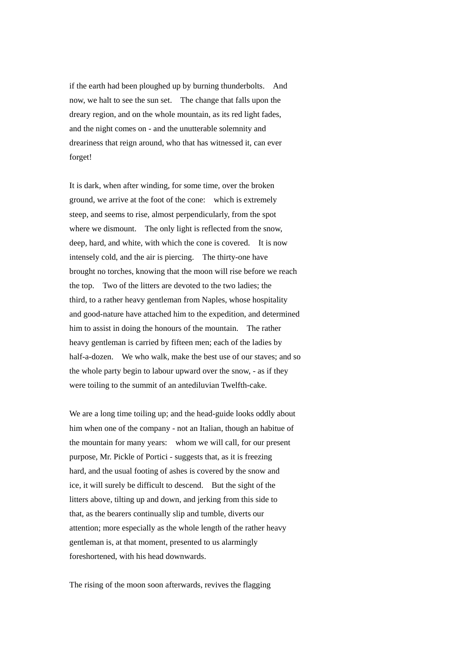if the earth had been ploughed up by burning thunderbolts. And now, we halt to see the sun set. The change that falls upon the dreary region, and on the whole mountain, as its red light fades, and the night comes on - and the unutterable solemnity and dreariness that reign around, who that has witnessed it, can ever forget!

It is dark, when after winding, for some time, over the broken ground, we arrive at the foot of the cone: which is extremely steep, and seems to rise, almost perpendicularly, from the spot where we dismount. The only light is reflected from the snow, deep, hard, and white, with which the cone is covered. It is now intensely cold, and the air is piercing. The thirty-one have brought no torches, knowing that the moon will rise before we reach the top. Two of the litters are devoted to the two ladies; the third, to a rather heavy gentleman from Naples, whose hospitality and good-nature have attached him to the expedition, and determined him to assist in doing the honours of the mountain. The rather heavy gentleman is carried by fifteen men; each of the ladies by half-a-dozen. We who walk, make the best use of our staves; and so the whole party begin to labour upward over the snow, - as if they were toiling to the summit of an antediluvian Twelfth-cake.

We are a long time toiling up; and the head-guide looks oddly about him when one of the company - not an Italian, though an habitue of the mountain for many years: whom we will call, for our present purpose, Mr. Pickle of Portici - suggests that, as it is freezing hard, and the usual footing of ashes is covered by the snow and ice, it will surely be difficult to descend. But the sight of the litters above, tilting up and down, and jerking from this side to that, as the bearers continually slip and tumble, diverts our attention; more especially as the whole length of the rather heavy gentleman is, at that moment, presented to us alarmingly foreshortened, with his head downwards.

The rising of the moon soon afterwards, revives the flagging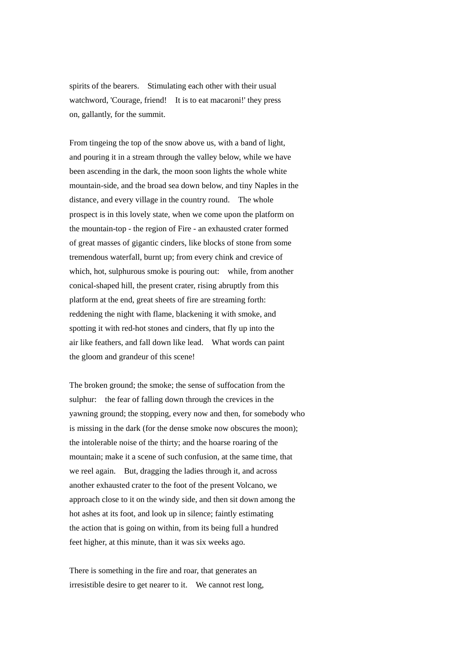spirits of the bearers. Stimulating each other with their usual watchword, 'Courage, friend! It is to eat macaroni!' they press on, gallantly, for the summit.

From tingeing the top of the snow above us, with a band of light, and pouring it in a stream through the valley below, while we have been ascending in the dark, the moon soon lights the whole white mountain-side, and the broad sea down below, and tiny Naples in the distance, and every village in the country round. The whole prospect is in this lovely state, when we come upon the platform on the mountain-top - the region of Fire - an exhausted crater formed of great masses of gigantic cinders, like blocks of stone from some tremendous waterfall, burnt up; from every chink and crevice of which, hot, sulphurous smoke is pouring out: while, from another conical-shaped hill, the present crater, rising abruptly from this platform at the end, great sheets of fire are streaming forth: reddening the night with flame, blackening it with smoke, and spotting it with red-hot stones and cinders, that fly up into the air like feathers, and fall down like lead. What words can paint the gloom and grandeur of this scene!

The broken ground; the smoke; the sense of suffocation from the sulphur: the fear of falling down through the crevices in the yawning ground; the stopping, every now and then, for somebody who is missing in the dark (for the dense smoke now obscures the moon); the intolerable noise of the thirty; and the hoarse roaring of the mountain; make it a scene of such confusion, at the same time, that we reel again. But, dragging the ladies through it, and across another exhausted crater to the foot of the present Volcano, we approach close to it on the windy side, and then sit down among the hot ashes at its foot, and look up in silence; faintly estimating the action that is going on within, from its being full a hundred feet higher, at this minute, than it was six weeks ago.

There is something in the fire and roar, that generates an irresistible desire to get nearer to it. We cannot rest long,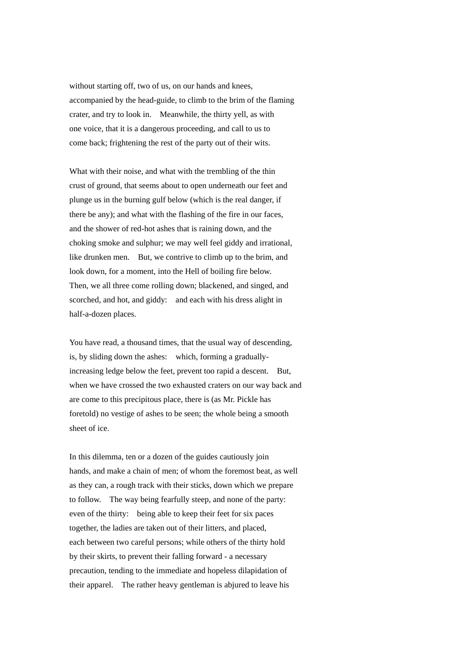without starting off, two of us, on our hands and knees. accompanied by the head-guide, to climb to the brim of the flaming crater, and try to look in. Meanwhile, the thirty yell, as with one voice, that it is a dangerous proceeding, and call to us to come back; frightening the rest of the party out of their wits.

What with their noise, and what with the trembling of the thin crust of ground, that seems about to open underneath our feet and plunge us in the burning gulf below (which is the real danger, if there be any); and what with the flashing of the fire in our faces, and the shower of red-hot ashes that is raining down, and the choking smoke and sulphur; we may well feel giddy and irrational, like drunken men. But, we contrive to climb up to the brim, and look down, for a moment, into the Hell of boiling fire below. Then, we all three come rolling down; blackened, and singed, and scorched, and hot, and giddy: and each with his dress alight in half-a-dozen places.

You have read, a thousand times, that the usual way of descending, is, by sliding down the ashes: which, forming a graduallyincreasing ledge below the feet, prevent too rapid a descent. But, when we have crossed the two exhausted craters on our way back and are come to this precipitous place, there is (as Mr. Pickle has foretold) no vestige of ashes to be seen; the whole being a smooth sheet of ice.

In this dilemma, ten or a dozen of the guides cautiously join hands, and make a chain of men; of whom the foremost beat, as well as they can, a rough track with their sticks, down which we prepare to follow. The way being fearfully steep, and none of the party: even of the thirty: being able to keep their feet for six paces together, the ladies are taken out of their litters, and placed, each between two careful persons; while others of the thirty hold by their skirts, to prevent their falling forward - a necessary precaution, tending to the immediate and hopeless dilapidation of their apparel. The rather heavy gentleman is abjured to leave his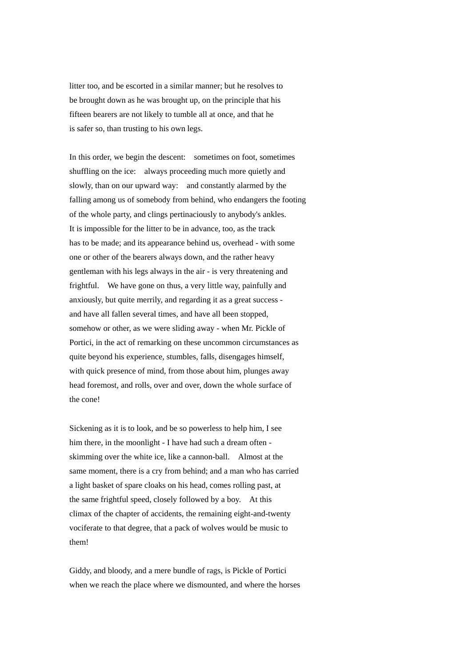litter too, and be escorted in a similar manner; but he resolves to be brought down as he was brought up, on the principle that his fifteen bearers are not likely to tumble all at once, and that he is safer so, than trusting to his own legs.

In this order, we begin the descent: sometimes on foot, sometimes shuffling on the ice: always proceeding much more quietly and slowly, than on our upward way: and constantly alarmed by the falling among us of somebody from behind, who endangers the footing of the whole party, and clings pertinaciously to anybody's ankles. It is impossible for the litter to be in advance, too, as the track has to be made; and its appearance behind us, overhead - with some one or other of the bearers always down, and the rather heavy gentleman with his legs always in the air - is very threatening and frightful. We have gone on thus, a very little way, painfully and anxiously, but quite merrily, and regarding it as a great success and have all fallen several times, and have all been stopped, somehow or other, as we were sliding away - when Mr. Pickle of Portici, in the act of remarking on these uncommon circumstances as quite beyond his experience, stumbles, falls, disengages himself, with quick presence of mind, from those about him, plunges away head foremost, and rolls, over and over, down the whole surface of the cone!

Sickening as it is to look, and be so powerless to help him, I see him there, in the moonlight - I have had such a dream often skimming over the white ice, like a cannon-ball. Almost at the same moment, there is a cry from behind; and a man who has carried a light basket of spare cloaks on his head, comes rolling past, at the same frightful speed, closely followed by a boy. At this climax of the chapter of accidents, the remaining eight-and-twenty vociferate to that degree, that a pack of wolves would be music to them!

Giddy, and bloody, and a mere bundle of rags, is Pickle of Portici when we reach the place where we dismounted, and where the horses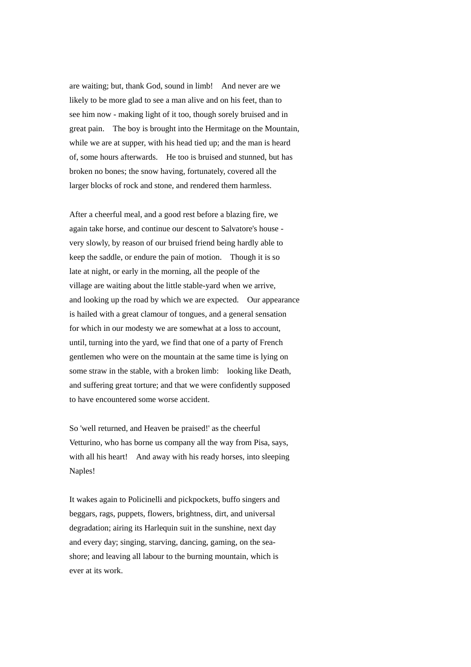are waiting; but, thank God, sound in limb! And never are we likely to be more glad to see a man alive and on his feet, than to see him now - making light of it too, though sorely bruised and in great pain. The boy is brought into the Hermitage on the Mountain, while we are at supper, with his head tied up; and the man is heard of, some hours afterwards. He too is bruised and stunned, but has broken no bones; the snow having, fortunately, covered all the larger blocks of rock and stone, and rendered them harmless.

After a cheerful meal, and a good rest before a blazing fire, we again take horse, and continue our descent to Salvatore's house very slowly, by reason of our bruised friend being hardly able to keep the saddle, or endure the pain of motion. Though it is so late at night, or early in the morning, all the people of the village are waiting about the little stable-yard when we arrive, and looking up the road by which we are expected. Our appearance is hailed with a great clamour of tongues, and a general sensation for which in our modesty we are somewhat at a loss to account, until, turning into the yard, we find that one of a party of French gentlemen who were on the mountain at the same time is lying on some straw in the stable, with a broken limb: looking like Death, and suffering great torture; and that we were confidently supposed to have encountered some worse accident.

So 'well returned, and Heaven be praised!' as the cheerful Vetturino, who has borne us company all the way from Pisa, says, with all his heart! And away with his ready horses, into sleeping Naples!

It wakes again to Policinelli and pickpockets, buffo singers and beggars, rags, puppets, flowers, brightness, dirt, and universal degradation; airing its Harlequin suit in the sunshine, next day and every day; singing, starving, dancing, gaming, on the seashore; and leaving all labour to the burning mountain, which is ever at its work.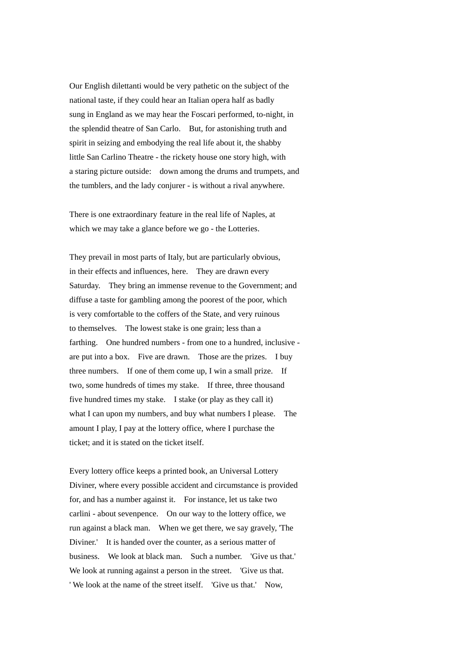Our English dilettanti would be very pathetic on the subject of the national taste, if they could hear an Italian opera half as badly sung in England as we may hear the Foscari performed, to-night, in the splendid theatre of San Carlo. But, for astonishing truth and spirit in seizing and embodying the real life about it, the shabby little San Carlino Theatre - the rickety house one story high, with a staring picture outside: down among the drums and trumpets, and the tumblers, and the lady conjurer - is without a rival anywhere.

There is one extraordinary feature in the real life of Naples, at which we may take a glance before we go - the Lotteries.

They prevail in most parts of Italy, but are particularly obvious, in their effects and influences, here. They are drawn every Saturday. They bring an immense revenue to the Government; and diffuse a taste for gambling among the poorest of the poor, which is very comfortable to the coffers of the State, and very ruinous to themselves. The lowest stake is one grain; less than a farthing. One hundred numbers - from one to a hundred, inclusive are put into a box. Five are drawn. Those are the prizes. I buy three numbers. If one of them come up, I win a small prize. If two, some hundreds of times my stake. If three, three thousand five hundred times my stake. I stake (or play as they call it) what I can upon my numbers, and buy what numbers I please. The amount I play, I pay at the lottery office, where I purchase the ticket; and it is stated on the ticket itself.

Every lottery office keeps a printed book, an Universal Lottery Diviner, where every possible accident and circumstance is provided for, and has a number against it. For instance, let us take two carlini - about sevenpence. On our way to the lottery office, we run against a black man. When we get there, we say gravely, 'The Diviner.' It is handed over the counter, as a serious matter of business. We look at black man. Such a number. 'Give us that.' We look at running against a person in the street. 'Give us that. ' We look at the name of the street itself. 'Give us that.' Now,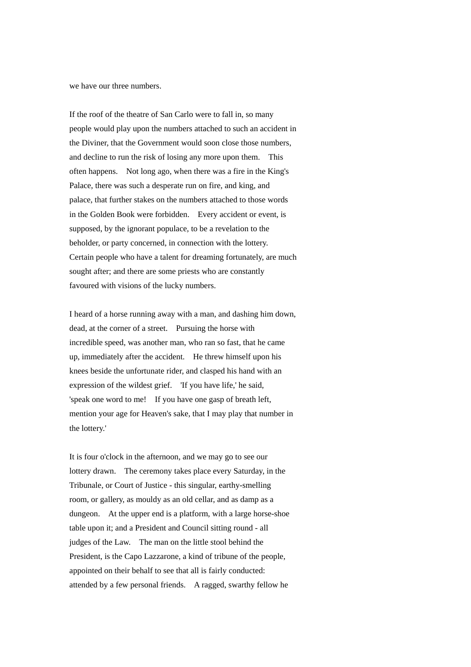we have our three numbers.

If the roof of the theatre of San Carlo were to fall in, so many people would play upon the numbers attached to such an accident in the Diviner, that the Government would soon close those numbers, and decline to run the risk of losing any more upon them. This often happens. Not long ago, when there was a fire in the King's Palace, there was such a desperate run on fire, and king, and palace, that further stakes on the numbers attached to those words in the Golden Book were forbidden. Every accident or event, is supposed, by the ignorant populace, to be a revelation to the beholder, or party concerned, in connection with the lottery. Certain people who have a talent for dreaming fortunately, are much sought after; and there are some priests who are constantly favoured with visions of the lucky numbers.

I heard of a horse running away with a man, and dashing him down, dead, at the corner of a street. Pursuing the horse with incredible speed, was another man, who ran so fast, that he came up, immediately after the accident. He threw himself upon his knees beside the unfortunate rider, and clasped his hand with an expression of the wildest grief. 'If you have life,' he said, 'speak one word to me! If you have one gasp of breath left, mention your age for Heaven's sake, that I may play that number in the lottery.'

It is four o'clock in the afternoon, and we may go to see our lottery drawn. The ceremony takes place every Saturday, in the Tribunale, or Court of Justice - this singular, earthy-smelling room, or gallery, as mouldy as an old cellar, and as damp as a dungeon. At the upper end is a platform, with a large horse-shoe table upon it; and a President and Council sitting round - all judges of the Law. The man on the little stool behind the President, is the Capo Lazzarone, a kind of tribune of the people, appointed on their behalf to see that all is fairly conducted: attended by a few personal friends. A ragged, swarthy fellow he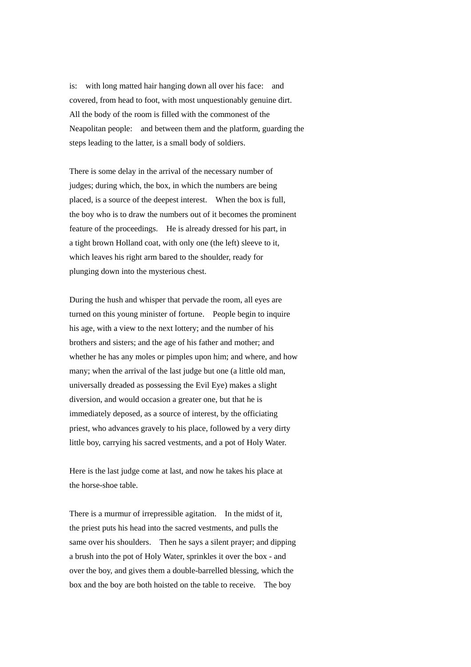is: with long matted hair hanging down all over his face: and covered, from head to foot, with most unquestionably genuine dirt. All the body of the room is filled with the commonest of the Neapolitan people: and between them and the platform, guarding the steps leading to the latter, is a small body of soldiers.

There is some delay in the arrival of the necessary number of judges; during which, the box, in which the numbers are being placed, is a source of the deepest interest. When the box is full, the boy who is to draw the numbers out of it becomes the prominent feature of the proceedings. He is already dressed for his part, in a tight brown Holland coat, with only one (the left) sleeve to it, which leaves his right arm bared to the shoulder, ready for plunging down into the mysterious chest.

During the hush and whisper that pervade the room, all eyes are turned on this young minister of fortune. People begin to inquire his age, with a view to the next lottery; and the number of his brothers and sisters; and the age of his father and mother; and whether he has any moles or pimples upon him; and where, and how many; when the arrival of the last judge but one (a little old man, universally dreaded as possessing the Evil Eye) makes a slight diversion, and would occasion a greater one, but that he is immediately deposed, as a source of interest, by the officiating priest, who advances gravely to his place, followed by a very dirty little boy, carrying his sacred vestments, and a pot of Holy Water.

Here is the last judge come at last, and now he takes his place at the horse-shoe table.

There is a murmur of irrepressible agitation. In the midst of it, the priest puts his head into the sacred vestments, and pulls the same over his shoulders. Then he says a silent prayer; and dipping a brush into the pot of Holy Water, sprinkles it over the box - and over the boy, and gives them a double-barrelled blessing, which the box and the boy are both hoisted on the table to receive. The boy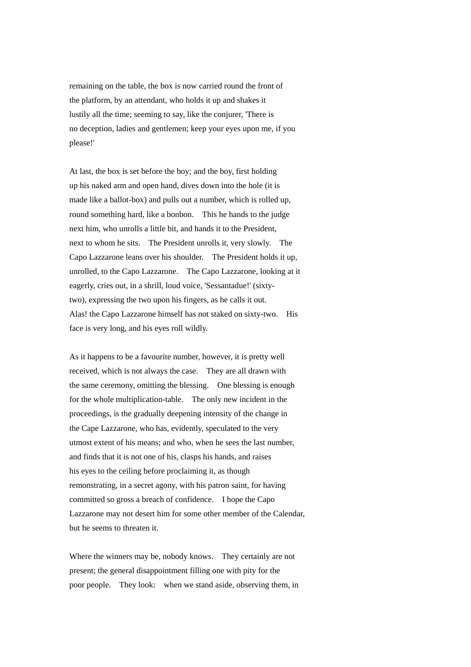remaining on the table, the box is now carried round the front of the platform, by an attendant, who holds it up and shakes it lustily all the time; seeming to say, like the conjurer, 'There is no deception, ladies and gentlemen; keep your eyes upon me, if you please!'

At last, the box is set before the boy; and the boy, first holding up his naked arm and open hand, dives down into the hole (it is made like a ballot-box) and pulls out a number, which is rolled up, round something hard, like a bonbon. This he hands to the judge next him, who unrolls a little bit, and hands it to the President, next to whom he sits. The President unrolls it, very slowly. The Capo Lazzarone leans over his shoulder. The President holds it up, unrolled, to the Capo Lazzarone. The Capo Lazzarone, looking at it eagerly, cries out, in a shrill, loud voice, 'Sessantadue!' (sixtytwo), expressing the two upon his fingers, as he calls it out. Alas! the Capo Lazzarone himself has not staked on sixty-two. His face is very long, and his eyes roll wildly.

As it happens to be a favourite number, however, it is pretty well received, which is not always the case. They are all drawn with the same ceremony, omitting the blessing. One blessing is enough for the whole multiplication-table. The only new incident in the proceedings, is the gradually deepening intensity of the change in the Cape Lazzarone, who has, evidently, speculated to the very utmost extent of his means; and who, when he sees the last number, and finds that it is not one of his, clasps his hands, and raises his eyes to the ceiling before proclaiming it, as though remonstrating, in a secret agony, with his patron saint, for having committed so gross a breach of confidence. I hope the Capo Lazzarone may not desert him for some other member of the Calendar, but he seems to threaten it.

Where the winners may be, nobody knows. They certainly are not present; the general disappointment filling one with pity for the poor people. They look: when we stand aside, observing them, in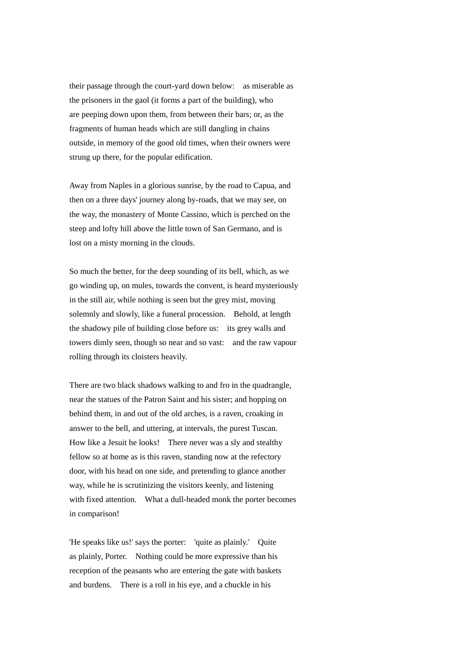their passage through the court-yard down below: as miserable as the prisoners in the gaol (it forms a part of the building), who are peeping down upon them, from between their bars; or, as the fragments of human heads which are still dangling in chains outside, in memory of the good old times, when their owners were strung up there, for the popular edification.

Away from Naples in a glorious sunrise, by the road to Capua, and then on a three days' journey along by-roads, that we may see, on the way, the monastery of Monte Cassino, which is perched on the steep and lofty hill above the little town of San Germano, and is lost on a misty morning in the clouds.

So much the better, for the deep sounding of its bell, which, as we go winding up, on mules, towards the convent, is heard mysteriously in the still air, while nothing is seen but the grey mist, moving solemnly and slowly, like a funeral procession. Behold, at length the shadowy pile of building close before us: its grey walls and towers dimly seen, though so near and so vast: and the raw vapour rolling through its cloisters heavily.

There are two black shadows walking to and fro in the quadrangle, near the statues of the Patron Saint and his sister; and hopping on behind them, in and out of the old arches, is a raven, croaking in answer to the bell, and uttering, at intervals, the purest Tuscan. How like a Jesuit he looks! There never was a sly and stealthy fellow so at home as is this raven, standing now at the refectory door, with his head on one side, and pretending to glance another way, while he is scrutinizing the visitors keenly, and listening with fixed attention. What a dull-headed monk the porter becomes in comparison!

'He speaks like us!' says the porter: 'quite as plainly.' Quite as plainly, Porter. Nothing could be more expressive than his reception of the peasants who are entering the gate with baskets and burdens. There is a roll in his eye, and a chuckle in his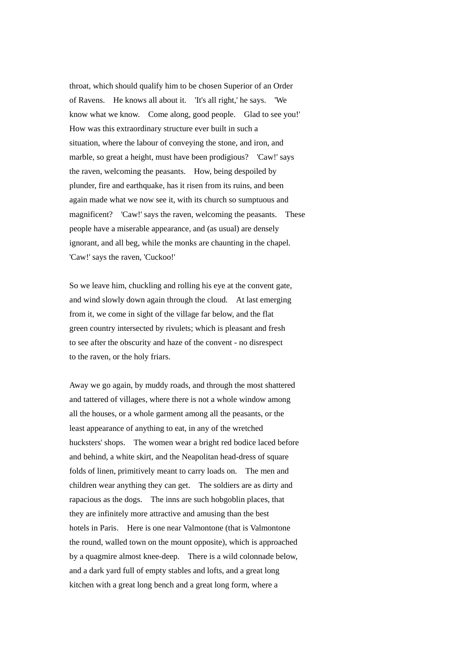throat, which should qualify him to be chosen Superior of an Order of Ravens. He knows all about it. 'It's all right,' he says. 'We know what we know. Come along, good people. Glad to see you!' How was this extraordinary structure ever built in such a situation, where the labour of conveying the stone, and iron, and marble, so great a height, must have been prodigious? 'Caw!' says the raven, welcoming the peasants. How, being despoiled by plunder, fire and earthquake, has it risen from its ruins, and been again made what we now see it, with its church so sumptuous and magnificent? 'Caw!' says the raven, welcoming the peasants. These people have a miserable appearance, and (as usual) are densely ignorant, and all beg, while the monks are chaunting in the chapel. 'Caw!' says the raven, 'Cuckoo!'

So we leave him, chuckling and rolling his eye at the convent gate, and wind slowly down again through the cloud. At last emerging from it, we come in sight of the village far below, and the flat green country intersected by rivulets; which is pleasant and fresh to see after the obscurity and haze of the convent - no disrespect to the raven, or the holy friars.

Away we go again, by muddy roads, and through the most shattered and tattered of villages, where there is not a whole window among all the houses, or a whole garment among all the peasants, or the least appearance of anything to eat, in any of the wretched hucksters' shops. The women wear a bright red bodice laced before and behind, a white skirt, and the Neapolitan head-dress of square folds of linen, primitively meant to carry loads on. The men and children wear anything they can get. The soldiers are as dirty and rapacious as the dogs. The inns are such hobgoblin places, that they are infinitely more attractive and amusing than the best hotels in Paris. Here is one near Valmontone (that is Valmontone the round, walled town on the mount opposite), which is approached by a quagmire almost knee-deep. There is a wild colonnade below, and a dark yard full of empty stables and lofts, and a great long kitchen with a great long bench and a great long form, where a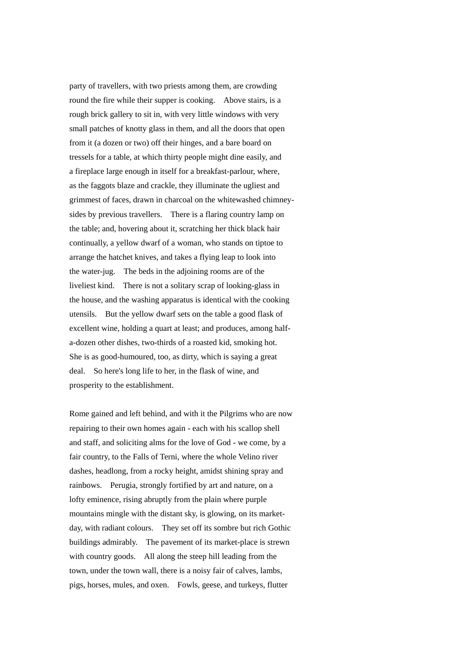party of travellers, with two priests among them, are crowding round the fire while their supper is cooking. Above stairs, is a rough brick gallery to sit in, with very little windows with very small patches of knotty glass in them, and all the doors that open from it (a dozen or two) off their hinges, and a bare board on tressels for a table, at which thirty people might dine easily, and a fireplace large enough in itself for a breakfast-parlour, where, as the faggots blaze and crackle, they illuminate the ugliest and grimmest of faces, drawn in charcoal on the whitewashed chimneysides by previous travellers. There is a flaring country lamp on the table; and, hovering about it, scratching her thick black hair continually, a yellow dwarf of a woman, who stands on tiptoe to arrange the hatchet knives, and takes a flying leap to look into the water-jug. The beds in the adjoining rooms are of the liveliest kind. There is not a solitary scrap of looking-glass in the house, and the washing apparatus is identical with the cooking utensils. But the yellow dwarf sets on the table a good flask of excellent wine, holding a quart at least; and produces, among halfa-dozen other dishes, two-thirds of a roasted kid, smoking hot. She is as good-humoured, too, as dirty, which is saying a great deal. So here's long life to her, in the flask of wine, and prosperity to the establishment.

Rome gained and left behind, and with it the Pilgrims who are now repairing to their own homes again - each with his scallop shell and staff, and soliciting alms for the love of God - we come, by a fair country, to the Falls of Terni, where the whole Velino river dashes, headlong, from a rocky height, amidst shining spray and rainbows. Perugia, strongly fortified by art and nature, on a lofty eminence, rising abruptly from the plain where purple mountains mingle with the distant sky, is glowing, on its marketday, with radiant colours. They set off its sombre but rich Gothic buildings admirably. The pavement of its market-place is strewn with country goods. All along the steep hill leading from the town, under the town wall, there is a noisy fair of calves, lambs, pigs, horses, mules, and oxen. Fowls, geese, and turkeys, flutter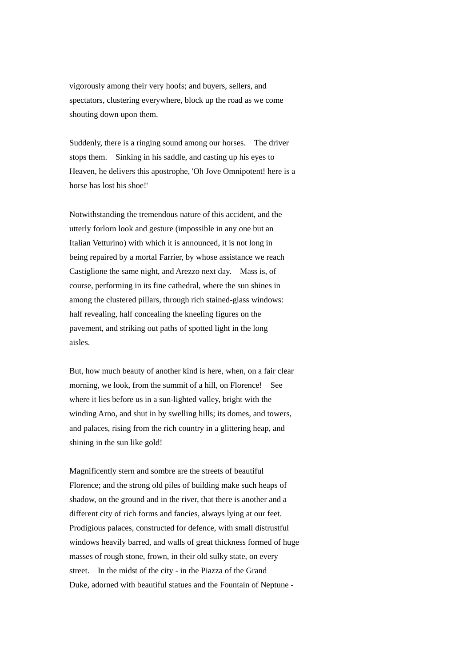vigorously among their very hoofs; and buyers, sellers, and spectators, clustering everywhere, block up the road as we come shouting down upon them.

Suddenly, there is a ringing sound among our horses. The driver stops them. Sinking in his saddle, and casting up his eyes to Heaven, he delivers this apostrophe, 'Oh Jove Omnipotent! here is a horse has lost his shoe!'

Notwithstanding the tremendous nature of this accident, and the utterly forlorn look and gesture (impossible in any one but an Italian Vetturino) with which it is announced, it is not long in being repaired by a mortal Farrier, by whose assistance we reach Castiglione the same night, and Arezzo next day. Mass is, of course, performing in its fine cathedral, where the sun shines in among the clustered pillars, through rich stained-glass windows: half revealing, half concealing the kneeling figures on the pavement, and striking out paths of spotted light in the long aisles.

But, how much beauty of another kind is here, when, on a fair clear morning, we look, from the summit of a hill, on Florence! See where it lies before us in a sun-lighted valley, bright with the winding Arno, and shut in by swelling hills; its domes, and towers, and palaces, rising from the rich country in a glittering heap, and shining in the sun like gold!

Magnificently stern and sombre are the streets of beautiful Florence; and the strong old piles of building make such heaps of shadow, on the ground and in the river, that there is another and a different city of rich forms and fancies, always lying at our feet. Prodigious palaces, constructed for defence, with small distrustful windows heavily barred, and walls of great thickness formed of huge masses of rough stone, frown, in their old sulky state, on every street. In the midst of the city - in the Piazza of the Grand Duke, adorned with beautiful statues and the Fountain of Neptune -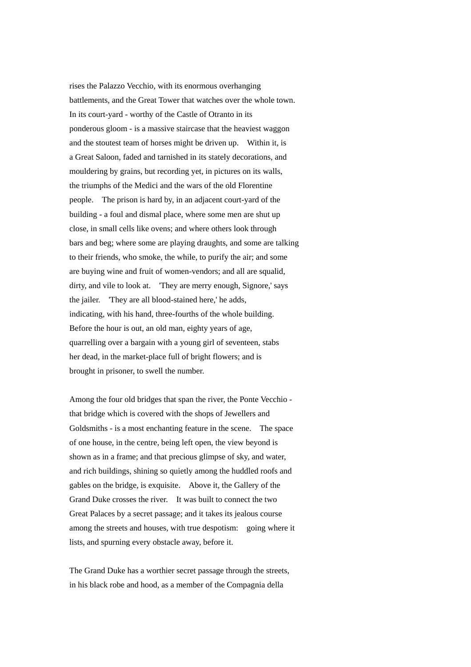rises the Palazzo Vecchio, with its enormous overhanging battlements, and the Great Tower that watches over the whole town. In its court-yard - worthy of the Castle of Otranto in its ponderous gloom - is a massive staircase that the heaviest waggon and the stoutest team of horses might be driven up. Within it, is a Great Saloon, faded and tarnished in its stately decorations, and mouldering by grains, but recording yet, in pictures on its walls, the triumphs of the Medici and the wars of the old Florentine people. The prison is hard by, in an adjacent court-yard of the building - a foul and dismal place, where some men are shut up close, in small cells like ovens; and where others look through bars and beg; where some are playing draughts, and some are talking to their friends, who smoke, the while, to purify the air; and some are buying wine and fruit of women-vendors; and all are squalid, dirty, and vile to look at. 'They are merry enough, Signore,' says the jailer. 'They are all blood-stained here,' he adds, indicating, with his hand, three-fourths of the whole building. Before the hour is out, an old man, eighty years of age, quarrelling over a bargain with a young girl of seventeen, stabs her dead, in the market-place full of bright flowers; and is brought in prisoner, to swell the number.

Among the four old bridges that span the river, the Ponte Vecchio that bridge which is covered with the shops of Jewellers and Goldsmiths - is a most enchanting feature in the scene. The space of one house, in the centre, being left open, the view beyond is shown as in a frame; and that precious glimpse of sky, and water, and rich buildings, shining so quietly among the huddled roofs and gables on the bridge, is exquisite. Above it, the Gallery of the Grand Duke crosses the river. It was built to connect the two Great Palaces by a secret passage; and it takes its jealous course among the streets and houses, with true despotism: going where it lists, and spurning every obstacle away, before it.

The Grand Duke has a worthier secret passage through the streets, in his black robe and hood, as a member of the Compagnia della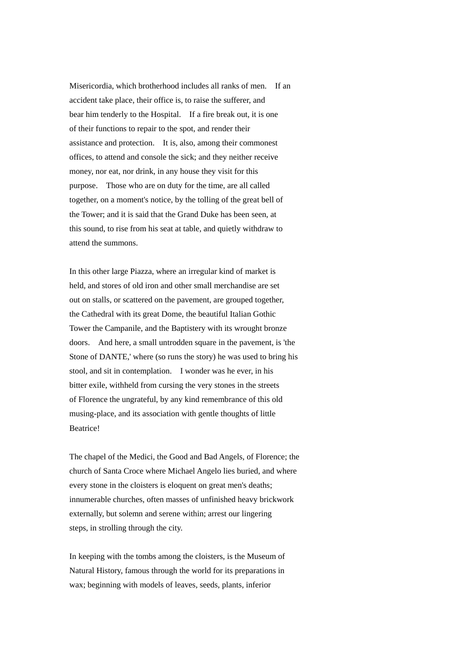Misericordia, which brotherhood includes all ranks of men. If an accident take place, their office is, to raise the sufferer, and bear him tenderly to the Hospital. If a fire break out, it is one of their functions to repair to the spot, and render their assistance and protection. It is, also, among their commonest offices, to attend and console the sick; and they neither receive money, nor eat, nor drink, in any house they visit for this purpose. Those who are on duty for the time, are all called together, on a moment's notice, by the tolling of the great bell of the Tower; and it is said that the Grand Duke has been seen, at this sound, to rise from his seat at table, and quietly withdraw to attend the summons.

In this other large Piazza, where an irregular kind of market is held, and stores of old iron and other small merchandise are set out on stalls, or scattered on the pavement, are grouped together, the Cathedral with its great Dome, the beautiful Italian Gothic Tower the Campanile, and the Baptistery with its wrought bronze doors. And here, a small untrodden square in the pavement, is 'the Stone of DANTE,' where (so runs the story) he was used to bring his stool, and sit in contemplation. I wonder was he ever, in his bitter exile, withheld from cursing the very stones in the streets of Florence the ungrateful, by any kind remembrance of this old musing-place, and its association with gentle thoughts of little Beatrice!

The chapel of the Medici, the Good and Bad Angels, of Florence; the church of Santa Croce where Michael Angelo lies buried, and where every stone in the cloisters is eloquent on great men's deaths; innumerable churches, often masses of unfinished heavy brickwork externally, but solemn and serene within; arrest our lingering steps, in strolling through the city.

In keeping with the tombs among the cloisters, is the Museum of Natural History, famous through the world for its preparations in wax; beginning with models of leaves, seeds, plants, inferior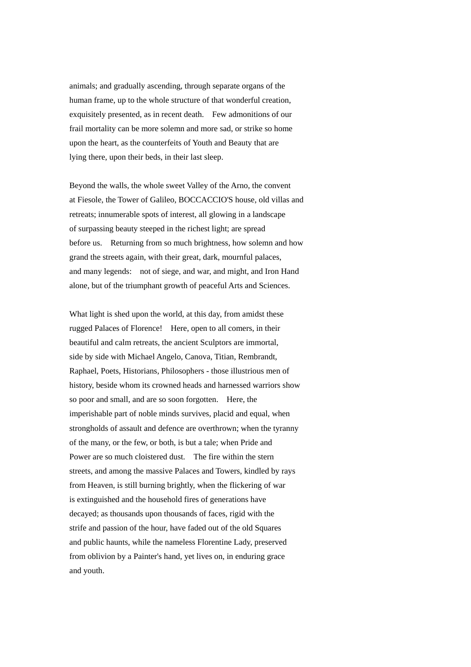animals; and gradually ascending, through separate organs of the human frame, up to the whole structure of that wonderful creation, exquisitely presented, as in recent death. Few admonitions of our frail mortality can be more solemn and more sad, or strike so home upon the heart, as the counterfeits of Youth and Beauty that are lying there, upon their beds, in their last sleep.

Beyond the walls, the whole sweet Valley of the Arno, the convent at Fiesole, the Tower of Galileo, BOCCACCIO'S house, old villas and retreats; innumerable spots of interest, all glowing in a landscape of surpassing beauty steeped in the richest light; are spread before us. Returning from so much brightness, how solemn and how grand the streets again, with their great, dark, mournful palaces, and many legends: not of siege, and war, and might, and Iron Hand alone, but of the triumphant growth of peaceful Arts and Sciences.

What light is shed upon the world, at this day, from amidst these rugged Palaces of Florence! Here, open to all comers, in their beautiful and calm retreats, the ancient Sculptors are immortal, side by side with Michael Angelo, Canova, Titian, Rembrandt, Raphael, Poets, Historians, Philosophers - those illustrious men of history, beside whom its crowned heads and harnessed warriors show so poor and small, and are so soon forgotten. Here, the imperishable part of noble minds survives, placid and equal, when strongholds of assault and defence are overthrown; when the tyranny of the many, or the few, or both, is but a tale; when Pride and Power are so much cloistered dust. The fire within the stern streets, and among the massive Palaces and Towers, kindled by rays from Heaven, is still burning brightly, when the flickering of war is extinguished and the household fires of generations have decayed; as thousands upon thousands of faces, rigid with the strife and passion of the hour, have faded out of the old Squares and public haunts, while the nameless Florentine Lady, preserved from oblivion by a Painter's hand, yet lives on, in enduring grace and youth.